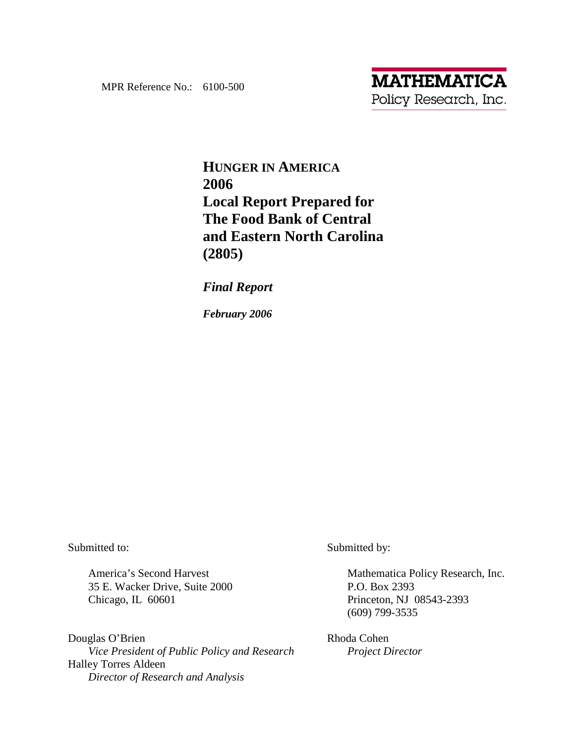# **HUNGER IN AMERICA 2006 Local Report Prepared for The Food Bank of Central and Eastern North Carolina (2805)**

*Final Report*

*February 2006* 

Submitted to:

America's Second Harvest 35 E. Wacker Drive, Suite 2000 Chicago, IL 60601

Douglas O'Brien  *Vice President of Public Policy and Research*  Halley Torres Aldeen *Director of Research and Analysis* 

Submitted by:

Mathematica Policy Research, Inc. P.O. Box 2393 Princeton, NJ 08543-2393 (609) 799-3535

Rhoda Cohen  *Project Director*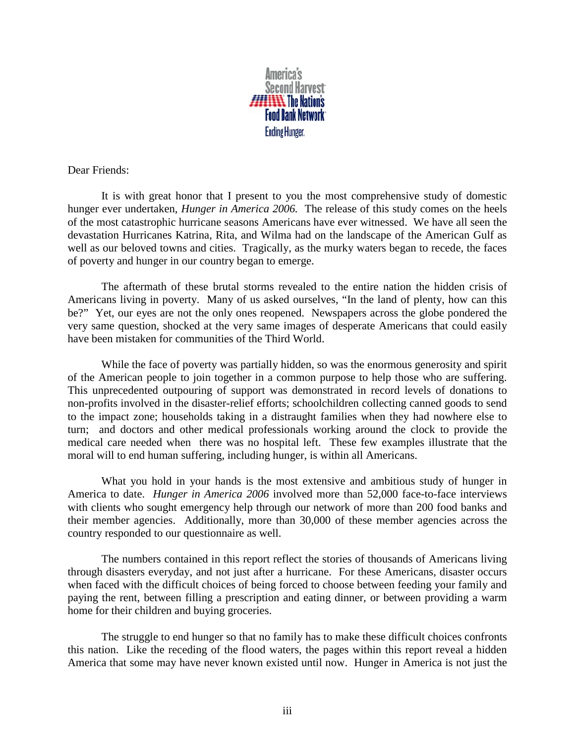

Dear Friends:

It is with great honor that I present to you the most comprehensive study of domestic hunger ever undertaken, *Hunger in America 2006.* The release of this study comes on the heels of the most catastrophic hurricane seasons Americans have ever witnessed. We have all seen the devastation Hurricanes Katrina, Rita, and Wilma had on the landscape of the American Gulf as well as our beloved towns and cities. Tragically, as the murky waters began to recede, the faces of poverty and hunger in our country began to emerge.

The aftermath of these brutal storms revealed to the entire nation the hidden crisis of Americans living in poverty. Many of us asked ourselves, "In the land of plenty, how can this be?" Yet, our eyes are not the only ones reopened. Newspapers across the globe pondered the very same question, shocked at the very same images of desperate Americans that could easily have been mistaken for communities of the Third World.

While the face of poverty was partially hidden, so was the enormous generosity and spirit of the American people to join together in a common purpose to help those who are suffering. This unprecedented outpouring of support was demonstrated in record levels of donations to non-profits involved in the disaster-relief efforts; schoolchildren collecting canned goods to send to the impact zone; households taking in a distraught families when they had nowhere else to turn; and doctors and other medical professionals working around the clock to provide the medical care needed when there was no hospital left. These few examples illustrate that the moral will to end human suffering, including hunger, is within all Americans.

What you hold in your hands is the most extensive and ambitious study of hunger in America to date. *Hunger in America 2006* involved more than 52,000 face-to-face interviews with clients who sought emergency help through our network of more than 200 food banks and their member agencies. Additionally, more than 30,000 of these member agencies across the country responded to our questionnaire as well.

The numbers contained in this report reflect the stories of thousands of Americans living through disasters everyday, and not just after a hurricane. For these Americans, disaster occurs when faced with the difficult choices of being forced to choose between feeding your family and paying the rent, between filling a prescription and eating dinner, or between providing a warm home for their children and buying groceries.

The struggle to end hunger so that no family has to make these difficult choices confronts this nation. Like the receding of the flood waters, the pages within this report reveal a hidden America that some may have never known existed until now. Hunger in America is not just the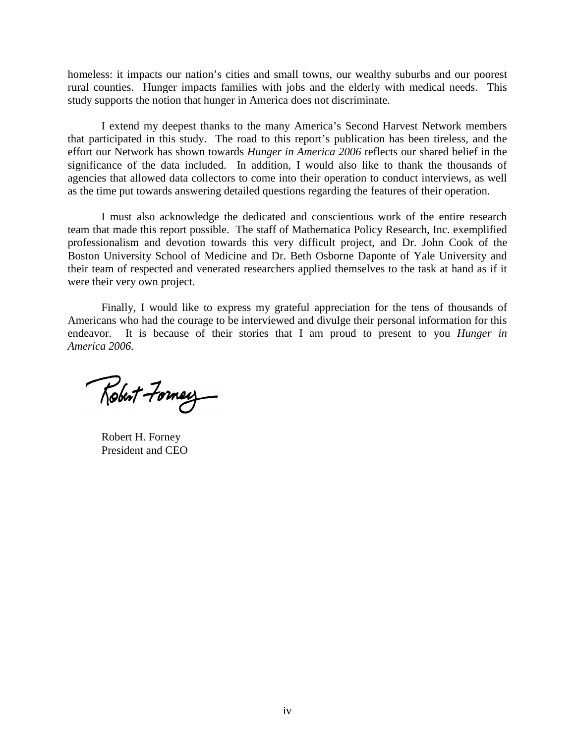homeless: it impacts our nation's cities and small towns, our wealthy suburbs and our poorest rural counties. Hunger impacts families with jobs and the elderly with medical needs. This study supports the notion that hunger in America does not discriminate.

I extend my deepest thanks to the many America's Second Harvest Network members that participated in this study. The road to this report's publication has been tireless, and the effort our Network has shown towards *Hunger in America 2006* reflects our shared belief in the significance of the data included. In addition, I would also like to thank the thousands of agencies that allowed data collectors to come into their operation to conduct interviews, as well as the time put towards answering detailed questions regarding the features of their operation.

I must also acknowledge the dedicated and conscientious work of the entire research team that made this report possible. The staff of Mathematica Policy Research, Inc. exemplified professionalism and devotion towards this very difficult project, and Dr. John Cook of the Boston University School of Medicine and Dr. Beth Osborne Daponte of Yale University and their team of respected and venerated researchers applied themselves to the task at hand as if it were their very own project.

Finally, I would like to express my grateful appreciation for the tens of thousands of Americans who had the courage to be interviewed and divulge their personal information for this endeavor. It is because of their stories that I am proud to present to you *Hunger in America 2006.* 

Robert Formey

Robert H. Forney President and CEO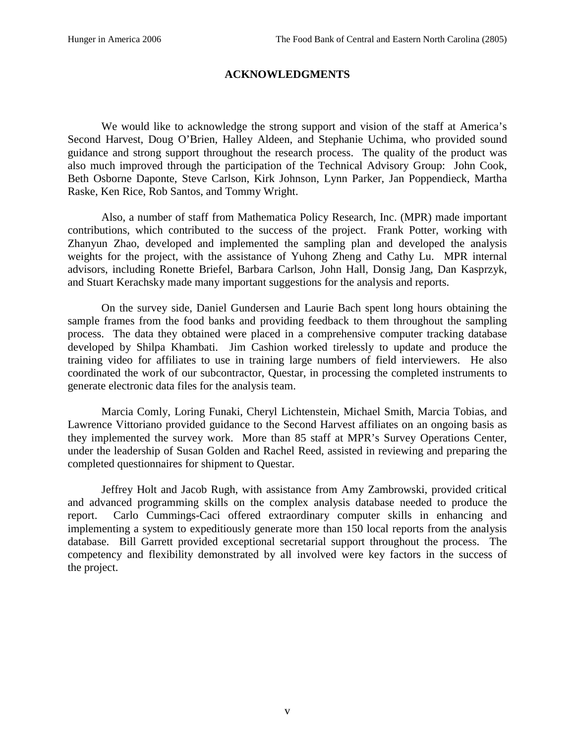### **ACKNOWLEDGMENTS**

We would like to acknowledge the strong support and vision of the staff at America's Second Harvest, Doug O'Brien, Halley Aldeen, and Stephanie Uchima, who provided sound guidance and strong support throughout the research process. The quality of the product was also much improved through the participation of the Technical Advisory Group: John Cook, Beth Osborne Daponte, Steve Carlson, Kirk Johnson, Lynn Parker, Jan Poppendieck, Martha Raske, Ken Rice, Rob Santos, and Tommy Wright.

Also, a number of staff from Mathematica Policy Research, Inc. (MPR) made important contributions, which contributed to the success of the project. Frank Potter, working with Zhanyun Zhao, developed and implemented the sampling plan and developed the analysis weights for the project, with the assistance of Yuhong Zheng and Cathy Lu. MPR internal advisors, including Ronette Briefel, Barbara Carlson, John Hall, Donsig Jang, Dan Kasprzyk, and Stuart Kerachsky made many important suggestions for the analysis and reports.

On the survey side, Daniel Gundersen and Laurie Bach spent long hours obtaining the sample frames from the food banks and providing feedback to them throughout the sampling process. The data they obtained were placed in a comprehensive computer tracking database developed by Shilpa Khambati. Jim Cashion worked tirelessly to update and produce the training video for affiliates to use in training large numbers of field interviewers. He also coordinated the work of our subcontractor, Questar, in processing the completed instruments to generate electronic data files for the analysis team.

Marcia Comly, Loring Funaki, Cheryl Lichtenstein, Michael Smith, Marcia Tobias, and Lawrence Vittoriano provided guidance to the Second Harvest affiliates on an ongoing basis as they implemented the survey work. More than 85 staff at MPR's Survey Operations Center, under the leadership of Susan Golden and Rachel Reed, assisted in reviewing and preparing the completed questionnaires for shipment to Questar.

Jeffrey Holt and Jacob Rugh, with assistance from Amy Zambrowski, provided critical and advanced programming skills on the complex analysis database needed to produce the report. Carlo Cummings-Caci offered extraordinary computer skills in enhancing and implementing a system to expeditiously generate more than 150 local reports from the analysis database. Bill Garrett provided exceptional secretarial support throughout the process. The competency and flexibility demonstrated by all involved were key factors in the success of the project.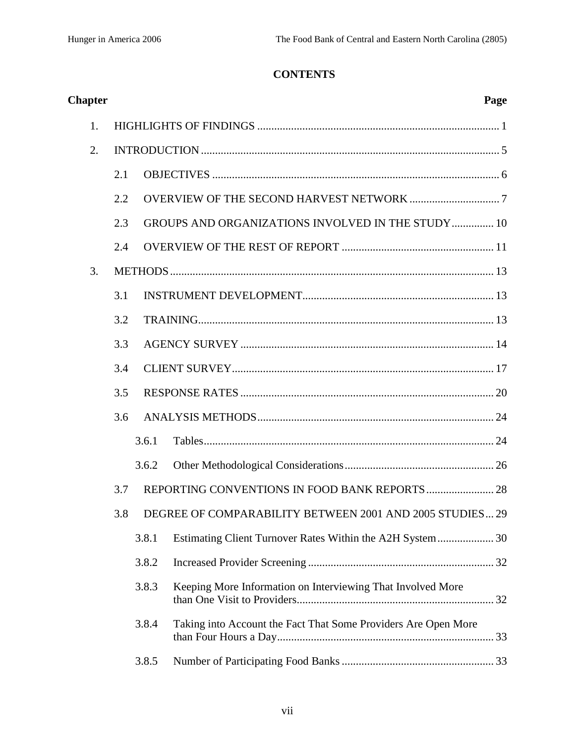## **CONTENTS**

| <b>Chapter</b> |     |       | Page                                                           |  |
|----------------|-----|-------|----------------------------------------------------------------|--|
| 1.             |     |       |                                                                |  |
| 2.             |     |       |                                                                |  |
|                | 2.1 |       |                                                                |  |
|                | 2.2 |       |                                                                |  |
|                | 2.3 |       | <b>GROUPS AND ORGANIZATIONS INVOLVED IN THE STUDY 10</b>       |  |
|                | 2.4 |       |                                                                |  |
| 3.             |     |       |                                                                |  |
|                | 3.1 |       |                                                                |  |
|                | 3.2 |       |                                                                |  |
|                | 3.3 |       |                                                                |  |
|                | 3.4 |       |                                                                |  |
|                | 3.5 |       |                                                                |  |
|                | 3.6 |       |                                                                |  |
|                |     | 3.6.1 |                                                                |  |
|                |     | 3.6.2 |                                                                |  |
|                | 3.7 |       |                                                                |  |
|                | 3.8 |       | DEGREE OF COMPARABILITY BETWEEN 2001 AND 2005 STUDIES 29       |  |
|                |     | 3.8.1 |                                                                |  |
|                |     | 3.8.2 |                                                                |  |
|                |     | 3.8.3 | Keeping More Information on Interviewing That Involved More    |  |
|                |     | 3.8.4 | Taking into Account the Fact That Some Providers Are Open More |  |
|                |     | 3.8.5 |                                                                |  |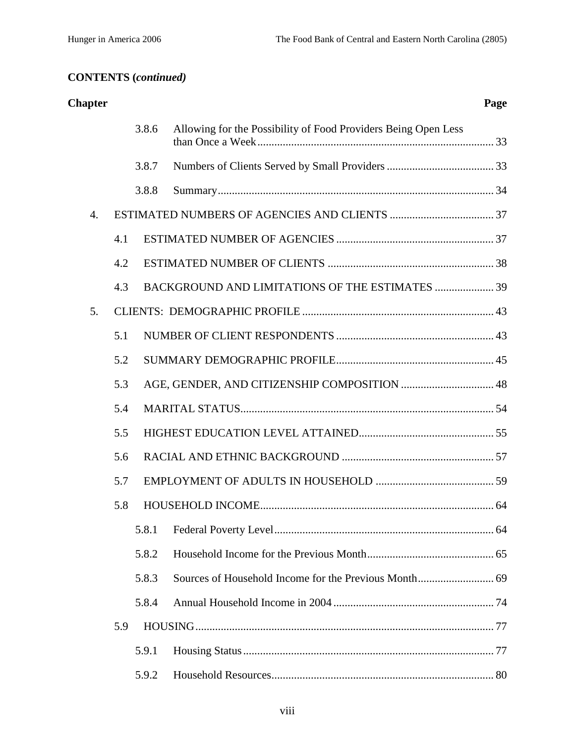| <b>Chapter</b> |     |       |                                                                | Page |
|----------------|-----|-------|----------------------------------------------------------------|------|
|                |     | 3.8.6 | Allowing for the Possibility of Food Providers Being Open Less |      |
|                |     | 3.8.7 |                                                                |      |
|                |     | 3.8.8 |                                                                |      |
| 4.             |     |       |                                                                |      |
|                | 4.1 |       |                                                                |      |
|                | 4.2 |       |                                                                |      |
|                | 4.3 |       | BACKGROUND AND LIMITATIONS OF THE ESTIMATES  39                |      |
| 5.             |     |       |                                                                |      |
|                | 5.1 |       |                                                                |      |
|                | 5.2 |       |                                                                |      |
|                | 5.3 |       |                                                                |      |
|                | 5.4 |       |                                                                |      |
|                | 5.5 |       |                                                                |      |
|                | 5.6 |       |                                                                |      |
|                | 5.7 |       |                                                                |      |
|                | 5.8 |       |                                                                |      |
|                |     | 5.8.1 |                                                                |      |
|                |     | 5.8.2 |                                                                |      |
|                |     | 5.8.3 |                                                                |      |
|                |     | 5.8.4 |                                                                |      |
|                | 5.9 |       |                                                                |      |
|                |     | 5.9.1 |                                                                |      |
|                |     | 5.9.2 |                                                                |      |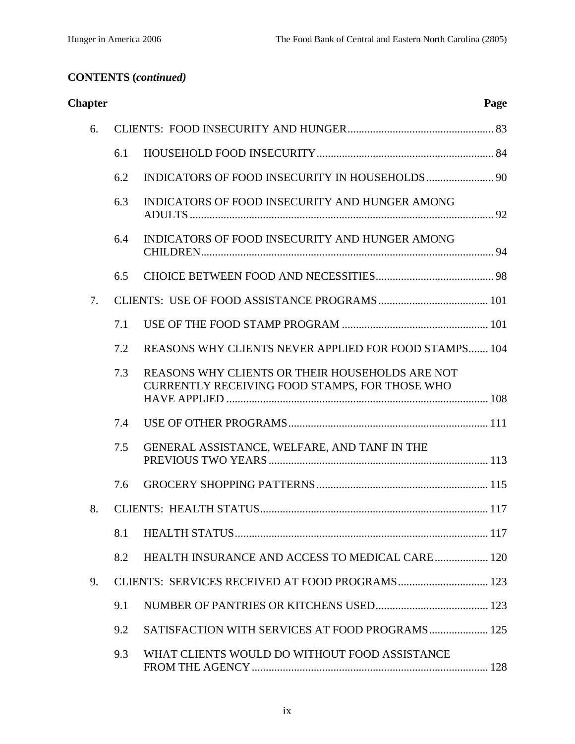| <b>Chapter</b> |     |                                                                                                   | Page |
|----------------|-----|---------------------------------------------------------------------------------------------------|------|
| 6.             |     |                                                                                                   |      |
|                | 6.1 |                                                                                                   |      |
|                | 6.2 |                                                                                                   |      |
|                | 6.3 | INDICATORS OF FOOD INSECURITY AND HUNGER AMONG                                                    |      |
|                | 6.4 | INDICATORS OF FOOD INSECURITY AND HUNGER AMONG                                                    |      |
|                | 6.5 |                                                                                                   |      |
| 7.             |     |                                                                                                   |      |
|                | 7.1 |                                                                                                   |      |
|                | 7.2 | REASONS WHY CLIENTS NEVER APPLIED FOR FOOD STAMPS 104                                             |      |
|                | 7.3 | REASONS WHY CLIENTS OR THEIR HOUSEHOLDS ARE NOT<br>CURRENTLY RECEIVING FOOD STAMPS, FOR THOSE WHO |      |
|                | 7.4 |                                                                                                   |      |
|                | 7.5 | GENERAL ASSISTANCE, WELFARE, AND TANF IN THE                                                      |      |
|                | 7.6 |                                                                                                   |      |
| 8.             |     |                                                                                                   |      |
|                | 8.1 |                                                                                                   |      |
|                | 8.2 | HEALTH INSURANCE AND ACCESS TO MEDICAL CARE 120                                                   |      |
| 9.             |     | CLIENTS: SERVICES RECEIVED AT FOOD PROGRAMS 123                                                   |      |
|                | 9.1 |                                                                                                   |      |
|                | 9.2 | SATISFACTION WITH SERVICES AT FOOD PROGRAMS 125                                                   |      |
|                | 9.3 | WHAT CLIENTS WOULD DO WITHOUT FOOD ASSISTANCE                                                     |      |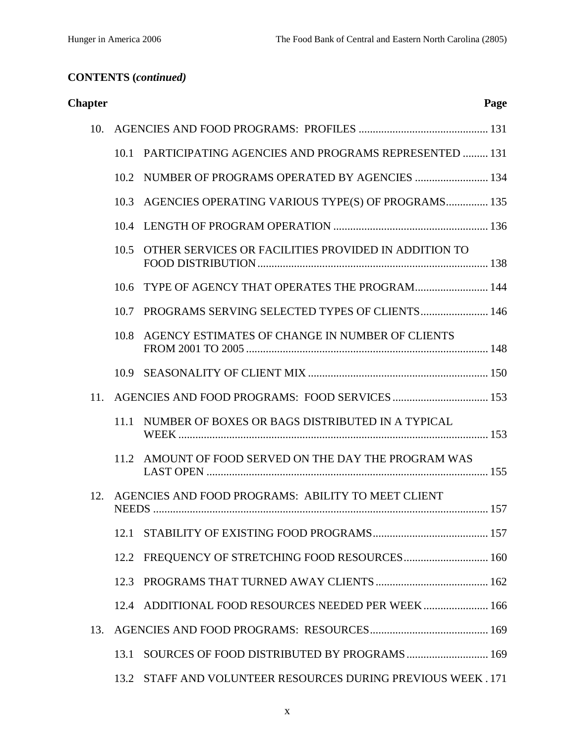| <b>Chapter</b> |      |                                                             | Page |
|----------------|------|-------------------------------------------------------------|------|
| 10.            |      |                                                             |      |
|                | 10.1 | <b>PARTICIPATING AGENCIES AND PROGRAMS REPRESENTED  131</b> |      |
|                | 10.2 | NUMBER OF PROGRAMS OPERATED BY AGENCIES  134                |      |
|                | 10.3 | AGENCIES OPERATING VARIOUS TYPE(S) OF PROGRAMS 135          |      |
|                | 10.4 |                                                             |      |
|                | 10.5 | OTHER SERVICES OR FACILITIES PROVIDED IN ADDITION TO        |      |
|                | 10.6 | TYPE OF AGENCY THAT OPERATES THE PROGRAM 144                |      |
|                | 10.7 |                                                             |      |
|                | 10.8 | AGENCY ESTIMATES OF CHANGE IN NUMBER OF CLIENTS             |      |
|                | 10.9 |                                                             |      |
| 11.            |      |                                                             |      |
|                | 11.1 | NUMBER OF BOXES OR BAGS DISTRIBUTED IN A TYPICAL            |      |
|                |      | 11.2 AMOUNT OF FOOD SERVED ON THE DAY THE PROGRAM WAS       |      |
| 12.            |      | AGENCIES AND FOOD PROGRAMS: ABILITY TO MEET CLIENT          |      |
|                | 12.1 |                                                             |      |
|                | 12.2 | FREQUENCY OF STRETCHING FOOD RESOURCES 160                  |      |
|                | 12.3 |                                                             |      |
|                | 12.4 | ADDITIONAL FOOD RESOURCES NEEDED PER WEEK 166               |      |
| 13.            |      |                                                             |      |
|                | 13.1 | SOURCES OF FOOD DISTRIBUTED BY PROGRAMS  169                |      |
|                | 13.2 | STAFF AND VOLUNTEER RESOURCES DURING PREVIOUS WEEK. 171     |      |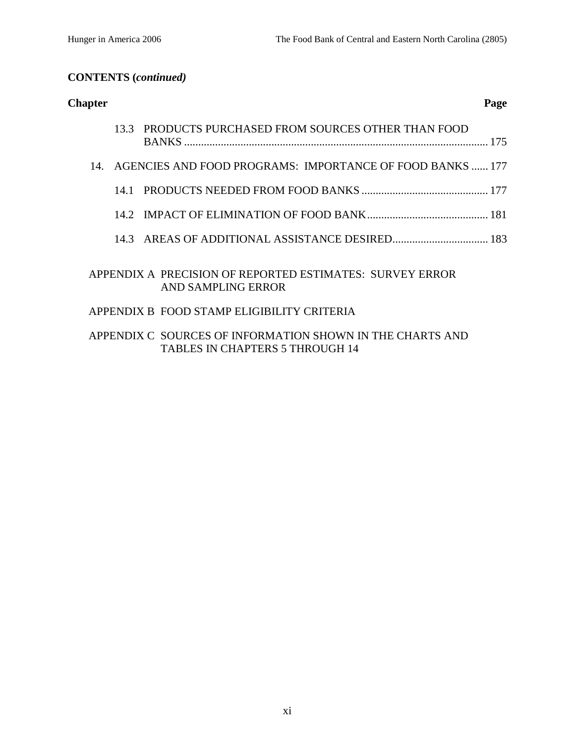| <b>Chapter</b> |                                                                                       | Page |
|----------------|---------------------------------------------------------------------------------------|------|
|                | 13.3 PRODUCTS PURCHASED FROM SOURCES OTHER THAN FOOD<br><b>BANKS</b>                  | 175  |
| 14             | AGENCIES AND FOOD PROGRAMS: IMPORTANCE OF FOOD BANKS  177                             |      |
|                |                                                                                       |      |
|                |                                                                                       |      |
|                |                                                                                       |      |
|                | APPENDIX A PRECISION OF REPORTED ESTIMATES: SURVEY ERROR<br><b>AND SAMPLING ERROR</b> |      |

### APPENDIX B FOOD STAMP ELIGIBILITY CRITERIA

### APPENDIX C SOURCES OF INFORMATION SHOWN IN THE CHARTS AND TABLES IN CHAPTERS 5 THROUGH 14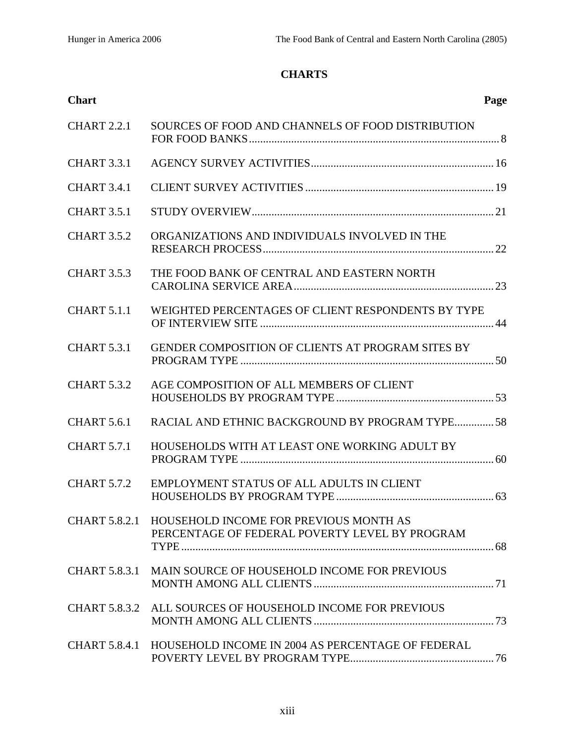## **CHARTS**

| <b>Chart</b>         |                                                                                                        | Page |
|----------------------|--------------------------------------------------------------------------------------------------------|------|
| <b>CHART 2.2.1</b>   | SOURCES OF FOOD AND CHANNELS OF FOOD DISTRIBUTION                                                      |      |
| <b>CHART 3.3.1</b>   |                                                                                                        |      |
| <b>CHART 3.4.1</b>   |                                                                                                        |      |
| <b>CHART 3.5.1</b>   |                                                                                                        |      |
| <b>CHART 3.5.2</b>   | ORGANIZATIONS AND INDIVIDUALS INVOLVED IN THE                                                          |      |
| <b>CHART 3.5.3</b>   | THE FOOD BANK OF CENTRAL AND EASTERN NORTH                                                             |      |
| <b>CHART 5.1.1</b>   | WEIGHTED PERCENTAGES OF CLIENT RESPONDENTS BY TYPE                                                     |      |
| <b>CHART 5.3.1</b>   | GENDER COMPOSITION OF CLIENTS AT PROGRAM SITES BY                                                      |      |
| <b>CHART 5.3.2</b>   | AGE COMPOSITION OF ALL MEMBERS OF CLIENT                                                               |      |
| <b>CHART 5.6.1</b>   | RACIAL AND ETHNIC BACKGROUND BY PROGRAM TYPE58                                                         |      |
| <b>CHART 5.7.1</b>   | HOUSEHOLDS WITH AT LEAST ONE WORKING ADULT BY                                                          |      |
| <b>CHART 5.7.2</b>   | EMPLOYMENT STATUS OF ALL ADULTS IN CLIENT                                                              |      |
|                      | CHART 5.8.2.1 HOUSEHOLD INCOME FOR PREVIOUS MONTH AS<br>PERCENTAGE OF FEDERAL POVERTY LEVEL BY PROGRAM |      |
| <b>CHART 5.8.3.1</b> | MAIN SOURCE OF HOUSEHOLD INCOME FOR PREVIOUS                                                           |      |
|                      | CHART 5.8.3.2 ALL SOURCES OF HOUSEHOLD INCOME FOR PREVIOUS                                             |      |
| CHART 5.8.4.1        | HOUSEHOLD INCOME IN 2004 AS PERCENTAGE OF FEDERAL                                                      |      |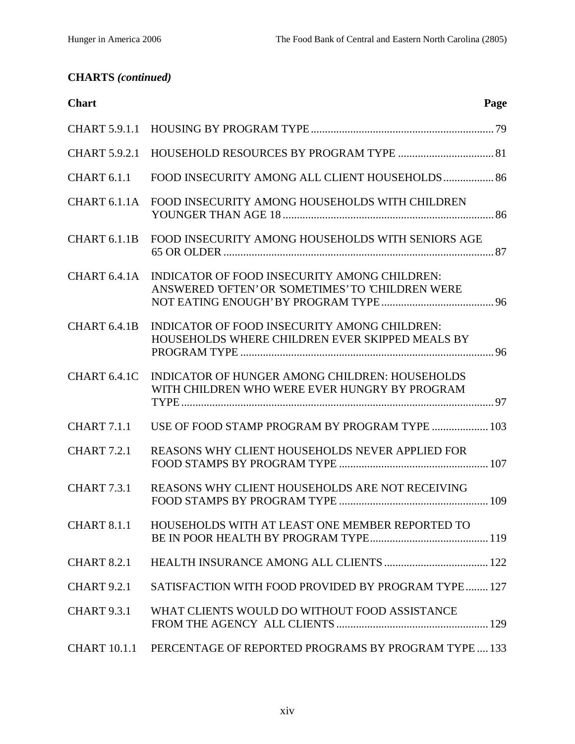## **CHARTS** *(continued)*

| <b>Chart</b>             | Page                                                                                              |
|--------------------------|---------------------------------------------------------------------------------------------------|
|                          |                                                                                                   |
| <b>CHART 5.9.2.1</b>     |                                                                                                   |
| <b>CHART 6.1.1</b>       | FOOD INSECURITY AMONG ALL CLIENT HOUSEHOLDS 86                                                    |
|                          | CHART 6.1.1A FOOD INSECURITY AMONG HOUSEHOLDS WITH CHILDREN                                       |
| CHART 6.1.1B             | FOOD INSECURITY AMONG HOUSEHOLDS WITH SENIORS AGE                                                 |
| CHART 6.4.1A             | INDICATOR OF FOOD INSECURITY AMONG CHILDREN:<br>ANSWERED 'OFTEN' OR 'SOMETIMES' TO 'CHILDREN WERE |
| CHART <sub>6.4.1</sub> B | INDICATOR OF FOOD INSECURITY AMONG CHILDREN:<br>HOUSEHOLDS WHERE CHILDREN EVER SKIPPED MEALS BY   |
| CHART 6.4.1C             | INDICATOR OF HUNGER AMONG CHILDREN: HOUSEHOLDS<br>WITH CHILDREN WHO WERE EVER HUNGRY BY PROGRAM   |
| <b>CHART 7.1.1</b>       | USE OF FOOD STAMP PROGRAM BY PROGRAM TYPE  103                                                    |
| <b>CHART 7.2.1</b>       | <b>REASONS WHY CLIENT HOUSEHOLDS NEVER APPLIED FOR</b>                                            |
| <b>CHART 7.3.1</b>       | REASONS WHY CLIENT HOUSEHOLDS ARE NOT RECEIVING                                                   |
| <b>CHART 8.1.1</b>       | HOUSEHOLDS WITH AT LEAST ONE MEMBER REPORTED TO                                                   |
| <b>CHART 8.2.1</b>       |                                                                                                   |
| <b>CHART 9.2.1</b>       | SATISFACTION WITH FOOD PROVIDED BY PROGRAM TYPE 127                                               |
| <b>CHART 9.3.1</b>       | WHAT CLIENTS WOULD DO WITHOUT FOOD ASSISTANCE                                                     |
| <b>CHART 10.1.1</b>      | PERCENTAGE OF REPORTED PROGRAMS BY PROGRAM TYPE 133                                               |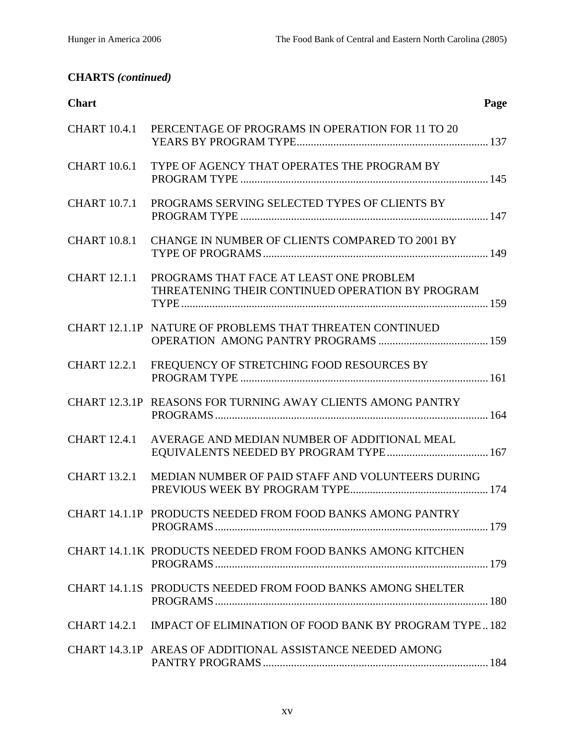## **CHARTS** *(continued)*

| <b>Chart</b>        | Page                                                                                        |
|---------------------|---------------------------------------------------------------------------------------------|
| <b>CHART 10.4.1</b> | PERCENTAGE OF PROGRAMS IN OPERATION FOR 11 TO 20                                            |
| <b>CHART 10.6.1</b> | TYPE OF AGENCY THAT OPERATES THE PROGRAM BY                                                 |
| <b>CHART 10.7.1</b> | PROGRAMS SERVING SELECTED TYPES OF CLIENTS BY                                               |
| <b>CHART 10.8.1</b> | CHANGE IN NUMBER OF CLIENTS COMPARED TO 2001 BY                                             |
| <b>CHART 12.1.1</b> | PROGRAMS THAT FACE AT LEAST ONE PROBLEM<br>THREATENING THEIR CONTINUED OPERATION BY PROGRAM |
|                     | CHART 12.1.1P NATURE OF PROBLEMS THAT THREATEN CONTINUED                                    |
| <b>CHART</b> 12.2.1 | FREQUENCY OF STRETCHING FOOD RESOURCES BY                                                   |
|                     | CHART 12.3.1P REASONS FOR TURNING AWAY CLIENTS AMONG PANTRY                                 |
| <b>CHART 12.4.1</b> | AVERAGE AND MEDIAN NUMBER OF ADDITIONAL MEAL                                                |
| <b>CHART 13.2.1</b> | MEDIAN NUMBER OF PAID STAFF AND VOLUNTEERS DURING                                           |
|                     | CHART 14.1.1P PRODUCTS NEEDED FROM FOOD BANKS AMONG PANTRY                                  |
|                     | CHART 14.1.1K PRODUCTS NEEDED FROM FOOD BANKS AMONG KITCHEN                                 |
|                     | CHART 14.1.1S PRODUCTS NEEDED FROM FOOD BANKS AMONG SHELTER                                 |
|                     | CHART 14.2.1 IMPACT OF ELIMINATION OF FOOD BANK BY PROGRAM TYPE182                          |
|                     | CHART 14.3.1P AREAS OF ADDITIONAL ASSISTANCE NEEDED AMONG                                   |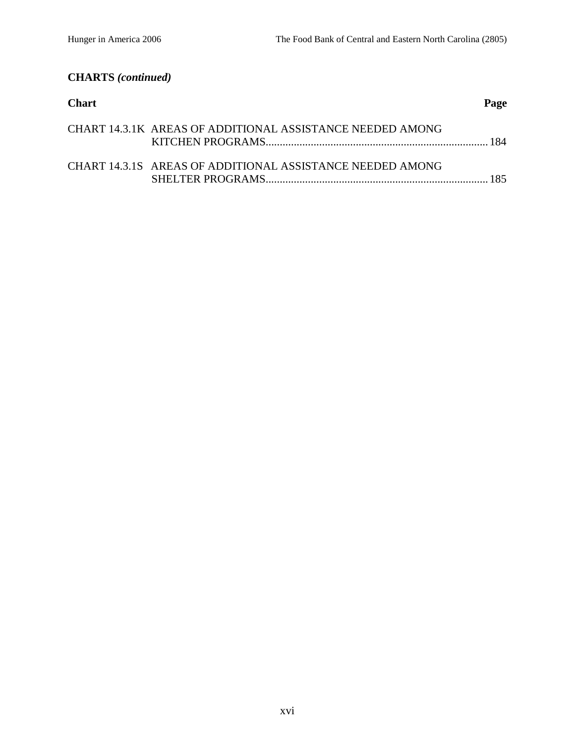## **CHARTS** *(continued)*

| <b>Chart</b> |                                                           | Page |
|--------------|-----------------------------------------------------------|------|
|              | CHART 14.3.1K AREAS OF ADDITIONAL ASSISTANCE NEEDED AMONG |      |
|              | CHART 14.3.1S AREAS OF ADDITIONAL ASSISTANCE NEEDED AMONG | 185. |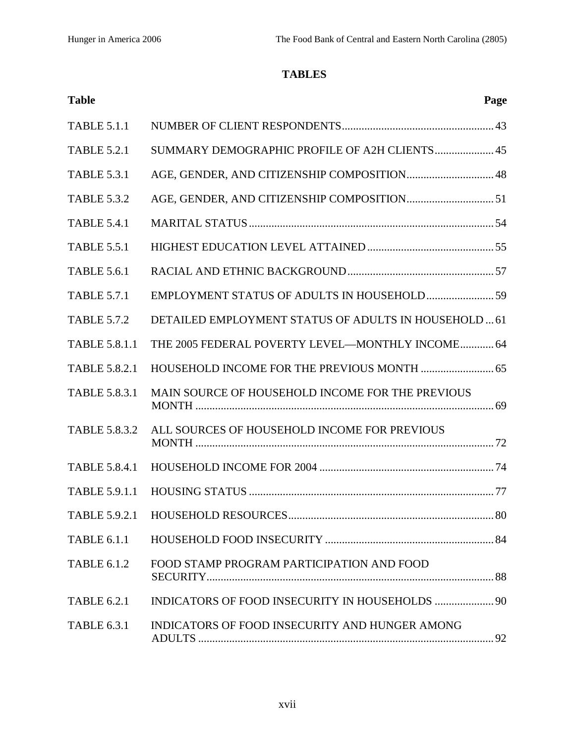## **TABLES**

| <b>Table</b>         | Page                                                  |
|----------------------|-------------------------------------------------------|
| <b>TABLE 5.1.1</b>   |                                                       |
| <b>TABLE 5.2.1</b>   | SUMMARY DEMOGRAPHIC PROFILE OF A2H CLIENTS 45         |
| <b>TABLE 5.3.1</b>   | AGE, GENDER, AND CITIZENSHIP COMPOSITION 48           |
| <b>TABLE 5.3.2</b>   |                                                       |
| <b>TABLE 5.4.1</b>   |                                                       |
| <b>TABLE 5.5.1</b>   |                                                       |
| <b>TABLE 5.6.1</b>   |                                                       |
| <b>TABLE 5.7.1</b>   |                                                       |
| <b>TABLE 5.7.2</b>   | DETAILED EMPLOYMENT STATUS OF ADULTS IN HOUSEHOLD  61 |
| <b>TABLE 5.8.1.1</b> | THE 2005 FEDERAL POVERTY LEVEL-MONTHLY INCOME 64      |
| <b>TABLE 5.8.2.1</b> |                                                       |
| <b>TABLE 5.8.3.1</b> | MAIN SOURCE OF HOUSEHOLD INCOME FOR THE PREVIOUS      |
| <b>TABLE 5.8.3.2</b> | ALL SOURCES OF HOUSEHOLD INCOME FOR PREVIOUS          |
| <b>TABLE 5.8.4.1</b> |                                                       |
| <b>TABLE 5.9.1.1</b> |                                                       |
|                      |                                                       |
| <b>TABLE 6.1.1</b>   |                                                       |
| <b>TABLE 6.1.2</b>   | FOOD STAMP PROGRAM PARTICIPATION AND FOOD             |
| <b>TABLE 6.2.1</b>   |                                                       |
| <b>TABLE 6.3.1</b>   | INDICATORS OF FOOD INSECURITY AND HUNGER AMONG        |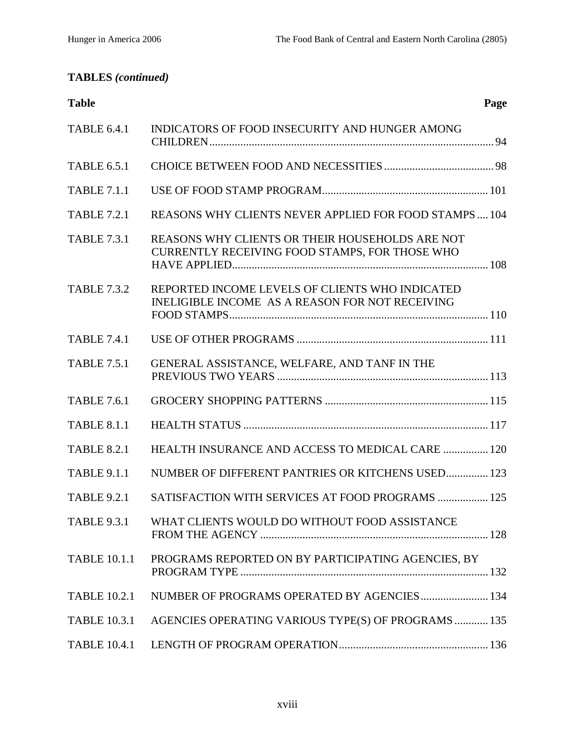## **TABLES** *(continued)*

| <b>Table</b>        | Page                                                                                                     |
|---------------------|----------------------------------------------------------------------------------------------------------|
| <b>TABLE 6.4.1</b>  | INDICATORS OF FOOD INSECURITY AND HUNGER AMONG                                                           |
| <b>TABLE 6.5.1</b>  |                                                                                                          |
| <b>TABLE 7.1.1</b>  |                                                                                                          |
| <b>TABLE 7.2.1</b>  | REASONS WHY CLIENTS NEVER APPLIED FOR FOOD STAMPS 104                                                    |
| <b>TABLE 7.3.1</b>  | REASONS WHY CLIENTS OR THEIR HOUSEHOLDS ARE NOT<br><b>CURRENTLY RECEIVING FOOD STAMPS, FOR THOSE WHO</b> |
| <b>TABLE 7.3.2</b>  | REPORTED INCOME LEVELS OF CLIENTS WHO INDICATED<br>INELIGIBLE INCOME AS A REASON FOR NOT RECEIVING       |
| <b>TABLE 7.4.1</b>  |                                                                                                          |
| <b>TABLE 7.5.1</b>  | GENERAL ASSISTANCE, WELFARE, AND TANF IN THE                                                             |
| <b>TABLE 7.6.1</b>  |                                                                                                          |
| <b>TABLE 8.1.1</b>  |                                                                                                          |
| <b>TABLE 8.2.1</b>  | HEALTH INSURANCE AND ACCESS TO MEDICAL CARE  120                                                         |
| <b>TABLE 9.1.1</b>  | NUMBER OF DIFFERENT PANTRIES OR KITCHENS USED 123                                                        |
| <b>TABLE 9.2.1</b>  | SATISFACTION WITH SERVICES AT FOOD PROGRAMS  125                                                         |
| <b>TABLE 9.3.1</b>  | WHAT CLIENTS WOULD DO WITHOUT FOOD ASSISTANCE                                                            |
| <b>TABLE 10.1.1</b> | PROGRAMS REPORTED ON BY PARTICIPATING AGENCIES, BY                                                       |
| <b>TABLE 10.2.1</b> | NUMBER OF PROGRAMS OPERATED BY AGENCIES 134                                                              |
| <b>TABLE 10.3.1</b> | AGENCIES OPERATING VARIOUS TYPE(S) OF PROGRAMS  135                                                      |
| <b>TABLE 10.4.1</b> |                                                                                                          |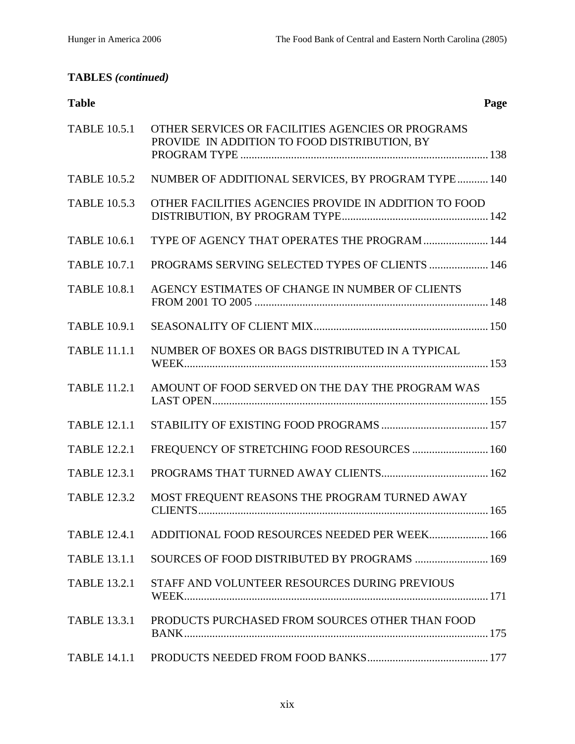## **TABLES** *(continued)*

| <b>Table</b> | Page |
|--------------|------|
|              |      |

| <b>TABLE 10.5.1</b> | OTHER SERVICES OR FACILITIES AGENCIES OR PROGRAMS<br>PROVIDE IN ADDITION TO FOOD DISTRIBUTION, BY |  |
|---------------------|---------------------------------------------------------------------------------------------------|--|
| <b>TABLE 10.5.2</b> | NUMBER OF ADDITIONAL SERVICES, BY PROGRAM TYPE 140                                                |  |
| <b>TABLE 10.5.3</b> | OTHER FACILITIES AGENCIES PROVIDE IN ADDITION TO FOOD                                             |  |
| <b>TABLE 10.6.1</b> | TYPE OF AGENCY THAT OPERATES THE PROGRAM  144                                                     |  |
| <b>TABLE 10.7.1</b> | <b>PROGRAMS SERVING SELECTED TYPES OF CLIENTS  146</b>                                            |  |
| <b>TABLE 10.8.1</b> | AGENCY ESTIMATES OF CHANGE IN NUMBER OF CLIENTS                                                   |  |
| <b>TABLE 10.9.1</b> |                                                                                                   |  |
| <b>TABLE 11.1.1</b> | NUMBER OF BOXES OR BAGS DISTRIBUTED IN A TYPICAL                                                  |  |
| <b>TABLE 11.2.1</b> | AMOUNT OF FOOD SERVED ON THE DAY THE PROGRAM WAS                                                  |  |
| <b>TABLE 12.1.1</b> |                                                                                                   |  |
| <b>TABLE 12.2.1</b> | FREQUENCY OF STRETCHING FOOD RESOURCES  160                                                       |  |
| <b>TABLE 12.3.1</b> |                                                                                                   |  |
| <b>TABLE 12.3.2</b> | MOST FREQUENT REASONS THE PROGRAM TURNED AWAY                                                     |  |
| <b>TABLE 12.4.1</b> | ADDITIONAL FOOD RESOURCES NEEDED PER WEEK 166                                                     |  |
| <b>TABLE 13.1.1</b> | SOURCES OF FOOD DISTRIBUTED BY PROGRAMS  169                                                      |  |
| <b>TABLE 13.2.1</b> | STAFF AND VOLUNTEER RESOURCES DURING PREVIOUS                                                     |  |
| <b>TABLE 13.3.1</b> | PRODUCTS PURCHASED FROM SOURCES OTHER THAN FOOD                                                   |  |
| <b>TABLE 14.1.1</b> |                                                                                                   |  |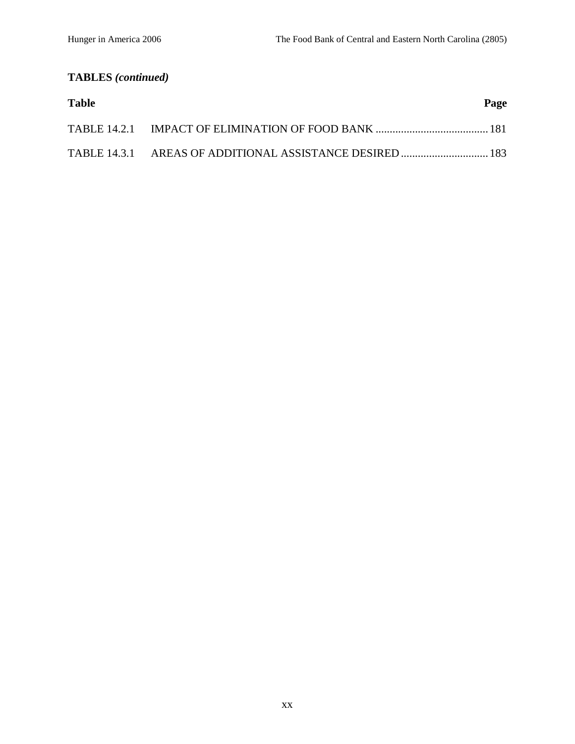# **TABLES** *(continued)*

| <b>Table</b> | Page |
|--------------|------|
|              |      |
|              |      |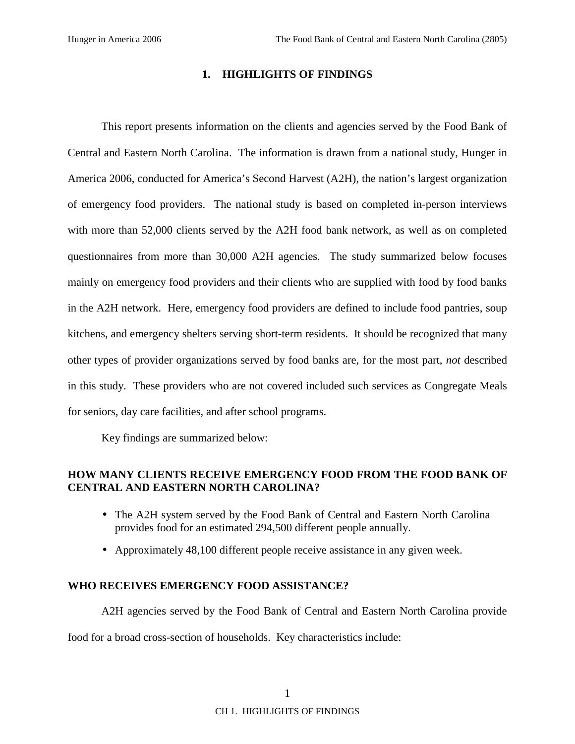#### **1. HIGHLIGHTS OF FINDINGS**

This report presents information on the clients and agencies served by the Food Bank of Central and Eastern North Carolina. The information is drawn from a national study, Hunger in America 2006, conducted for America's Second Harvest (A2H), the nation's largest organization of emergency food providers. The national study is based on completed in-person interviews with more than 52,000 clients served by the A2H food bank network, as well as on completed questionnaires from more than 30,000 A2H agencies. The study summarized below focuses mainly on emergency food providers and their clients who are supplied with food by food banks in the A2H network. Here, emergency food providers are defined to include food pantries, soup kitchens, and emergency shelters serving short-term residents. It should be recognized that many other types of provider organizations served by food banks are, for the most part, *not* described in this study. These providers who are not covered included such services as Congregate Meals for seniors, day care facilities, and after school programs.

Key findings are summarized below:

#### **HOW MANY CLIENTS RECEIVE EMERGENCY FOOD FROM THE FOOD BANK OF CENTRAL AND EASTERN NORTH CAROLINA?**

- The A2H system served by the Food Bank of Central and Eastern North Carolina provides food for an estimated 294,500 different people annually.
- Approximately 48,100 different people receive assistance in any given week.

#### **WHO RECEIVES EMERGENCY FOOD ASSISTANCE?**

A2H agencies served by the Food Bank of Central and Eastern North Carolina provide food for a broad cross-section of households. Key characteristics include: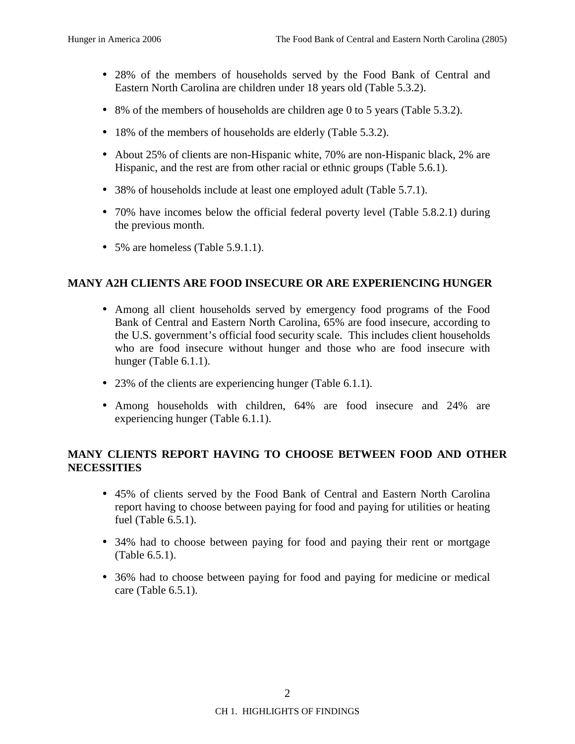- 28% of the members of households served by the Food Bank of Central and Eastern North Carolina are children under 18 years old (Table 5.3.2).
- 8% of the members of households are children age 0 to 5 years (Table 5.3.2).
- 18% of the members of households are elderly (Table 5.3.2).
- About 25% of clients are non-Hispanic white, 70% are non-Hispanic black, 2% are Hispanic, and the rest are from other racial or ethnic groups (Table 5.6.1).
- 38% of households include at least one employed adult (Table 5.7.1).
- 70% have incomes below the official federal poverty level (Table 5.8.2.1) during the previous month.
- 5% are homeless (Table 5.9.1.1).

#### **MANY A2H CLIENTS ARE FOOD INSECURE OR ARE EXPERIENCING HUNGER**

- Among all client households served by emergency food programs of the Food Bank of Central and Eastern North Carolina, 65% are food insecure, according to the U.S. government's official food security scale. This includes client households who are food insecure without hunger and those who are food insecure with hunger (Table 6.1.1).
- 23% of the clients are experiencing hunger (Table 6.1.1).
- Among households with children, 64% are food insecure and 24% are experiencing hunger (Table 6.1.1).

### **MANY CLIENTS REPORT HAVING TO CHOOSE BETWEEN FOOD AND OTHER NECESSITIES**

- 45% of clients served by the Food Bank of Central and Eastern North Carolina report having to choose between paying for food and paying for utilities or heating fuel (Table 6.5.1).
- 34% had to choose between paying for food and paying their rent or mortgage (Table 6.5.1).
- 36% had to choose between paying for food and paying for medicine or medical care (Table 6.5.1).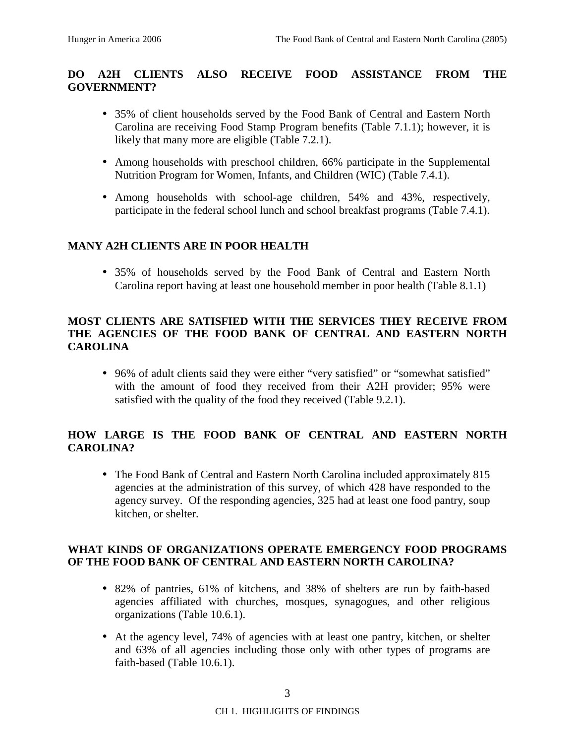## **DO A2H CLIENTS ALSO RECEIVE FOOD ASSISTANCE FROM THE GOVERNMENT?**

- 35% of client households served by the Food Bank of Central and Eastern North Carolina are receiving Food Stamp Program benefits (Table 7.1.1); however, it is likely that many more are eligible (Table 7.2.1).
- Among households with preschool children, 66% participate in the Supplemental Nutrition Program for Women, Infants, and Children (WIC) (Table 7.4.1).
- Among households with school-age children, 54% and 43%, respectively, participate in the federal school lunch and school breakfast programs (Table 7.4.1).

#### **MANY A2H CLIENTS ARE IN POOR HEALTH**

• 35% of households served by the Food Bank of Central and Eastern North Carolina report having at least one household member in poor health (Table 8.1.1)

### **MOST CLIENTS ARE SATISFIED WITH THE SERVICES THEY RECEIVE FROM THE AGENCIES OF THE FOOD BANK OF CENTRAL AND EASTERN NORTH CAROLINA**

• 96% of adult clients said they were either "very satisfied" or "somewhat satisfied" with the amount of food they received from their A2H provider; 95% were satisfied with the quality of the food they received (Table 9.2.1).

## **HOW LARGE IS THE FOOD BANK OF CENTRAL AND EASTERN NORTH CAROLINA?**

• The Food Bank of Central and Eastern North Carolina included approximately 815 agencies at the administration of this survey, of which 428 have responded to the agency survey. Of the responding agencies, 325 had at least one food pantry, soup kitchen, or shelter.

#### **WHAT KINDS OF ORGANIZATIONS OPERATE EMERGENCY FOOD PROGRAMS OF THE FOOD BANK OF CENTRAL AND EASTERN NORTH CAROLINA?**

- 82% of pantries, 61% of kitchens, and 38% of shelters are run by faith-based agencies affiliated with churches, mosques, synagogues, and other religious organizations (Table 10.6.1).
- At the agency level, 74% of agencies with at least one pantry, kitchen, or shelter and 63% of all agencies including those only with other types of programs are faith-based (Table 10.6.1).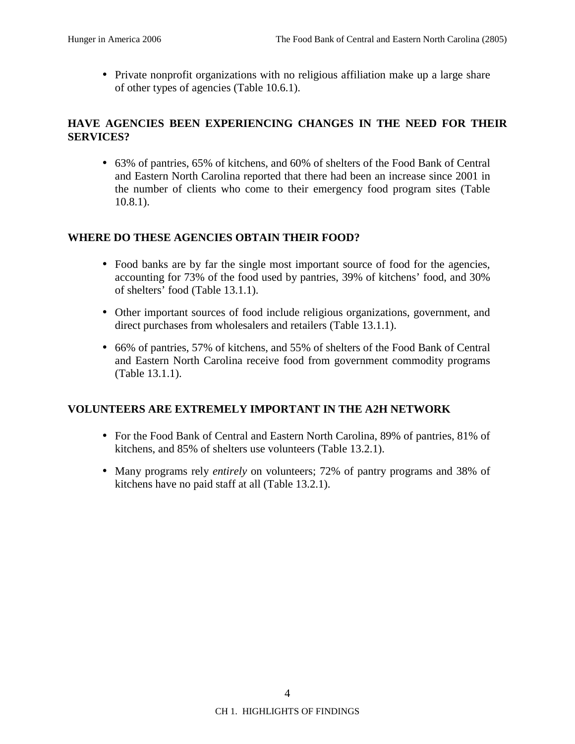• Private nonprofit organizations with no religious affiliation make up a large share of other types of agencies (Table 10.6.1).

### **HAVE AGENCIES BEEN EXPERIENCING CHANGES IN THE NEED FOR THEIR SERVICES?**

• 63% of pantries, 65% of kitchens, and 60% of shelters of the Food Bank of Central and Eastern North Carolina reported that there had been an increase since 2001 in the number of clients who come to their emergency food program sites (Table 10.8.1).

### **WHERE DO THESE AGENCIES OBTAIN THEIR FOOD?**

- Food banks are by far the single most important source of food for the agencies, accounting for 73% of the food used by pantries, 39% of kitchens' food, and 30% of shelters' food (Table 13.1.1).
- Other important sources of food include religious organizations, government, and direct purchases from wholesalers and retailers (Table 13.1.1).
- 66% of pantries, 57% of kitchens, and 55% of shelters of the Food Bank of Central and Eastern North Carolina receive food from government commodity programs (Table 13.1.1).

### **VOLUNTEERS ARE EXTREMELY IMPORTANT IN THE A2H NETWORK**

- For the Food Bank of Central and Eastern North Carolina, 89% of pantries, 81% of kitchens, and 85% of shelters use volunteers (Table 13.2.1).
- Many programs rely *entirely* on volunteers; 72% of pantry programs and 38% of kitchens have no paid staff at all (Table 13.2.1).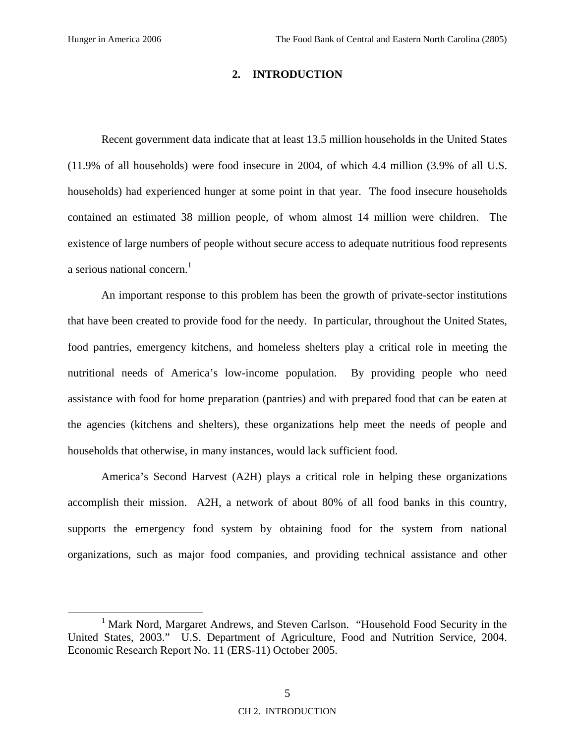#### **2. INTRODUCTION**

Recent government data indicate that at least 13.5 million households in the United States (11.9% of all households) were food insecure in 2004, of which 4.4 million (3.9% of all U.S. households) had experienced hunger at some point in that year. The food insecure households contained an estimated 38 million people, of whom almost 14 million were children. The existence of large numbers of people without secure access to adequate nutritious food represents a serious national concern. $<sup>1</sup>$ </sup>

An important response to this problem has been the growth of private-sector institutions that have been created to provide food for the needy. In particular, throughout the United States, food pantries, emergency kitchens, and homeless shelters play a critical role in meeting the nutritional needs of America's low-income population. By providing people who need assistance with food for home preparation (pantries) and with prepared food that can be eaten at the agencies (kitchens and shelters), these organizations help meet the needs of people and households that otherwise, in many instances, would lack sufficient food.

America's Second Harvest (A2H) plays a critical role in helping these organizations accomplish their mission. A2H, a network of about 80% of all food banks in this country, supports the emergency food system by obtaining food for the system from national organizations, such as major food companies, and providing technical assistance and other

<sup>&</sup>lt;u>1</u> <sup>1</sup> Mark Nord, Margaret Andrews, and Steven Carlson. "Household Food Security in the United States, 2003." U.S. Department of Agriculture, Food and Nutrition Service, 2004. Economic Research Report No. 11 (ERS-11) October 2005.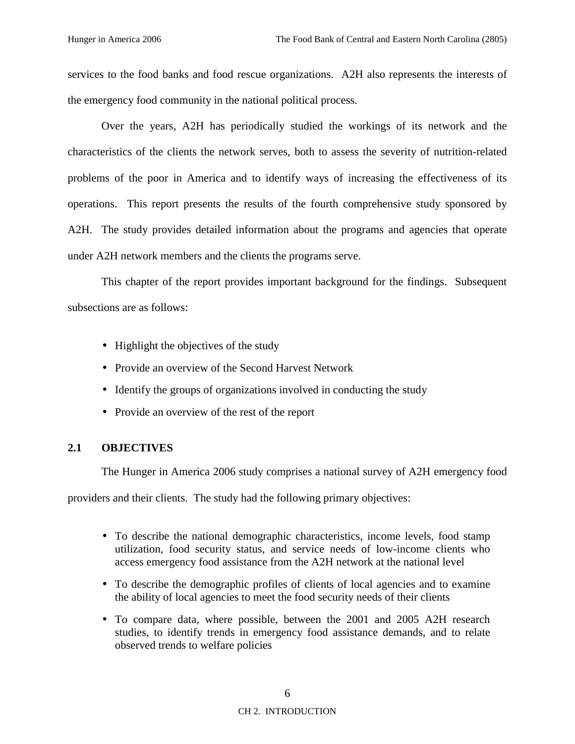services to the food banks and food rescue organizations. A2H also represents the interests of the emergency food community in the national political process.

Over the years, A2H has periodically studied the workings of its network and the characteristics of the clients the network serves, both to assess the severity of nutrition-related problems of the poor in America and to identify ways of increasing the effectiveness of its operations. This report presents the results of the fourth comprehensive study sponsored by A2H. The study provides detailed information about the programs and agencies that operate under A2H network members and the clients the programs serve.

This chapter of the report provides important background for the findings. Subsequent subsections are as follows:

- Highlight the objectives of the study
- Provide an overview of the Second Harvest Network
- Identify the groups of organizations involved in conducting the study
- Provide an overview of the rest of the report

### **2.1 OBJECTIVES**

The Hunger in America 2006 study comprises a national survey of A2H emergency food

providers and their clients. The study had the following primary objectives:

- To describe the national demographic characteristics, income levels, food stamp utilization, food security status, and service needs of low-income clients who access emergency food assistance from the A2H network at the national level
- To describe the demographic profiles of clients of local agencies and to examine the ability of local agencies to meet the food security needs of their clients
- To compare data, where possible, between the 2001 and 2005 A2H research studies, to identify trends in emergency food assistance demands, and to relate observed trends to welfare policies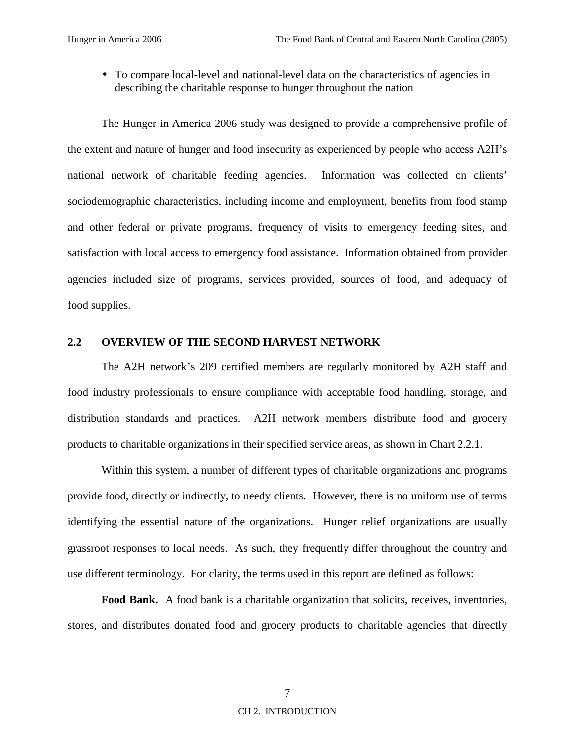• To compare local-level and national-level data on the characteristics of agencies in describing the charitable response to hunger throughout the nation

The Hunger in America 2006 study was designed to provide a comprehensive profile of the extent and nature of hunger and food insecurity as experienced by people who access A2H's national network of charitable feeding agencies. Information was collected on clients' sociodemographic characteristics, including income and employment, benefits from food stamp and other federal or private programs, frequency of visits to emergency feeding sites, and satisfaction with local access to emergency food assistance. Information obtained from provider agencies included size of programs, services provided, sources of food, and adequacy of food supplies.

#### **2.2 OVERVIEW OF THE SECOND HARVEST NETWORK**

The A2H network's 209 certified members are regularly monitored by A2H staff and food industry professionals to ensure compliance with acceptable food handling, storage, and distribution standards and practices. A2H network members distribute food and grocery products to charitable organizations in their specified service areas, as shown in Chart 2.2.1.

Within this system, a number of different types of charitable organizations and programs provide food, directly or indirectly, to needy clients. However, there is no uniform use of terms identifying the essential nature of the organizations. Hunger relief organizations are usually grassroot responses to local needs. As such, they frequently differ throughout the country and use different terminology. For clarity, the terms used in this report are defined as follows:

**Food Bank.** A food bank is a charitable organization that solicits, receives, inventories, stores, and distributes donated food and grocery products to charitable agencies that directly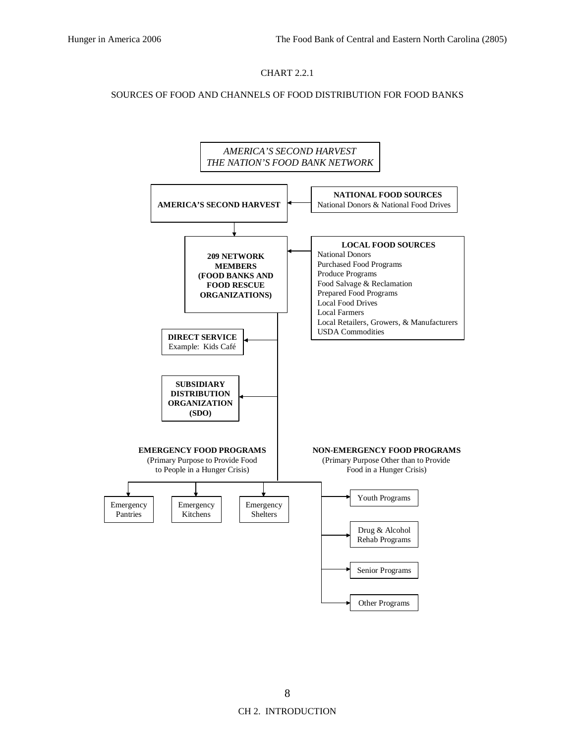#### CHART 2.2.1

#### SOURCES OF FOOD AND CHANNELS OF FOOD DISTRIBUTION FOR FOOD BANKS

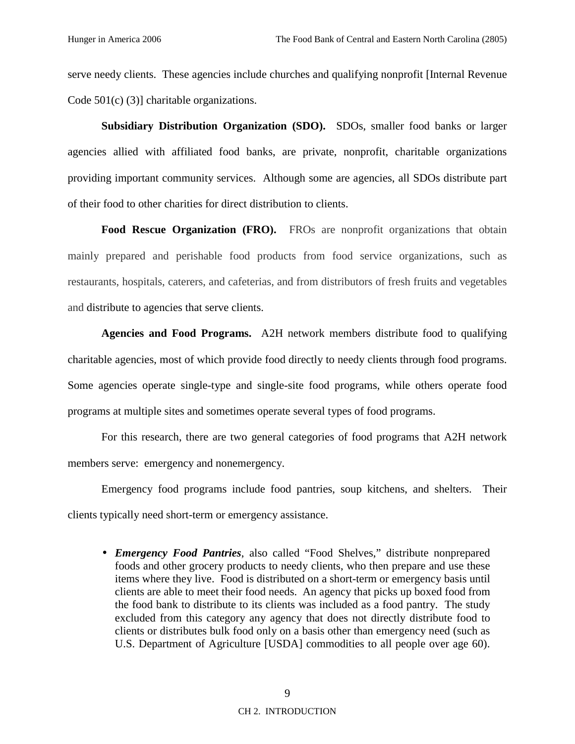serve needy clients. These agencies include churches and qualifying nonprofit [Internal Revenue Code 501(c) (3)] charitable organizations.

**Subsidiary Distribution Organization (SDO).** SDOs, smaller food banks or larger agencies allied with affiliated food banks, are private, nonprofit, charitable organizations providing important community services. Although some are agencies, all SDOs distribute part of their food to other charities for direct distribution to clients.

Food Rescue Organization (FRO). FROs are nonprofit organizations that obtain mainly prepared and perishable food products from food service organizations, such as restaurants, hospitals, caterers, and cafeterias, and from distributors of fresh fruits and vegetables and distribute to agencies that serve clients.

**Agencies and Food Programs.** A2H network members distribute food to qualifying charitable agencies, most of which provide food directly to needy clients through food programs. Some agencies operate single-type and single-site food programs, while others operate food programs at multiple sites and sometimes operate several types of food programs.

For this research, there are two general categories of food programs that A2H network members serve: emergency and nonemergency.

Emergency food programs include food pantries, soup kitchens, and shelters. Their clients typically need short-term or emergency assistance.

• *Emergency Food Pantries*, also called "Food Shelves," distribute nonprepared foods and other grocery products to needy clients, who then prepare and use these items where they live. Food is distributed on a short-term or emergency basis until clients are able to meet their food needs. An agency that picks up boxed food from the food bank to distribute to its clients was included as a food pantry. The study excluded from this category any agency that does not directly distribute food to clients or distributes bulk food only on a basis other than emergency need (such as U.S. Department of Agriculture [USDA] commodities to all people over age 60).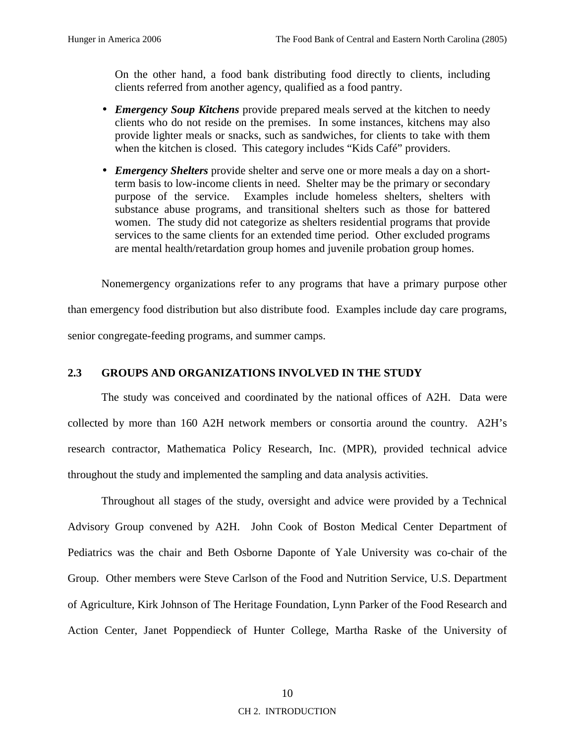On the other hand, a food bank distributing food directly to clients, including clients referred from another agency, qualified as a food pantry.

- *Emergency Soup Kitchens* provide prepared meals served at the kitchen to needy clients who do not reside on the premises. In some instances, kitchens may also provide lighter meals or snacks, such as sandwiches, for clients to take with them when the kitchen is closed. This category includes "Kids Café" providers.
- *Emergency Shelters* provide shelter and serve one or more meals a day on a shortterm basis to low-income clients in need. Shelter may be the primary or secondary purpose of the service. Examples include homeless shelters, shelters with substance abuse programs, and transitional shelters such as those for battered women. The study did not categorize as shelters residential programs that provide services to the same clients for an extended time period. Other excluded programs are mental health/retardation group homes and juvenile probation group homes.

Nonemergency organizations refer to any programs that have a primary purpose other than emergency food distribution but also distribute food. Examples include day care programs, senior congregate-feeding programs, and summer camps.

#### **2.3 GROUPS AND ORGANIZATIONS INVOLVED IN THE STUDY**

The study was conceived and coordinated by the national offices of A2H. Data were collected by more than 160 A2H network members or consortia around the country. A2H's research contractor, Mathematica Policy Research, Inc. (MPR), provided technical advice throughout the study and implemented the sampling and data analysis activities.

Throughout all stages of the study, oversight and advice were provided by a Technical Advisory Group convened by A2H. John Cook of Boston Medical Center Department of Pediatrics was the chair and Beth Osborne Daponte of Yale University was co-chair of the Group. Other members were Steve Carlson of the Food and Nutrition Service, U.S. Department of Agriculture, Kirk Johnson of The Heritage Foundation, Lynn Parker of the Food Research and Action Center, Janet Poppendieck of Hunter College, Martha Raske of the University of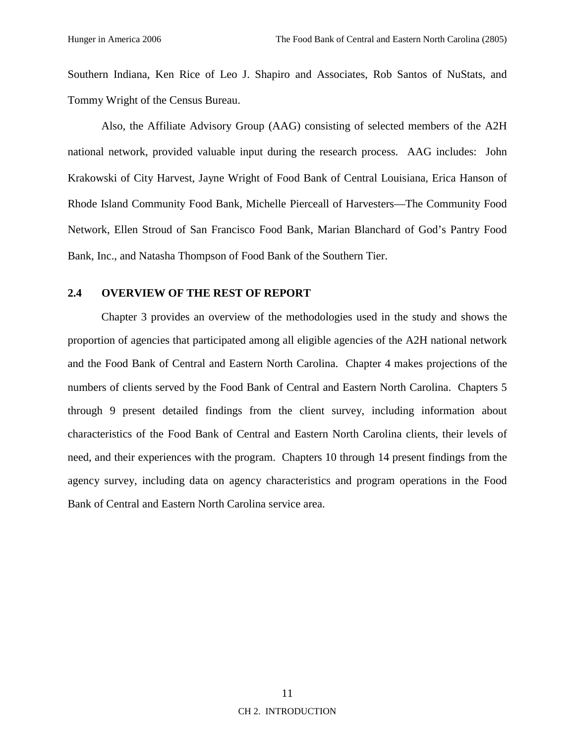Southern Indiana, Ken Rice of Leo J. Shapiro and Associates, Rob Santos of NuStats, and Tommy Wright of the Census Bureau.

Also, the Affiliate Advisory Group (AAG) consisting of selected members of the A2H national network, provided valuable input during the research process. AAG includes: John Krakowski of City Harvest, Jayne Wright of Food Bank of Central Louisiana, Erica Hanson of Rhode Island Community Food Bank, Michelle Pierceall of Harvesters—The Community Food Network, Ellen Stroud of San Francisco Food Bank, Marian Blanchard of God's Pantry Food Bank, Inc., and Natasha Thompson of Food Bank of the Southern Tier.

#### **2.4 OVERVIEW OF THE REST OF REPORT**

Chapter 3 provides an overview of the methodologies used in the study and shows the proportion of agencies that participated among all eligible agencies of the A2H national network and the Food Bank of Central and Eastern North Carolina. Chapter 4 makes projections of the numbers of clients served by the Food Bank of Central and Eastern North Carolina. Chapters 5 through 9 present detailed findings from the client survey, including information about characteristics of the Food Bank of Central and Eastern North Carolina clients, their levels of need, and their experiences with the program. Chapters 10 through 14 present findings from the agency survey, including data on agency characteristics and program operations in the Food Bank of Central and Eastern North Carolina service area.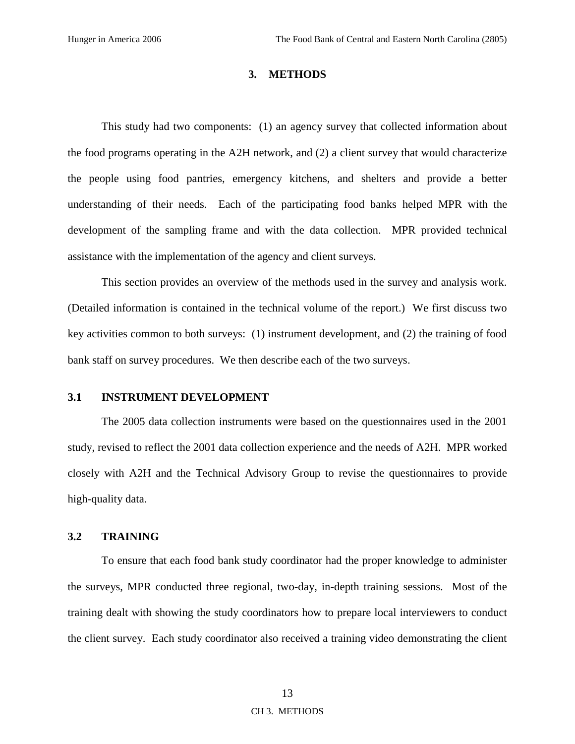#### **3. METHODS**

This study had two components: (1) an agency survey that collected information about the food programs operating in the A2H network, and (2) a client survey that would characterize the people using food pantries, emergency kitchens, and shelters and provide a better understanding of their needs. Each of the participating food banks helped MPR with the development of the sampling frame and with the data collection. MPR provided technical assistance with the implementation of the agency and client surveys.

This section provides an overview of the methods used in the survey and analysis work. (Detailed information is contained in the technical volume of the report.) We first discuss two key activities common to both surveys: (1) instrument development, and (2) the training of food bank staff on survey procedures. We then describe each of the two surveys.

#### **3.1 INSTRUMENT DEVELOPMENT**

The 2005 data collection instruments were based on the questionnaires used in the 2001 study, revised to reflect the 2001 data collection experience and the needs of A2H. MPR worked closely with A2H and the Technical Advisory Group to revise the questionnaires to provide high-quality data.

#### **3.2 TRAINING**

To ensure that each food bank study coordinator had the proper knowledge to administer the surveys, MPR conducted three regional, two-day, in-depth training sessions. Most of the training dealt with showing the study coordinators how to prepare local interviewers to conduct the client survey. Each study coordinator also received a training video demonstrating the client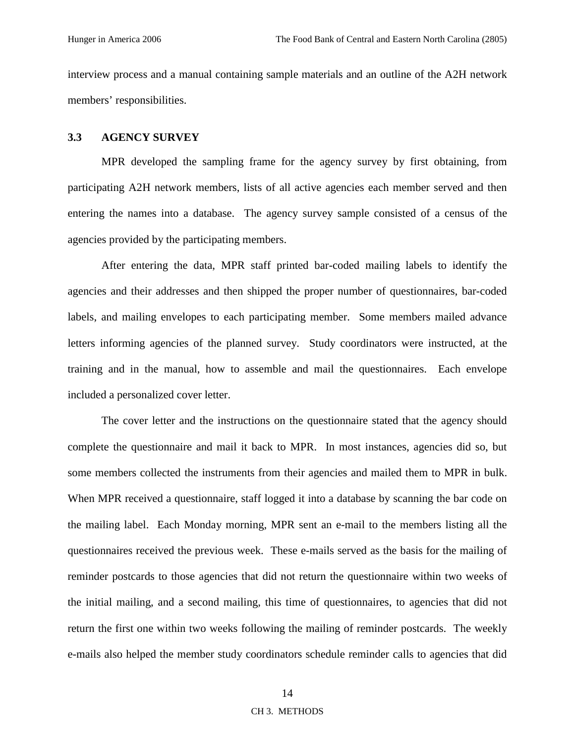interview process and a manual containing sample materials and an outline of the A2H network members' responsibilities.

#### **3.3 AGENCY SURVEY**

MPR developed the sampling frame for the agency survey by first obtaining, from participating A2H network members, lists of all active agencies each member served and then entering the names into a database. The agency survey sample consisted of a census of the agencies provided by the participating members.

After entering the data, MPR staff printed bar-coded mailing labels to identify the agencies and their addresses and then shipped the proper number of questionnaires, bar-coded labels, and mailing envelopes to each participating member. Some members mailed advance letters informing agencies of the planned survey. Study coordinators were instructed, at the training and in the manual, how to assemble and mail the questionnaires. Each envelope included a personalized cover letter.

The cover letter and the instructions on the questionnaire stated that the agency should complete the questionnaire and mail it back to MPR. In most instances, agencies did so, but some members collected the instruments from their agencies and mailed them to MPR in bulk. When MPR received a questionnaire, staff logged it into a database by scanning the bar code on the mailing label. Each Monday morning, MPR sent an e-mail to the members listing all the questionnaires received the previous week. These e-mails served as the basis for the mailing of reminder postcards to those agencies that did not return the questionnaire within two weeks of the initial mailing, and a second mailing, this time of questionnaires, to agencies that did not return the first one within two weeks following the mailing of reminder postcards. The weekly e-mails also helped the member study coordinators schedule reminder calls to agencies that did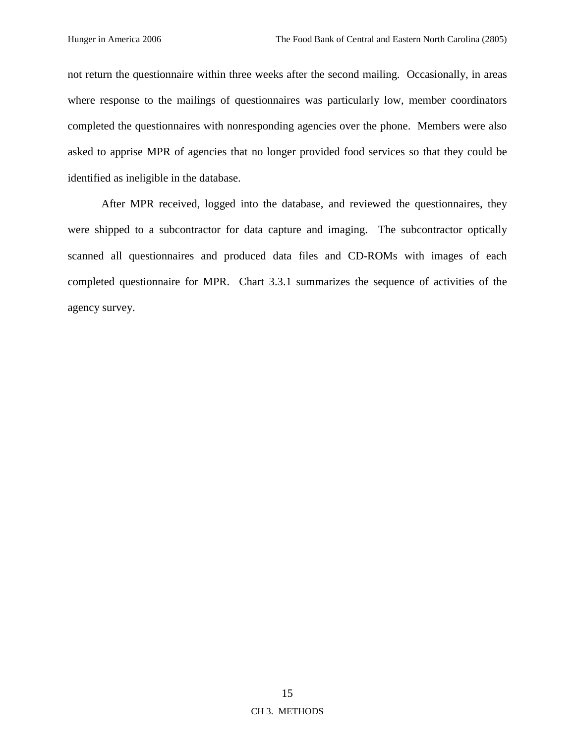not return the questionnaire within three weeks after the second mailing. Occasionally, in areas where response to the mailings of questionnaires was particularly low, member coordinators completed the questionnaires with nonresponding agencies over the phone. Members were also asked to apprise MPR of agencies that no longer provided food services so that they could be identified as ineligible in the database.

After MPR received, logged into the database, and reviewed the questionnaires, they were shipped to a subcontractor for data capture and imaging. The subcontractor optically scanned all questionnaires and produced data files and CD-ROMs with images of each completed questionnaire for MPR. Chart 3.3.1 summarizes the sequence of activities of the agency survey.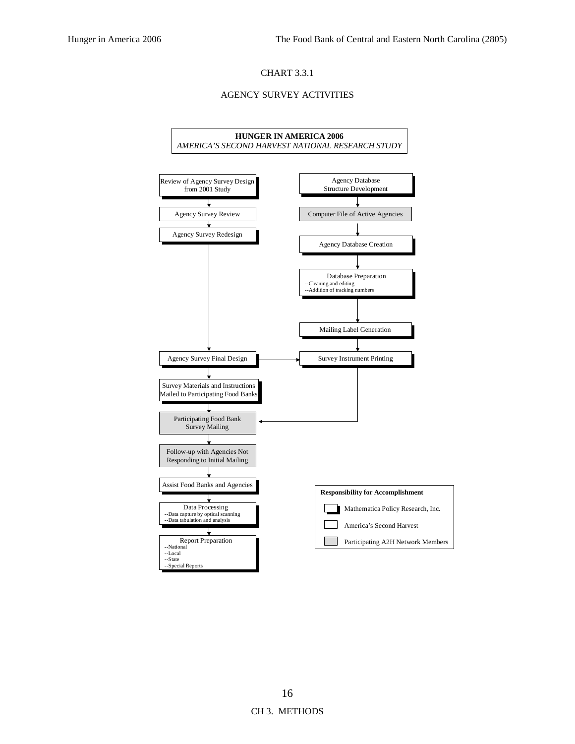#### CHART 3.3.1

#### AGENCY SURVEY ACTIVITIES

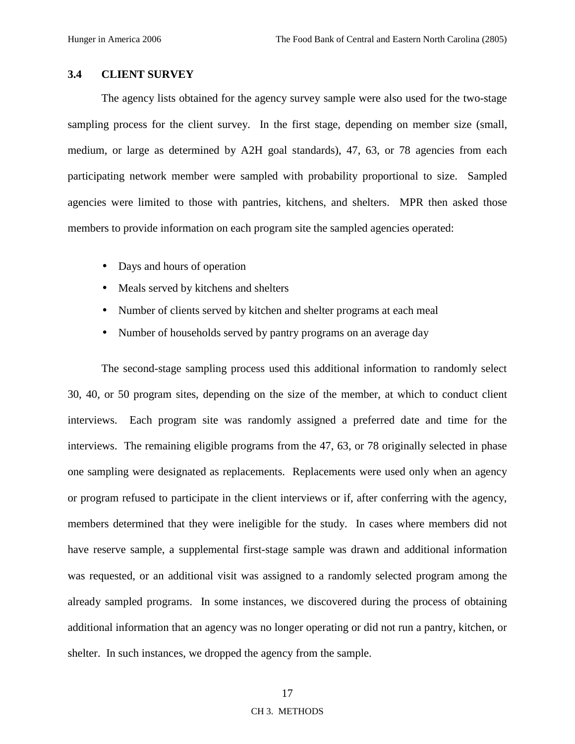# **3.4 CLIENT SURVEY**

The agency lists obtained for the agency survey sample were also used for the two-stage sampling process for the client survey. In the first stage, depending on member size (small, medium, or large as determined by A2H goal standards), 47, 63, or 78 agencies from each participating network member were sampled with probability proportional to size. Sampled agencies were limited to those with pantries, kitchens, and shelters. MPR then asked those members to provide information on each program site the sampled agencies operated:

- Days and hours of operation
- Meals served by kitchens and shelters
- Number of clients served by kitchen and shelter programs at each meal
- Number of households served by pantry programs on an average day

The second-stage sampling process used this additional information to randomly select 30, 40, or 50 program sites, depending on the size of the member, at which to conduct client interviews. Each program site was randomly assigned a preferred date and time for the interviews. The remaining eligible programs from the 47, 63, or 78 originally selected in phase one sampling were designated as replacements. Replacements were used only when an agency or program refused to participate in the client interviews or if, after conferring with the agency, members determined that they were ineligible for the study. In cases where members did not have reserve sample, a supplemental first-stage sample was drawn and additional information was requested, or an additional visit was assigned to a randomly selected program among the already sampled programs. In some instances, we discovered during the process of obtaining additional information that an agency was no longer operating or did not run a pantry, kitchen, or shelter. In such instances, we dropped the agency from the sample.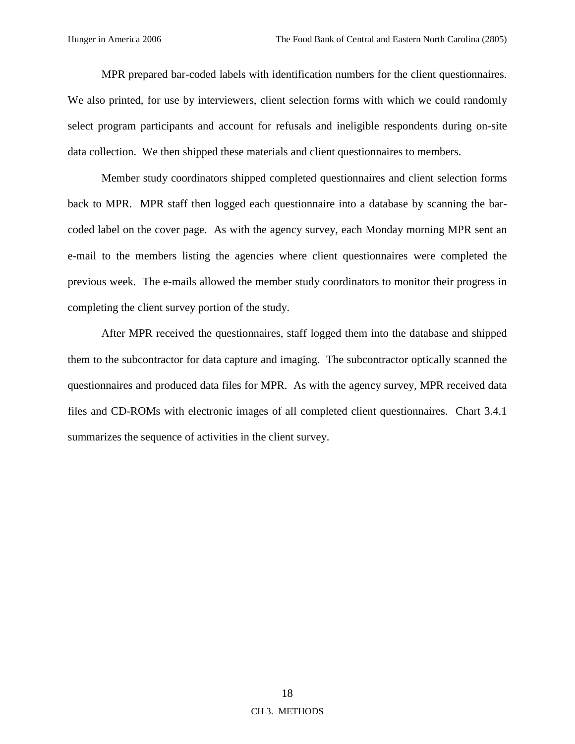MPR prepared bar-coded labels with identification numbers for the client questionnaires. We also printed, for use by interviewers, client selection forms with which we could randomly select program participants and account for refusals and ineligible respondents during on-site data collection. We then shipped these materials and client questionnaires to members.

Member study coordinators shipped completed questionnaires and client selection forms back to MPR. MPR staff then logged each questionnaire into a database by scanning the barcoded label on the cover page. As with the agency survey, each Monday morning MPR sent an e-mail to the members listing the agencies where client questionnaires were completed the previous week. The e-mails allowed the member study coordinators to monitor their progress in completing the client survey portion of the study.

After MPR received the questionnaires, staff logged them into the database and shipped them to the subcontractor for data capture and imaging. The subcontractor optically scanned the questionnaires and produced data files for MPR. As with the agency survey, MPR received data files and CD-ROMs with electronic images of all completed client questionnaires. Chart 3.4.1 summarizes the sequence of activities in the client survey.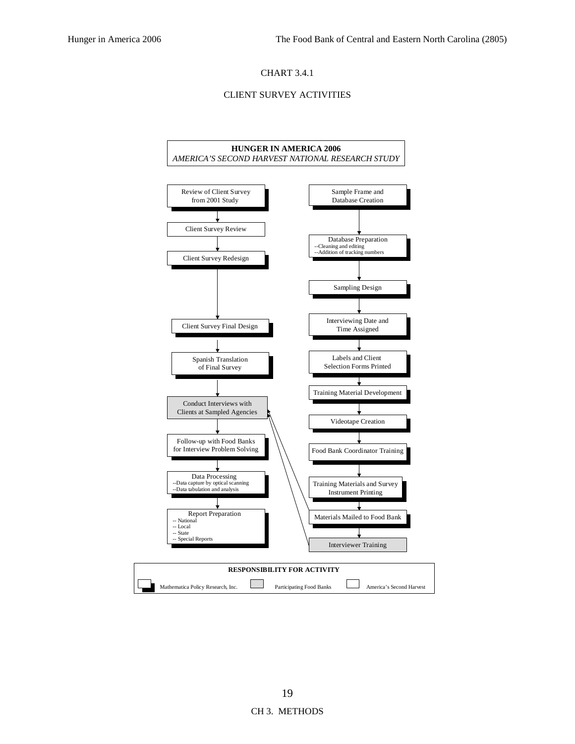### CHART 3.4.1

#### CLIENT SURVEY ACTIVITIES

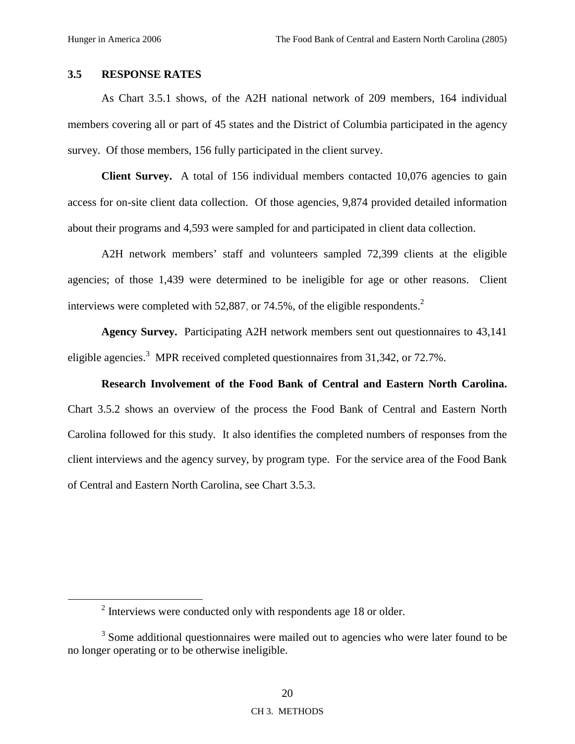# **3.5 RESPONSE RATES**

As Chart 3.5.1 shows, of the A2H national network of 209 members, 164 individual members covering all or part of 45 states and the District of Columbia participated in the agency survey. Of those members, 156 fully participated in the client survey.

**Client Survey.** A total of 156 individual members contacted 10,076 agencies to gain access for on-site client data collection. Of those agencies, 9,874 provided detailed information about their programs and 4,593 were sampled for and participated in client data collection.

A2H network members' staff and volunteers sampled 72,399 clients at the eligible agencies; of those 1,439 were determined to be ineligible for age or other reasons. Client interviews were completed with 52,887, or 74.5%, of the eligible respondents.<sup>2</sup>

**Agency Survey.** Participating A2H network members sent out questionnaires to 43,141 eligible agencies.<sup>3</sup> MPR received completed questionnaires from 31,342, or 72.7%.

**Research Involvement of the Food Bank of Central and Eastern North Carolina.**  Chart 3.5.2 shows an overview of the process the Food Bank of Central and Eastern North Carolina followed for this study. It also identifies the completed numbers of responses from the client interviews and the agency survey, by program type. For the service area of the Food Bank of Central and Eastern North Carolina, see Chart 3.5.3.

 $\frac{1}{2}$  $\frac{1}{2}$  Interviews were conducted only with respondents age 18 or older.

<sup>&</sup>lt;sup>3</sup> Some additional questionnaires were mailed out to agencies who were later found to be no longer operating or to be otherwise ineligible.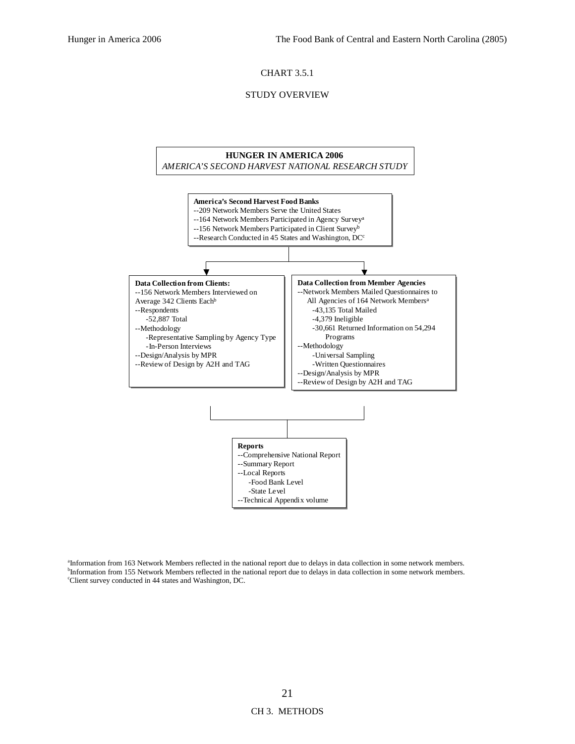#### CHART 3.5.1

#### STUDY OVERVIEW



a Information from 163 Network Members reflected in the national report due to delays in data collection in some network members. <sup>b</sup>Information from 155 Network Members reflected in the national report due to delays in data collection in some network members. c Client survey conducted in 44 states and Washington, DC.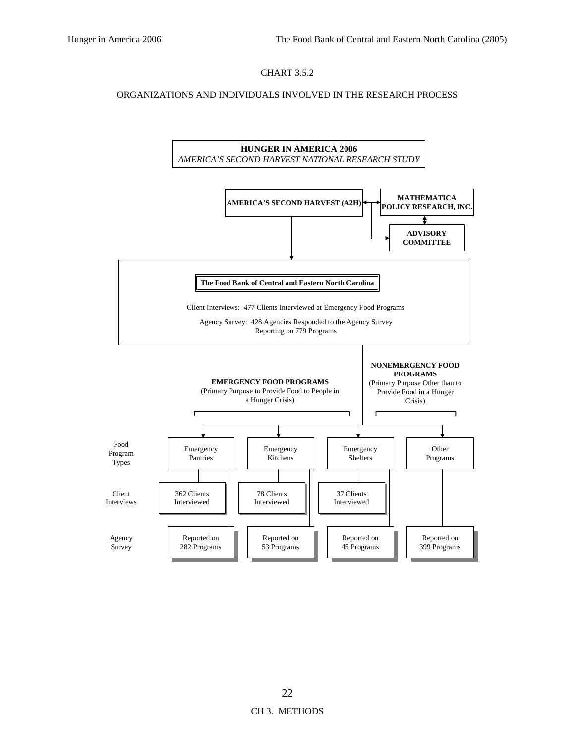# CHART 3.5.2

#### ORGANIZATIONS AND INDIVIDUALS INVOLVED IN THE RESEARCH PROCESS

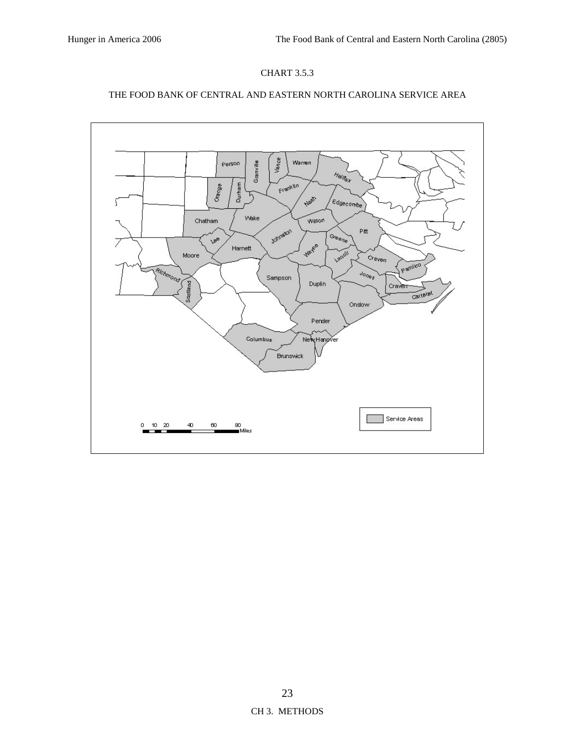

### THE FOOD BANK OF CENTRAL AND EASTERN NORTH CAROLINA SERVICE AREA

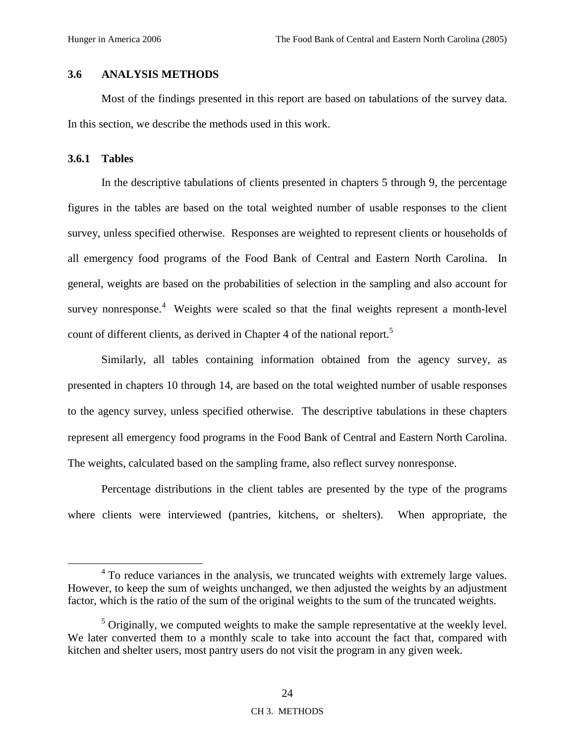# **3.6 ANALYSIS METHODS**

Most of the findings presented in this report are based on tabulations of the survey data. In this section, we describe the methods used in this work.

### **3.6.1 Tables**

In the descriptive tabulations of clients presented in chapters 5 through 9, the percentage figures in the tables are based on the total weighted number of usable responses to the client survey, unless specified otherwise. Responses are weighted to represent clients or households of all emergency food programs of the Food Bank of Central and Eastern North Carolina. In general, weights are based on the probabilities of selection in the sampling and also account for survey nonresponse.<sup>4</sup> Weights were scaled so that the final weights represent a month-level count of different clients, as derived in Chapter 4 of the national report.<sup>5</sup>

Similarly, all tables containing information obtained from the agency survey, as presented in chapters 10 through 14, are based on the total weighted number of usable responses to the agency survey, unless specified otherwise. The descriptive tabulations in these chapters represent all emergency food programs in the Food Bank of Central and Eastern North Carolina. The weights, calculated based on the sampling frame, also reflect survey nonresponse.

Percentage distributions in the client tables are presented by the type of the programs where clients were interviewed (pantries, kitchens, or shelters). When appropriate, the

 $\overline{4}$ <sup>4</sup> To reduce variances in the analysis, we truncated weights with extremely large values. However, to keep the sum of weights unchanged, we then adjusted the weights by an adjustment factor, which is the ratio of the sum of the original weights to the sum of the truncated weights.

 $<sup>5</sup>$  Originally, we computed weights to make the sample representative at the weekly level.</sup> We later converted them to a monthly scale to take into account the fact that, compared with kitchen and shelter users, most pantry users do not visit the program in any given week.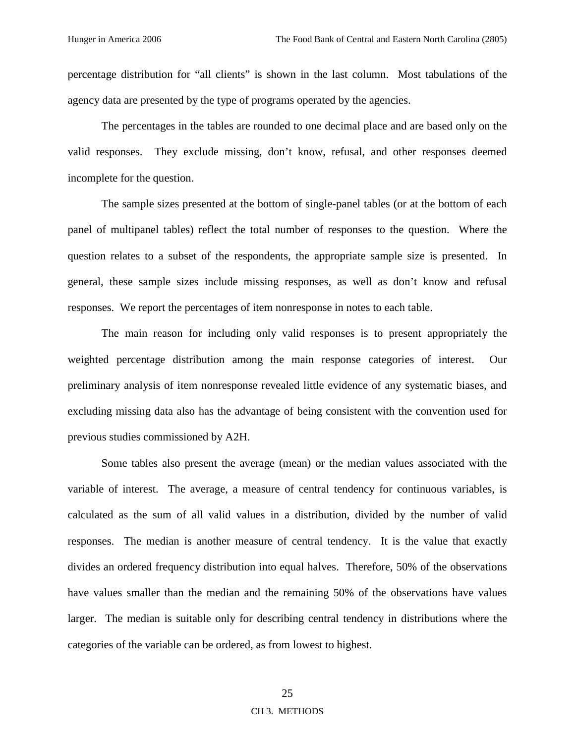percentage distribution for "all clients" is shown in the last column. Most tabulations of the agency data are presented by the type of programs operated by the agencies.

The percentages in the tables are rounded to one decimal place and are based only on the valid responses. They exclude missing, don't know, refusal, and other responses deemed incomplete for the question.

The sample sizes presented at the bottom of single-panel tables (or at the bottom of each panel of multipanel tables) reflect the total number of responses to the question. Where the question relates to a subset of the respondents, the appropriate sample size is presented. In general, these sample sizes include missing responses, as well as don't know and refusal responses. We report the percentages of item nonresponse in notes to each table.

The main reason for including only valid responses is to present appropriately the weighted percentage distribution among the main response categories of interest. Our preliminary analysis of item nonresponse revealed little evidence of any systematic biases, and excluding missing data also has the advantage of being consistent with the convention used for previous studies commissioned by A2H.

Some tables also present the average (mean) or the median values associated with the variable of interest. The average, a measure of central tendency for continuous variables, is calculated as the sum of all valid values in a distribution, divided by the number of valid responses. The median is another measure of central tendency. It is the value that exactly divides an ordered frequency distribution into equal halves. Therefore, 50% of the observations have values smaller than the median and the remaining 50% of the observations have values larger. The median is suitable only for describing central tendency in distributions where the categories of the variable can be ordered, as from lowest to highest.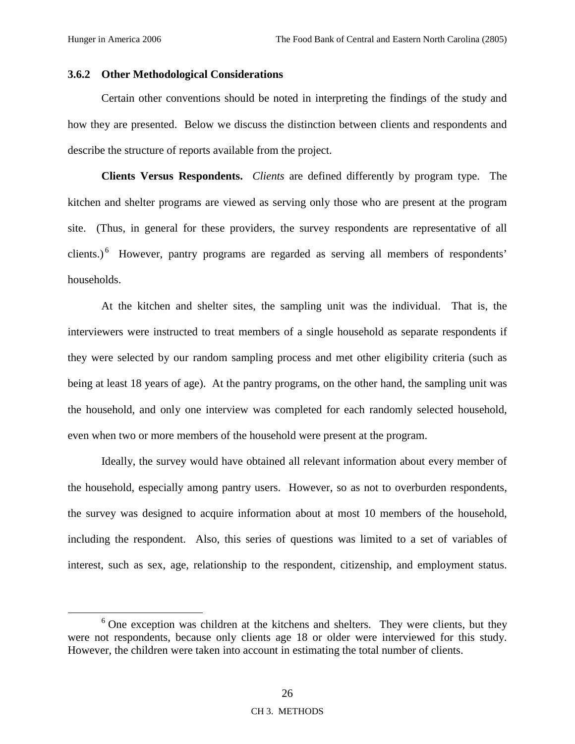### **3.6.2 Other Methodological Considerations**

Certain other conventions should be noted in interpreting the findings of the study and how they are presented. Below we discuss the distinction between clients and respondents and describe the structure of reports available from the project.

**Clients Versus Respondents.** *Clients* are defined differently by program type. The kitchen and shelter programs are viewed as serving only those who are present at the program site. (Thus, in general for these providers, the survey respondents are representative of all clients.) $<sup>6</sup>$  However, pantry programs are regarded as serving all members of respondents'</sup> households.

At the kitchen and shelter sites, the sampling unit was the individual. That is, the interviewers were instructed to treat members of a single household as separate respondents if they were selected by our random sampling process and met other eligibility criteria (such as being at least 18 years of age). At the pantry programs, on the other hand, the sampling unit was the household, and only one interview was completed for each randomly selected household, even when two or more members of the household were present at the program.

Ideally, the survey would have obtained all relevant information about every member of the household, especially among pantry users. However, so as not to overburden respondents, the survey was designed to acquire information about at most 10 members of the household, including the respondent. Also, this series of questions was limited to a set of variables of interest, such as sex, age, relationship to the respondent, citizenship, and employment status.

 <sup>6</sup>  $6$  One exception was children at the kitchens and shelters. They were clients, but they were not respondents, because only clients age 18 or older were interviewed for this study. However, the children were taken into account in estimating the total number of clients.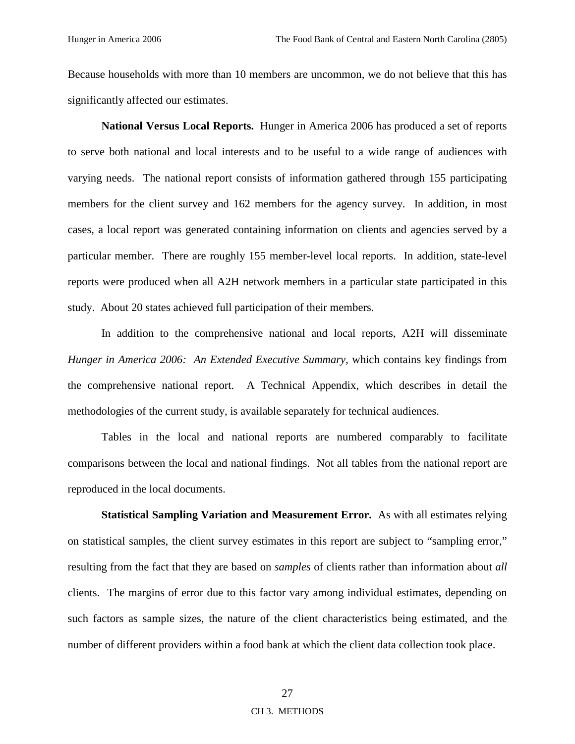Because households with more than 10 members are uncommon, we do not believe that this has significantly affected our estimates.

**National Versus Local Reports.** Hunger in America 2006 has produced a set of reports to serve both national and local interests and to be useful to a wide range of audiences with varying needs. The national report consists of information gathered through 155 participating members for the client survey and 162 members for the agency survey. In addition, in most cases, a local report was generated containing information on clients and agencies served by a particular member. There are roughly 155 member-level local reports. In addition, state-level reports were produced when all A2H network members in a particular state participated in this study. About 20 states achieved full participation of their members.

In addition to the comprehensive national and local reports, A2H will disseminate *Hunger in America 2006: An Extended Executive Summary,* which contains key findings from the comprehensive national report. A Technical Appendix, which describes in detail the methodologies of the current study, is available separately for technical audiences.

Tables in the local and national reports are numbered comparably to facilitate comparisons between the local and national findings. Not all tables from the national report are reproduced in the local documents.

**Statistical Sampling Variation and Measurement Error.** As with all estimates relying on statistical samples, the client survey estimates in this report are subject to "sampling error," resulting from the fact that they are based on *samples* of clients rather than information about *all* clients. The margins of error due to this factor vary among individual estimates, depending on such factors as sample sizes, the nature of the client characteristics being estimated, and the number of different providers within a food bank at which the client data collection took place.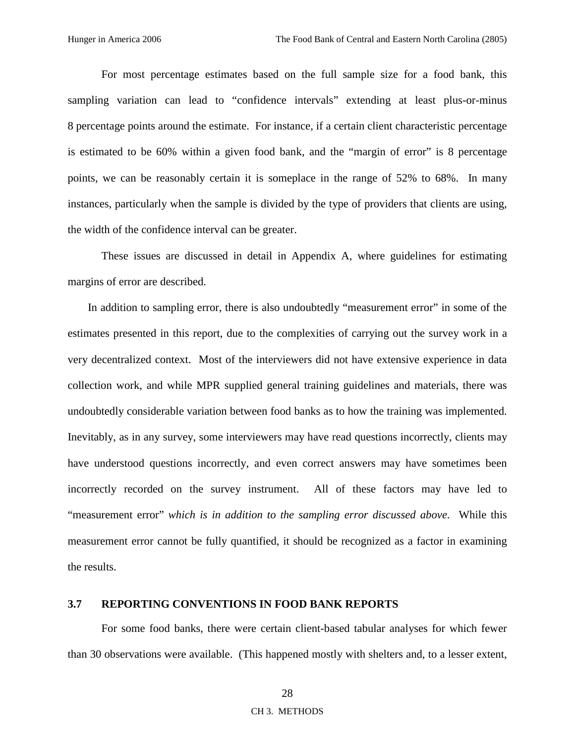For most percentage estimates based on the full sample size for a food bank, this sampling variation can lead to "confidence intervals" extending at least plus-or-minus 8 percentage points around the estimate. For instance, if a certain client characteristic percentage is estimated to be 60% within a given food bank, and the "margin of error" is 8 percentage points, we can be reasonably certain it is someplace in the range of 52% to 68%. In many instances, particularly when the sample is divided by the type of providers that clients are using, the width of the confidence interval can be greater.

These issues are discussed in detail in Appendix A, where guidelines for estimating margins of error are described.

In addition to sampling error, there is also undoubtedly "measurement error" in some of the estimates presented in this report, due to the complexities of carrying out the survey work in a very decentralized context. Most of the interviewers did not have extensive experience in data collection work, and while MPR supplied general training guidelines and materials, there was undoubtedly considerable variation between food banks as to how the training was implemented. Inevitably, as in any survey, some interviewers may have read questions incorrectly, clients may have understood questions incorrectly, and even correct answers may have sometimes been incorrectly recorded on the survey instrument. All of these factors may have led to "measurement error" *which is in addition to the sampling error discussed above*. While this measurement error cannot be fully quantified, it should be recognized as a factor in examining the results.

# **3.7 REPORTING CONVENTIONS IN FOOD BANK REPORTS**

For some food banks, there were certain client-based tabular analyses for which fewer than 30 observations were available. (This happened mostly with shelters and, to a lesser extent,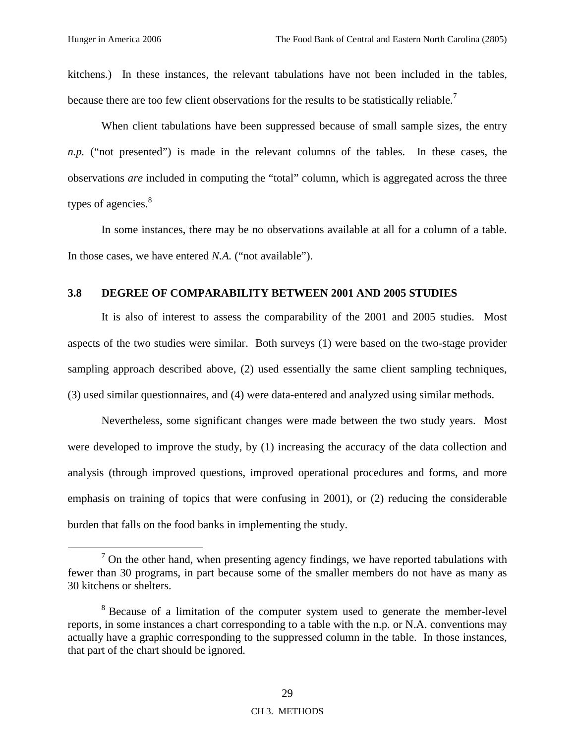kitchens.) In these instances, the relevant tabulations have not been included in the tables, because there are too few client observations for the results to be statistically reliable.<sup>7</sup>

When client tabulations have been suppressed because of small sample sizes, the entry *n.p.* ("not presented") is made in the relevant columns of the tables. In these cases, the observations *are* included in computing the "total" column, which is aggregated across the three types of agencies.<sup>8</sup>

In some instances, there may be no observations available at all for a column of a table. In those cases, we have entered *N.A.* ("not available").

# **3.8 DEGREE OF COMPARABILITY BETWEEN 2001 AND 2005 STUDIES**

It is also of interest to assess the comparability of the 2001 and 2005 studies. Most aspects of the two studies were similar. Both surveys (1) were based on the two-stage provider sampling approach described above, (2) used essentially the same client sampling techniques, (3) used similar questionnaires, and (4) were data-entered and analyzed using similar methods.

Nevertheless, some significant changes were made between the two study years. Most were developed to improve the study, by (1) increasing the accuracy of the data collection and analysis (through improved questions, improved operational procedures and forms, and more emphasis on training of topics that were confusing in 2001), or (2) reducing the considerable burden that falls on the food banks in implementing the study.

 $\overline{7}$  $\alpha$ <sup>7</sup> On the other hand, when presenting agency findings, we have reported tabulations with fewer than 30 programs, in part because some of the smaller members do not have as many as 30 kitchens or shelters.

<sup>&</sup>lt;sup>8</sup> Because of a limitation of the computer system used to generate the member-level reports, in some instances a chart corresponding to a table with the n.p. or N.A. conventions may actually have a graphic corresponding to the suppressed column in the table. In those instances, that part of the chart should be ignored.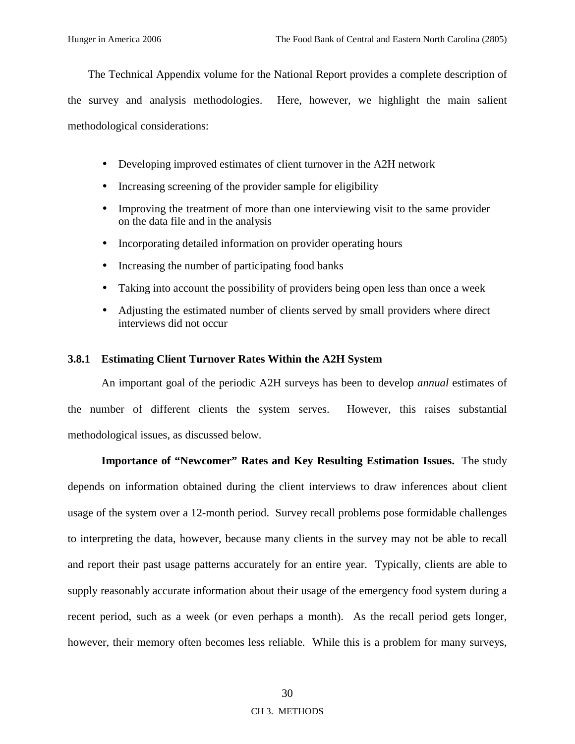The Technical Appendix volume for the National Report provides a complete description of the survey and analysis methodologies. Here, however, we highlight the main salient methodological considerations:

- Developing improved estimates of client turnover in the A2H network
- Increasing screening of the provider sample for eligibility
- Improving the treatment of more than one interviewing visit to the same provider on the data file and in the analysis
- Incorporating detailed information on provider operating hours
- Increasing the number of participating food banks
- Taking into account the possibility of providers being open less than once a week
- Adjusting the estimated number of clients served by small providers where direct interviews did not occur

### **3.8.1 Estimating Client Turnover Rates Within the A2H System**

An important goal of the periodic A2H surveys has been to develop *annual* estimates of the number of different clients the system serves. However, this raises substantial methodological issues, as discussed below.

**Importance of "Newcomer" Rates and Key Resulting Estimation Issues.** The study depends on information obtained during the client interviews to draw inferences about client usage of the system over a 12-month period. Survey recall problems pose formidable challenges to interpreting the data, however, because many clients in the survey may not be able to recall and report their past usage patterns accurately for an entire year. Typically, clients are able to supply reasonably accurate information about their usage of the emergency food system during a recent period, such as a week (or even perhaps a month). As the recall period gets longer, however, their memory often becomes less reliable. While this is a problem for many surveys,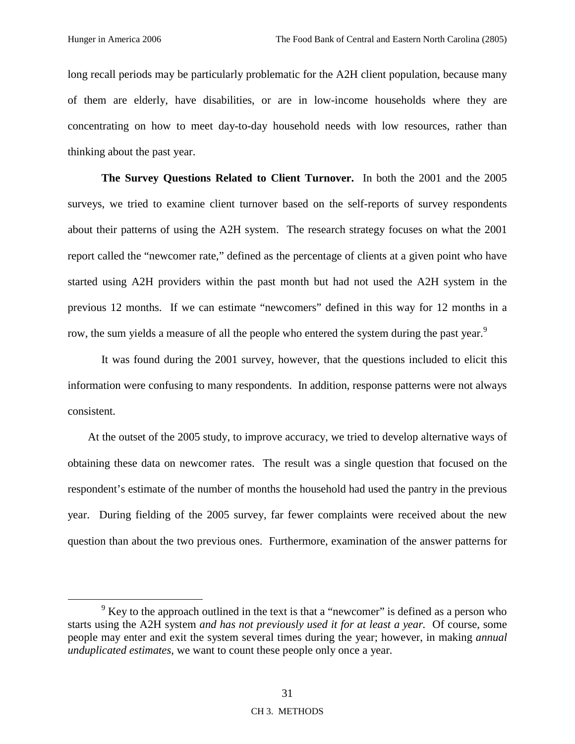long recall periods may be particularly problematic for the A2H client population, because many of them are elderly, have disabilities, or are in low-income households where they are concentrating on how to meet day-to-day household needs with low resources, rather than thinking about the past year.

**The Survey Questions Related to Client Turnover.** In both the 2001 and the 2005 surveys, we tried to examine client turnover based on the self-reports of survey respondents about their patterns of using the A2H system. The research strategy focuses on what the 2001 report called the "newcomer rate," defined as the percentage of clients at a given point who have started using A2H providers within the past month but had not used the A2H system in the previous 12 months. If we can estimate "newcomers" defined in this way for 12 months in a row, the sum yields a measure of all the people who entered the system during the past year.<sup>9</sup>

It was found during the 2001 survey, however, that the questions included to elicit this information were confusing to many respondents. In addition, response patterns were not always consistent.

At the outset of the 2005 study, to improve accuracy, we tried to develop alternative ways of obtaining these data on newcomer rates. The result was a single question that focused on the respondent's estimate of the number of months the household had used the pantry in the previous year.During fielding of the 2005 survey, far fewer complaints were received about the new question than about the two previous ones. Furthermore, examination of the answer patterns for

 $\frac{1}{9}$  $\frac{9}{9}$  Key to the approach outlined in the text is that a "newcomer" is defined as a person who starts using the A2H system *and has not previously used it for at least a year.* Of course, some people may enter and exit the system several times during the year; however, in making *annual unduplicated estimates,* we want to count these people only once a year*.*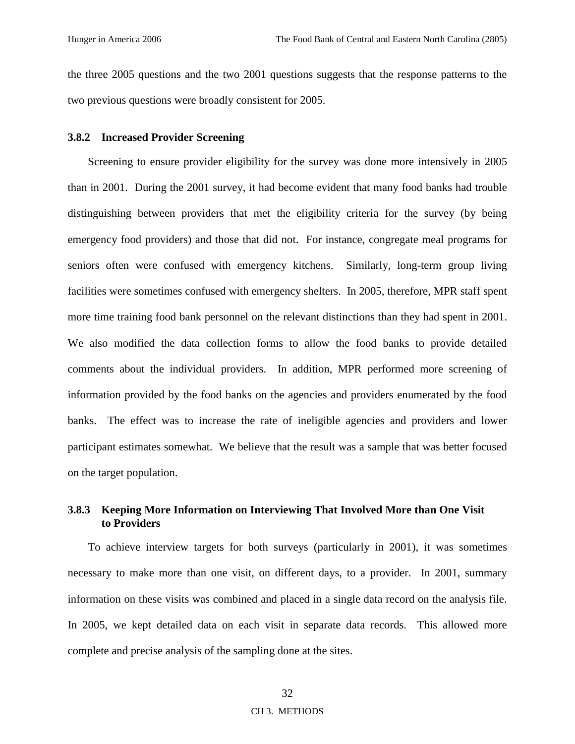the three 2005 questions and the two 2001 questions suggests that the response patterns to the two previous questions were broadly consistent for 2005.

#### **3.8.2 Increased Provider Screening**

Screening to ensure provider eligibility for the survey was done more intensively in 2005 than in 2001. During the 2001 survey, it had become evident that many food banks had trouble distinguishing between providers that met the eligibility criteria for the survey (by being emergency food providers) and those that did not. For instance, congregate meal programs for seniors often were confused with emergency kitchens. Similarly, long-term group living facilities were sometimes confused with emergency shelters. In 2005, therefore, MPR staff spent more time training food bank personnel on the relevant distinctions than they had spent in 2001. We also modified the data collection forms to allow the food banks to provide detailed comments about the individual providers. In addition, MPR performed more screening of information provided by the food banks on the agencies and providers enumerated by the food banks. The effect was to increase the rate of ineligible agencies and providers and lower participant estimates somewhat. We believe that the result was a sample that was better focused on the target population.

# **3.8.3 Keeping More Information on Interviewing That Involved More than One Visit to Providers**

To achieve interview targets for both surveys (particularly in 2001), it was sometimes necessary to make more than one visit, on different days, to a provider. In 2001, summary information on these visits was combined and placed in a single data record on the analysis file. In 2005, we kept detailed data on each visit in separate data records. This allowed more complete and precise analysis of the sampling done at the sites.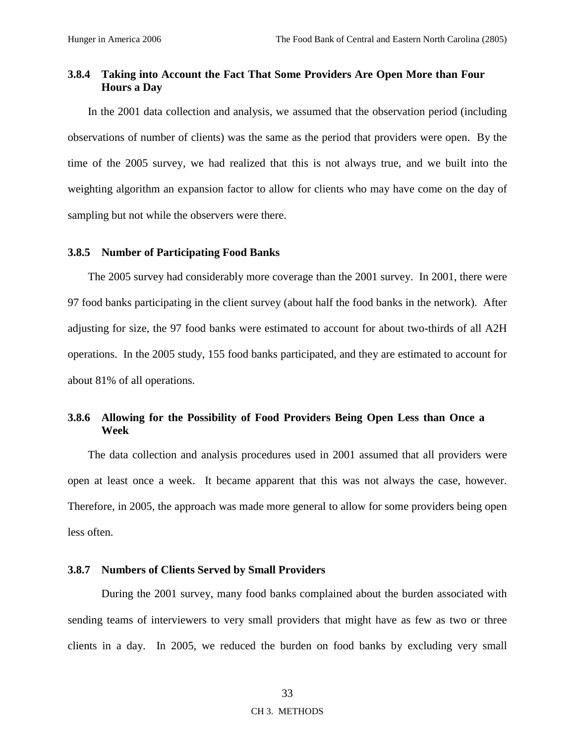# **3.8.4 Taking into Account the Fact That Some Providers Are Open More than Four Hours a Day**

In the 2001 data collection and analysis, we assumed that the observation period (including observations of number of clients) was the same as the period that providers were open. By the time of the 2005 survey, we had realized that this is not always true, and we built into the weighting algorithm an expansion factor to allow for clients who may have come on the day of sampling but not while the observers were there.

### **3.8.5 Number of Participating Food Banks**

The 2005 survey had considerably more coverage than the 2001 survey. In 2001, there were 97 food banks participating in the client survey (about half the food banks in the network). After adjusting for size, the 97 food banks were estimated to account for about two-thirds of all A2H operations. In the 2005 study, 155 food banks participated, and they are estimated to account for about 81% of all operations.

# **3.8.6 Allowing for the Possibility of Food Providers Being Open Less than Once a Week**

The data collection and analysis procedures used in 2001 assumed that all providers were open at least once a week. It became apparent that this was not always the case, however. Therefore, in 2005, the approach was made more general to allow for some providers being open less often.

# **3.8.7 Numbers of Clients Served by Small Providers**

During the 2001 survey, many food banks complained about the burden associated with sending teams of interviewers to very small providers that might have as few as two or three clients in a day. In 2005, we reduced the burden on food banks by excluding very small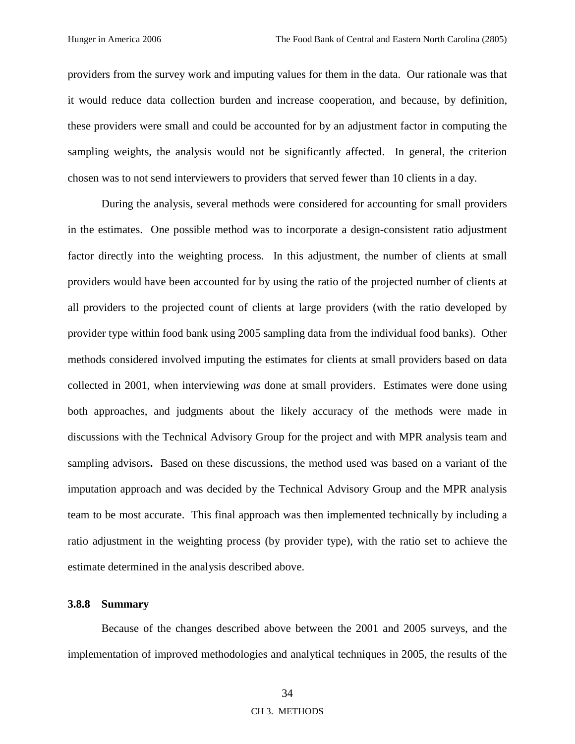providers from the survey work and imputing values for them in the data. Our rationale was that it would reduce data collection burden and increase cooperation, and because, by definition, these providers were small and could be accounted for by an adjustment factor in computing the sampling weights, the analysis would not be significantly affected. In general, the criterion chosen was to not send interviewers to providers that served fewer than 10 clients in a day.

During the analysis, several methods were considered for accounting for small providers in the estimates. One possible method was to incorporate a design-consistent ratio adjustment factor directly into the weighting process. In this adjustment, the number of clients at small providers would have been accounted for by using the ratio of the projected number of clients at all providers to the projected count of clients at large providers (with the ratio developed by provider type within food bank using 2005 sampling data from the individual food banks). Other methods considered involved imputing the estimates for clients at small providers based on data collected in 2001, when interviewing *was* done at small providers. Estimates were done using both approaches, and judgments about the likely accuracy of the methods were made in discussions with the Technical Advisory Group for the project and with MPR analysis team and sampling advisors**.** Based on these discussions, the method used was based on a variant of the imputation approach and was decided by the Technical Advisory Group and the MPR analysis team to be most accurate. This final approach was then implemented technically by including a ratio adjustment in the weighting process (by provider type), with the ratio set to achieve the estimate determined in the analysis described above.

# **3.8.8 Summary**

Because of the changes described above between the 2001 and 2005 surveys, and the implementation of improved methodologies and analytical techniques in 2005, the results of the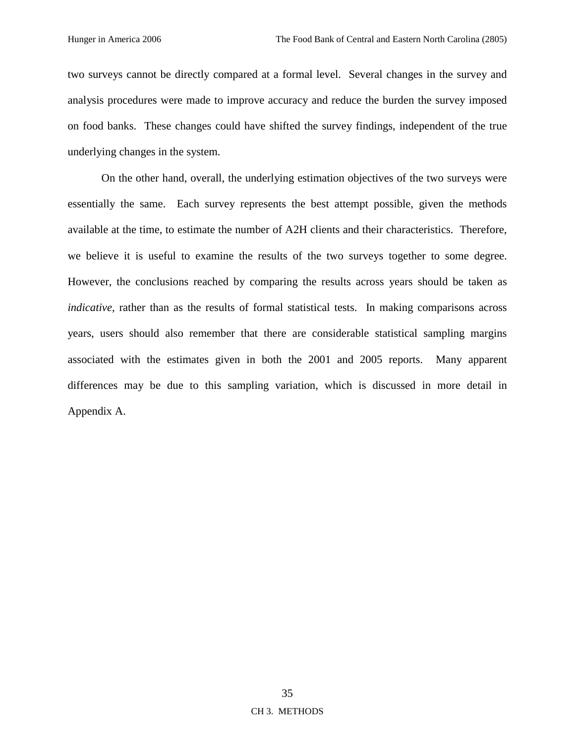two surveys cannot be directly compared at a formal level. Several changes in the survey and analysis procedures were made to improve accuracy and reduce the burden the survey imposed on food banks. These changes could have shifted the survey findings, independent of the true underlying changes in the system*.*

On the other hand, overall, the underlying estimation objectives of the two surveys were essentially the same. Each survey represents the best attempt possible, given the methods available at the time, to estimate the number of A2H clients and their characteristics. Therefore, we believe it is useful to examine the results of the two surveys together to some degree. However, the conclusions reached by comparing the results across years should be taken as *indicative*, rather than as the results of formal statistical tests. In making comparisons across years, users should also remember that there are considerable statistical sampling margins associated with the estimates given in both the 2001 and 2005 reports. Many apparent differences may be due to this sampling variation, which is discussed in more detail in Appendix A.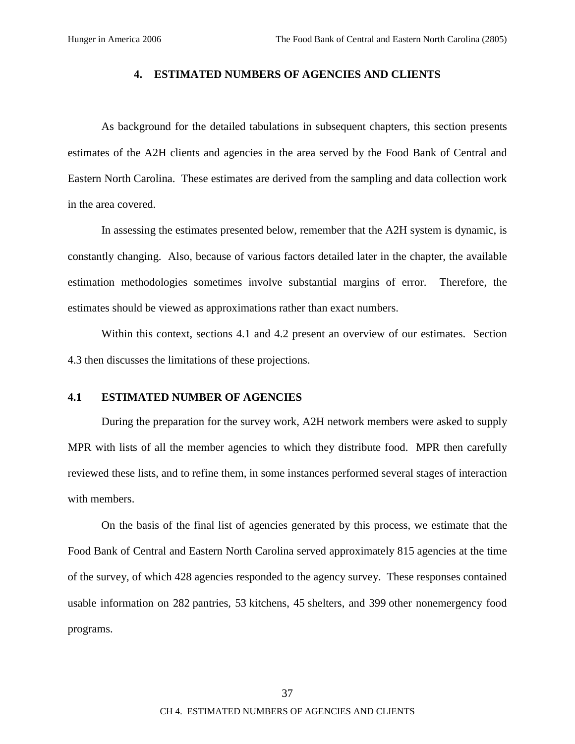### **4. ESTIMATED NUMBERS OF AGENCIES AND CLIENTS**

As background for the detailed tabulations in subsequent chapters, this section presents estimates of the A2H clients and agencies in the area served by the Food Bank of Central and Eastern North Carolina. These estimates are derived from the sampling and data collection work in the area covered.

In assessing the estimates presented below, remember that the A2H system is dynamic, is constantly changing. Also, because of various factors detailed later in the chapter, the available estimation methodologies sometimes involve substantial margins of error. Therefore, the estimates should be viewed as approximations rather than exact numbers.

Within this context, sections 4.1 and 4.2 present an overview of our estimates. Section 4.3 then discusses the limitations of these projections.

#### **4.1 ESTIMATED NUMBER OF AGENCIES**

During the preparation for the survey work, A2H network members were asked to supply MPR with lists of all the member agencies to which they distribute food. MPR then carefully reviewed these lists, and to refine them, in some instances performed several stages of interaction with members.

On the basis of the final list of agencies generated by this process, we estimate that the Food Bank of Central and Eastern North Carolina served approximately 815 agencies at the time of the survey, of which 428 agencies responded to the agency survey. These responses contained usable information on 282 pantries, 53 kitchens, 45 shelters, and 399 other nonemergency food programs.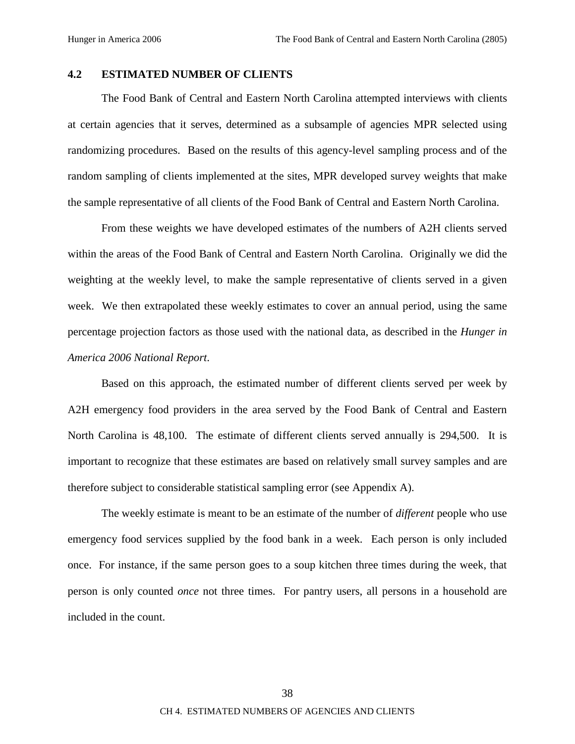# **4.2 ESTIMATED NUMBER OF CLIENTS**

The Food Bank of Central and Eastern North Carolina attempted interviews with clients at certain agencies that it serves, determined as a subsample of agencies MPR selected using randomizing procedures. Based on the results of this agency-level sampling process and of the random sampling of clients implemented at the sites, MPR developed survey weights that make the sample representative of all clients of the Food Bank of Central and Eastern North Carolina.

From these weights we have developed estimates of the numbers of A2H clients served within the areas of the Food Bank of Central and Eastern North Carolina. Originally we did the weighting at the weekly level, to make the sample representative of clients served in a given week. We then extrapolated these weekly estimates to cover an annual period, using the same percentage projection factors as those used with the national data, as described in the *Hunger in America 2006 National Report*.

Based on this approach, the estimated number of different clients served per week by A2H emergency food providers in the area served by the Food Bank of Central and Eastern North Carolina is 48,100. The estimate of different clients served annually is 294,500. It is important to recognize that these estimates are based on relatively small survey samples and are therefore subject to considerable statistical sampling error (see Appendix A).

The weekly estimate is meant to be an estimate of the number of *different* people who use emergency food services supplied by the food bank in a week. Each person is only included once. For instance, if the same person goes to a soup kitchen three times during the week, that person is only counted *once* not three times. For pantry users, all persons in a household are included in the count.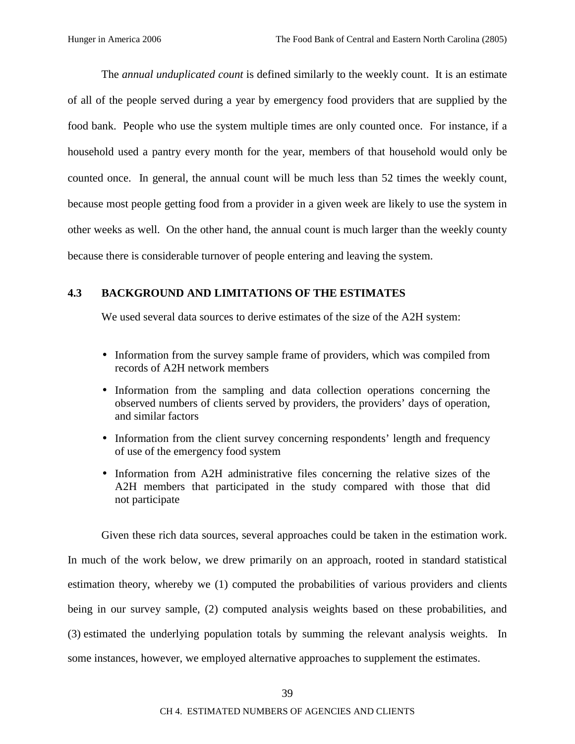The *annual unduplicated count* is defined similarly to the weekly count. It is an estimate of all of the people served during a year by emergency food providers that are supplied by the food bank. People who use the system multiple times are only counted once. For instance, if a household used a pantry every month for the year, members of that household would only be counted once. In general, the annual count will be much less than 52 times the weekly count, because most people getting food from a provider in a given week are likely to use the system in other weeks as well. On the other hand, the annual count is much larger than the weekly county because there is considerable turnover of people entering and leaving the system.

# **4.3 BACKGROUND AND LIMITATIONS OF THE ESTIMATES**

We used several data sources to derive estimates of the size of the A2H system:

- Information from the survey sample frame of providers, which was compiled from records of A2H network members
- Information from the sampling and data collection operations concerning the observed numbers of clients served by providers, the providers' days of operation, and similar factors
- Information from the client survey concerning respondents' length and frequency of use of the emergency food system
- Information from A2H administrative files concerning the relative sizes of the A2H members that participated in the study compared with those that did not participate

Given these rich data sources, several approaches could be taken in the estimation work. In much of the work below, we drew primarily on an approach, rooted in standard statistical estimation theory, whereby we (1) computed the probabilities of various providers and clients being in our survey sample, (2) computed analysis weights based on these probabilities, and (3) estimated the underlying population totals by summing the relevant analysis weights. In some instances, however, we employed alternative approaches to supplement the estimates.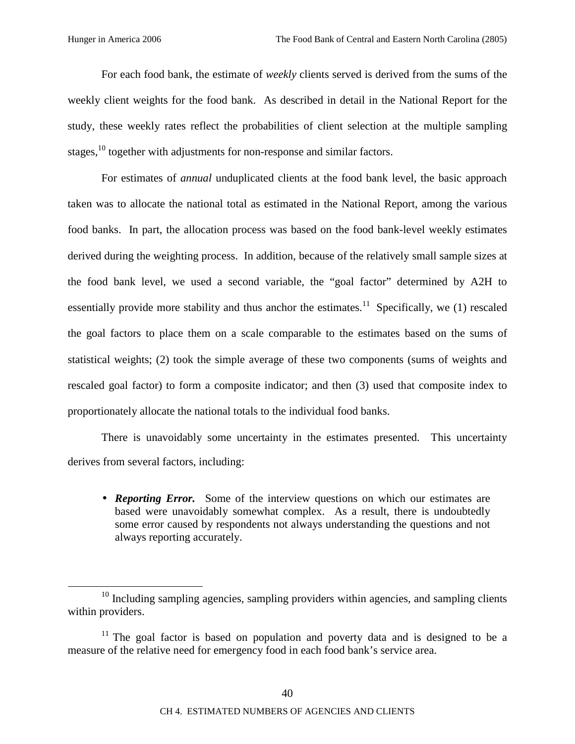For each food bank, the estimate of *weekly* clients served is derived from the sums of the weekly client weights for the food bank. As described in detail in the National Report for the study, these weekly rates reflect the probabilities of client selection at the multiple sampling stages,<sup>10</sup> together with adjustments for non-response and similar factors.

For estimates of *annual* unduplicated clients at the food bank level, the basic approach taken was to allocate the national total as estimated in the National Report, among the various food banks. In part, the allocation process was based on the food bank-level weekly estimates derived during the weighting process. In addition, because of the relatively small sample sizes at the food bank level, we used a second variable, the "goal factor" determined by A2H to essentially provide more stability and thus anchor the estimates.<sup>11</sup> Specifically, we (1) rescaled the goal factors to place them on a scale comparable to the estimates based on the sums of statistical weights; (2) took the simple average of these two components (sums of weights and rescaled goal factor) to form a composite indicator; and then (3) used that composite index to proportionately allocate the national totals to the individual food banks.

There is unavoidably some uncertainty in the estimates presented. This uncertainty derives from several factors, including:

• *Reporting Error.* Some of the interview questions on which our estimates are based were unavoidably somewhat complex. As a result, there is undoubtedly some error caused by respondents not always understanding the questions and not always reporting accurately.

 $10$  Including sampling agencies, sampling providers within agencies, and sampling clients within providers.

<sup>&</sup>lt;sup>11</sup> The goal factor is based on population and poverty data and is designed to be a measure of the relative need for emergency food in each food bank's service area.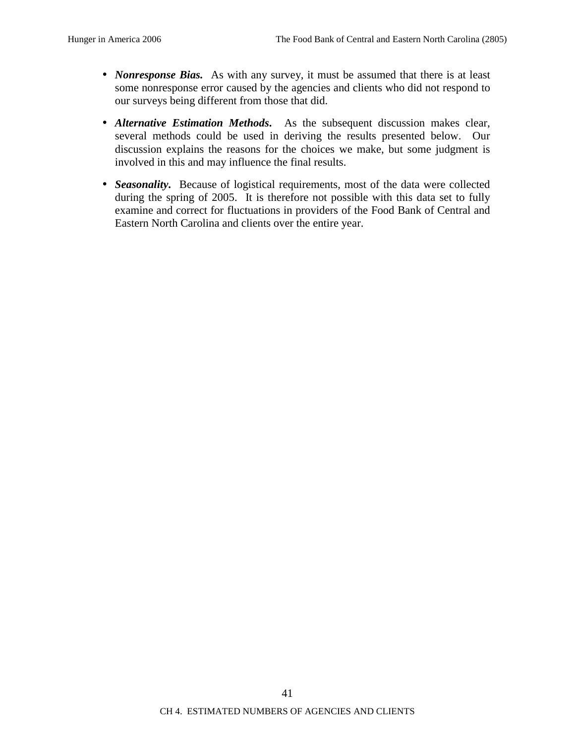- *Nonresponse Bias.* As with any survey, it must be assumed that there is at least some nonresponse error caused by the agencies and clients who did not respond to our surveys being different from those that did.
- *Alternative Estimation Methods***.** As the subsequent discussion makes clear, several methods could be used in deriving the results presented below. Our discussion explains the reasons for the choices we make, but some judgment is involved in this and may influence the final results.
- *Seasonality*. Because of logistical requirements, most of the data were collected during the spring of 2005. It is therefore not possible with this data set to fully examine and correct for fluctuations in providers of the Food Bank of Central and Eastern North Carolina and clients over the entire year.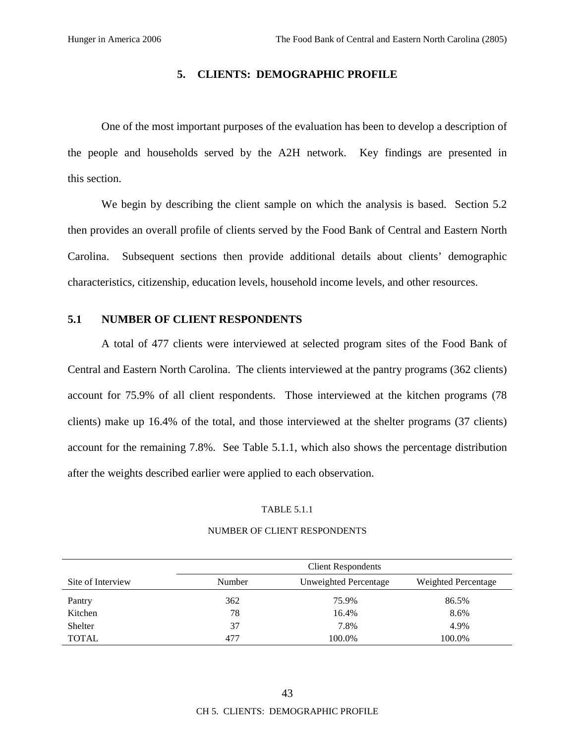### **5. CLIENTS: DEMOGRAPHIC PROFILE**

One of the most important purposes of the evaluation has been to develop a description of the people and households served by the A2H network. Key findings are presented in this section.

We begin by describing the client sample on which the analysis is based. Section 5.2 then provides an overall profile of clients served by the Food Bank of Central and Eastern North Carolina. Subsequent sections then provide additional details about clients' demographic characteristics, citizenship, education levels, household income levels, and other resources.

### **5.1 NUMBER OF CLIENT RESPONDENTS**

A total of 477 clients were interviewed at selected program sites of the Food Bank of Central and Eastern North Carolina. The clients interviewed at the pantry programs (362 clients) account for 75.9% of all client respondents. Those interviewed at the kitchen programs (78 clients) make up 16.4% of the total, and those interviewed at the shelter programs (37 clients) account for the remaining 7.8%. See Table 5.1.1, which also shows the percentage distribution after the weights described earlier were applied to each observation.

#### TABLE 5.1.1

# Client Respondents Site of Interview Number Unweighted Percentage Weighted Percentage Pantry 36.5% 86.5% Kitchen 8.6% 8.6% Shelter 37 37 37 38% 4.9% TOTAL 100.0% 100.0% 100.0%

#### NUMBER OF CLIENT RESPONDENTS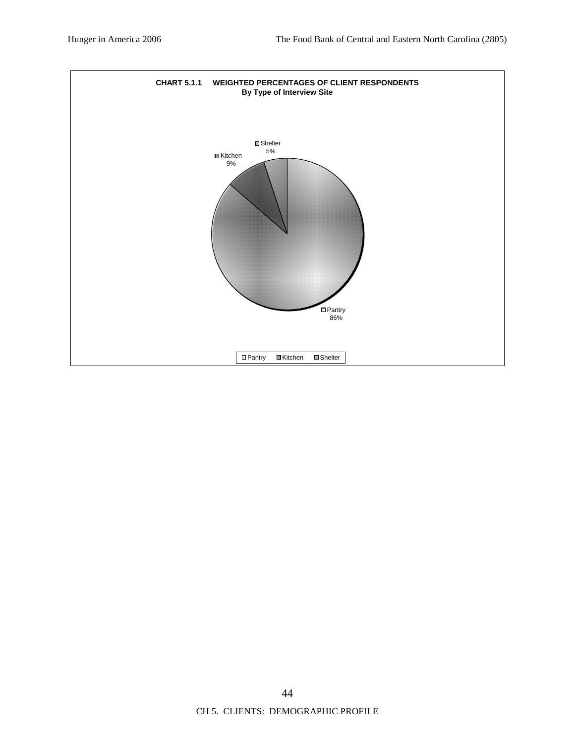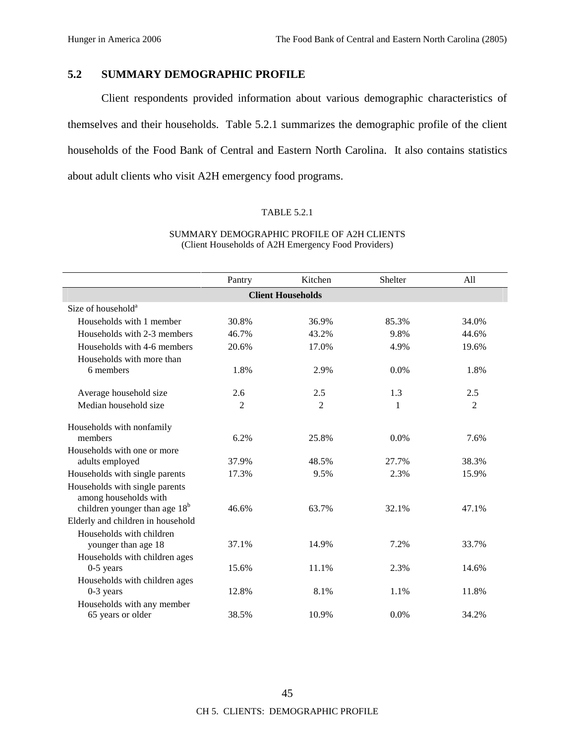# **5.2 SUMMARY DEMOGRAPHIC PROFILE**

Client respondents provided information about various demographic characteristics of themselves and their households. Table 5.2.1 summarizes the demographic profile of the client households of the Food Bank of Central and Eastern North Carolina. It also contains statistics about adult clients who visit A2H emergency food programs.

# TABLE 5.2.1

|                                                                    | Pantry         | Kitchen                  | Shelter | A11            |
|--------------------------------------------------------------------|----------------|--------------------------|---------|----------------|
|                                                                    |                |                          |         |                |
|                                                                    |                | <b>Client Households</b> |         |                |
| Size of household <sup>a</sup>                                     |                |                          |         |                |
| Households with 1 member                                           | 30.8%          | 36.9%                    | 85.3%   | 34.0%          |
| Households with 2-3 members                                        | 46.7%          | 43.2%                    | 9.8%    | 44.6%          |
| Households with 4-6 members                                        | 20.6%          | 17.0%                    | 4.9%    | 19.6%          |
| Households with more than                                          |                |                          |         |                |
| 6 members                                                          | 1.8%           | 2.9%                     | 0.0%    | 1.8%           |
|                                                                    |                |                          |         |                |
| Average household size                                             | 2.6            | 2.5                      | 1.3     | 2.5            |
| Median household size                                              | $\overline{2}$ | 2                        | 1       | $\overline{2}$ |
|                                                                    |                |                          |         |                |
| Households with nonfamily<br>members                               | 6.2%           | 25.8%                    | $0.0\%$ | 7.6%           |
| Households with one or more                                        |                |                          |         |                |
| adults employed                                                    | 37.9%          | 48.5%                    | 27.7%   | 38.3%          |
|                                                                    |                |                          |         |                |
| Households with single parents                                     | 17.3%          | 9.5%                     | 2.3%    | 15.9%          |
| Households with single parents                                     |                |                          |         |                |
| among households with<br>children younger than age 18 <sup>b</sup> | 46.6%          | 63.7%                    | 32.1%   | 47.1%          |
| Elderly and children in household                                  |                |                          |         |                |
|                                                                    |                |                          |         |                |
| Households with children                                           | 37.1%          | 14.9%                    | 7.2%    | 33.7%          |
| younger than age 18                                                |                |                          |         |                |
| Households with children ages                                      |                |                          |         |                |
| $0-5$ years                                                        | 15.6%          | 11.1%                    | 2.3%    | 14.6%          |
| Households with children ages                                      |                |                          |         |                |
| $0-3$ years                                                        | 12.8%          | 8.1%                     | 1.1%    | 11.8%          |
| Households with any member                                         |                |                          |         |                |
| 65 years or older                                                  | 38.5%          | 10.9%                    | 0.0%    | 34.2%          |

### SUMMARY DEMOGRAPHIC PROFILE OF A2H CLIENTS (Client Households of A2H Emergency Food Providers)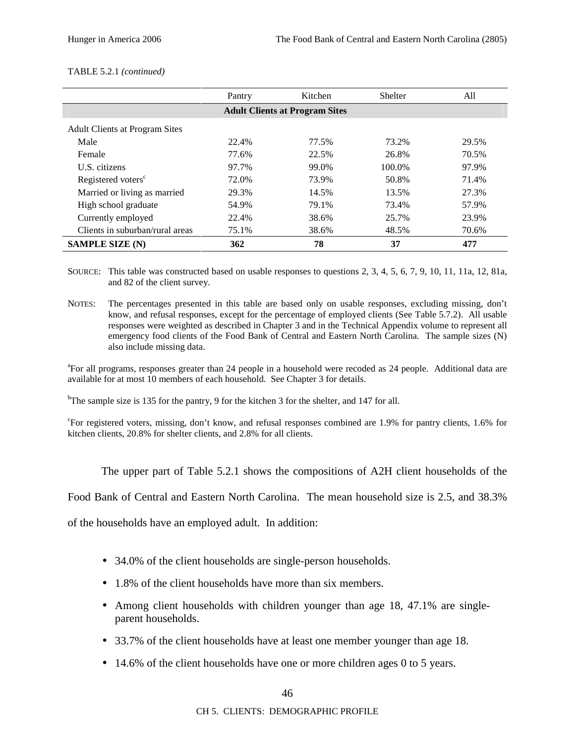|                                       | Pantry | Kitchen | <b>Shelter</b> | All   |  |  |
|---------------------------------------|--------|---------|----------------|-------|--|--|
| <b>Adult Clients at Program Sites</b> |        |         |                |       |  |  |
| <b>Adult Clients at Program Sites</b> |        |         |                |       |  |  |
| Male                                  | 22.4%  | 77.5%   | 73.2%          | 29.5% |  |  |
| Female                                | 77.6%  | 22.5%   | 26.8%          | 70.5% |  |  |
| <b>U.S.</b> citizens                  | 97.7%  | 99.0%   | 100.0%         | 97.9% |  |  |
| Registered voters <sup>c</sup>        | 72.0%  | 73.9%   | 50.8%          | 71.4% |  |  |
| Married or living as married          | 29.3%  | 14.5%   | 13.5%          | 27.3% |  |  |
| High school graduate                  | 54.9%  | 79.1%   | 73.4%          | 57.9% |  |  |
| Currently employed                    | 22.4%  | 38.6%   | 25.7%          | 23.9% |  |  |
| Clients in suburban/rural areas       | 75.1%  | 38.6%   | 48.5%          | 70.6% |  |  |
| <b>SAMPLE SIZE (N)</b>                | 362    | 78      | 37             | 477   |  |  |

#### TABLE 5.2.1 *(continued)*

SOURCE: This table was constructed based on usable responses to questions 2, 3, 4, 5, 6, 7, 9, 10, 11, 11a, 12, 81a, and 82 of the client survey.

NOTES: The percentages presented in this table are based only on usable responses, excluding missing, don't know, and refusal responses, except for the percentage of employed clients (See Table 5.7.2). All usable responses were weighted as described in Chapter 3 and in the Technical Appendix volume to represent all emergency food clients of the Food Bank of Central and Eastern North Carolina. The sample sizes (N) also include missing data.

<sup>a</sup>For all programs, responses greater than 24 people in a household were recoded as 24 people. Additional data are available for at most 10 members of each household. See Chapter 3 for details.

<sup>b</sup>The sample size is 135 for the pantry, 9 for the kitchen 3 for the shelter, and 147 for all.

c For registered voters, missing, don't know, and refusal responses combined are 1.9% for pantry clients, 1.6% for kitchen clients, 20.8% for shelter clients, and 2.8% for all clients.

The upper part of Table 5.2.1 shows the compositions of A2H client households of the

Food Bank of Central and Eastern North Carolina. The mean household size is 2.5, and 38.3%

of the households have an employed adult. In addition:

- 34.0% of the client households are single-person households.
- 1.8% of the client households have more than six members.
- Among client households with children younger than age 18, 47.1% are singleparent households.
- 33.7% of the client households have at least one member younger than age 18.
- 14.6% of the client households have one or more children ages 0 to 5 years.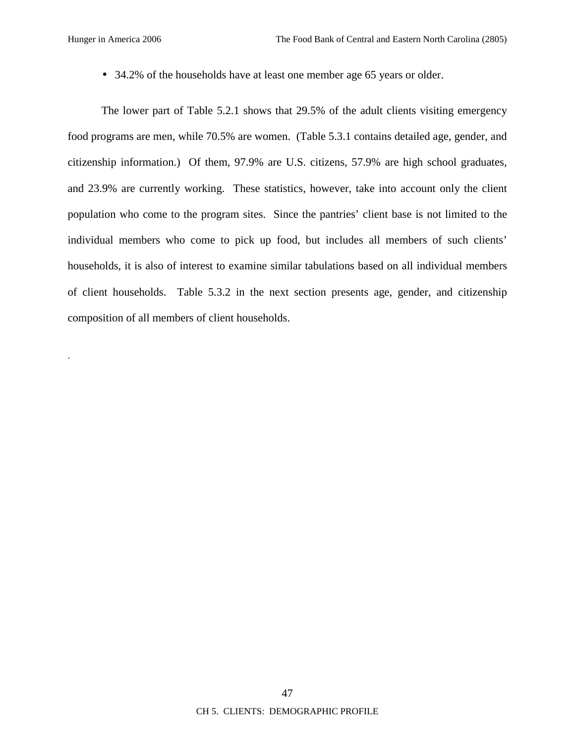.

• 34.2% of the households have at least one member age 65 years or older.

The lower part of Table 5.2.1 shows that 29.5% of the adult clients visiting emergency food programs are men, while 70.5% are women. (Table 5.3.1 contains detailed age, gender, and citizenship information.) Of them, 97.9% are U.S. citizens, 57.9% are high school graduates, and 23.9% are currently working. These statistics, however, take into account only the client population who come to the program sites. Since the pantries' client base is not limited to the individual members who come to pick up food, but includes all members of such clients' households, it is also of interest to examine similar tabulations based on all individual members of client households. Table 5.3.2 in the next section presents age, gender, and citizenship composition of all members of client households.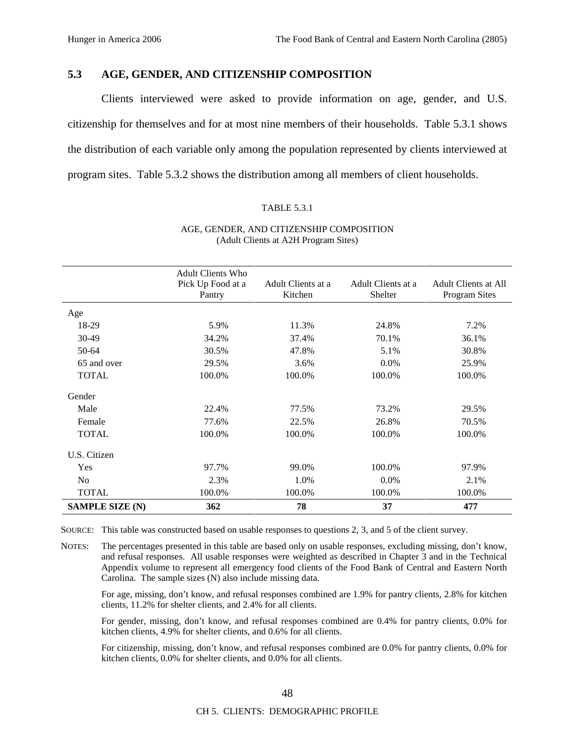# **5.3 AGE, GENDER, AND CITIZENSHIP COMPOSITION**

Clients interviewed were asked to provide information on age, gender, and U.S. citizenship for themselves and for at most nine members of their households. Table 5.3.1 shows the distribution of each variable only among the population represented by clients interviewed at program sites. Table 5.3.2 shows the distribution among all members of client households.

#### TABLE 5.3.1

|                        | <b>Adult Clients Who</b><br>Pick Up Food at a<br>Pantry | Adult Clients at a<br>Kitchen | Adult Clients at a<br>Shelter | Adult Clients at All<br><b>Program Sites</b> |
|------------------------|---------------------------------------------------------|-------------------------------|-------------------------------|----------------------------------------------|
| Age                    |                                                         |                               |                               |                                              |
| 18-29                  | 5.9%                                                    | 11.3%                         | 24.8%                         | 7.2%                                         |
| $30-49$                | 34.2%                                                   | 37.4%                         | 70.1%                         | 36.1%                                        |
| 50-64                  | 30.5%                                                   | 47.8%                         | 5.1%                          | 30.8%                                        |
| 65 and over            | 29.5%                                                   | 3.6%                          | $0.0\%$                       | 25.9%                                        |
| <b>TOTAL</b>           | 100.0%                                                  | 100.0%                        | 100.0%                        | 100.0%                                       |
| Gender                 |                                                         |                               |                               |                                              |
| Male                   | 22.4%                                                   | 77.5%                         | 73.2%                         | 29.5%                                        |
| Female                 | 77.6%                                                   | 22.5%                         | 26.8%                         | 70.5%                                        |
| <b>TOTAL</b>           | 100.0%                                                  | 100.0%                        | 100.0%                        | 100.0%                                       |
| U.S. Citizen           |                                                         |                               |                               |                                              |
| Yes                    | 97.7%                                                   | 99.0%                         | 100.0%                        | 97.9%                                        |
| N <sub>o</sub>         | 2.3%                                                    | 1.0%                          | 0.0%                          | 2.1%                                         |
| <b>TOTAL</b>           | 100.0%                                                  | 100.0%                        | 100.0%                        | 100.0%                                       |
| <b>SAMPLE SIZE (N)</b> | 362                                                     | 78                            | 37                            | 477                                          |

#### AGE, GENDER, AND CITIZENSHIP COMPOSITION (Adult Clients at A2H Program Sites)

SOURCE: This table was constructed based on usable responses to questions 2, 3, and 5 of the client survey.

NOTES: The percentages presented in this table are based only on usable responses, excluding missing, don't know, and refusal responses. All usable responses were weighted as described in Chapter 3 and in the Technical Appendix volume to represent all emergency food clients of the Food Bank of Central and Eastern North Carolina. The sample sizes (N) also include missing data.

For age, missing, don't know, and refusal responses combined are 1.9% for pantry clients, 2.8% for kitchen clients, 11.2% for shelter clients, and 2.4% for all clients.

For gender, missing, don't know, and refusal responses combined are 0.4% for pantry clients, 0.0% for kitchen clients, 4.9% for shelter clients, and 0.6% for all clients.

For citizenship, missing, don't know, and refusal responses combined are 0.0% for pantry clients, 0.0% for kitchen clients, 0.0% for shelter clients, and 0.0% for all clients.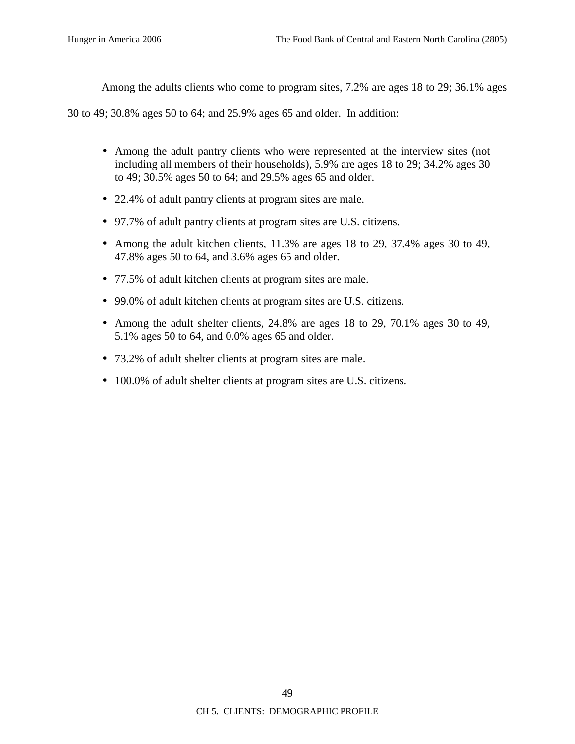Among the adults clients who come to program sites, 7.2% are ages 18 to 29; 36.1% ages

30 to 49; 30.8% ages 50 to 64; and 25.9% ages 65 and older. In addition:

- Among the adult pantry clients who were represented at the interview sites (not including all members of their households), 5.9% are ages 18 to 29; 34.2% ages 30 to 49; 30.5% ages 50 to 64; and 29.5% ages 65 and older.
- 22.4% of adult pantry clients at program sites are male.
- 97.7% of adult pantry clients at program sites are U.S. citizens.
- Among the adult kitchen clients, 11.3% are ages 18 to 29, 37.4% ages 30 to 49, 47.8% ages 50 to 64, and 3.6% ages 65 and older.
- 77.5% of adult kitchen clients at program sites are male.
- 99.0% of adult kitchen clients at program sites are U.S. citizens.
- Among the adult shelter clients, 24.8% are ages 18 to 29, 70.1% ages 30 to 49, 5.1% ages 50 to 64, and 0.0% ages 65 and older.
- 73.2% of adult shelter clients at program sites are male.
- 100.0% of adult shelter clients at program sites are U.S. citizens.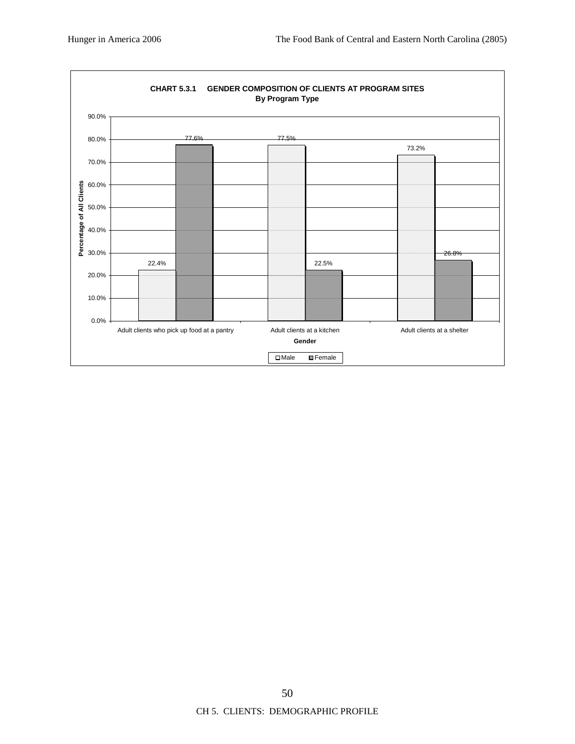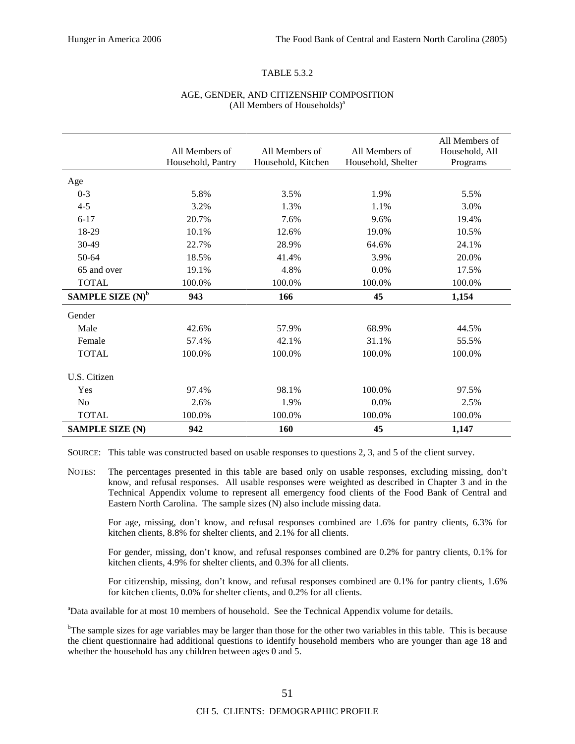#### TABLE 5.3.2

#### AGE, GENDER, AND CITIZENSHIP COMPOSITION (All Members of Households)<sup>a</sup>

|                        | All Members of<br>Household, Pantry | All Members of<br>Household, Kitchen | All Members of<br>Household, Shelter | All Members of<br>Household, All<br>Programs |
|------------------------|-------------------------------------|--------------------------------------|--------------------------------------|----------------------------------------------|
| Age                    |                                     |                                      |                                      |                                              |
| $0 - 3$                | 5.8%                                | 3.5%                                 | 1.9%                                 | 5.5%                                         |
| $4 - 5$                | 3.2%                                | 1.3%                                 | 1.1%                                 | 3.0%                                         |
| $6 - 17$               | 20.7%                               | 7.6%                                 | 9.6%                                 | 19.4%                                        |
| 18-29                  | 10.1%                               | 12.6%                                | 19.0%                                | 10.5%                                        |
| 30-49                  | 22.7%                               | 28.9%                                | 64.6%                                | 24.1%                                        |
| $50-64$                | 18.5%                               | 41.4%                                | 3.9%                                 | 20.0%                                        |
| 65 and over            | 19.1%                               | 4.8%                                 | 0.0%                                 | 17.5%                                        |
| <b>TOTAL</b>           | 100.0%                              | 100.0%                               | 100.0%                               | 100.0%                                       |
| SAMPLE SIZE $(N)^b$    | 943                                 | 166                                  | 45                                   | 1,154                                        |
| Gender                 |                                     |                                      |                                      |                                              |
| Male                   | 42.6%                               | 57.9%                                | 68.9%                                | 44.5%                                        |
| Female                 | 57.4%                               | 42.1%                                | 31.1%                                | 55.5%                                        |
| <b>TOTAL</b>           | 100.0%                              | 100.0%                               | 100.0%                               | 100.0%                                       |
| U.S. Citizen           |                                     |                                      |                                      |                                              |
| Yes                    | 97.4%                               | 98.1%                                | 100.0%                               | 97.5%                                        |
| N <sub>0</sub>         | 2.6%                                | 1.9%                                 | 0.0%                                 | 2.5%                                         |
| <b>TOTAL</b>           | 100.0%                              | 100.0%                               | 100.0%                               | 100.0%                                       |
| <b>SAMPLE SIZE (N)</b> | 942                                 | 160                                  | 45                                   | 1,147                                        |

SOURCE: This table was constructed based on usable responses to questions 2, 3, and 5 of the client survey.

NOTES: The percentages presented in this table are based only on usable responses, excluding missing, don't know, and refusal responses. All usable responses were weighted as described in Chapter 3 and in the Technical Appendix volume to represent all emergency food clients of the Food Bank of Central and Eastern North Carolina. The sample sizes (N) also include missing data.

For age, missing, don't know, and refusal responses combined are 1.6% for pantry clients, 6.3% for kitchen clients, 8.8% for shelter clients, and 2.1% for all clients.

For gender, missing, don't know, and refusal responses combined are 0.2% for pantry clients, 0.1% for kitchen clients, 4.9% for shelter clients, and 0.3% for all clients.

For citizenship, missing, don't know, and refusal responses combined are 0.1% for pantry clients, 1.6% for kitchen clients, 0.0% for shelter clients, and 0.2% for all clients.

<sup>a</sup>Data available for at most 10 members of household. See the Technical Appendix volume for details.

<sup>b</sup>The sample sizes for age variables may be larger than those for the other two variables in this table. This is because the client questionnaire had additional questions to identify household members who are younger than age 18 and whether the household has any children between ages 0 and 5.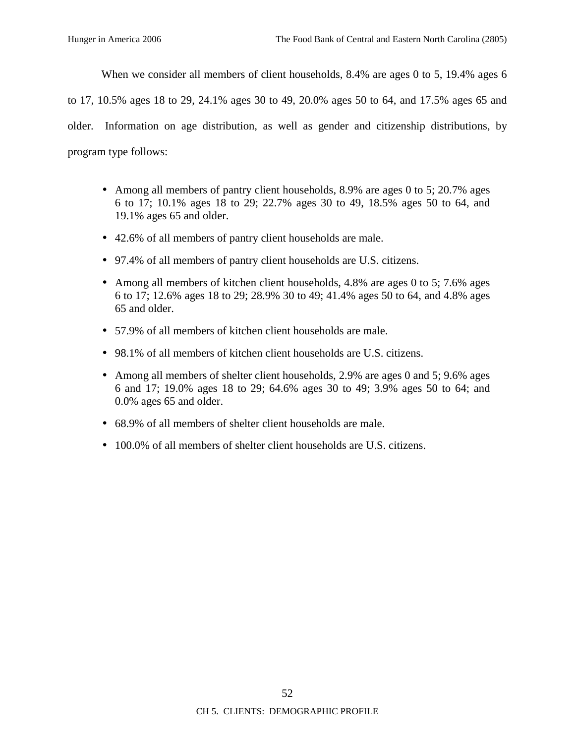When we consider all members of client households, 8.4% are ages 0 to 5, 19.4% ages 6

to 17, 10.5% ages 18 to 29, 24.1% ages 30 to 49, 20.0% ages 50 to 64, and 17.5% ages 65 and

older. Information on age distribution, as well as gender and citizenship distributions, by program type follows:

- Among all members of pantry client households, 8.9% are ages 0 to 5; 20.7% ages 6 to 17; 10.1% ages 18 to 29; 22.7% ages 30 to 49, 18.5% ages 50 to 64, and 19.1% ages 65 and older.
- 42.6% of all members of pantry client households are male.
- 97.4% of all members of pantry client households are U.S. citizens.
- Among all members of kitchen client households, 4.8% are ages 0 to 5; 7.6% ages 6 to 17; 12.6% ages 18 to 29; 28.9% 30 to 49; 41.4% ages 50 to 64, and 4.8% ages 65 and older.
- 57.9% of all members of kitchen client households are male.
- 98.1% of all members of kitchen client households are U.S. citizens.
- Among all members of shelter client households, 2.9% are ages 0 and 5; 9.6% ages 6 and 17; 19.0% ages 18 to 29; 64.6% ages 30 to 49; 3.9% ages 50 to 64; and 0.0% ages 65 and older.
- 68.9% of all members of shelter client households are male.
- 100.0% of all members of shelter client households are U.S. citizens.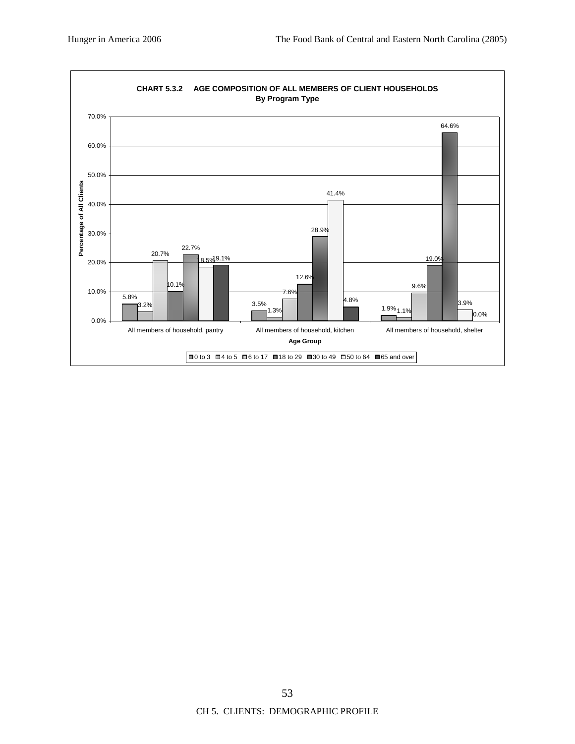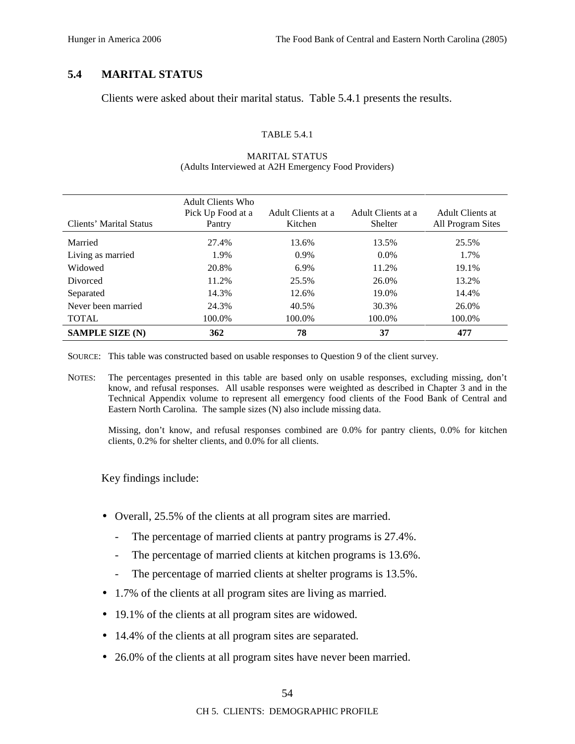# **5.4 MARITAL STATUS**

Clients were asked about their marital status. Table 5.4.1 presents the results.

### TABLE 5.4.1

| Clients' Marital Status | Adult Clients Who<br>Pick Up Food at a<br>Pantry | Adult Clients at a<br>Kitchen | Adult Clients at a<br>Shelter | Adult Clients at<br>All Program Sites |
|-------------------------|--------------------------------------------------|-------------------------------|-------------------------------|---------------------------------------|
| Married                 | 27.4%                                            | 13.6%                         | 13.5%                         | 25.5%                                 |
| Living as married       | 1.9%                                             | 0.9%                          | $0.0\%$                       | 1.7%                                  |
| Widowed                 | 20.8%                                            | 6.9%                          | 11.2%                         | 19.1%                                 |
| Divorced                | 11.2%                                            | 25.5%                         | 26.0%                         | 13.2%                                 |
| Separated               | 14.3%                                            | 12.6%                         | 19.0%                         | 14.4%                                 |
| Never been married      | 24.3%                                            | 40.5%                         | 30.3%                         | 26.0%                                 |
| <b>TOTAL</b>            | 100.0%                                           | 100.0%                        | 100.0%                        | 100.0%                                |
| <b>SAMPLE SIZE (N)</b>  | 362                                              | 78                            | 37                            | 477                                   |

## MARITAL STATUS (Adults Interviewed at A2H Emergency Food Providers)

SOURCE: This table was constructed based on usable responses to Question 9 of the client survey.

NOTES: The percentages presented in this table are based only on usable responses, excluding missing, don't know, and refusal responses. All usable responses were weighted as described in Chapter 3 and in the Technical Appendix volume to represent all emergency food clients of the Food Bank of Central and Eastern North Carolina. The sample sizes (N) also include missing data.

Missing, don't know, and refusal responses combined are 0.0% for pantry clients, 0.0% for kitchen clients, 0.2% for shelter clients, and 0.0% for all clients.

Key findings include:

- Overall, 25.5% of the clients at all program sites are married.
	- The percentage of married clients at pantry programs is 27.4%.
	- The percentage of married clients at kitchen programs is 13.6%.
	- The percentage of married clients at shelter programs is 13.5%.
- 1.7% of the clients at all program sites are living as married.
- 19.1% of the clients at all program sites are widowed.
- 14.4% of the clients at all program sites are separated.
- 26.0% of the clients at all program sites have never been married.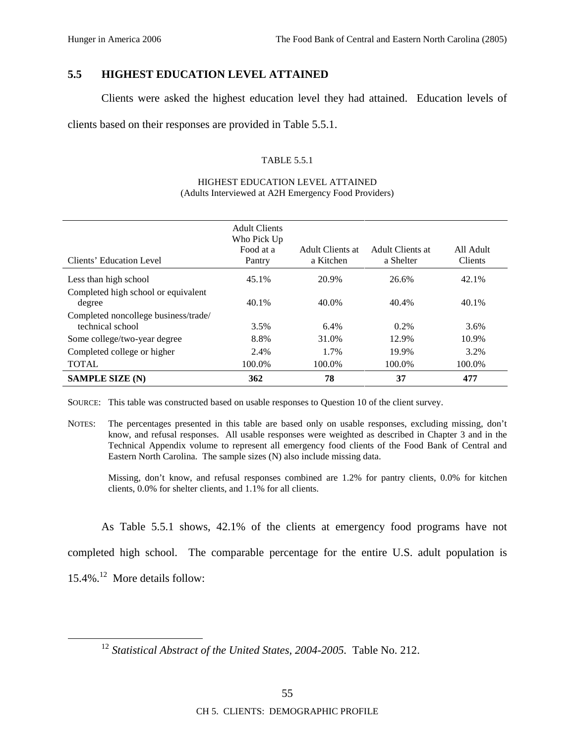# **5.5 HIGHEST EDUCATION LEVEL ATTAINED**

Clients were asked the highest education level they had attained. Education levels of

clients based on their responses are provided in Table 5.5.1.

### TABLE 5.5.1

|                                                          | <b>Adult Clients</b><br>Who Pick Up<br>Food at a | Adult Clients at | Adult Clients at | All Adult |
|----------------------------------------------------------|--------------------------------------------------|------------------|------------------|-----------|
| Clients' Education Level                                 | Pantry                                           | a Kitchen        | a Shelter        | Clients   |
| Less than high school                                    | 45.1%                                            | 20.9%            | 26.6%            | 42.1%     |
| Completed high school or equivalent<br>degree            | 40.1%                                            | 40.0%            | 40.4%            | 40.1%     |
| Completed noncollege business/trade/<br>technical school | 3.5%                                             | 6.4%             | $0.2\%$          | 3.6%      |
| Some college/two-year degree                             | 8.8%                                             | 31.0%            | 12.9%            | 10.9%     |
| Completed college or higher                              | 2.4%                                             | 1.7%             | 19.9%            | 3.2%      |
| <b>TOTAL</b>                                             | 100.0%                                           | 100.0%           | 100.0%           | 100.0%    |
| <b>SAMPLE SIZE (N)</b>                                   | 362                                              | 78               | 37               | 477       |

#### HIGHEST EDUCATION LEVEL ATTAINED (Adults Interviewed at A2H Emergency Food Providers)

SOURCE: This table was constructed based on usable responses to Question 10 of the client survey.

NOTES: The percentages presented in this table are based only on usable responses, excluding missing, don't know, and refusal responses. All usable responses were weighted as described in Chapter 3 and in the Technical Appendix volume to represent all emergency food clients of the Food Bank of Central and Eastern North Carolina. The sample sizes (N) also include missing data.

Missing, don't know, and refusal responses combined are 1.2% for pantry clients, 0.0% for kitchen clients, 0.0% for shelter clients, and 1.1% for all clients.

As Table 5.5.1 shows, 42.1% of the clients at emergency food programs have not

completed high school. The comparable percentage for the entire U.S. adult population is

 $15.4\%$ <sup>12</sup> More details follow:

 <sup>12</sup> *Statistical Abstract of the United States, 2004-2005.* Table No. 212.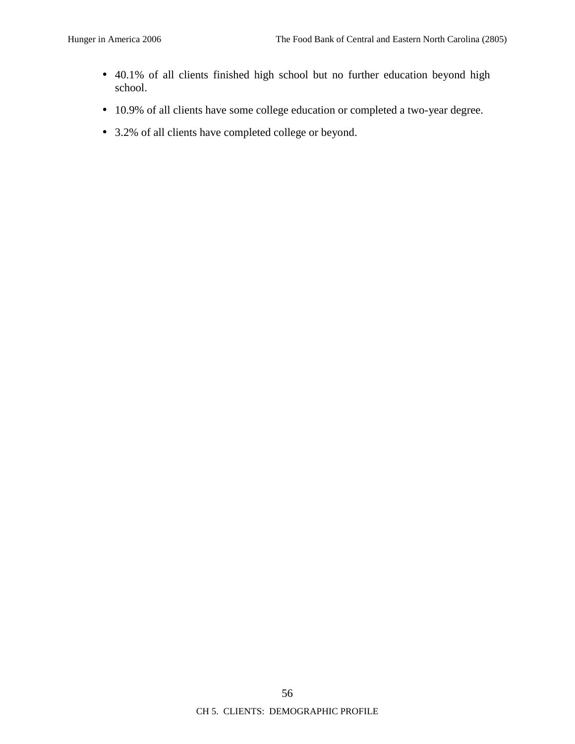- 40.1% of all clients finished high school but no further education beyond high school.
- 10.9% of all clients have some college education or completed a two-year degree.
- 3.2% of all clients have completed college or beyond.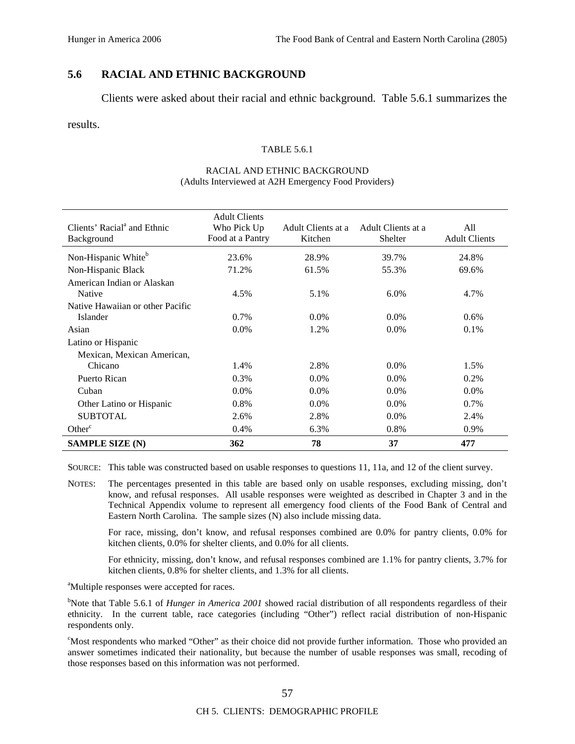# **5.6 RACIAL AND ETHNIC BACKGROUND**

Clients were asked about their racial and ethnic background. Table 5.6.1 summarizes the

results.

#### TABLE 5.6.1

#### RACIAL AND ETHNIC BACKGROUND (Adults Interviewed at A2H Emergency Food Providers)

| Clients' Racial <sup>a</sup> and Ethnic<br>Background | <b>Adult Clients</b><br>Who Pick Up<br>Food at a Pantry | Adult Clients at a<br>Kitchen | Adult Clients at a<br>Shelter | All<br><b>Adult Clients</b> |
|-------------------------------------------------------|---------------------------------------------------------|-------------------------------|-------------------------------|-----------------------------|
| Non-Hispanic White <sup>b</sup>                       | 23.6%                                                   | 28.9%                         | 39.7%                         | 24.8%                       |
| Non-Hispanic Black                                    | 71.2%                                                   | 61.5%                         | 55.3%                         | 69.6%                       |
| American Indian or Alaskan                            |                                                         |                               |                               |                             |
| Native                                                | 4.5%                                                    | 5.1%                          | 6.0%                          | 4.7%                        |
| Native Hawaiian or other Pacific                      |                                                         |                               |                               |                             |
| Islander                                              | 0.7%                                                    | $0.0\%$                       | $0.0\%$                       | $0.6\%$                     |
| Asian                                                 | $0.0\%$                                                 | 1.2%                          | $0.0\%$                       | 0.1%                        |
| Latino or Hispanic                                    |                                                         |                               |                               |                             |
| Mexican, Mexican American,                            |                                                         |                               |                               |                             |
| Chicano                                               | 1.4%                                                    | 2.8%                          | $0.0\%$                       | 1.5%                        |
| Puerto Rican                                          | $0.3\%$                                                 | $0.0\%$                       | $0.0\%$                       | 0.2%                        |
| Cuban                                                 | $0.0\%$                                                 | $0.0\%$                       | $0.0\%$                       | $0.0\%$                     |
| Other Latino or Hispanic                              | 0.8%                                                    | $0.0\%$                       | $0.0\%$                       | $0.7\%$                     |
| <b>SUBTOTAL</b>                                       | 2.6%                                                    | 2.8%                          | $0.0\%$                       | 2.4%                        |
| Other <sup>c</sup>                                    | 0.4%                                                    | 6.3%                          | 0.8%                          | 0.9%                        |
| <b>SAMPLE SIZE (N)</b>                                | 362                                                     | 78                            | 37                            | 477                         |

SOURCE: This table was constructed based on usable responses to questions 11, 11a, and 12 of the client survey.

NOTES: The percentages presented in this table are based only on usable responses, excluding missing, don't know, and refusal responses. All usable responses were weighted as described in Chapter 3 and in the Technical Appendix volume to represent all emergency food clients of the Food Bank of Central and Eastern North Carolina. The sample sizes (N) also include missing data.

For race, missing, don't know, and refusal responses combined are 0.0% for pantry clients, 0.0% for kitchen clients, 0.0% for shelter clients, and 0.0% for all clients.

For ethnicity, missing, don't know, and refusal responses combined are 1.1% for pantry clients, 3.7% for kitchen clients, 0.8% for shelter clients, and 1.3% for all clients.

<sup>a</sup>Multiple responses were accepted for races.

<sup>b</sup>Note that Table 5.6.1 of *Hunger in America 2001* showed racial distribution of all respondents regardless of their ethnicity. In the current table, race categories (including "Other") reflect racial distribution of non-Hispanic respondents only.

<sup>c</sup>Most respondents who marked "Other" as their choice did not provide further information. Those who provided an answer sometimes indicated their nationality, but because the number of usable responses was small, recoding of those responses based on this information was not performed.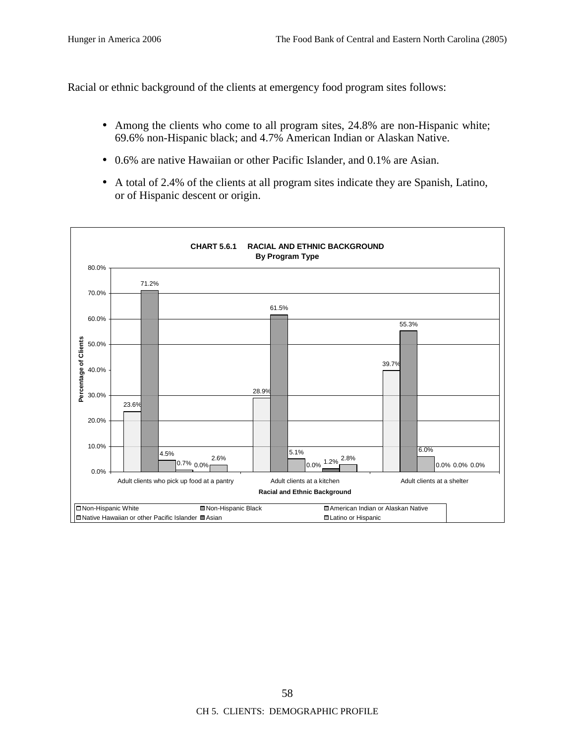Racial or ethnic background of the clients at emergency food program sites follows:

- Among the clients who come to all program sites, 24.8% are non-Hispanic white; 69.6% non-Hispanic black; and 4.7% American Indian or Alaskan Native.
- 0.6% are native Hawaiian or other Pacific Islander, and 0.1% are Asian.
- A total of 2.4% of the clients at all program sites indicate they are Spanish, Latino, or of Hispanic descent or origin.

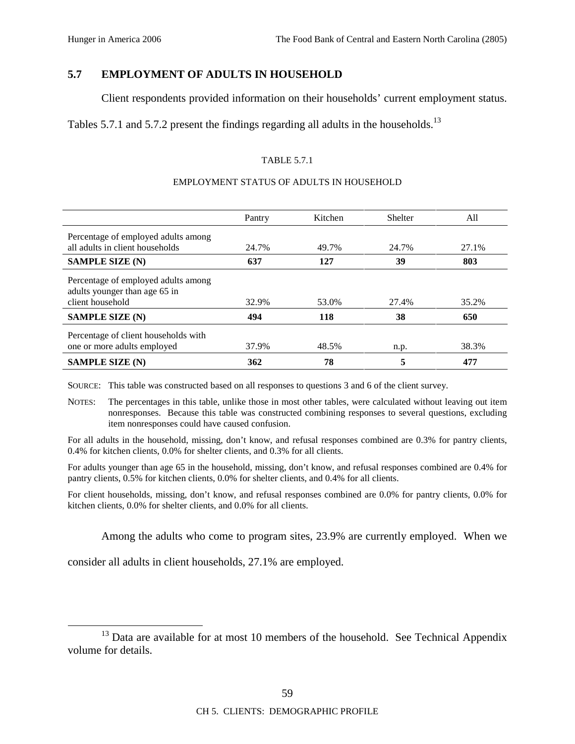# **5.7 EMPLOYMENT OF ADULTS IN HOUSEHOLD**

Client respondents provided information on their households' current employment status.

Tables 5.7.1 and 5.7.2 present the findings regarding all adults in the households.<sup>13</sup>

## TABLE 5.7.1

### EMPLOYMENT STATUS OF ADULTS IN HOUSEHOLD

|                                                                                          | Pantry | Kitchen | <b>Shelter</b> | All   |
|------------------------------------------------------------------------------------------|--------|---------|----------------|-------|
| Percentage of employed adults among                                                      |        |         |                |       |
| all adults in client households                                                          | 24.7%  | 49.7%   | 24.7%          | 27.1% |
| <b>SAMPLE SIZE (N)</b>                                                                   | 637    | 127     | 39             | 803   |
| Percentage of employed adults among<br>adults younger than age 65 in<br>client household | 32.9%  | 53.0%   | 27.4%          | 35.2% |
| <b>SAMPLE SIZE (N)</b>                                                                   | 494    | 118     | 38             | 650   |
| Percentage of client households with                                                     |        |         |                |       |
| one or more adults employed                                                              | 37.9%  | 48.5%   | n.p.           | 38.3% |
| <b>SAMPLE SIZE (N)</b>                                                                   | 362    | 78      | 5              | 477   |

SOURCE: This table was constructed based on all responses to questions 3 and 6 of the client survey.

NOTES: The percentages in this table, unlike those in most other tables, were calculated without leaving out item nonresponses. Because this table was constructed combining responses to several questions, excluding item nonresponses could have caused confusion.

For all adults in the household, missing, don't know, and refusal responses combined are 0.3% for pantry clients, 0.4% for kitchen clients, 0.0% for shelter clients, and 0.3% for all clients.

For adults younger than age 65 in the household, missing, don't know, and refusal responses combined are 0.4% for pantry clients, 0.5% for kitchen clients, 0.0% for shelter clients, and 0.4% for all clients.

For client households, missing, don't know, and refusal responses combined are 0.0% for pantry clients, 0.0% for kitchen clients, 0.0% for shelter clients, and 0.0% for all clients.

Among the adults who come to program sites, 23.9% are currently employed. When we

consider all adults in client households, 27.1% are employed.

 $13$  Data are available for at most 10 members of the household. See Technical Appendix volume for details.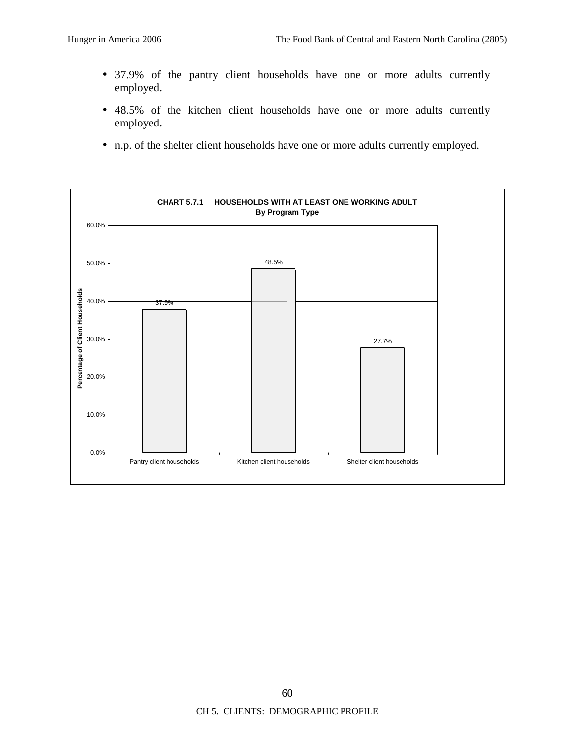- 37.9% of the pantry client households have one or more adults currently employed.
- 48.5% of the kitchen client households have one or more adults currently employed.
- n.p. of the shelter client households have one or more adults currently employed.

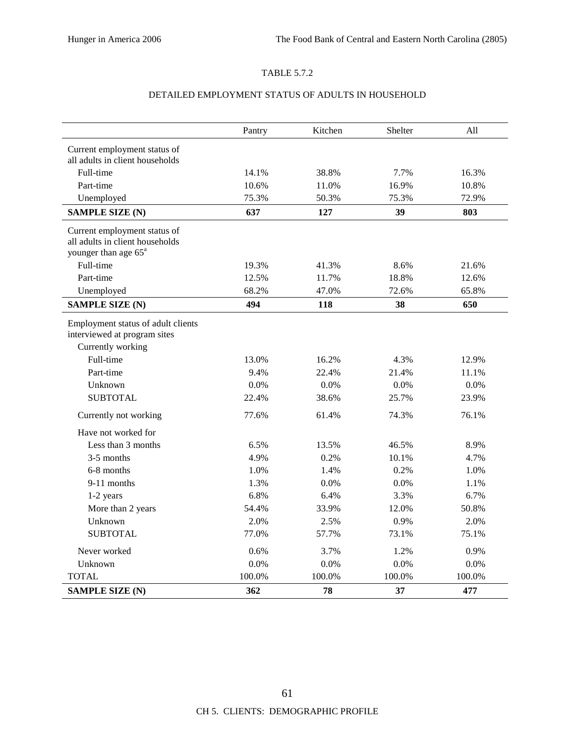# TABLE 5.7.2

## DETAILED EMPLOYMENT STATUS OF ADULTS IN HOUSEHOLD

|                                                                                         | Pantry | Kitchen | Shelter | All    |
|-----------------------------------------------------------------------------------------|--------|---------|---------|--------|
| Current employment status of                                                            |        |         |         |        |
| all adults in client households                                                         |        |         |         |        |
| Full-time                                                                               | 14.1%  | 38.8%   | 7.7%    | 16.3%  |
| Part-time                                                                               | 10.6%  | 11.0%   | 16.9%   | 10.8%  |
| Unemployed                                                                              | 75.3%  | 50.3%   | 75.3%   | 72.9%  |
| <b>SAMPLE SIZE (N)</b>                                                                  | 637    | 127     | 39      | 803    |
| Current employment status of<br>all adults in client households                         |        |         |         |        |
| younger than age 65 <sup>a</sup>                                                        |        |         |         |        |
| Full-time                                                                               | 19.3%  | 41.3%   | 8.6%    | 21.6%  |
| Part-time                                                                               | 12.5%  | 11.7%   | 18.8%   | 12.6%  |
| Unemployed                                                                              | 68.2%  | 47.0%   | 72.6%   | 65.8%  |
| <b>SAMPLE SIZE (N)</b>                                                                  | 494    | 118     | 38      | 650    |
| Employment status of adult clients<br>interviewed at program sites<br>Currently working |        |         |         |        |
| Full-time                                                                               | 13.0%  | 16.2%   | 4.3%    | 12.9%  |
| Part-time                                                                               | 9.4%   | 22.4%   | 21.4%   | 11.1%  |
| Unknown                                                                                 | 0.0%   | 0.0%    | 0.0%    | 0.0%   |
| <b>SUBTOTAL</b>                                                                         | 22.4%  | 38.6%   | 25.7%   | 23.9%  |
| Currently not working                                                                   | 77.6%  | 61.4%   | 74.3%   | 76.1%  |
| Have not worked for                                                                     |        |         |         |        |
| Less than 3 months                                                                      | 6.5%   | 13.5%   | 46.5%   | 8.9%   |
| 3-5 months                                                                              | 4.9%   | 0.2%    | 10.1%   | 4.7%   |
| 6-8 months                                                                              | 1.0%   | 1.4%    | 0.2%    | 1.0%   |
| 9-11 months                                                                             | 1.3%   | 0.0%    | $0.0\%$ | 1.1%   |
| 1-2 years                                                                               | 6.8%   | 6.4%    | 3.3%    | 6.7%   |
| More than 2 years                                                                       | 54.4%  | 33.9%   | 12.0%   | 50.8%  |
| Unknown                                                                                 | 2.0%   | 2.5%    | 0.9%    | 2.0%   |
| <b>SUBTOTAL</b>                                                                         | 77.0%  | 57.7%   | 73.1%   | 75.1%  |
| Never worked                                                                            | 0.6%   | 3.7%    | 1.2%    | 0.9%   |
| Unknown                                                                                 | 0.0%   | 0.0%    | 0.0%    | 0.0%   |
| <b>TOTAL</b>                                                                            | 100.0% | 100.0%  | 100.0%  | 100.0% |
| <b>SAMPLE SIZE (N)</b>                                                                  | 362    | 78      | 37      | 477    |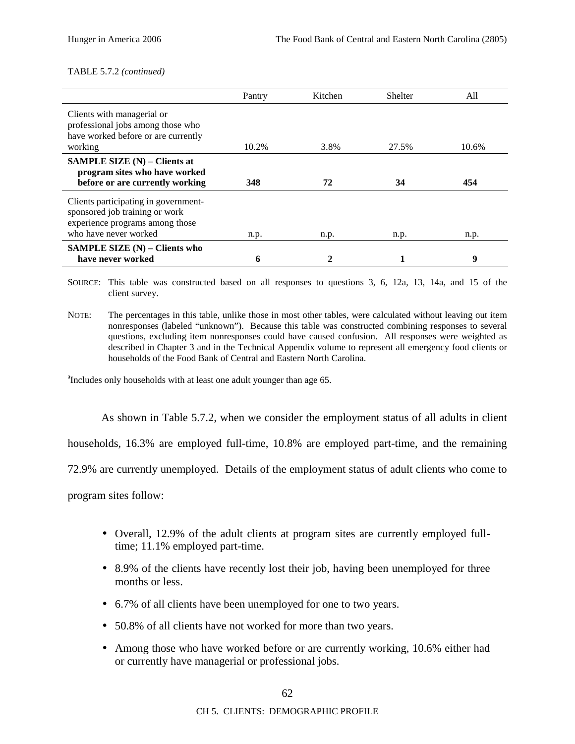#### TABLE 5.7.2 *(continued)*

|                                                                                                                                    | Pantry | Kitchen | Shelter | A11   |
|------------------------------------------------------------------------------------------------------------------------------------|--------|---------|---------|-------|
| Clients with managerial or<br>professional jobs among those who<br>have worked before or are currently<br>working                  | 10.2%  | 3.8%    | 27.5%   | 10.6% |
|                                                                                                                                    |        |         |         |       |
| <b>SAMPLE SIZE</b> $(N)$ – Clients at<br>program sites who have worked                                                             |        |         |         |       |
| before or are currently working                                                                                                    | 348    | 72      | 34      | 454   |
| Clients participating in government-<br>sponsored job training or work<br>experience programs among those<br>who have never worked | n.p.   | n.p.    | n.p.    | n.p.  |
| SAMPLE SIZE $(N)$ – Clients who                                                                                                    |        |         |         |       |
| have never worked                                                                                                                  | 6      |         |         | 9     |

SOURCE: This table was constructed based on all responses to questions 3, 6, 12a, 13, 14a, and 15 of the client survey.

<sup>a</sup>Includes only households with at least one adult younger than age 65.

As shown in Table 5.7.2, when we consider the employment status of all adults in client

households, 16.3% are employed full-time, 10.8% are employed part-time, and the remaining

72.9% are currently unemployed. Details of the employment status of adult clients who come to

program sites follow:

- Overall, 12.9% of the adult clients at program sites are currently employed fulltime; 11.1% employed part-time.
- 8.9% of the clients have recently lost their job, having been unemployed for three months or less.
- 6.7% of all clients have been unemployed for one to two years.
- 50.8% of all clients have not worked for more than two years.
- Among those who have worked before or are currently working, 10.6% either had or currently have managerial or professional jobs.

NOTE: The percentages in this table, unlike those in most other tables, were calculated without leaving out item nonresponses (labeled "unknown"). Because this table was constructed combining responses to several questions, excluding item nonresponses could have caused confusion. All responses were weighted as described in Chapter 3 and in the Technical Appendix volume to represent all emergency food clients or households of the Food Bank of Central and Eastern North Carolina.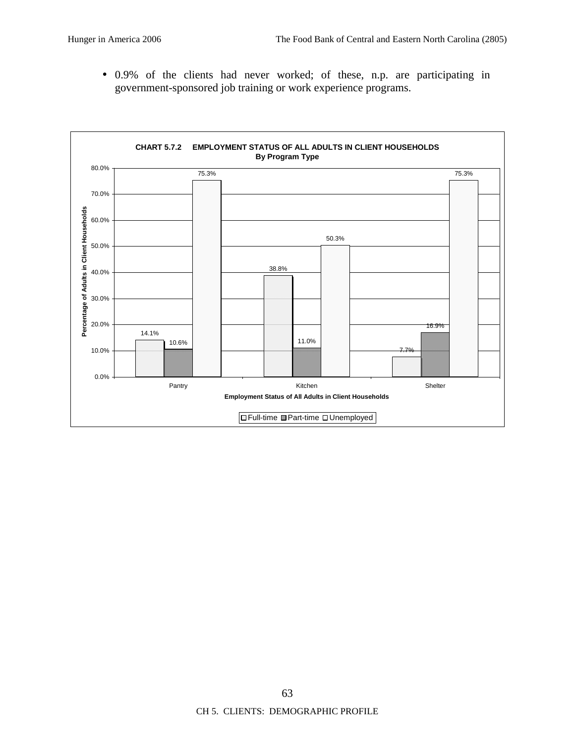• 0.9% of the clients had never worked; of these, n.p. are participating in government-sponsored job training or work experience programs.

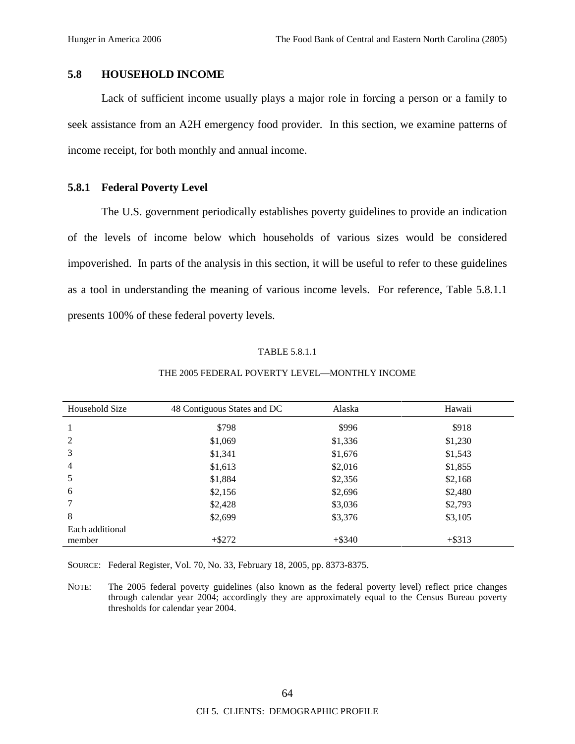## **5.8 HOUSEHOLD INCOME**

Lack of sufficient income usually plays a major role in forcing a person or a family to seek assistance from an A2H emergency food provider. In this section, we examine patterns of income receipt, for both monthly and annual income.

## **5.8.1 Federal Poverty Level**

The U.S. government periodically establishes poverty guidelines to provide an indication of the levels of income below which households of various sizes would be considered impoverished. In parts of the analysis in this section, it will be useful to refer to these guidelines as a tool in understanding the meaning of various income levels. For reference, Table 5.8.1.1 presents 100% of these federal poverty levels.

## TABLE 5.8.1.1

| Household Size  | 48 Contiguous States and DC | Alaska    | Hawaii    |
|-----------------|-----------------------------|-----------|-----------|
|                 | \$798                       | \$996     | \$918     |
| 2               | \$1,069                     | \$1,336   | \$1,230   |
| 3               | \$1,341                     | \$1,676   | \$1,543   |
| $\overline{4}$  | \$1,613                     | \$2,016   | \$1,855   |
| 5               | \$1,884                     | \$2,356   | \$2,168   |
| 6               | \$2,156                     | \$2,696   | \$2,480   |
|                 | \$2,428                     | \$3,036   | \$2,793   |
| 8               | \$2,699                     | \$3,376   | \$3,105   |
| Each additional |                             |           |           |
| member          | $+ $272$                    | $+$ \$340 | $+$ \$313 |

#### THE 2005 FEDERAL POVERTY LEVEL—MONTHLY INCOME

SOURCE: Federal Register, Vol. 70, No. 33, February 18, 2005, pp. 8373-8375.

NOTE: The 2005 federal poverty guidelines (also known as the federal poverty level) reflect price changes through calendar year 2004; accordingly they are approximately equal to the Census Bureau poverty thresholds for calendar year 2004.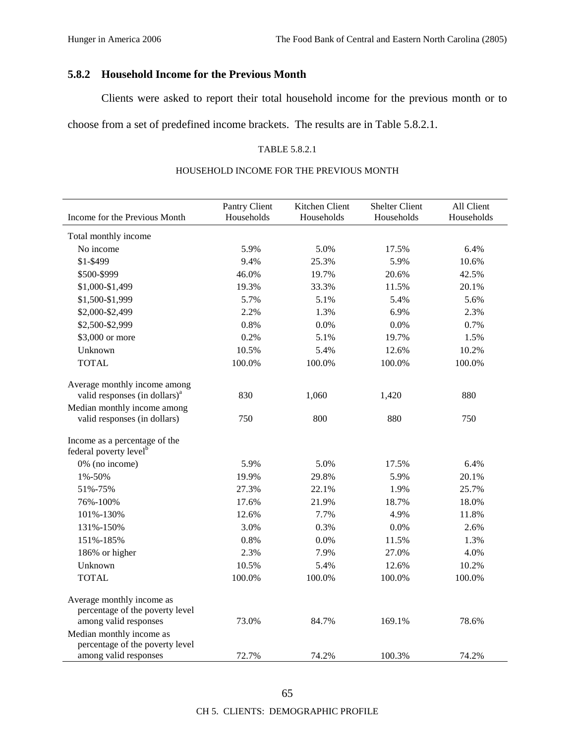# **5.8.2 Household Income for the Previous Month**

Clients were asked to report their total household income for the previous month or to

choose from a set of predefined income brackets. The results are in Table 5.8.2.1.

#### TABLE 5.8.2.1

## HOUSEHOLD INCOME FOR THE PREVIOUS MONTH

| Income for the Previous Month                                       | Pantry Client<br>Households | Kitchen Client<br>Households | Shelter Client<br>Households | All Client<br>Households |
|---------------------------------------------------------------------|-----------------------------|------------------------------|------------------------------|--------------------------|
|                                                                     |                             |                              |                              |                          |
| Total monthly income                                                |                             |                              |                              |                          |
| No income                                                           | 5.9%                        | 5.0%                         | 17.5%                        | 6.4%                     |
| \$1-\$499                                                           | 9.4%                        | 25.3%                        | 5.9%                         | 10.6%                    |
| \$500-\$999                                                         | 46.0%                       | 19.7%                        | 20.6%                        | 42.5%                    |
| \$1,000-\$1,499                                                     | 19.3%                       | 33.3%                        | 11.5%                        | 20.1%                    |
| \$1,500-\$1,999                                                     | 5.7%                        | 5.1%                         | 5.4%                         | 5.6%                     |
| \$2,000-\$2,499                                                     | 2.2%                        | 1.3%                         | 6.9%                         | 2.3%                     |
| \$2,500-\$2,999                                                     | 0.8%                        | 0.0%                         | 0.0%                         | 0.7%                     |
| \$3,000 or more                                                     | 0.2%                        | 5.1%                         | 19.7%                        | 1.5%                     |
| Unknown                                                             | 10.5%                       | 5.4%                         | 12.6%                        | 10.2%                    |
| <b>TOTAL</b>                                                        | 100.0%                      | 100.0%                       | 100.0%                       | 100.0%                   |
| Average monthly income among                                        |                             |                              |                              |                          |
| valid responses (in dollars) <sup>a</sup>                           | 830                         | 1,060                        | 1,420                        | 880                      |
| Median monthly income among                                         |                             |                              |                              |                          |
| valid responses (in dollars)                                        | 750                         | 800                          | 880                          | 750                      |
| Income as a percentage of the<br>federal poverty level <sup>b</sup> |                             |                              |                              |                          |
| 0% (no income)                                                      | 5.9%                        | 5.0%                         | 17.5%                        | 6.4%                     |
| 1%-50%                                                              | 19.9%                       | 29.8%                        | 5.9%                         | 20.1%                    |
| 51%-75%                                                             | 27.3%                       | 22.1%                        | 1.9%                         | 25.7%                    |
| 76%-100%                                                            | 17.6%                       | 21.9%                        | 18.7%                        | 18.0%                    |
| 101%-130%                                                           | 12.6%                       | 7.7%                         | 4.9%                         | 11.8%                    |
| 131%-150%                                                           | 3.0%                        | 0.3%                         | 0.0%                         | 2.6%                     |
| 151%-185%                                                           | 0.8%                        | 0.0%                         | 11.5%                        | 1.3%                     |
| 186% or higher                                                      | 2.3%                        | 7.9%                         | 27.0%                        | 4.0%                     |
| Unknown                                                             | 10.5%                       | 5.4%                         | 12.6%                        | 10.2%                    |
| <b>TOTAL</b>                                                        | 100.0%                      | 100.0%                       | 100.0%                       | 100.0%                   |
| Average monthly income as<br>percentage of the poverty level        |                             |                              |                              |                          |
| among valid responses                                               | 73.0%                       | 84.7%                        | 169.1%                       | 78.6%                    |
| Median monthly income as                                            |                             |                              |                              |                          |
| percentage of the poverty level<br>among valid responses            | 72.7%                       | 74.2%                        | 100.3%                       | 74.2%                    |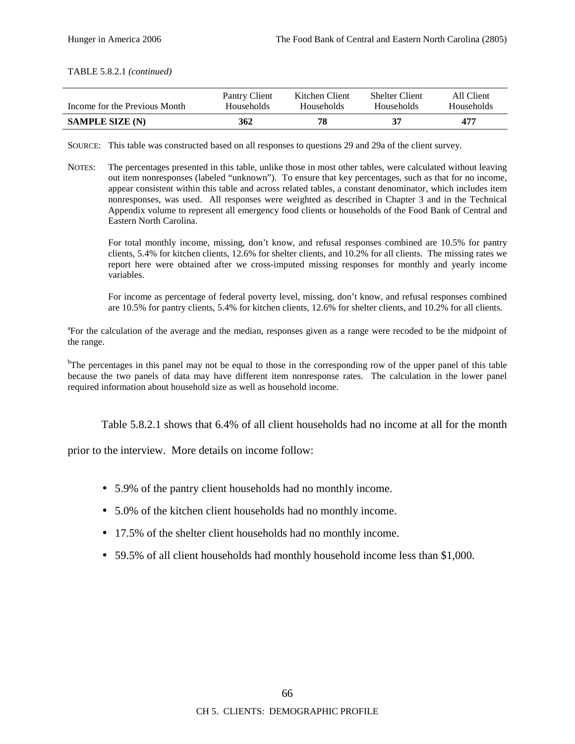TABLE 5.8.2.1 *(continued)*

| Income for the Previous Month | Pantry Client | Kitchen Client | <b>Shelter Client</b> | All Client |
|-------------------------------|---------------|----------------|-----------------------|------------|
|                               | Households    | Households     | <b>Households</b>     | Households |
| <b>SAMPLE SIZE (N)</b>        | 362           | 78             | 37                    | 477        |

SOURCE: This table was constructed based on all responses to questions 29 and 29a of the client survey.

NOTES: The percentages presented in this table, unlike those in most other tables, were calculated without leaving out item nonresponses (labeled "unknown"). To ensure that key percentages, such as that for no income, appear consistent within this table and across related tables, a constant denominator, which includes item nonresponses, was used. All responses were weighted as described in Chapter 3 and in the Technical Appendix volume to represent all emergency food clients or households of the Food Bank of Central and Eastern North Carolina.

For total monthly income, missing, don't know, and refusal responses combined are 10.5% for pantry clients, 5.4% for kitchen clients, 12.6% for shelter clients, and 10.2% for all clients. The missing rates we report here were obtained after we cross-imputed missing responses for monthly and yearly income variables.

For income as percentage of federal poverty level, missing, don't know, and refusal responses combined are 10.5% for pantry clients, 5.4% for kitchen clients, 12.6% for shelter clients, and 10.2% for all clients.

<sup>a</sup>For the calculation of the average and the median, responses given as a range were recoded to be the midpoint of the range.

<sup>b</sup>The percentages in this panel may not be equal to those in the corresponding row of the upper panel of this table because the two panels of data may have different item nonresponse rates. The calculation in the lower panel required information about household size as well as household income.

Table 5.8.2.1 shows that 6.4% of all client households had no income at all for the month

prior to the interview. More details on income follow:

- 5.9% of the pantry client households had no monthly income.
- 5.0% of the kitchen client households had no monthly income.
- 17.5% of the shelter client households had no monthly income.
- 59.5% of all client households had monthly household income less than \$1,000.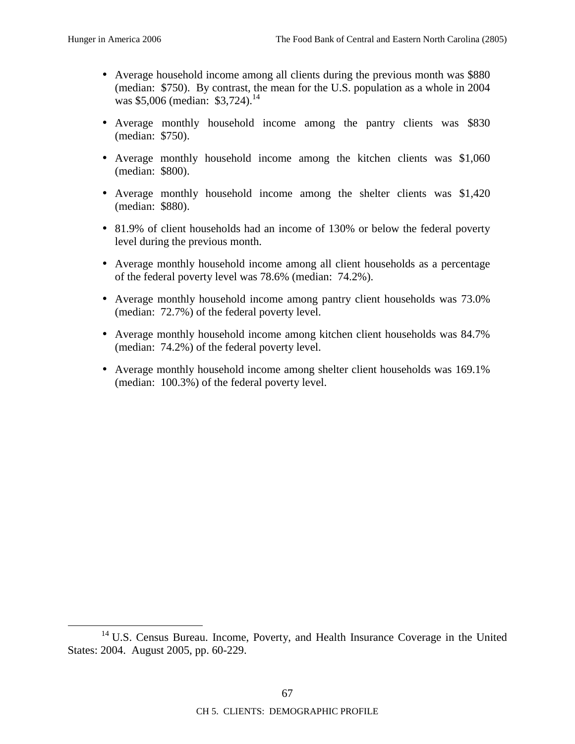- Average household income among all clients during the previous month was \$880 (median: \$750). By contrast, the mean for the U.S. population as a whole in 2004 was  $$5,006$  (median:  $$3,724$ ).<sup>14</sup>
- Average monthly household income among the pantry clients was \$830 (median: \$750).
- Average monthly household income among the kitchen clients was \$1,060 (median: \$800).
- Average monthly household income among the shelter clients was \$1,420 (median: \$880).
- 81.9% of client households had an income of 130% or below the federal poverty level during the previous month.
- Average monthly household income among all client households as a percentage of the federal poverty level was 78.6% (median: 74.2%).
- Average monthly household income among pantry client households was 73.0% (median: 72.7%) of the federal poverty level.
- Average monthly household income among kitchen client households was 84.7% (median: 74.2%) of the federal poverty level.
- Average monthly household income among shelter client households was 169.1% (median: 100.3%) of the federal poverty level.

<sup>&</sup>lt;sup>14</sup> U.S. Census Bureau. Income, Poverty, and Health Insurance Coverage in the United States: 2004. August 2005, pp. 60-229.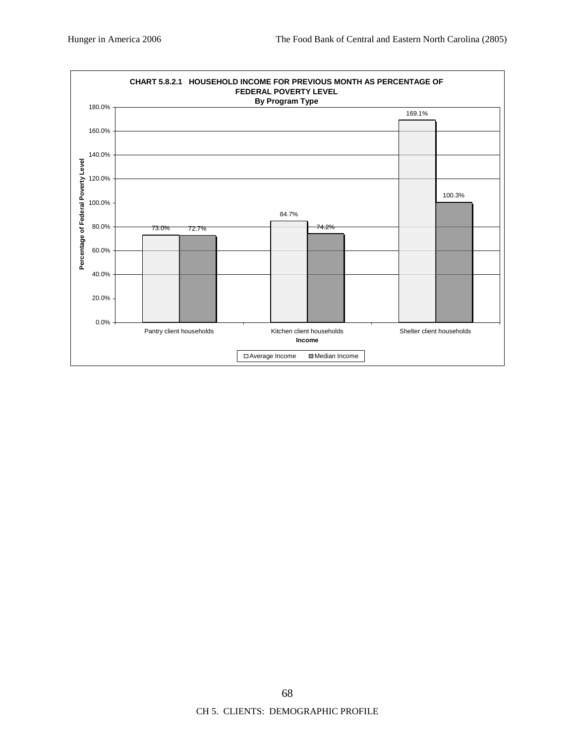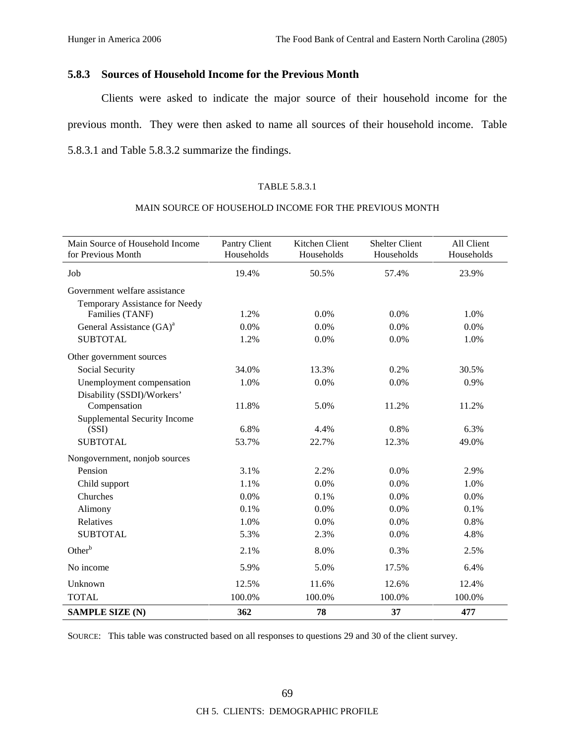## **5.8.3 Sources of Household Income for the Previous Month**

Clients were asked to indicate the major source of their household income for the previous month. They were then asked to name all sources of their household income. Table 5.8.3.1 and Table 5.8.3.2 summarize the findings.

## TABLE 5.8.3.1

#### MAIN SOURCE OF HOUSEHOLD INCOME FOR THE PREVIOUS MONTH

| Main Source of Household Income<br>for Previous Month | Pantry Client<br>Households | Kitchen Client<br>Households | <b>Shelter Client</b><br>Households | All Client<br>Households |
|-------------------------------------------------------|-----------------------------|------------------------------|-------------------------------------|--------------------------|
| Job                                                   | 19.4%                       | 50.5%                        | 57.4%                               | 23.9%                    |
| Government welfare assistance                         |                             |                              |                                     |                          |
| Temporary Assistance for Needy                        |                             |                              |                                     |                          |
| Families (TANF)                                       | 1.2%                        | 0.0%                         | 0.0%                                | 1.0%                     |
| General Assistance (GA) <sup>a</sup>                  | 0.0%                        | 0.0%                         | 0.0%                                | 0.0%                     |
| <b>SUBTOTAL</b>                                       | 1.2%                        | 0.0%                         | 0.0%                                | 1.0%                     |
| Other government sources                              |                             |                              |                                     |                          |
| Social Security                                       | 34.0%                       | 13.3%                        | 0.2%                                | 30.5%                    |
| Unemployment compensation                             | 1.0%                        | 0.0%                         | 0.0%                                | 0.9%                     |
| Disability (SSDI)/Workers'                            |                             |                              |                                     |                          |
| Compensation                                          | 11.8%                       | 5.0%                         | 11.2%                               | 11.2%                    |
| <b>Supplemental Security Income</b>                   |                             |                              |                                     |                          |
| (SSI)                                                 | 6.8%                        | 4.4%                         | 0.8%                                | 6.3%                     |
| <b>SUBTOTAL</b>                                       | 53.7%                       | 22.7%                        | 12.3%                               | 49.0%                    |
| Nongovernment, nonjob sources                         |                             |                              |                                     |                          |
| Pension                                               | 3.1%                        | 2.2%                         | 0.0%                                | 2.9%                     |
| Child support                                         | 1.1%                        | 0.0%                         | 0.0%                                | 1.0%                     |
| Churches                                              | 0.0%                        | 0.1%                         | 0.0%                                | 0.0%                     |
| Alimony                                               | 0.1%                        | 0.0%                         | 0.0%                                | 0.1%                     |
| Relatives                                             | 1.0%                        | 0.0%                         | 0.0%                                | 0.8%                     |
| <b>SUBTOTAL</b>                                       | 5.3%                        | 2.3%                         | 0.0%                                | 4.8%                     |
| Other <sup>b</sup>                                    | 2.1%                        | 8.0%                         | 0.3%                                | 2.5%                     |
| No income                                             | 5.9%                        | 5.0%                         | 17.5%                               | 6.4%                     |
| Unknown                                               | 12.5%                       | 11.6%                        | 12.6%                               | 12.4%                    |
| <b>TOTAL</b>                                          | 100.0%                      | 100.0%                       | 100.0%                              | 100.0%                   |
| <b>SAMPLE SIZE (N)</b>                                | 362                         | 78                           | 37                                  | 477                      |

SOURCE: This table was constructed based on all responses to questions 29 and 30 of the client survey.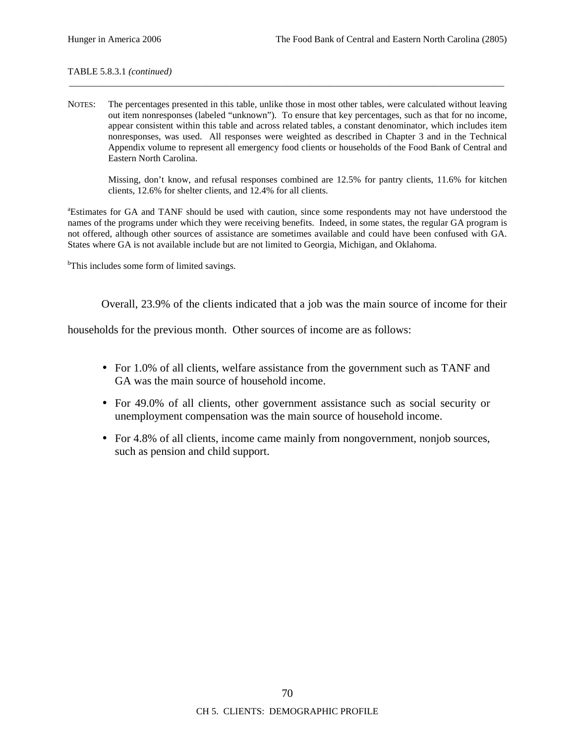#### TABLE 5.8.3.1 *(continued)*

NOTES: The percentages presented in this table, unlike those in most other tables, were calculated without leaving out item nonresponses (labeled "unknown"). To ensure that key percentages, such as that for no income, appear consistent within this table and across related tables, a constant denominator, which includes item nonresponses, was used. All responses were weighted as described in Chapter 3 and in the Technical Appendix volume to represent all emergency food clients or households of the Food Bank of Central and Eastern North Carolina.

\_\_\_\_\_\_\_\_\_\_\_\_\_\_\_\_\_\_\_\_\_\_\_\_\_\_\_\_\_\_\_\_\_\_\_\_\_\_\_\_\_\_\_\_\_\_\_\_\_\_\_\_\_\_\_\_\_\_\_\_\_\_\_\_\_\_\_\_\_\_\_\_\_\_\_\_\_\_\_\_\_\_\_\_\_\_\_\_\_\_\_\_

Missing, don't know, and refusal responses combined are 12.5% for pantry clients, 11.6% for kitchen clients, 12.6% for shelter clients, and 12.4% for all clients.

<sup>a</sup>Estimates for GA and TANF should be used with caution, since some respondents may not have understood the names of the programs under which they were receiving benefits. Indeed, in some states, the regular GA program is not offered, although other sources of assistance are sometimes available and could have been confused with GA. States where GA is not available include but are not limited to Georgia, Michigan, and Oklahoma.

<sup>b</sup>This includes some form of limited savings.

Overall, 23.9% of the clients indicated that a job was the main source of income for their

households for the previous month. Other sources of income are as follows:

- For 1.0% of all clients, welfare assistance from the government such as TANF and GA was the main source of household income.
- For 49.0% of all clients, other government assistance such as social security or unemployment compensation was the main source of household income.
- For 4.8% of all clients, income came mainly from nongovernment, nonjob sources, such as pension and child support.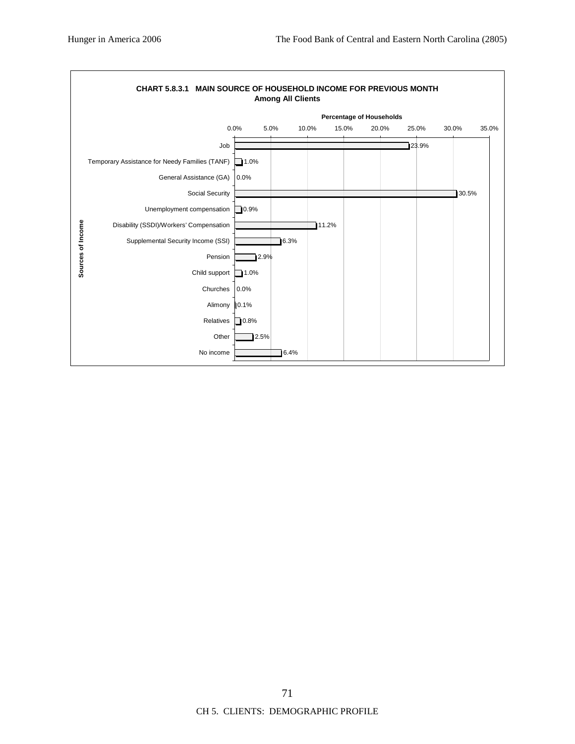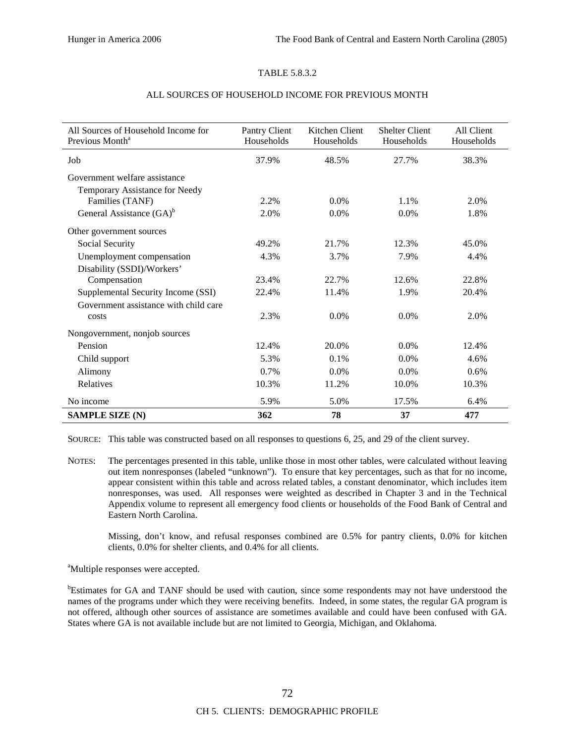### TABLE 5.8.3.2

| All Sources of Household Income for<br>Previous Month <sup>a</sup> | Pantry Client<br>Households | Kitchen Client<br>Households | <b>Shelter Client</b><br>Households | All Client<br>Households |
|--------------------------------------------------------------------|-----------------------------|------------------------------|-------------------------------------|--------------------------|
| Job                                                                | 37.9%                       | 48.5%                        | 27.7%                               | 38.3%                    |
| Government welfare assistance                                      |                             |                              |                                     |                          |
| Temporary Assistance for Needy                                     |                             |                              |                                     |                          |
| Families (TANF)                                                    | 2.2%                        | $0.0\%$                      | 1.1%                                | 2.0%                     |
| General Assistance (GA) <sup>b</sup>                               | 2.0%                        | $0.0\%$                      | 0.0%                                | 1.8%                     |
| Other government sources                                           |                             |                              |                                     |                          |
| Social Security                                                    | 49.2%                       | 21.7%                        | 12.3%                               | 45.0%                    |
| Unemployment compensation                                          | 4.3%                        | 3.7%                         | 7.9%                                | 4.4%                     |
| Disability (SSDI)/Workers'                                         |                             |                              |                                     |                          |
| Compensation                                                       | 23.4%                       | 22.7%                        | 12.6%                               | 22.8%                    |
| Supplemental Security Income (SSI)                                 | 22.4%                       | 11.4%                        | 1.9%                                | 20.4%                    |
| Government assistance with child care                              |                             |                              |                                     |                          |
| costs                                                              | 2.3%                        | $0.0\%$                      | 0.0%                                | 2.0%                     |
| Nongovernment, nonjob sources                                      |                             |                              |                                     |                          |
| Pension                                                            | 12.4%                       | 20.0%                        | 0.0%                                | 12.4%                    |
| Child support                                                      | 5.3%                        | 0.1%                         | 0.0%                                | 4.6%                     |
| Alimony                                                            | 0.7%                        | $0.0\%$                      | 0.0%                                | 0.6%                     |
| Relatives                                                          | 10.3%                       | 11.2%                        | 10.0%                               | 10.3%                    |
| No income                                                          | 5.9%                        | 5.0%                         | 17.5%                               | 6.4%                     |
| <b>SAMPLE SIZE (N)</b>                                             | 362                         | 78                           | 37                                  | 477                      |

## ALL SOURCES OF HOUSEHOLD INCOME FOR PREVIOUS MONTH

SOURCE: This table was constructed based on all responses to questions 6, 25, and 29 of the client survey.

NOTES: The percentages presented in this table, unlike those in most other tables, were calculated without leaving out item nonresponses (labeled "unknown"). To ensure that key percentages, such as that for no income, appear consistent within this table and across related tables, a constant denominator, which includes item nonresponses, was used. All responses were weighted as described in Chapter 3 and in the Technical Appendix volume to represent all emergency food clients or households of the Food Bank of Central and Eastern North Carolina.

Missing, don't know, and refusal responses combined are 0.5% for pantry clients, 0.0% for kitchen clients, 0.0% for shelter clients, and 0.4% for all clients.

<sup>a</sup>Multiple responses were accepted.

<sup>b</sup>Estimates for GA and TANF should be used with caution, since some respondents may not have understood the names of the programs under which they were receiving benefits. Indeed, in some states, the regular GA program is not offered, although other sources of assistance are sometimes available and could have been confused with GA. States where GA is not available include but are not limited to Georgia, Michigan, and Oklahoma.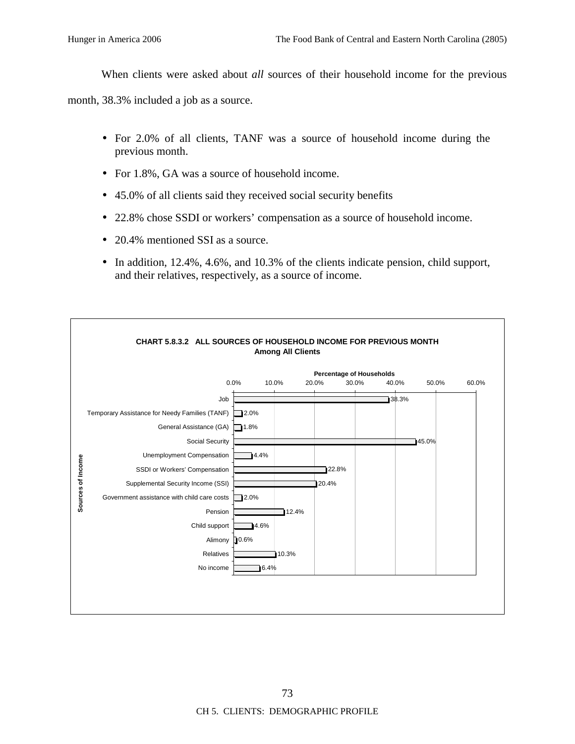When clients were asked about *all* sources of their household income for the previous

month, 38.3% included a job as a source.

- For 2.0% of all clients, TANF was a source of household income during the previous month.
- For 1.8%, GA was a source of household income.
- 45.0% of all clients said they received social security benefits
- 22.8% chose SSDI or workers' compensation as a source of household income.
- 20.4% mentioned SSI as a source.
- In addition, 12.4%, 4.6%, and 10.3% of the clients indicate pension, child support, and their relatives, respectively, as a source of income.

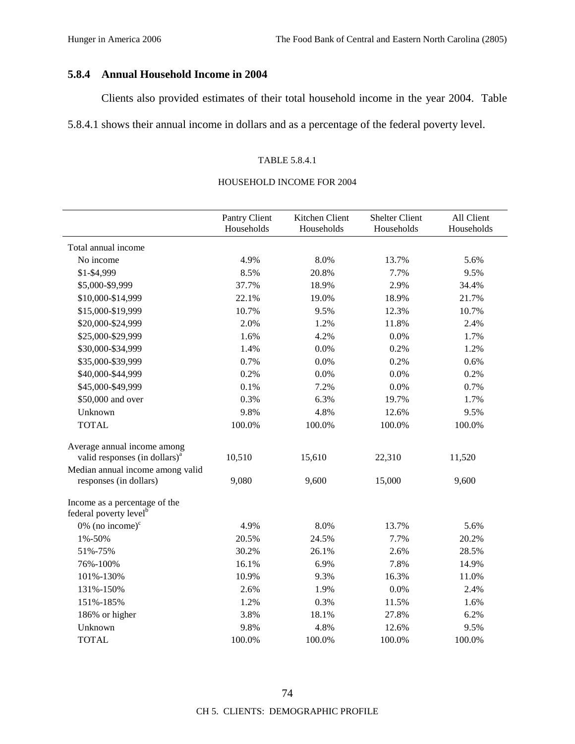# **5.8.4 Annual Household Income in 2004**

Clients also provided estimates of their total household income in the year 2004. Table

5.8.4.1 shows their annual income in dollars and as a percentage of the federal poverty level.

## TABLE 5.8.4.1

### HOUSEHOLD INCOME FOR 2004

|                                                                     | Pantry Client<br>Households | Kitchen Client<br>Households | <b>Shelter Client</b><br>Households | All Client<br>Households |
|---------------------------------------------------------------------|-----------------------------|------------------------------|-------------------------------------|--------------------------|
| Total annual income                                                 |                             |                              |                                     |                          |
| No income                                                           | 4.9%                        | 8.0%                         | 13.7%                               | 5.6%                     |
| \$1-\$4,999                                                         | 8.5%                        | 20.8%                        | 7.7%                                | 9.5%                     |
| \$5,000-\$9,999                                                     | 37.7%                       | 18.9%                        | 2.9%                                | 34.4%                    |
| \$10,000-\$14,999                                                   | 22.1%                       | 19.0%                        | 18.9%                               | 21.7%                    |
| \$15,000-\$19,999                                                   | 10.7%                       | 9.5%                         | 12.3%                               | 10.7%                    |
| \$20,000-\$24,999                                                   | 2.0%                        | 1.2%                         | 11.8%                               | 2.4%                     |
| \$25,000-\$29,999                                                   | 1.6%                        | 4.2%                         | 0.0%                                | 1.7%                     |
| \$30,000-\$34,999                                                   | 1.4%                        | 0.0%                         | 0.2%                                | 1.2%                     |
| \$35,000-\$39,999                                                   | 0.7%                        | 0.0%                         | 0.2%                                | 0.6%                     |
| \$40,000-\$44,999                                                   | 0.2%                        | 0.0%                         | 0.0%                                | 0.2%                     |
| \$45,000-\$49,999                                                   | 0.1%                        | 7.2%                         | 0.0%                                | 0.7%                     |
| \$50,000 and over                                                   | 0.3%                        | 6.3%                         | 19.7%                               | 1.7%                     |
| Unknown                                                             | 9.8%                        | 4.8%                         | 12.6%                               | 9.5%                     |
| <b>TOTAL</b>                                                        | 100.0%                      | 100.0%                       | 100.0%                              | 100.0%                   |
| Average annual income among                                         |                             |                              |                                     |                          |
| valid responses (in dollars) <sup>a</sup>                           | 10,510                      | 15,610                       | 22,310                              | 11,520                   |
| Median annual income among valid                                    |                             |                              |                                     |                          |
| responses (in dollars)                                              | 9,080                       | 9,600                        | 15,000                              | 9,600                    |
| Income as a percentage of the<br>federal poverty level <sup>b</sup> |                             |                              |                                     |                          |
| 0% (no income) $\text{°}$                                           | 4.9%                        | 8.0%                         | 13.7%                               | 5.6%                     |
| 1%-50%                                                              | 20.5%                       | 24.5%                        | 7.7%                                | 20.2%                    |
| 51%-75%                                                             | 30.2%                       | 26.1%                        | 2.6%                                | 28.5%                    |
| 76%-100%                                                            | 16.1%                       | 6.9%                         | 7.8%                                | 14.9%                    |
| 101%-130%                                                           | 10.9%                       | 9.3%                         | 16.3%                               | 11.0%                    |
| 131%-150%                                                           | 2.6%                        | 1.9%                         | 0.0%                                | 2.4%                     |
| 151%-185%                                                           | 1.2%                        | 0.3%                         | 11.5%                               | 1.6%                     |
| 186% or higher                                                      | 3.8%                        | 18.1%                        | 27.8%                               | 6.2%                     |
| Unknown                                                             | 9.8%                        | 4.8%                         | 12.6%                               | 9.5%                     |
| <b>TOTAL</b>                                                        | 100.0%                      | 100.0%                       | 100.0%                              | 100.0%                   |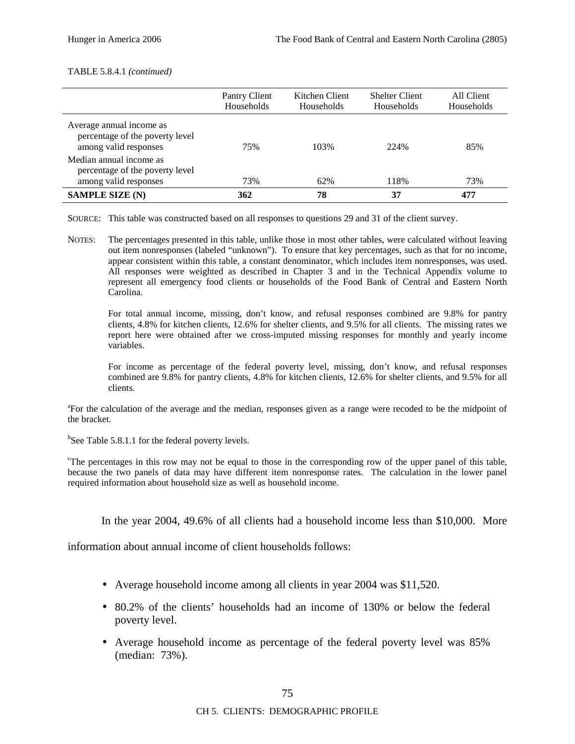#### TABLE 5.8.4.1 *(continued)*

|                                                                                      | Pantry Client<br>Households | Kitchen Client<br>Households | <b>Shelter Client</b><br>Households | All Client<br>Households |
|--------------------------------------------------------------------------------------|-----------------------------|------------------------------|-------------------------------------|--------------------------|
| Average annual income as<br>percentage of the poverty level<br>among valid responses | 75%                         | 103%                         | 224%                                | 85%                      |
| Median annual income as<br>percentage of the poverty level                           |                             |                              |                                     |                          |
| among valid responses                                                                | 73%                         | 62%                          | 118%                                | 73%                      |
| <b>SAMPLE SIZE (N)</b>                                                               | 362                         | 78                           | 37                                  | 477                      |

SOURCE: This table was constructed based on all responses to questions 29 and 31 of the client survey.

NOTES: The percentages presented in this table, unlike those in most other tables, were calculated without leaving out item nonresponses (labeled "unknown"). To ensure that key percentages, such as that for no income, appear consistent within this table, a constant denominator, which includes item nonresponses, was used. All responses were weighted as described in Chapter 3 and in the Technical Appendix volume to represent all emergency food clients or households of the Food Bank of Central and Eastern North Carolina.

For total annual income, missing, don't know, and refusal responses combined are 9.8% for pantry clients, 4.8% for kitchen clients, 12.6% for shelter clients, and 9.5% for all clients. The missing rates we report here were obtained after we cross-imputed missing responses for monthly and yearly income variables.

For income as percentage of the federal poverty level, missing, don't know, and refusal responses combined are 9.8% for pantry clients, 4.8% for kitchen clients, 12.6% for shelter clients, and 9.5% for all clients.

<sup>a</sup>For the calculation of the average and the median, responses given as a range were recoded to be the midpoint of the bracket.

<sup>b</sup>See Table 5.8.1.1 for the federal poverty levels.

<sup>c</sup>The percentages in this row may not be equal to those in the corresponding row of the upper panel of this table, because the two panels of data may have different item nonresponse rates. The calculation in the lower panel required information about household size as well as household income.

In the year 2004, 49.6% of all clients had a household income less than \$10,000. More

information about annual income of client households follows:

- Average household income among all clients in year 2004 was \$11,520.
- 80.2% of the clients' households had an income of 130% or below the federal poverty level.
- Average household income as percentage of the federal poverty level was 85% (median: 73%).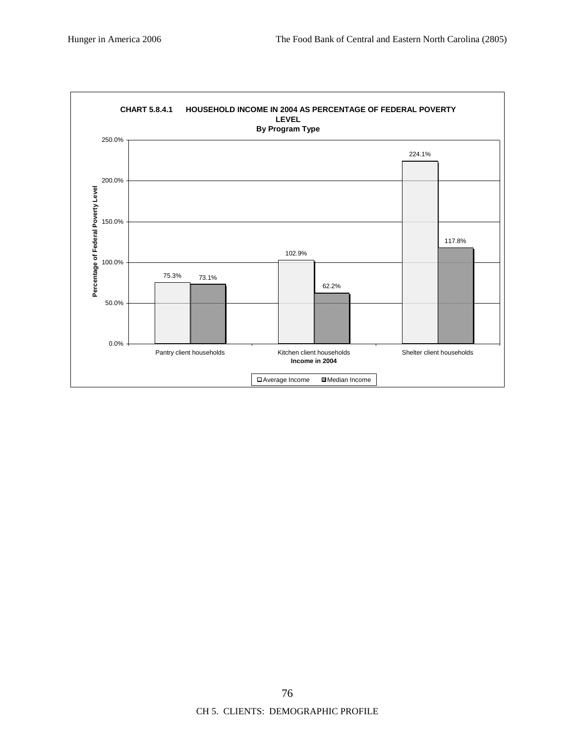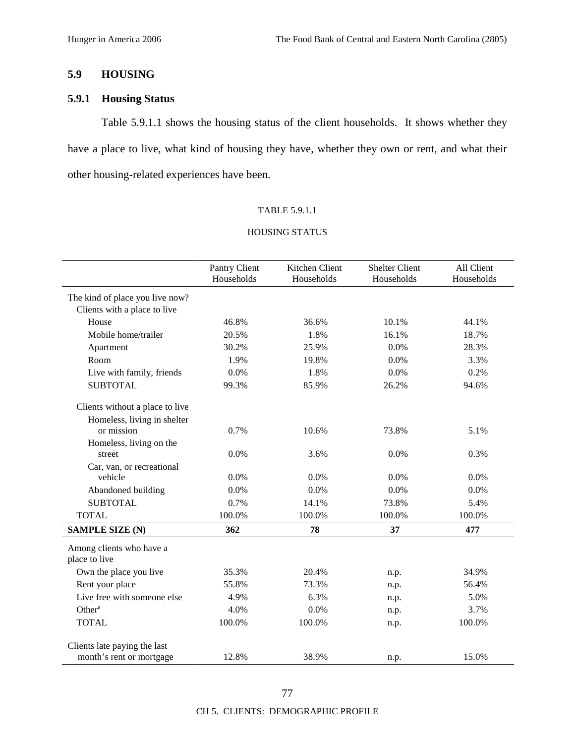# **5.9 HOUSING**

# **5.9.1 Housing Status**

Table 5.9.1.1 shows the housing status of the client households. It shows whether they have a place to live, what kind of housing they have, whether they own or rent, and what their other housing-related experiences have been.

### TABLE 5.9.1.1

|                                           | Pantry Client<br>Households | Kitchen Client<br>Households | <b>Shelter Client</b><br>Households | All Client<br>Households |
|-------------------------------------------|-----------------------------|------------------------------|-------------------------------------|--------------------------|
| The kind of place you live now?           |                             |                              |                                     |                          |
| Clients with a place to live              |                             |                              |                                     |                          |
| House                                     | 46.8%                       | 36.6%                        | 10.1%                               | 44.1%                    |
| Mobile home/trailer                       | 20.5%                       | 1.8%                         | 16.1%                               | 18.7%                    |
| Apartment                                 | 30.2%                       | 25.9%                        | 0.0%                                | 28.3%                    |
| Room                                      | 1.9%                        | 19.8%                        | 0.0%                                | 3.3%                     |
| Live with family, friends                 | 0.0%                        | 1.8%                         | 0.0%                                | 0.2%                     |
| <b>SUBTOTAL</b>                           | 99.3%                       | 85.9%                        | 26.2%                               | 94.6%                    |
| Clients without a place to live           |                             |                              |                                     |                          |
| Homeless, living in shelter<br>or mission | 0.7%                        | 10.6%                        | 73.8%                               | 5.1%                     |
| Homeless, living on the                   |                             |                              |                                     |                          |
| street                                    | 0.0%                        | 3.6%                         | 0.0%                                | 0.3%                     |
| Car, van, or recreational                 |                             |                              |                                     |                          |
| vehicle                                   | 0.0%                        | 0.0%                         | 0.0%                                | 0.0%                     |
| Abandoned building                        | 0.0%                        | 0.0%                         | 0.0%                                | 0.0%                     |
| <b>SUBTOTAL</b>                           | 0.7%                        | 14.1%                        | 73.8%                               | 5.4%                     |
| <b>TOTAL</b>                              | 100.0%                      | 100.0%                       | 100.0%                              | 100.0%                   |
| <b>SAMPLE SIZE (N)</b>                    | 362                         | 78                           | 37                                  | 477                      |
| Among clients who have a<br>place to live |                             |                              |                                     |                          |
| Own the place you live                    | 35.3%                       | 20.4%                        | n.p.                                | 34.9%                    |
| Rent your place                           | 55.8%                       | 73.3%                        | n.p.                                | 56.4%                    |
| Live free with someone else               | 4.9%                        | 6.3%                         | n.p.                                | 5.0%                     |
| Other <sup>a</sup>                        | 4.0%                        | 0.0%                         | n.p.                                | 3.7%                     |
| <b>TOTAL</b>                              | 100.0%                      | 100.0%                       | n.p.                                | 100.0%                   |
| Clients late paying the last              |                             |                              |                                     |                          |
| month's rent or mortgage                  | 12.8%                       | 38.9%                        | n.p.                                | 15.0%                    |

# HOUSING STATUS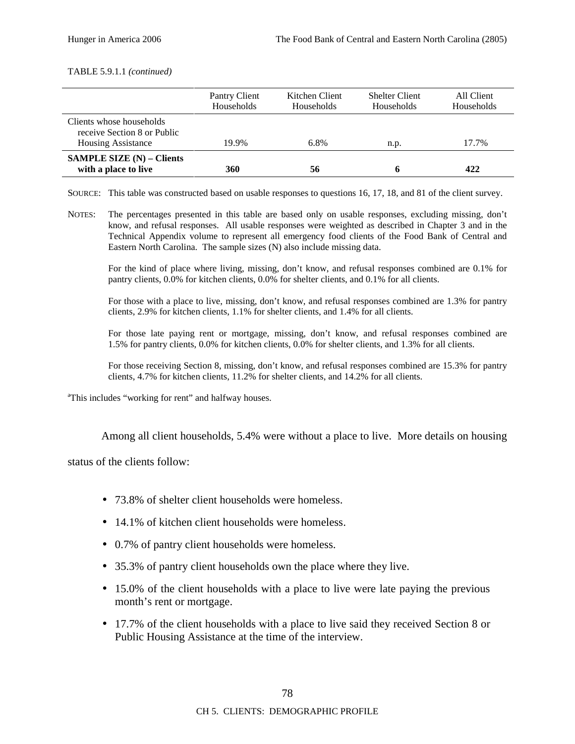#### TABLE 5.9.1.1 *(continued)*

|                                                                                      | Pantry Client<br>Households | Kitchen Client<br>Households | <b>Shelter Client</b><br>Households | All Client<br>Households |
|--------------------------------------------------------------------------------------|-----------------------------|------------------------------|-------------------------------------|--------------------------|
| Clients whose households<br>receive Section 8 or Public<br><b>Housing Assistance</b> | 19.9%                       | 6.8%                         | n.p.                                | 17.7%                    |
| <b>SAMPLE SIZE (N) – Clients</b><br>with a place to live                             | 360                         | 56                           | n                                   | 422                      |

SOURCE: This table was constructed based on usable responses to questions 16, 17, 18, and 81 of the client survey.

NOTES: The percentages presented in this table are based only on usable responses, excluding missing, don't know, and refusal responses. All usable responses were weighted as described in Chapter 3 and in the Technical Appendix volume to represent all emergency food clients of the Food Bank of Central and Eastern North Carolina. The sample sizes (N) also include missing data.

For the kind of place where living, missing, don't know, and refusal responses combined are 0.1% for pantry clients, 0.0% for kitchen clients, 0.0% for shelter clients, and 0.1% for all clients.

For those with a place to live, missing, don't know, and refusal responses combined are 1.3% for pantry clients, 2.9% for kitchen clients, 1.1% for shelter clients, and 1.4% for all clients.

For those late paying rent or mortgage, missing, don't know, and refusal responses combined are 1.5% for pantry clients, 0.0% for kitchen clients, 0.0% for shelter clients, and 1.3% for all clients.

For those receiving Section 8, missing, don't know, and refusal responses combined are 15.3% for pantry clients, 4.7% for kitchen clients, 11.2% for shelter clients, and 14.2% for all clients.

<sup>a</sup>This includes "working for rent" and halfway houses.

Among all client households, 5.4% were without a place to live. More details on housing

status of the clients follow:

- 73.8% of shelter client households were homeless.
- 14.1% of kitchen client households were homeless.
- 0.7% of pantry client households were homeless.
- 35.3% of pantry client households own the place where they live.
- 15.0% of the client households with a place to live were late paying the previous month's rent or mortgage.
- 17.7% of the client households with a place to live said they received Section 8 or Public Housing Assistance at the time of the interview.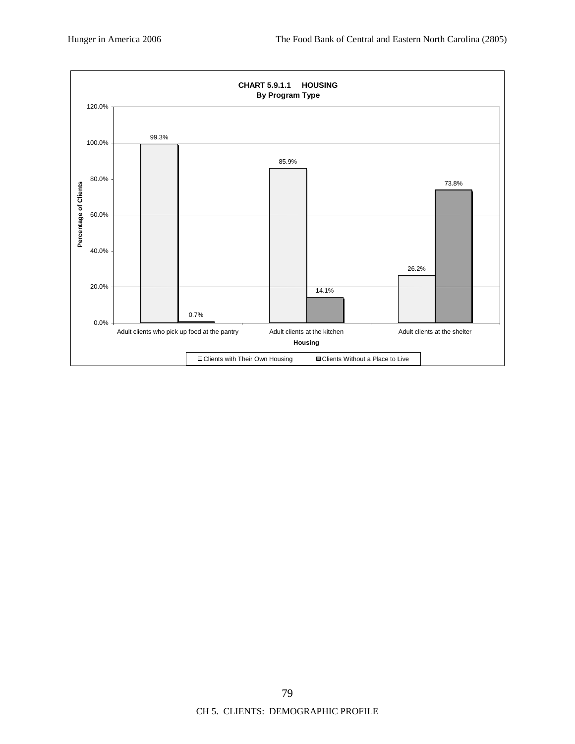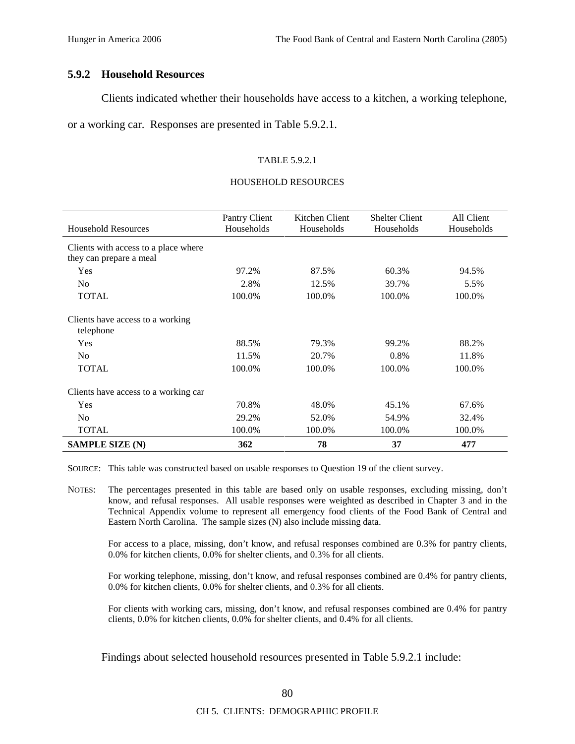## **5.9.2 Household Resources**

Clients indicated whether their households have access to a kitchen, a working telephone,

or a working car. Responses are presented in Table 5.9.2.1.

#### TABLE 5.9.2.1

#### HOUSEHOLD RESOURCES

|                                               | Pantry Client | Kitchen Client | <b>Shelter Client</b> | All Client |
|-----------------------------------------------|---------------|----------------|-----------------------|------------|
| <b>Household Resources</b>                    | Households    | Households     | Households            | Households |
| Clients with access to a place where          |               |                |                       |            |
| they can prepare a meal                       |               |                |                       |            |
| Yes                                           | 97.2%         | 87.5%          | 60.3%                 | 94.5%      |
| N <sub>o</sub>                                | 2.8%          | 12.5%          | 39.7%                 | 5.5%       |
| <b>TOTAL</b>                                  | 100.0%        | 100.0%         | 100.0%                | 100.0%     |
|                                               |               |                |                       |            |
| Clients have access to a working<br>telephone |               |                |                       |            |
| Yes                                           | 88.5%         | 79.3%          | 99.2%                 | 88.2%      |
| N <sub>0</sub>                                | 11.5%         | 20.7%          | 0.8%                  | 11.8%      |
| <b>TOTAL</b>                                  | 100.0%        | 100.0%         | 100.0%                | 100.0%     |
| Clients have access to a working car          |               |                |                       |            |
| Yes                                           | 70.8%         | 48.0%          | 45.1%                 | 67.6%      |
| N <sub>0</sub>                                | 29.2%         | 52.0%          | 54.9%                 | 32.4%      |
| <b>TOTAL</b>                                  | 100.0%        | 100.0%         | 100.0%                | 100.0%     |
| <b>SAMPLE SIZE (N)</b>                        | 362           | 78             | 37                    | 477        |

SOURCE: This table was constructed based on usable responses to Question 19 of the client survey.

NOTES: The percentages presented in this table are based only on usable responses, excluding missing, don't know, and refusal responses. All usable responses were weighted as described in Chapter 3 and in the Technical Appendix volume to represent all emergency food clients of the Food Bank of Central and Eastern North Carolina. The sample sizes (N) also include missing data.

For access to a place, missing, don't know, and refusal responses combined are 0.3% for pantry clients, 0.0% for kitchen clients, 0.0% for shelter clients, and 0.3% for all clients.

For working telephone, missing, don't know, and refusal responses combined are 0.4% for pantry clients, 0.0% for kitchen clients, 0.0% for shelter clients, and 0.3% for all clients.

For clients with working cars, missing, don't know, and refusal responses combined are 0.4% for pantry clients, 0.0% for kitchen clients, 0.0% for shelter clients, and 0.4% for all clients.

Findings about selected household resources presented in Table 5.9.2.1 include: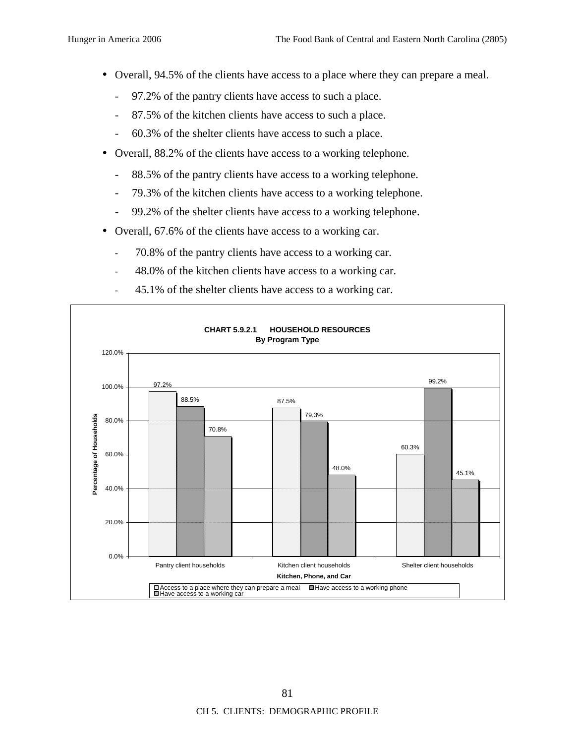- Overall, 94.5% of the clients have access to a place where they can prepare a meal.
	- 97.2% of the pantry clients have access to such a place.
	- 87.5% of the kitchen clients have access to such a place.
	- 60.3% of the shelter clients have access to such a place.
- Overall, 88.2% of the clients have access to a working telephone.
	- 88.5% of the pantry clients have access to a working telephone.
	- 79.3% of the kitchen clients have access to a working telephone.
	- 99.2% of the shelter clients have access to a working telephone.
- Overall, 67.6% of the clients have access to a working car.
	- 70.8% of the pantry clients have access to a working car.
	- 48.0% of the kitchen clients have access to a working car.
	- 45.1% of the shelter clients have access to a working car.

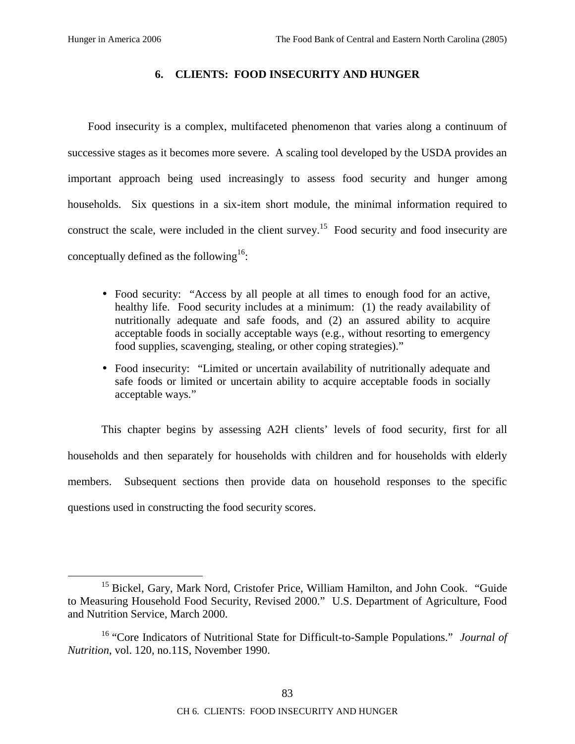## **6. CLIENTS: FOOD INSECURITY AND HUNGER**

Food insecurity is a complex, multifaceted phenomenon that varies along a continuum of successive stages as it becomes more severe. A scaling tool developed by the USDA provides an important approach being used increasingly to assess food security and hunger among households. Six questions in a six-item short module, the minimal information required to construct the scale, were included in the client survey.15 Food security and food insecurity are conceptually defined as the following<sup>16</sup>:

- Food security: "Access by all people at all times to enough food for an active, healthy life. Food security includes at a minimum: (1) the ready availability of nutritionally adequate and safe foods, and (2) an assured ability to acquire acceptable foods in socially acceptable ways (e.g., without resorting to emergency food supplies, scavenging, stealing, or other coping strategies)."
- Food insecurity: "Limited or uncertain availability of nutritionally adequate and safe foods or limited or uncertain ability to acquire acceptable foods in socially acceptable ways."

This chapter begins by assessing A2H clients' levels of food security, first for all households and then separately for households with children and for households with elderly members. Subsequent sections then provide data on household responses to the specific questions used in constructing the food security scores.

<sup>&</sup>lt;sup>15</sup> Bickel, Gary, Mark Nord, Cristofer Price, William Hamilton, and John Cook. "Guide to Measuring Household Food Security, Revised 2000." U.S. Department of Agriculture, Food and Nutrition Service, March 2000.

<sup>16 &</sup>quot;Core Indicators of Nutritional State for Difficult-to-Sample Populations." *Journal of Nutrition*, vol. 120, no.11S, November 1990.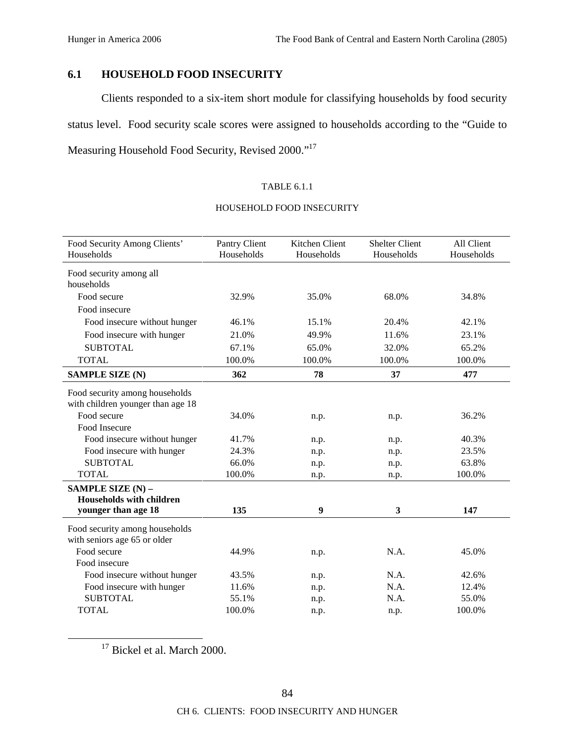# **6.1 HOUSEHOLD FOOD INSECURITY**

Clients responded to a six-item short module for classifying households by food security status level. Food security scale scores were assigned to households according to the "Guide to Measuring Household Food Security, Revised 2000."17

## TABLE 6.1.1

## HOUSEHOLD FOOD INSECURITY

| Food Security Among Clients'<br>Households                                                                                          | Pantry Client<br>Households | Kitchen Client<br>Households | <b>Shelter Client</b><br>Households | All Client<br>Households |
|-------------------------------------------------------------------------------------------------------------------------------------|-----------------------------|------------------------------|-------------------------------------|--------------------------|
| Food security among all<br>households                                                                                               |                             |                              |                                     |                          |
| Food secure                                                                                                                         | 32.9%                       | 35.0%                        | 68.0%                               | 34.8%                    |
| Food insecure                                                                                                                       |                             |                              |                                     |                          |
| Food insecure without hunger                                                                                                        | 46.1%                       | 15.1%                        | 20.4%                               | 42.1%                    |
| Food insecure with hunger                                                                                                           | 21.0%                       | 49.9%                        | 11.6%                               | 23.1%                    |
| <b>SUBTOTAL</b>                                                                                                                     | 67.1%                       | 65.0%                        | 32.0%                               | 65.2%                    |
| <b>TOTAL</b>                                                                                                                        | 100.0%                      | 100.0%                       | 100.0%                              | 100.0%                   |
| <b>SAMPLE SIZE (N)</b>                                                                                                              | 362                         | 78                           | 37                                  | 477                      |
| Food security among households<br>with children younger than age 18<br>Food secure<br>Food Insecure<br>Food insecure without hunger | 34.0%<br>41.7%<br>24.3%     | n.p.<br>n.p.                 | n.p.<br>n.p.                        | 36.2%<br>40.3%<br>23.5%  |
| Food insecure with hunger<br><b>SUBTOTAL</b>                                                                                        | 66.0%                       | n.p.                         | n.p.                                | 63.8%                    |
| <b>TOTAL</b>                                                                                                                        | 100.0%                      | n.p.<br>n.p.                 | n.p.<br>n.p.                        | 100.0%                   |
| SAMPLE SIZE (N) -<br><b>Households with children</b><br>younger than age 18                                                         | 135                         | $\boldsymbol{9}$             | $\mathbf{3}$                        | 147                      |
| Food security among households<br>with seniors age 65 or older                                                                      |                             |                              |                                     |                          |
| Food secure<br>Food insecure                                                                                                        | 44.9%                       | n.p.                         | N.A.                                | 45.0%                    |
| Food insecure without hunger                                                                                                        | 43.5%                       |                              | N.A.                                | 42.6%                    |
| Food insecure with hunger                                                                                                           | 11.6%                       | n.p.<br>n.p.                 | N.A.                                | 12.4%                    |
| <b>SUBTOTAL</b>                                                                                                                     | 55.1%                       | n.p.                         | N.A.                                | 55.0%                    |
| <b>TOTAL</b>                                                                                                                        | 100.0%                      | n.p.                         | n.p.                                | 100.0%                   |

<sup>17</sup> Bickel et al. March 2000.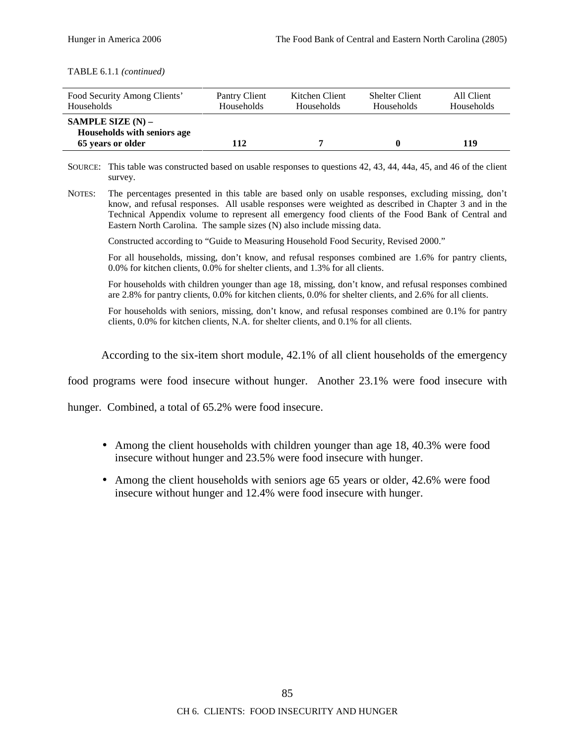TABLE 6.1.1 *(continued)*

| Food Security Among Clients'                                            | Pantry Client     | Kitchen Client | <b>Shelter Client</b> | All Client |
|-------------------------------------------------------------------------|-------------------|----------------|-----------------------|------------|
| Households                                                              | <b>Households</b> | Households     | <b>Households</b>     | Households |
| SAMPLE SIZE $(N)$ –<br>Households with seniors age<br>65 years or older | 12                |                | $\mathbf{0}$          | 119        |

SOURCE: This table was constructed based on usable responses to questions 42, 43, 44, 44a, 45, and 46 of the client survey.

NOTES: The percentages presented in this table are based only on usable responses, excluding missing, don't know, and refusal responses. All usable responses were weighted as described in Chapter 3 and in the Technical Appendix volume to represent all emergency food clients of the Food Bank of Central and Eastern North Carolina. The sample sizes (N) also include missing data.

Constructed according to "Guide to Measuring Household Food Security, Revised 2000."

For all households, missing, don't know, and refusal responses combined are 1.6% for pantry clients, 0.0% for kitchen clients, 0.0% for shelter clients, and 1.3% for all clients.

For households with children younger than age 18, missing, don't know, and refusal responses combined are 2.8% for pantry clients, 0.0% for kitchen clients, 0.0% for shelter clients, and 2.6% for all clients.

For households with seniors, missing, don't know, and refusal responses combined are 0.1% for pantry clients, 0.0% for kitchen clients, N.A. for shelter clients, and 0.1% for all clients.

According to the six-item short module, 42.1% of all client households of the emergency

food programs were food insecure without hunger. Another 23.1% were food insecure with

hunger. Combined, a total of 65.2% were food insecure.

- Among the client households with children younger than age 18, 40.3% were food insecure without hunger and 23.5% were food insecure with hunger.
- Among the client households with seniors age 65 years or older, 42.6% were food insecure without hunger and 12.4% were food insecure with hunger.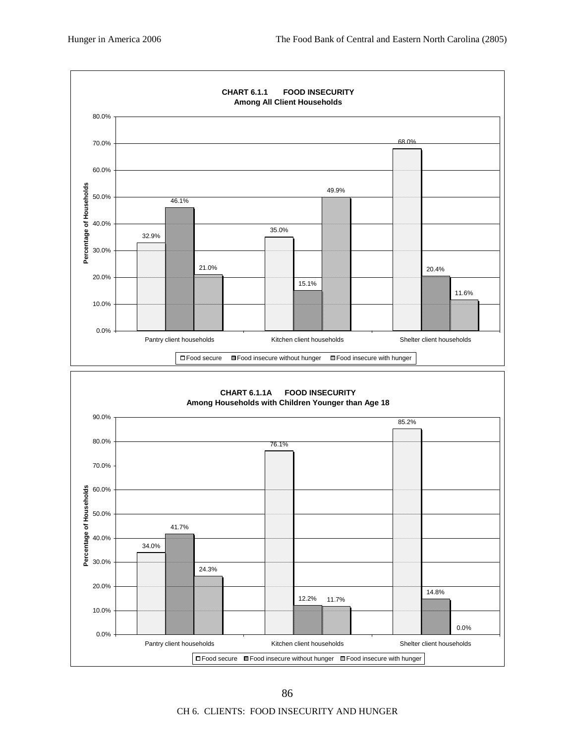

CH 6. CLIENTS: FOOD INSECURITY AND HUNGER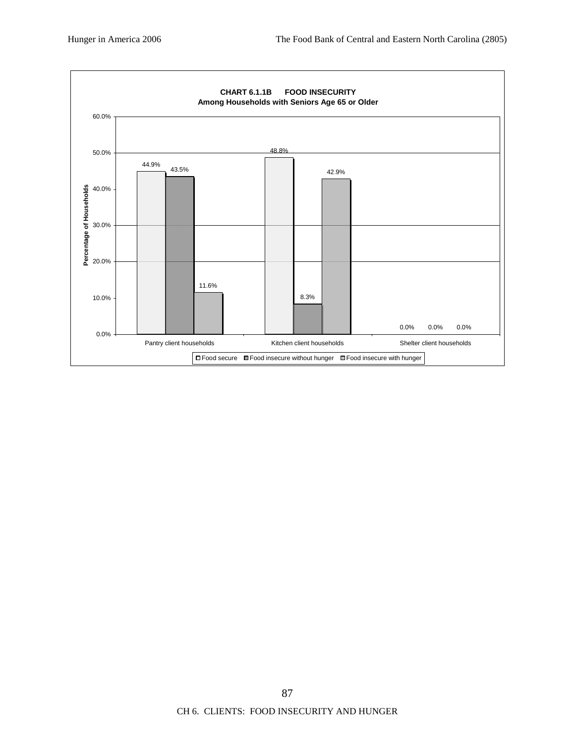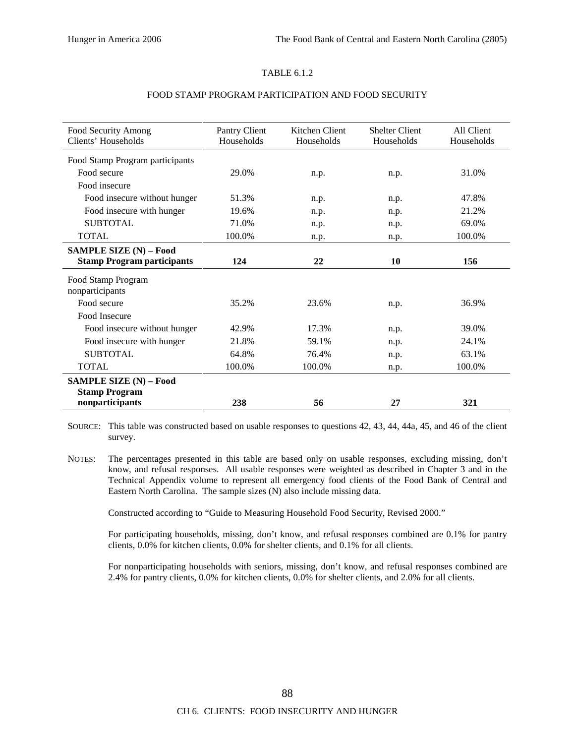#### TABLE 6.1.2

| Food Security Among               | Pantry Client | Kitchen Client | <b>Shelter Client</b> | All Client |
|-----------------------------------|---------------|----------------|-----------------------|------------|
| Clients' Households               | Households    | Households     | Households            | Households |
|                                   |               |                |                       |            |
| Food Stamp Program participants   |               |                |                       |            |
| Food secure                       | 29.0%         | n.p.           | n.p.                  | 31.0%      |
| Food insecure                     |               |                |                       |            |
| Food insecure without hunger      | 51.3%         | n.p.           | n.p.                  | 47.8%      |
| Food insecure with hunger         | 19.6%         | n.p.           | n.p.                  | 21.2%      |
| <b>SUBTOTAL</b>                   | 71.0%         | n.p.           | n.p.                  | 69.0%      |
| <b>TOTAL</b>                      | 100.0%        | n.p.           | n.p.                  | 100.0%     |
| <b>SAMPLE SIZE (N) - Food</b>     |               |                |                       |            |
| <b>Stamp Program participants</b> | 124           | 22             | 10                    | 156        |
| Food Stamp Program                |               |                |                       |            |
| nonparticipants                   |               |                |                       |            |
| Food secure                       | 35.2%         | 23.6%          | n.p.                  | 36.9%      |
| Food Insecure                     |               |                |                       |            |
| Food insecure without hunger      | 42.9%         | 17.3%          | n.p.                  | 39.0%      |
| Food insecure with hunger         | 21.8%         | 59.1%          | n.p.                  | 24.1%      |
| <b>SUBTOTAL</b>                   | 64.8%         | 76.4%          | n.p.                  | 63.1%      |
| <b>TOTAL</b>                      | 100.0%        | 100.0%         | n.p.                  | 100.0%     |
| SAMPLE SIZE (N) - Food            |               |                |                       |            |
| <b>Stamp Program</b>              |               |                |                       |            |
| nonparticipants                   | 238           | 56             | 27                    | 321        |

#### FOOD STAMP PROGRAM PARTICIPATION AND FOOD SECURITY

SOURCE: This table was constructed based on usable responses to questions 42, 43, 44, 44a, 45, and 46 of the client survey.

NOTES: The percentages presented in this table are based only on usable responses, excluding missing, don't know, and refusal responses. All usable responses were weighted as described in Chapter 3 and in the Technical Appendix volume to represent all emergency food clients of the Food Bank of Central and Eastern North Carolina. The sample sizes (N) also include missing data.

Constructed according to "Guide to Measuring Household Food Security, Revised 2000."

For participating households, missing, don't know, and refusal responses combined are 0.1% for pantry clients, 0.0% for kitchen clients, 0.0% for shelter clients, and 0.1% for all clients.

For nonparticipating households with seniors, missing, don't know, and refusal responses combined are 2.4% for pantry clients, 0.0% for kitchen clients, 0.0% for shelter clients, and 2.0% for all clients.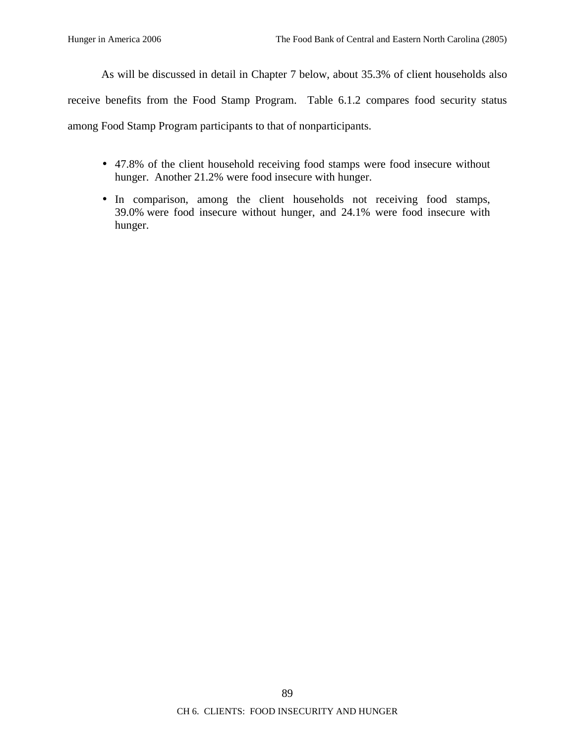As will be discussed in detail in Chapter 7 below, about 35.3% of client households also

receive benefits from the Food Stamp Program. Table 6.1.2 compares food security status

among Food Stamp Program participants to that of nonparticipants.

- 47.8% of the client household receiving food stamps were food insecure without hunger. Another 21.2% were food insecure with hunger.
- In comparison, among the client households not receiving food stamps, 39.0% were food insecure without hunger, and 24.1% were food insecure with hunger.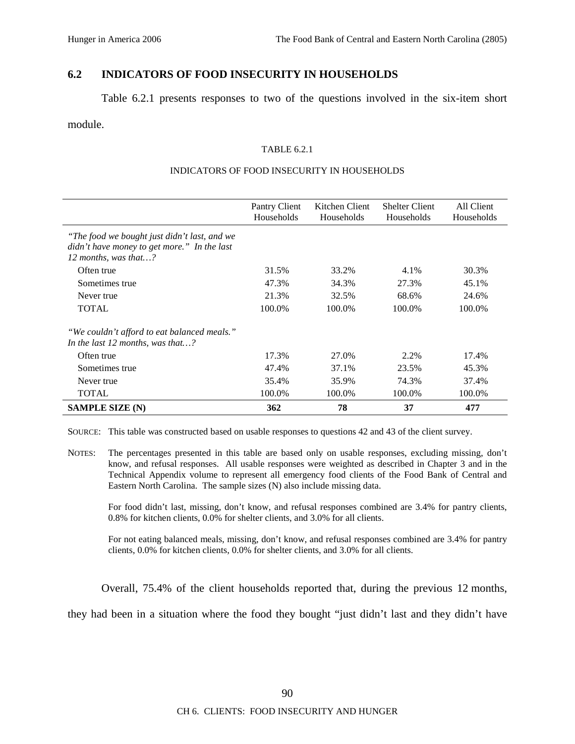# **6.2 INDICATORS OF FOOD INSECURITY IN HOUSEHOLDS**

Table 6.2.1 presents responses to two of the questions involved in the six-item short

## module.

#### TABLE 6.2.1

#### INDICATORS OF FOOD INSECURITY IN HOUSEHOLDS

|                                                                                                                               | Pantry Client<br>Households | Kitchen Client<br>Households | <b>Shelter Client</b><br>Households | All Client<br>Households |
|-------------------------------------------------------------------------------------------------------------------------------|-----------------------------|------------------------------|-------------------------------------|--------------------------|
| "The food we bought just didn't last, and we<br>didn't have money to get more." In the last<br>12 months, was that $\ldots$ ? |                             |                              |                                     |                          |
| Often true                                                                                                                    | 31.5%                       | 33.2%                        | 4.1%                                | 30.3%                    |
| Sometimes true                                                                                                                | 47.3%                       | 34.3%                        | 27.3%                               | 45.1%                    |
| Never true                                                                                                                    | 21.3%                       | 32.5%                        | 68.6%                               | 24.6%                    |
| <b>TOTAL</b>                                                                                                                  | 100.0%                      | 100.0%                       | 100.0%                              | 100.0%                   |
| "We couldn't afford to eat balanced meals."<br>In the last 12 months, was that?                                               |                             |                              |                                     |                          |
| Often true                                                                                                                    | 17.3%                       | 27.0%                        | 2.2%                                | 17.4%                    |
| Sometimes true                                                                                                                | 47.4%                       | 37.1%                        | 23.5%                               | 45.3%                    |
| Never true                                                                                                                    | 35.4%                       | 35.9%                        | 74.3%                               | 37.4%                    |
| <b>TOTAL</b>                                                                                                                  | 100.0%                      | 100.0%                       | 100.0%                              | 100.0%                   |
| <b>SAMPLE SIZE (N)</b>                                                                                                        | 362                         | 78                           | 37                                  | 477                      |

SOURCE: This table was constructed based on usable responses to questions 42 and 43 of the client survey.

NOTES: The percentages presented in this table are based only on usable responses, excluding missing, don't know, and refusal responses. All usable responses were weighted as described in Chapter 3 and in the Technical Appendix volume to represent all emergency food clients of the Food Bank of Central and Eastern North Carolina. The sample sizes (N) also include missing data.

For food didn't last, missing, don't know, and refusal responses combined are 3.4% for pantry clients, 0.8% for kitchen clients, 0.0% for shelter clients, and 3.0% for all clients.

For not eating balanced meals, missing, don't know, and refusal responses combined are 3.4% for pantry clients, 0.0% for kitchen clients, 0.0% for shelter clients, and 3.0% for all clients.

Overall, 75.4% of the client households reported that, during the previous 12 months,

they had been in a situation where the food they bought "just didn't last and they didn't have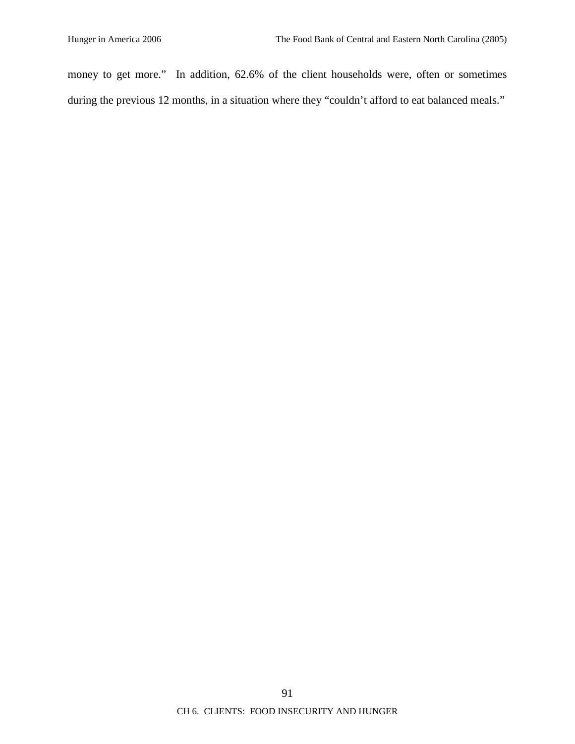money to get more." In addition, 62.6% of the client households were, often or sometimes during the previous 12 months, in a situation where they "couldn't afford to eat balanced meals."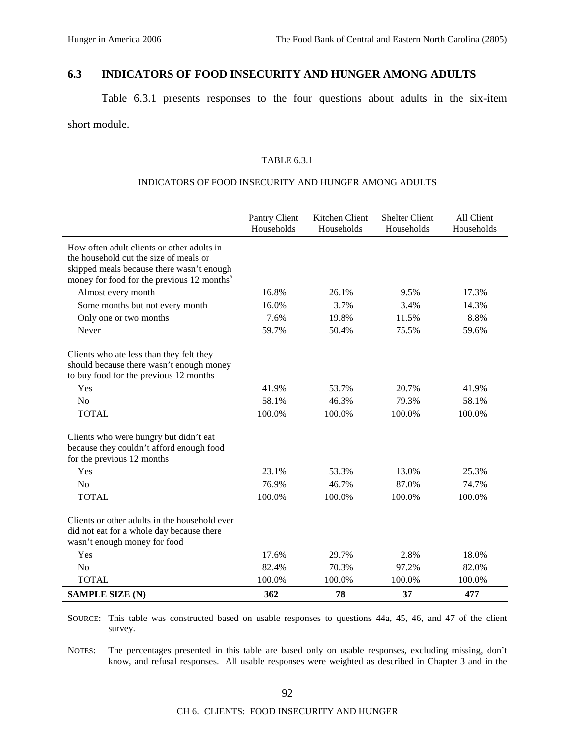# **6.3 INDICATORS OF FOOD INSECURITY AND HUNGER AMONG ADULTS**

Table 6.3.1 presents responses to the four questions about adults in the six-item short module.

## TABLE 6.3.1

## INDICATORS OF FOOD INSECURITY AND HUNGER AMONG ADULTS

|                                                                                                                                                                                             | Pantry Client<br>Households | Kitchen Client<br>Households | <b>Shelter Client</b><br>Households | All Client<br>Households |
|---------------------------------------------------------------------------------------------------------------------------------------------------------------------------------------------|-----------------------------|------------------------------|-------------------------------------|--------------------------|
| How often adult clients or other adults in<br>the household cut the size of meals or<br>skipped meals because there wasn't enough<br>money for food for the previous 12 months <sup>a</sup> |                             |                              |                                     |                          |
| Almost every month                                                                                                                                                                          | 16.8%                       | 26.1%                        | 9.5%                                | 17.3%                    |
| Some months but not every month                                                                                                                                                             | 16.0%                       | 3.7%                         | 3.4%                                | 14.3%                    |
| Only one or two months                                                                                                                                                                      | 7.6%                        | 19.8%                        | 11.5%                               | 8.8%                     |
| Never                                                                                                                                                                                       | 59.7%                       | 50.4%                        | 75.5%                               | 59.6%                    |
| Clients who ate less than they felt they<br>should because there wasn't enough money<br>to buy food for the previous 12 months                                                              |                             |                              |                                     |                          |
| Yes                                                                                                                                                                                         | 41.9%                       | 53.7%                        | 20.7%                               | 41.9%                    |
| No                                                                                                                                                                                          | 58.1%                       | 46.3%                        | 79.3%                               | 58.1%                    |
| <b>TOTAL</b>                                                                                                                                                                                | 100.0%                      | 100.0%                       | 100.0%                              | 100.0%                   |
| Clients who were hungry but didn't eat<br>because they couldn't afford enough food<br>for the previous 12 months                                                                            |                             |                              |                                     |                          |
| Yes                                                                                                                                                                                         | 23.1%                       | 53.3%                        | 13.0%                               | 25.3%                    |
| No                                                                                                                                                                                          | 76.9%                       | 46.7%                        | 87.0%                               | 74.7%                    |
| <b>TOTAL</b>                                                                                                                                                                                | 100.0%                      | 100.0%                       | 100.0%                              | 100.0%                   |
| Clients or other adults in the household ever<br>did not eat for a whole day because there<br>wasn't enough money for food                                                                  |                             |                              |                                     |                          |
| Yes                                                                                                                                                                                         | 17.6%                       | 29.7%                        | 2.8%                                | 18.0%                    |
| No                                                                                                                                                                                          | 82.4%                       | 70.3%                        | 97.2%                               | 82.0%                    |
| <b>TOTAL</b>                                                                                                                                                                                | 100.0%                      | 100.0%                       | 100.0%                              | 100.0%                   |
| <b>SAMPLE SIZE (N)</b>                                                                                                                                                                      | 362                         | 78                           | 37                                  | 477                      |

SOURCE: This table was constructed based on usable responses to questions 44a, 45, 46, and 47 of the client survey.

NOTES: The percentages presented in this table are based only on usable responses, excluding missing, don't know, and refusal responses. All usable responses were weighted as described in Chapter 3 and in the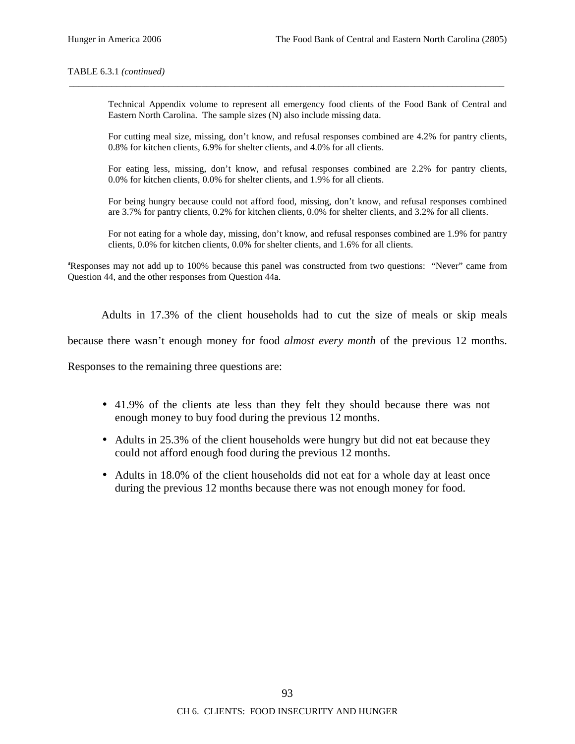#### TABLE 6.3.1 *(continued)*

Technical Appendix volume to represent all emergency food clients of the Food Bank of Central and Eastern North Carolina. The sample sizes (N) also include missing data.

\_\_\_\_\_\_\_\_\_\_\_\_\_\_\_\_\_\_\_\_\_\_\_\_\_\_\_\_\_\_\_\_\_\_\_\_\_\_\_\_\_\_\_\_\_\_\_\_\_\_\_\_\_\_\_\_\_\_\_\_\_\_\_\_\_\_\_\_\_\_\_\_\_\_\_\_\_\_\_\_\_\_\_\_\_\_\_\_\_\_\_\_

For cutting meal size, missing, don't know, and refusal responses combined are 4.2% for pantry clients, 0.8% for kitchen clients, 6.9% for shelter clients, and 4.0% for all clients.

For eating less, missing, don't know, and refusal responses combined are 2.2% for pantry clients, 0.0% for kitchen clients, 0.0% for shelter clients, and 1.9% for all clients.

For being hungry because could not afford food, missing, don't know, and refusal responses combined are 3.7% for pantry clients, 0.2% for kitchen clients, 0.0% for shelter clients, and 3.2% for all clients.

For not eating for a whole day, missing, don't know, and refusal responses combined are 1.9% for pantry clients, 0.0% for kitchen clients, 0.0% for shelter clients, and 1.6% for all clients.

<sup>a</sup>Responses may not add up to 100% because this panel was constructed from two questions: "Never" came from Question 44, and the other responses from Question 44a.

Adults in 17.3% of the client households had to cut the size of meals or skip meals

because there wasn't enough money for food *almost every month* of the previous 12 months.

Responses to the remaining three questions are:

- 41.9% of the clients ate less than they felt they should because there was not enough money to buy food during the previous 12 months.
- Adults in 25.3% of the client households were hungry but did not eat because they could not afford enough food during the previous 12 months.
- Adults in 18.0% of the client households did not eat for a whole day at least once during the previous 12 months because there was not enough money for food.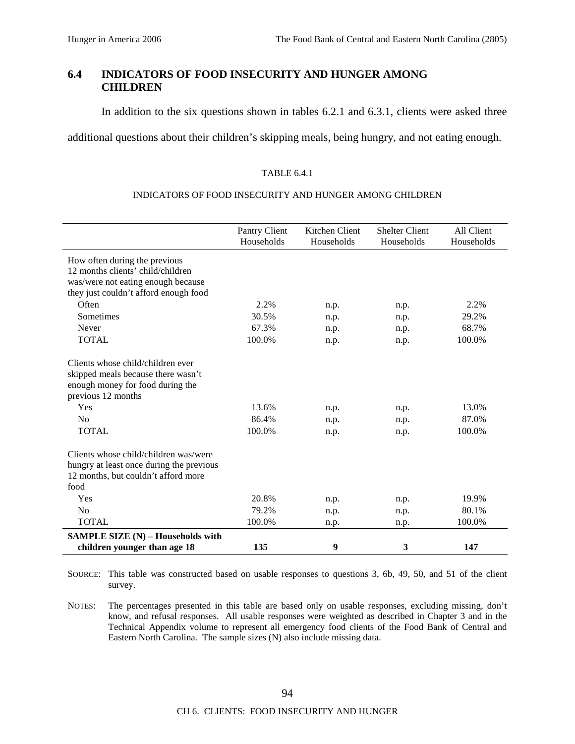# **6.4 INDICATORS OF FOOD INSECURITY AND HUNGER AMONG CHILDREN**

In addition to the six questions shown in tables 6.2.1 and 6.3.1, clients were asked three

additional questions about their children's skipping meals, being hungry, and not eating enough.

#### TABLE 6.4.1

#### INDICATORS OF FOOD INSECURITY AND HUNGER AMONG CHILDREN

|                                          | Pantry Client<br>Households | Kitchen Client<br>Households | <b>Shelter Client</b><br>Households | All Client<br>Households |
|------------------------------------------|-----------------------------|------------------------------|-------------------------------------|--------------------------|
| How often during the previous            |                             |                              |                                     |                          |
| 12 months clients' child/children        |                             |                              |                                     |                          |
| was/were not eating enough because       |                             |                              |                                     |                          |
| they just couldn't afford enough food    |                             |                              |                                     |                          |
| Often                                    | 2.2%                        | n.p.                         | n.p.                                | 2.2%                     |
| Sometimes                                | 30.5%                       | n.p.                         | n.p.                                | 29.2%                    |
| Never                                    | 67.3%                       | n.p.                         | n.p.                                | 68.7%                    |
| <b>TOTAL</b>                             | 100.0%                      | n.p.                         | n.p.                                | 100.0%                   |
| Clients whose child/children ever        |                             |                              |                                     |                          |
| skipped meals because there wasn't       |                             |                              |                                     |                          |
| enough money for food during the         |                             |                              |                                     |                          |
| previous 12 months                       |                             |                              |                                     |                          |
| Yes                                      | 13.6%                       | n.p.                         | n.p.                                | 13.0%                    |
| N <sub>0</sub>                           | 86.4%                       | n.p.                         | n.p.                                | 87.0%                    |
| <b>TOTAL</b>                             | 100.0%                      | n.p.                         | n.p.                                | 100.0%                   |
| Clients whose child/children was/were    |                             |                              |                                     |                          |
| hungry at least once during the previous |                             |                              |                                     |                          |
| 12 months, but couldn't afford more      |                             |                              |                                     |                          |
| food                                     |                             |                              |                                     |                          |
| Yes                                      | 20.8%                       | n.p.                         | n.p.                                | 19.9%                    |
| No                                       | 79.2%                       | n.p.                         | n.p.                                | 80.1%                    |
| <b>TOTAL</b>                             | 100.0%                      | n.p.                         | n.p.                                | 100.0%                   |
| <b>SAMPLE SIZE (N) - Households with</b> |                             |                              |                                     |                          |
| children younger than age 18             | 135                         | 9                            | 3                                   | 147                      |

SOURCE: This table was constructed based on usable responses to questions 3, 6b, 49, 50, and 51 of the client survey.

NOTES: The percentages presented in this table are based only on usable responses, excluding missing, don't know, and refusal responses. All usable responses were weighted as described in Chapter 3 and in the Technical Appendix volume to represent all emergency food clients of the Food Bank of Central and Eastern North Carolina. The sample sizes (N) also include missing data.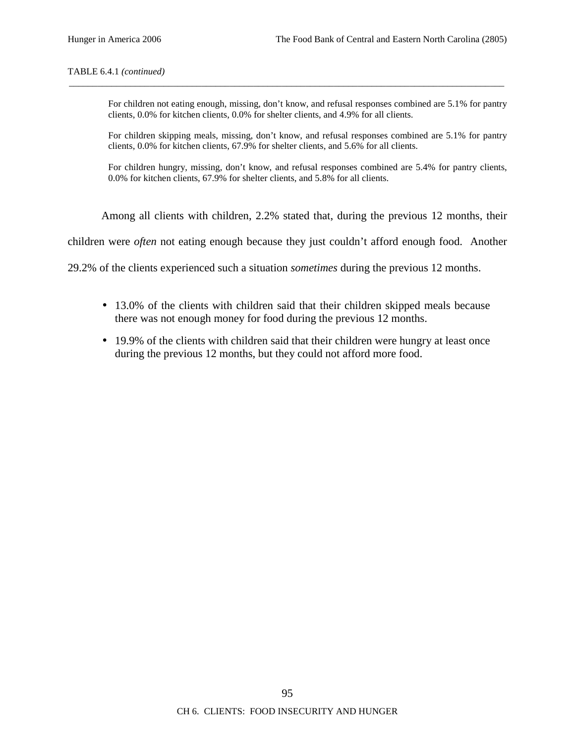#### TABLE 6.4.1 *(continued)*

For children not eating enough, missing, don't know, and refusal responses combined are 5.1% for pantry clients, 0.0% for kitchen clients, 0.0% for shelter clients, and 4.9% for all clients.

\_\_\_\_\_\_\_\_\_\_\_\_\_\_\_\_\_\_\_\_\_\_\_\_\_\_\_\_\_\_\_\_\_\_\_\_\_\_\_\_\_\_\_\_\_\_\_\_\_\_\_\_\_\_\_\_\_\_\_\_\_\_\_\_\_\_\_\_\_\_\_\_\_\_\_\_\_\_\_\_\_\_\_\_\_\_\_\_\_\_\_\_

For children skipping meals, missing, don't know, and refusal responses combined are 5.1% for pantry clients, 0.0% for kitchen clients, 67.9% for shelter clients, and 5.6% for all clients.

For children hungry, missing, don't know, and refusal responses combined are 5.4% for pantry clients, 0.0% for kitchen clients, 67.9% for shelter clients, and 5.8% for all clients.

Among all clients with children, 2.2% stated that, during the previous 12 months, their

children were *often* not eating enough because they just couldn't afford enough food. Another

29.2% of the clients experienced such a situation *sometimes* during the previous 12 months.

- 13.0% of the clients with children said that their children skipped meals because there was not enough money for food during the previous 12 months.
- 19.9% of the clients with children said that their children were hungry at least once during the previous 12 months, but they could not afford more food.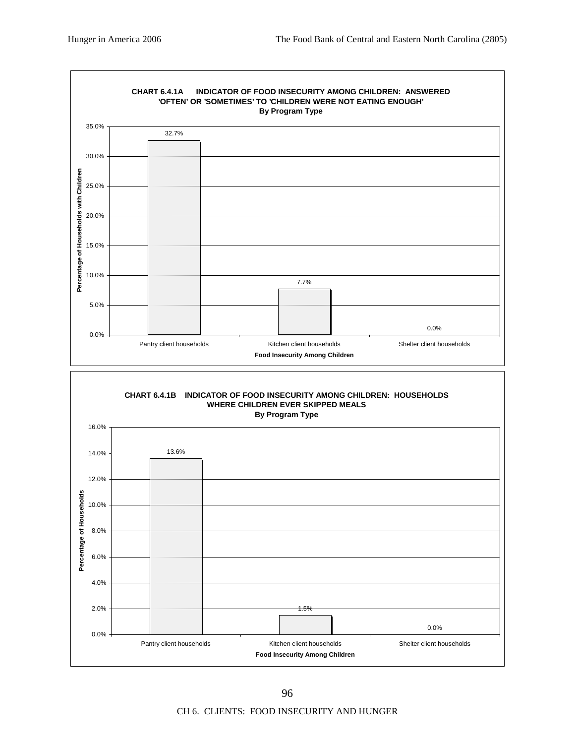

CH 6. CLIENTS: FOOD INSECURITY AND HUNGER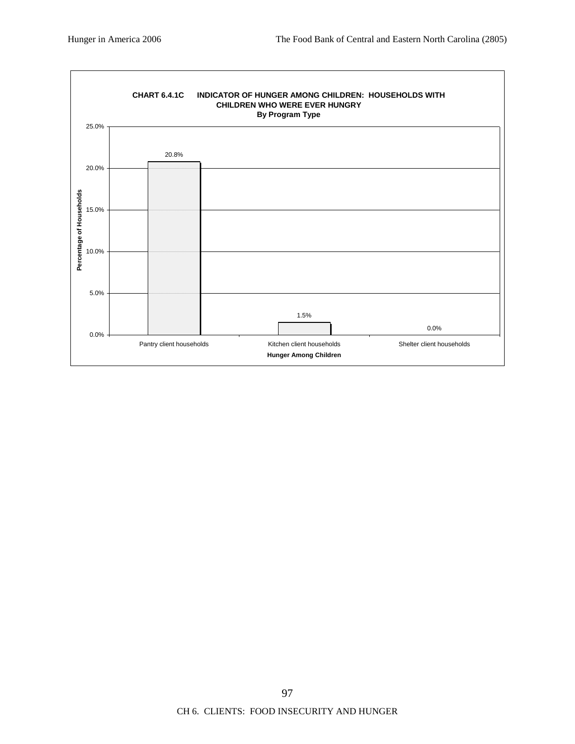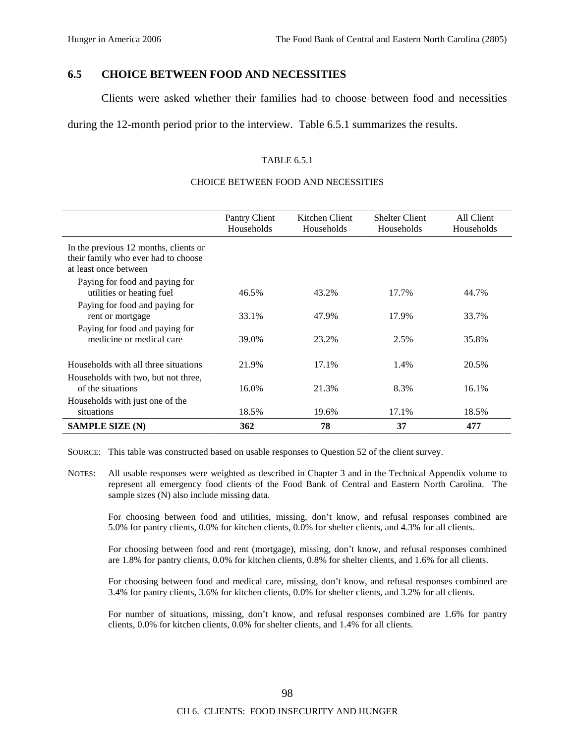# **6.5 CHOICE BETWEEN FOOD AND NECESSITIES**

Clients were asked whether their families had to choose between food and necessities

during the 12-month period prior to the interview. Table 6.5.1 summarizes the results.

#### TABLE 6.5.1

#### CHOICE BETWEEN FOOD AND NECESSITIES

|                                                                                                       | Pantry Client<br>Households | Kitchen Client<br>Households | <b>Shelter Client</b><br>Households | All Client<br>Households |
|-------------------------------------------------------------------------------------------------------|-----------------------------|------------------------------|-------------------------------------|--------------------------|
| In the previous 12 months, clients or<br>their family who ever had to choose<br>at least once between |                             |                              |                                     |                          |
| Paying for food and paying for<br>utilities or heating fuel                                           | 46.5%                       | 43.2%                        | 17.7%                               | 44.7%                    |
| Paying for food and paying for<br>rent or mortgage                                                    | 33.1%                       | 47.9%                        | 17.9%                               | 33.7%                    |
| Paying for food and paying for<br>medicine or medical care                                            | 39.0%                       | 23.2%                        | 2.5%                                | 35.8%                    |
| Households with all three situations                                                                  | 21.9%                       | 17.1%                        | 1.4%                                | 20.5%                    |
| Households with two, but not three,<br>of the situations                                              | 16.0%                       | 21.3%                        | 8.3%                                | 16.1%                    |
| Households with just one of the<br>situations                                                         | 18.5%                       | 19.6%                        | 17.1%                               | 18.5%                    |
| <b>SAMPLE SIZE (N)</b>                                                                                | 362                         | 78                           | 37                                  | 477                      |

SOURCE: This table was constructed based on usable responses to Question 52 of the client survey.

NOTES: All usable responses were weighted as described in Chapter 3 and in the Technical Appendix volume to represent all emergency food clients of the Food Bank of Central and Eastern North Carolina. The sample sizes (N) also include missing data.

For choosing between food and utilities, missing, don't know, and refusal responses combined are 5.0% for pantry clients, 0.0% for kitchen clients, 0.0% for shelter clients, and 4.3% for all clients.

For choosing between food and rent (mortgage), missing, don't know, and refusal responses combined are 1.8% for pantry clients, 0.0% for kitchen clients, 0.8% for shelter clients, and 1.6% for all clients.

For choosing between food and medical care, missing, don't know, and refusal responses combined are 3.4% for pantry clients, 3.6% for kitchen clients, 0.0% for shelter clients, and 3.2% for all clients.

For number of situations, missing, don't know, and refusal responses combined are 1.6% for pantry clients, 0.0% for kitchen clients, 0.0% for shelter clients, and 1.4% for all clients.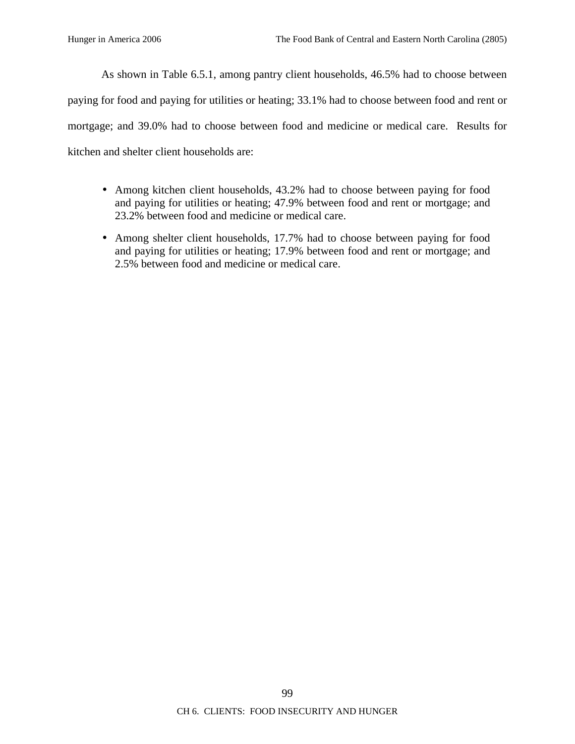As shown in Table 6.5.1, among pantry client households, 46.5% had to choose between paying for food and paying for utilities or heating; 33.1% had to choose between food and rent or mortgage; and 39.0% had to choose between food and medicine or medical care. Results for kitchen and shelter client households are:

- Among kitchen client households, 43.2% had to choose between paying for food and paying for utilities or heating; 47.9% between food and rent or mortgage; and 23.2% between food and medicine or medical care.
- Among shelter client households, 17.7% had to choose between paying for food and paying for utilities or heating; 17.9% between food and rent or mortgage; and 2.5% between food and medicine or medical care.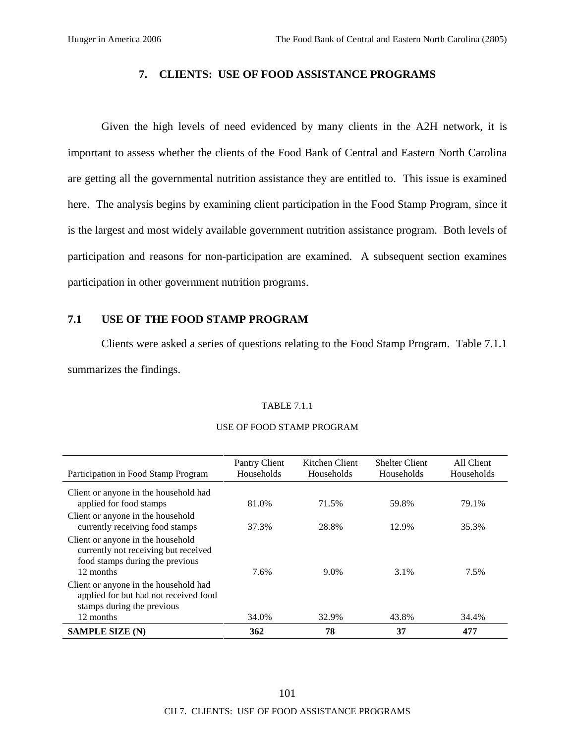## **7. CLIENTS: USE OF FOOD ASSISTANCE PROGRAMS**

Given the high levels of need evidenced by many clients in the A2H network, it is important to assess whether the clients of the Food Bank of Central and Eastern North Carolina are getting all the governmental nutrition assistance they are entitled to. This issue is examined here. The analysis begins by examining client participation in the Food Stamp Program, since it is the largest and most widely available government nutrition assistance program. Both levels of participation and reasons for non-participation are examined. A subsequent section examines participation in other government nutrition programs.

## **7.1 USE OF THE FOOD STAMP PROGRAM**

Clients were asked a series of questions relating to the Food Stamp Program. Table 7.1.1 summarizes the findings.

### TABLE 7.1.1

| Participation in Food Stamp Program                                                                          | Pantry Client<br>Households | Kitchen Client<br>Households | <b>Shelter Client</b><br>Households | All Client<br>Households |
|--------------------------------------------------------------------------------------------------------------|-----------------------------|------------------------------|-------------------------------------|--------------------------|
| Client or anyone in the household had                                                                        |                             |                              |                                     |                          |
| applied for food stamps                                                                                      | 81.0%                       | 71.5%                        | 59.8%                               | 79.1%                    |
| Client or anyone in the household                                                                            |                             |                              |                                     |                          |
| currently receiving food stamps                                                                              | 37.3%                       | 28.8%                        | 12.9%                               | 35.3%                    |
| Client or anyone in the household<br>currently not receiving but received<br>food stamps during the previous |                             |                              |                                     |                          |
| 12 months                                                                                                    | 7.6%                        | 9.0%                         | 3.1%                                | 7.5%                     |
| Client or anyone in the household had<br>applied for but had not received food<br>stamps during the previous |                             |                              |                                     |                          |
| 12 months                                                                                                    | 34.0%                       | 32.9%                        | 43.8%                               | 34.4%                    |
| <b>SAMPLE SIZE (N)</b>                                                                                       | 362                         | 78                           | 37                                  | 477                      |

### USE OF FOOD STAMP PROGRAM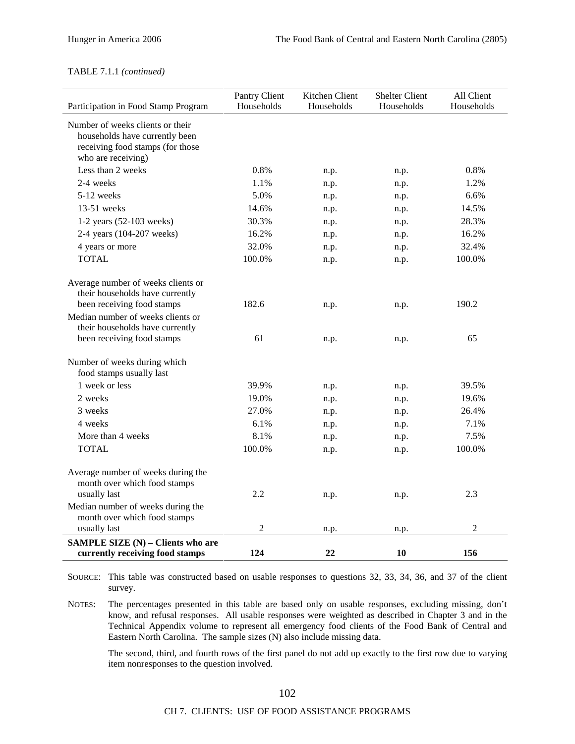#### TABLE 7.1.1 *(continued)*

| Participation in Food Stamp Program                                                                                          | Pantry Client<br>Households | Kitchen Client<br>Households | <b>Shelter Client</b><br>Households | All Client<br>Households |
|------------------------------------------------------------------------------------------------------------------------------|-----------------------------|------------------------------|-------------------------------------|--------------------------|
| Number of weeks clients or their<br>households have currently been<br>receiving food stamps (for those<br>who are receiving) |                             |                              |                                     |                          |
| Less than 2 weeks                                                                                                            | 0.8%                        | n.p.                         | n.p.                                | 0.8%                     |
| 2-4 weeks                                                                                                                    | 1.1%                        | n.p.                         | n.p.                                | 1.2%                     |
| 5-12 weeks                                                                                                                   | 5.0%                        | n.p.                         | n.p.                                | 6.6%                     |
| 13-51 weeks                                                                                                                  | 14.6%                       | n.p.                         | n.p.                                | 14.5%                    |
| 1-2 years (52-103 weeks)                                                                                                     | 30.3%                       | n.p.                         | n.p.                                | 28.3%                    |
| 2-4 years (104-207 weeks)                                                                                                    | 16.2%                       | n.p.                         | n.p.                                | 16.2%                    |
| 4 years or more                                                                                                              | 32.0%                       | n.p.                         | n.p.                                | 32.4%                    |
| <b>TOTAL</b>                                                                                                                 | 100.0%                      | n.p.                         | n.p.                                | 100.0%                   |
|                                                                                                                              |                             |                              |                                     |                          |
| Average number of weeks clients or<br>their households have currently<br>been receiving food stamps                          | 182.6                       | n.p.                         |                                     | 190.2                    |
| Median number of weeks clients or<br>their households have currently                                                         |                             |                              | n.p.                                |                          |
| been receiving food stamps                                                                                                   | 61                          | n.p.                         | n.p.                                | 65                       |
| Number of weeks during which<br>food stamps usually last                                                                     |                             |                              |                                     |                          |
| 1 week or less                                                                                                               | 39.9%                       | n.p.                         | n.p.                                | 39.5%                    |
| 2 weeks                                                                                                                      | 19.0%                       | n.p.                         | n.p.                                | 19.6%                    |
| 3 weeks                                                                                                                      | 27.0%                       | n.p.                         | n.p.                                | 26.4%                    |
| 4 weeks                                                                                                                      | 6.1%                        | n.p.                         | n.p.                                | 7.1%                     |
| More than 4 weeks                                                                                                            | 8.1%                        | n.p.                         | n.p.                                | 7.5%                     |
| <b>TOTAL</b>                                                                                                                 | 100.0%                      | n.p.                         | n.p.                                | 100.0%                   |
| Average number of weeks during the<br>month over which food stamps<br>usually last                                           | 2.2                         | n.p.                         | n.p.                                | 2.3                      |
| Median number of weeks during the<br>month over which food stamps                                                            |                             |                              |                                     |                          |
| usually last                                                                                                                 | $\overline{c}$              | n.p.                         | n.p.                                | $\overline{2}$           |
| SAMPLE SIZE (N) - Clients who are<br>currently receiving food stamps                                                         | 124                         | 22                           | 10                                  | 156                      |

SOURCE: This table was constructed based on usable responses to questions 32, 33, 34, 36, and 37 of the client survey.

NOTES: The percentages presented in this table are based only on usable responses, excluding missing, don't know, and refusal responses. All usable responses were weighted as described in Chapter 3 and in the Technical Appendix volume to represent all emergency food clients of the Food Bank of Central and Eastern North Carolina. The sample sizes (N) also include missing data.

The second, third, and fourth rows of the first panel do not add up exactly to the first row due to varying item nonresponses to the question involved.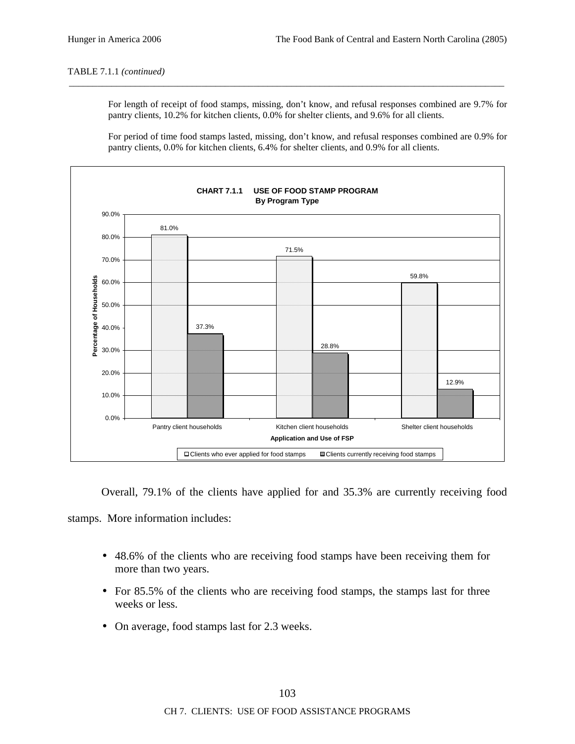#### TABLE 7.1.1 *(continued)*

For length of receipt of food stamps, missing, don't know, and refusal responses combined are 9.7% for pantry clients, 10.2% for kitchen clients, 0.0% for shelter clients, and 9.6% for all clients.

\_\_\_\_\_\_\_\_\_\_\_\_\_\_\_\_\_\_\_\_\_\_\_\_\_\_\_\_\_\_\_\_\_\_\_\_\_\_\_\_\_\_\_\_\_\_\_\_\_\_\_\_\_\_\_\_\_\_\_\_\_\_\_\_\_\_\_\_\_\_\_\_\_\_\_\_\_\_\_\_\_\_\_\_\_\_\_\_\_\_\_\_

For period of time food stamps lasted, missing, don't know, and refusal responses combined are 0.9% for pantry clients, 0.0% for kitchen clients, 6.4% for shelter clients, and 0.9% for all clients.



Overall, 79.1% of the clients have applied for and 35.3% are currently receiving food

stamps. More information includes:

- 48.6% of the clients who are receiving food stamps have been receiving them for more than two years.
- For 85.5% of the clients who are receiving food stamps, the stamps last for three weeks or less.
- On average, food stamps last for 2.3 weeks.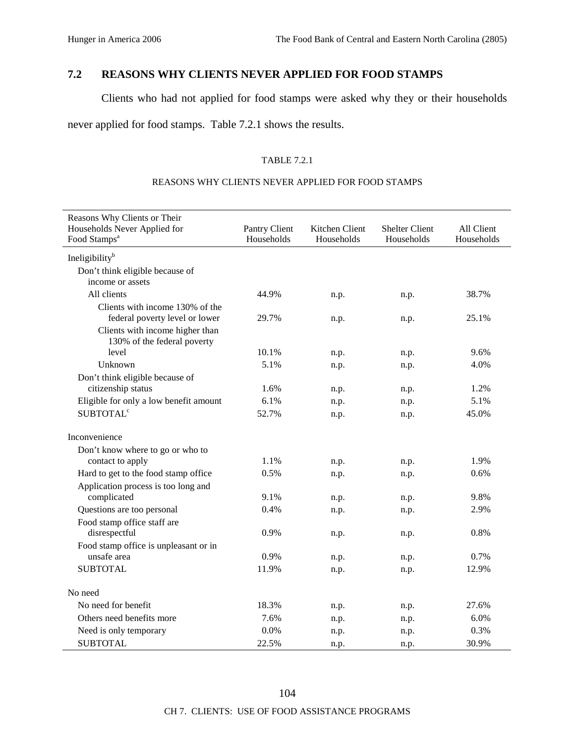# **7.2 REASONS WHY CLIENTS NEVER APPLIED FOR FOOD STAMPS**

Clients who had not applied for food stamps were asked why they or their households

never applied for food stamps. Table 7.2.1 shows the results.

## TABLE 7.2.1

## REASONS WHY CLIENTS NEVER APPLIED FOR FOOD STAMPS

| Reasons Why Clients or Their                                   |                             |                              |                                     |                          |
|----------------------------------------------------------------|-----------------------------|------------------------------|-------------------------------------|--------------------------|
| Households Never Applied for<br>Food Stamps <sup>a</sup>       | Pantry Client<br>Households | Kitchen Client<br>Households | <b>Shelter Client</b><br>Households | All Client<br>Households |
| Ineligibility <sup>b</sup>                                     |                             |                              |                                     |                          |
| Don't think eligible because of                                |                             |                              |                                     |                          |
| income or assets                                               |                             |                              |                                     |                          |
| All clients                                                    | 44.9%                       | n.p.                         | n.p.                                | 38.7%                    |
| Clients with income 130% of the                                |                             |                              |                                     |                          |
| federal poverty level or lower                                 | 29.7%                       | n.p.                         | n.p.                                | 25.1%                    |
| Clients with income higher than<br>130% of the federal poverty |                             |                              |                                     |                          |
| level                                                          | 10.1%                       | n.p.                         | n.p.                                | 9.6%                     |
| Unknown                                                        | 5.1%                        | n.p.                         | n.p.                                | 4.0%                     |
| Don't think eligible because of                                |                             |                              |                                     |                          |
| citizenship status                                             | 1.6%                        | n.p.                         | n.p.                                | 1.2%                     |
| Eligible for only a low benefit amount                         | 6.1%                        | n.p.                         | n.p.                                | 5.1%                     |
| <b>SUBTOTAL<sup>c</sup></b>                                    | 52.7%                       | n.p.                         | n.p.                                | 45.0%                    |
| Inconvenience                                                  |                             |                              |                                     |                          |
| Don't know where to go or who to                               |                             |                              |                                     |                          |
| contact to apply                                               | 1.1%                        | n.p.                         | n.p.                                | 1.9%                     |
| Hard to get to the food stamp office                           | 0.5%                        | n.p.                         | n.p.                                | 0.6%                     |
| Application process is too long and                            |                             |                              |                                     |                          |
| complicated                                                    | 9.1%                        | n.p.                         | n.p.                                | 9.8%                     |
| Questions are too personal                                     | 0.4%                        | n.p.                         | n.p.                                | 2.9%                     |
| Food stamp office staff are                                    |                             |                              |                                     |                          |
| disrespectful                                                  | 0.9%                        | n.p.                         | n.p.                                | 0.8%                     |
| Food stamp office is unpleasant or in                          |                             |                              |                                     |                          |
| unsafe area                                                    | 0.9%                        | n.p.                         | n.p.                                | 0.7%                     |
| <b>SUBTOTAL</b>                                                | 11.9%                       | n.p.                         | n.p.                                | 12.9%                    |
| No need                                                        |                             |                              |                                     |                          |
| No need for benefit                                            | 18.3%                       | n.p.                         | n.p.                                | 27.6%                    |
| Others need benefits more                                      | 7.6%                        | n.p.                         | n.p.                                | 6.0%                     |
| Need is only temporary                                         | 0.0%                        | n.p.                         | n.p.                                | 0.3%                     |
| <b>SUBTOTAL</b>                                                | 22.5%                       | n.p.                         | n.p.                                | 30.9%                    |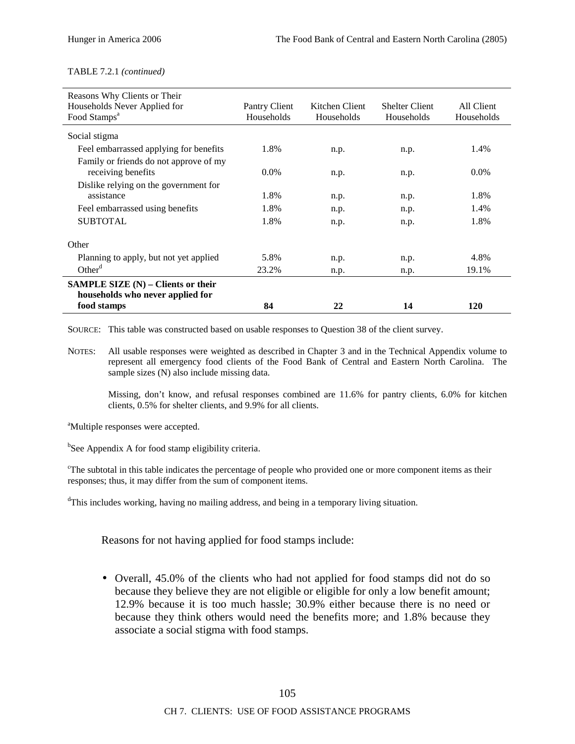#### TABLE 7.2.1 *(continued)*

| Reasons Why Clients or Their                                             |               |                |                       |            |
|--------------------------------------------------------------------------|---------------|----------------|-----------------------|------------|
| Households Never Applied for                                             | Pantry Client | Kitchen Client | <b>Shelter Client</b> | All Client |
| Food Stamps <sup>a</sup>                                                 | Households    | Households     | Households            | Households |
| Social stigma                                                            |               |                |                       |            |
| Feel embarrassed applying for benefits                                   | 1.8%          | n.p.           | n.p.                  | 1.4%       |
| Family or friends do not approve of my                                   |               |                |                       |            |
| receiving benefits                                                       | $0.0\%$       | n.p.           | n.p.                  | $0.0\%$    |
| Dislike relying on the government for                                    |               |                |                       |            |
| assistance                                                               | 1.8%          | n.p.           | n.p.                  | 1.8%       |
| Feel embarrassed using benefits                                          | 1.8%          | n.p.           | n.p.                  | 1.4%       |
| <b>SUBTOTAL</b>                                                          | 1.8%          | n.p.           | n.p.                  | 1.8%       |
| Other                                                                    |               |                |                       |            |
| Planning to apply, but not yet applied                                   | 5.8%          | n.p.           | n.p.                  | 4.8%       |
| Other $d$                                                                | 23.2%         | n.p.           | n.p.                  | 19.1%      |
| SAMPLE SIZE $(N)$ – Clients or their<br>households who never applied for |               |                |                       |            |
| food stamps                                                              | 84            | 22             | 14                    | 120        |

SOURCE: This table was constructed based on usable responses to Question 38 of the client survey.

NOTES: All usable responses were weighted as described in Chapter 3 and in the Technical Appendix volume to represent all emergency food clients of the Food Bank of Central and Eastern North Carolina. The sample sizes (N) also include missing data.

Missing, don't know, and refusal responses combined are 11.6% for pantry clients, 6.0% for kitchen clients, 0.5% for shelter clients, and 9.9% for all clients.

<sup>a</sup>Multiple responses were accepted.

<sup>b</sup>See Appendix A for food stamp eligibility criteria.

<sup>c</sup>The subtotal in this table indicates the percentage of people who provided one or more component items as their responses; thus, it may differ from the sum of component items.

<sup>d</sup>This includes working, having no mailing address, and being in a temporary living situation.

Reasons for not having applied for food stamps include:

• Overall, 45.0% of the clients who had not applied for food stamps did not do so because they believe they are not eligible or eligible for only a low benefit amount; 12.9% because it is too much hassle; 30.9% either because there is no need or because they think others would need the benefits more; and 1.8% because they associate a social stigma with food stamps.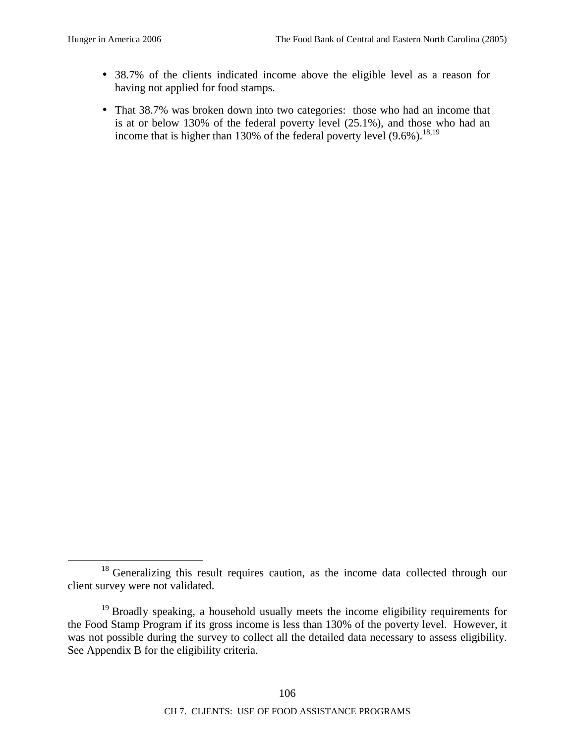- 38.7% of the clients indicated income above the eligible level as a reason for having not applied for food stamps.
- That 38.7% was broken down into two categories: those who had an income that is at or below 130% of the federal poverty level (25.1%), and those who had an income that is higher than 130% of the federal poverty level  $(9.6\%)$ <sup>18,19</sup>

<sup>&</sup>lt;sup>18</sup> Generalizing this result requires caution, as the income data collected through our client survey were not validated.

 $19$  Broadly speaking, a household usually meets the income eligibility requirements for the Food Stamp Program if its gross income is less than 130% of the poverty level. However, it was not possible during the survey to collect all the detailed data necessary to assess eligibility. See Appendix B for the eligibility criteria.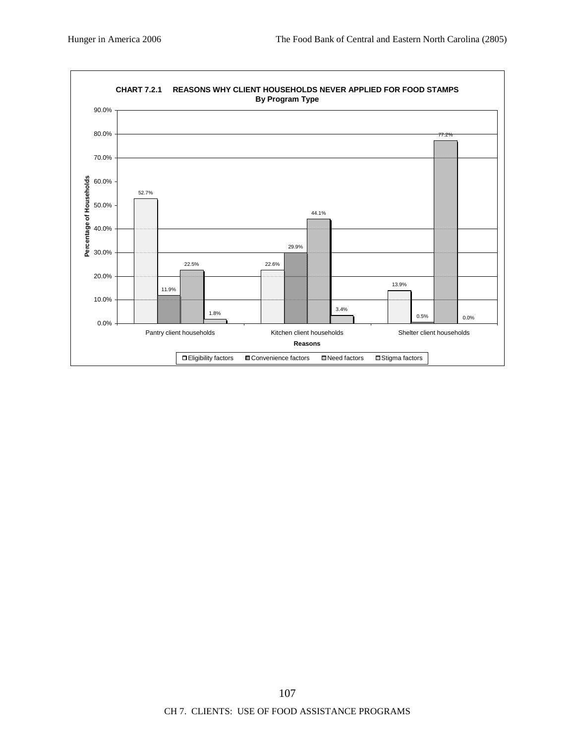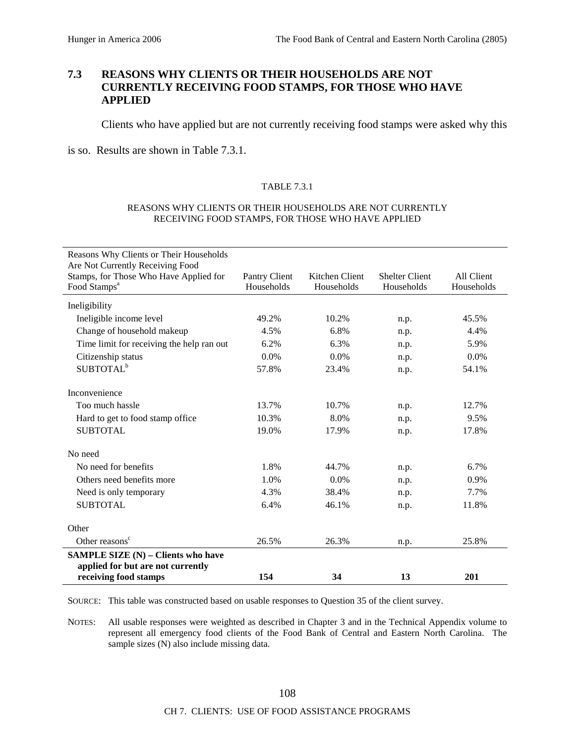# **7.3 REASONS WHY CLIENTS OR THEIR HOUSEHOLDS ARE NOT CURRENTLY RECEIVING FOOD STAMPS, FOR THOSE WHO HAVE APPLIED**

Clients who have applied but are not currently receiving food stamps were asked why this

is so. Results are shown in Table 7.3.1.

## TABLE 7.3.1

#### REASONS WHY CLIENTS OR THEIR HOUSEHOLDS ARE NOT CURRENTLY RECEIVING FOOD STAMPS, FOR THOSE WHO HAVE APPLIED

| Reasons Why Clients or Their Households                                                                 |                             |                              |                                     |                          |
|---------------------------------------------------------------------------------------------------------|-----------------------------|------------------------------|-------------------------------------|--------------------------|
| Are Not Currently Receiving Food<br>Stamps, for Those Who Have Applied for<br>Food Stamps <sup>a</sup>  | Pantry Client<br>Households | Kitchen Client<br>Households | <b>Shelter Client</b><br>Households | All Client<br>Households |
| Ineligibility                                                                                           |                             |                              |                                     |                          |
| Ineligible income level                                                                                 | 49.2%                       | 10.2%                        | n.p.                                | 45.5%                    |
| Change of household makeup                                                                              | 4.5%                        | 6.8%                         | n.p.                                | 4.4%                     |
| Time limit for receiving the help ran out                                                               | 6.2%                        | 6.3%                         | n.p.                                | 5.9%                     |
| Citizenship status                                                                                      | 0.0%                        | 0.0%                         | n.p.                                | 0.0%                     |
| SUBTOTAL <sup>b</sup>                                                                                   | 57.8%                       | 23.4%                        | n.p.                                | 54.1%                    |
| Inconvenience                                                                                           |                             |                              |                                     |                          |
| Too much hassle                                                                                         | 13.7%                       | 10.7%                        | n.p.                                | 12.7%                    |
| Hard to get to food stamp office                                                                        | 10.3%                       | 8.0%                         | n.p.                                | 9.5%                     |
| <b>SUBTOTAL</b>                                                                                         | 19.0%                       | 17.9%                        | n.p.                                | 17.8%                    |
| No need                                                                                                 |                             |                              |                                     |                          |
| No need for benefits                                                                                    | 1.8%                        | 44.7%                        | n.p.                                | 6.7%                     |
| Others need benefits more                                                                               | 1.0%                        | 0.0%                         | n.p.                                | 0.9%                     |
| Need is only temporary                                                                                  | 4.3%                        | 38.4%                        | n.p.                                | 7.7%                     |
| <b>SUBTOTAL</b>                                                                                         | 6.4%                        | 46.1%                        | n.p.                                | 11.8%                    |
| Other                                                                                                   |                             |                              |                                     |                          |
| Other reasons <sup>c</sup>                                                                              | 26.5%                       | 26.3%                        | n.p.                                | 25.8%                    |
| <b>SAMPLE SIZE (N) - Clients who have</b><br>applied for but are not currently<br>receiving food stamps | 154                         | 34                           | 13                                  | 201                      |
|                                                                                                         |                             |                              |                                     |                          |

SOURCE: This table was constructed based on usable responses to Question 35 of the client survey.

NOTES: All usable responses were weighted as described in Chapter 3 and in the Technical Appendix volume to represent all emergency food clients of the Food Bank of Central and Eastern North Carolina. The sample sizes (N) also include missing data.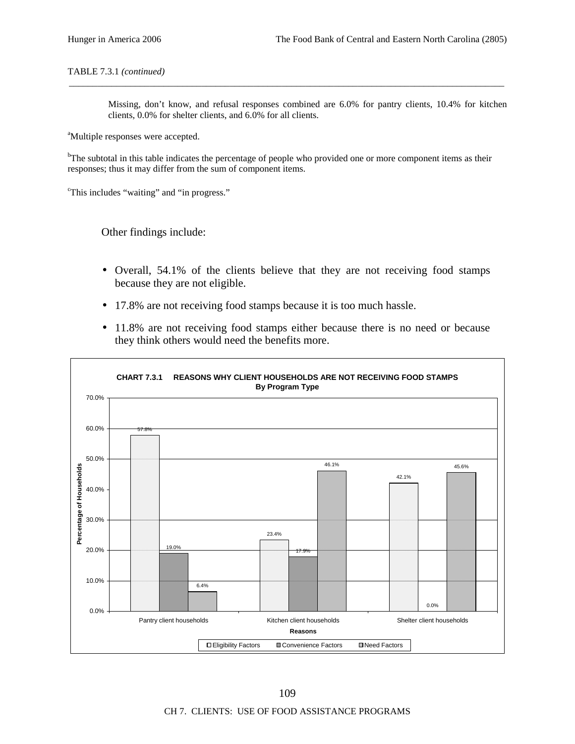#### TABLE 7.3.1 *(continued)*

Missing, don't know, and refusal responses combined are 6.0% for pantry clients, 10.4% for kitchen clients, 0.0% for shelter clients, and 6.0% for all clients.

<sup>a</sup>Multiple responses were accepted.

<sup>b</sup>The subtotal in this table indicates the percentage of people who provided one or more component items as their responses; thus it may differ from the sum of component items.

\_\_\_\_\_\_\_\_\_\_\_\_\_\_\_\_\_\_\_\_\_\_\_\_\_\_\_\_\_\_\_\_\_\_\_\_\_\_\_\_\_\_\_\_\_\_\_\_\_\_\_\_\_\_\_\_\_\_\_\_\_\_\_\_\_\_\_\_\_\_\_\_\_\_\_\_\_\_\_\_\_\_\_\_\_\_\_\_\_\_\_\_

c This includes "waiting" and "in progress."

Other findings include:

- Overall, 54.1% of the clients believe that they are not receiving food stamps because they are not eligible.
- 17.8% are not receiving food stamps because it is too much hassle.
- 11.8% are not receiving food stamps either because there is no need or because they think others would need the benefits more.

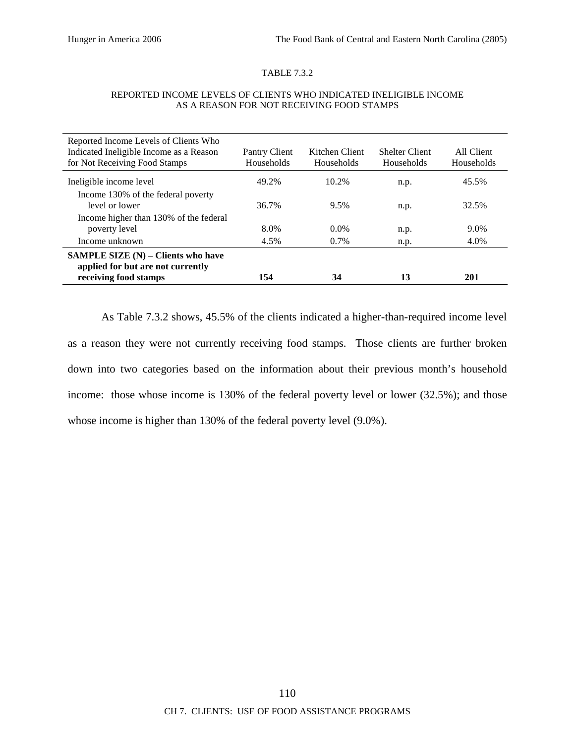## TABLE 7.3.2

| Reported Income Levels of Clients Who<br>Indicated Ineligible Income as a Reason<br>for Not Receiving Food Stamps | Pantry Client<br>Households | Kitchen Client<br>Households | <b>Shelter Client</b><br>Households | All Client<br>Households |
|-------------------------------------------------------------------------------------------------------------------|-----------------------------|------------------------------|-------------------------------------|--------------------------|
| Ineligible income level                                                                                           | 49.2%                       | 10.2%                        | n.p.                                | 45.5%                    |
| Income 130% of the federal poverty<br>level or lower                                                              | 36.7%                       | 9.5%                         | n.p.                                | 32.5%                    |
| Income higher than 130% of the federal<br>poverty level                                                           | 8.0%                        | $0.0\%$                      | n.p.                                | 9.0%                     |
| Income unknown                                                                                                    | 4.5%                        | 0.7%                         | n.p.                                | 4.0%                     |
| <b>SAMPLE SIZE</b> $(N)$ – Clients who have<br>applied for but are not currently<br>receiving food stamps         | 154                         | 34                           | 13                                  | 201                      |

#### REPORTED INCOME LEVELS OF CLIENTS WHO INDICATED INELIGIBLE INCOME AS A REASON FOR NOT RECEIVING FOOD STAMPS

As Table 7.3.2 shows, 45.5% of the clients indicated a higher-than-required income level as a reason they were not currently receiving food stamps. Those clients are further broken down into two categories based on the information about their previous month's household income: those whose income is 130% of the federal poverty level or lower (32.5%); and those whose income is higher than 130% of the federal poverty level (9.0%).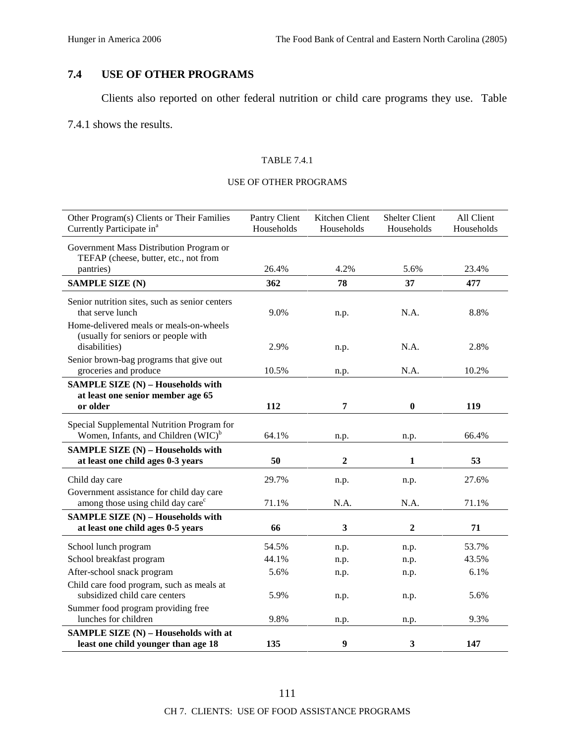# **7.4 USE OF OTHER PROGRAMS**

Clients also reported on other federal nutrition or child care programs they use. Table

7.4.1 shows the results.

## TABLE 7.4.1

## USE OF OTHER PROGRAMS

| Other Program(s) Clients or Their Families<br>Currently Participate in <sup>a</sup>             | Pantry Client<br>Households | Kitchen Client<br>Households | <b>Shelter Client</b><br>Households | All Client<br>Households |
|-------------------------------------------------------------------------------------------------|-----------------------------|------------------------------|-------------------------------------|--------------------------|
| Government Mass Distribution Program or<br>TEFAP (cheese, butter, etc., not from                |                             |                              |                                     |                          |
| pantries)                                                                                       | 26.4%                       | 4.2%                         | 5.6%                                | 23.4%                    |
| <b>SAMPLE SIZE (N)</b>                                                                          | 362                         | 78                           | 37                                  | 477                      |
| Senior nutrition sites, such as senior centers<br>that serve lunch                              | 9.0%                        | n.p.                         | N.A.                                | 8.8%                     |
| Home-delivered meals or meals-on-wheels<br>(usually for seniors or people with<br>disabilities) | 2.9%                        | n.p.                         | N.A.                                | 2.8%                     |
| Senior brown-bag programs that give out                                                         |                             |                              |                                     |                          |
| groceries and produce                                                                           | 10.5%                       | n.p.                         | N.A.                                | 10.2%                    |
| SAMPLE SIZE (N) - Households with                                                               |                             |                              |                                     |                          |
| at least one senior member age 65                                                               |                             |                              |                                     |                          |
| or older                                                                                        | 112                         | 7                            | $\bf{0}$                            | 119                      |
| Special Supplemental Nutrition Program for                                                      |                             |                              |                                     |                          |
| Women, Infants, and Children (WIC) <sup>b</sup>                                                 | 64.1%                       | n.p.                         | n.p.                                | 66.4%                    |
| SAMPLE SIZE (N) - Households with                                                               |                             |                              |                                     |                          |
| at least one child ages 0-3 years                                                               | 50                          | 2                            | 1                                   | 53                       |
| Child day care                                                                                  | 29.7%                       | n.p.                         | n.p.                                | 27.6%                    |
| Government assistance for child day care                                                        |                             |                              |                                     |                          |
| among those using child day care <sup>c</sup>                                                   | 71.1%                       | N.A.                         | N.A.                                | 71.1%                    |
| <b>SAMPLE SIZE (N) - Households with</b>                                                        |                             |                              |                                     |                          |
| at least one child ages 0-5 years                                                               | 66                          | 3                            | $\overline{2}$                      | 71                       |
| School lunch program                                                                            | 54.5%                       | n.p.                         | n.p.                                | 53.7%                    |
| School breakfast program                                                                        | 44.1%                       | n.p.                         | n.p.                                | 43.5%                    |
| After-school snack program                                                                      | 5.6%                        | n.p.                         | n.p.                                | 6.1%                     |
| Child care food program, such as meals at<br>subsidized child care centers                      | 5.9%                        | n.p.                         | n.p.                                | 5.6%                     |
| Summer food program providing free                                                              |                             |                              |                                     |                          |
| lunches for children                                                                            | 9.8%                        | n.p.                         | n.p.                                | 9.3%                     |
| SAMPLE SIZE (N) - Households with at<br>least one child younger than age 18                     | 135                         | $\boldsymbol{9}$             | 3                                   | 147                      |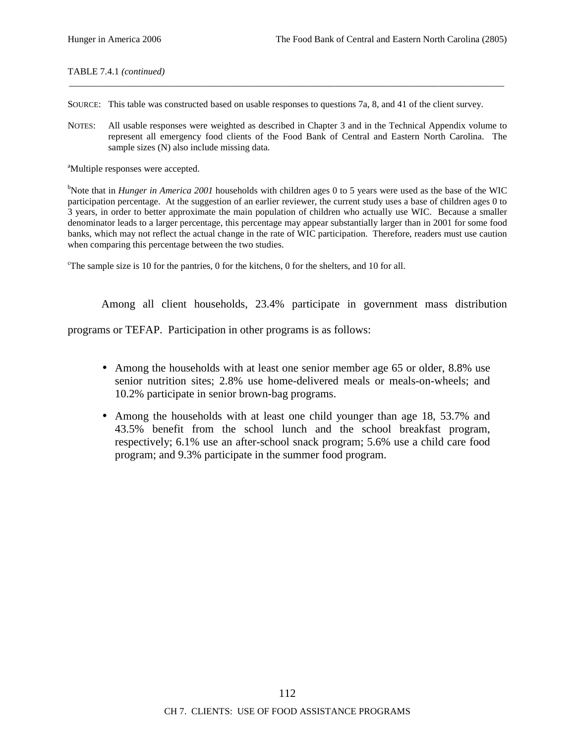TABLE 7.4.1 *(continued)*

SOURCE: This table was constructed based on usable responses to questions 7a, 8, and 41 of the client survey.

NOTES: All usable responses were weighted as described in Chapter 3 and in the Technical Appendix volume to represent all emergency food clients of the Food Bank of Central and Eastern North Carolina. The sample sizes (N) also include missing data.

\_\_\_\_\_\_\_\_\_\_\_\_\_\_\_\_\_\_\_\_\_\_\_\_\_\_\_\_\_\_\_\_\_\_\_\_\_\_\_\_\_\_\_\_\_\_\_\_\_\_\_\_\_\_\_\_\_\_\_\_\_\_\_\_\_\_\_\_\_\_\_\_\_\_\_\_\_\_\_\_\_\_\_\_\_\_\_\_\_\_\_\_

<sup>a</sup>Multiple responses were accepted.

<sup>b</sup>Note that in *Hunger in America 2001* households with children ages 0 to 5 years were used as the base of the WIC participation percentage. At the suggestion of an earlier reviewer, the current study uses a base of children ages 0 to 3 years, in order to better approximate the main population of children who actually use WIC. Because a smaller denominator leads to a larger percentage, this percentage may appear substantially larger than in 2001 for some food banks, which may not reflect the actual change in the rate of WIC participation. Therefore, readers must use caution when comparing this percentage between the two studies.

<sup>c</sup>The sample size is 10 for the pantries, 0 for the kitchens, 0 for the shelters, and 10 for all.

Among all client households, 23.4% participate in government mass distribution

programs or TEFAP. Participation in other programs is as follows:

- Among the households with at least one senior member age 65 or older, 8.8% use senior nutrition sites; 2.8% use home-delivered meals or meals-on-wheels; and 10.2% participate in senior brown-bag programs.
- Among the households with at least one child younger than age 18, 53.7% and 43.5% benefit from the school lunch and the school breakfast program, respectively; 6.1% use an after-school snack program; 5.6% use a child care food program; and 9.3% participate in the summer food program.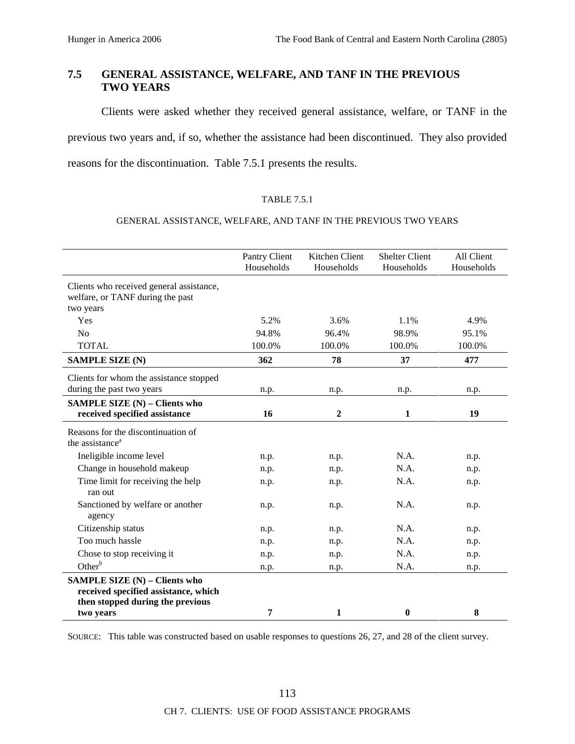# **7.5 GENERAL ASSISTANCE, WELFARE, AND TANF IN THE PREVIOUS TWO YEARS**

Clients were asked whether they received general assistance, welfare, or TANF in the

previous two years and, if so, whether the assistance had been discontinued. They also provided

reasons for the discontinuation. Table 7.5.1 presents the results.

## TABLE 7.5.1

## GENERAL ASSISTANCE, WELFARE, AND TANF IN THE PREVIOUS TWO YEARS

|                                                                                                                  | Pantry Client<br>Households | Kitchen Client<br>Households | <b>Shelter Client</b><br>Households | All Client<br>Households |
|------------------------------------------------------------------------------------------------------------------|-----------------------------|------------------------------|-------------------------------------|--------------------------|
| Clients who received general assistance,<br>welfare, or TANF during the past<br>two years                        |                             |                              |                                     |                          |
| Yes                                                                                                              | 5.2%                        | 3.6%                         | 1.1%                                | 4.9%                     |
| N <sub>o</sub>                                                                                                   | 94.8%                       | 96.4%                        | 98.9%                               | 95.1%                    |
| <b>TOTAL</b>                                                                                                     | 100.0%                      | 100.0%                       | 100.0%                              | 100.0%                   |
| <b>SAMPLE SIZE (N)</b>                                                                                           | 362                         | 78                           | 37                                  | 477                      |
| Clients for whom the assistance stopped                                                                          |                             |                              |                                     |                          |
| during the past two years                                                                                        | n.p.                        | n.p.                         | n.p.                                | n.p.                     |
| SAMPLE SIZE (N) - Clients who                                                                                    |                             |                              |                                     |                          |
| received specified assistance                                                                                    | 16                          | $\boldsymbol{2}$             | 1                                   | 19                       |
| Reasons for the discontinuation of<br>the assistance <sup>a</sup>                                                |                             |                              |                                     |                          |
| Ineligible income level                                                                                          | n.p.                        | n.p.                         | N.A.                                | n.p.                     |
| Change in household makeup                                                                                       | n.p.                        | n.p.                         | N.A.                                | n.p.                     |
| Time limit for receiving the help<br>ran out                                                                     | n.p.                        | n.p.                         | N.A.                                | n.p.                     |
| Sanctioned by welfare or another<br>agency                                                                       | n.p.                        | n.p.                         | N.A.                                | n.p.                     |
| Citizenship status                                                                                               | n.p.                        | n.p.                         | N.A.                                | n.p.                     |
| Too much hassle                                                                                                  | n.p.                        | n.p.                         | N.A.                                | n.p.                     |
| Chose to stop receiving it                                                                                       | n.p.                        | n.p.                         | N.A.                                | n.p.                     |
| Other $b$                                                                                                        | n.p.                        | n.p.                         | N.A.                                | n.p.                     |
| <b>SAMPLE SIZE (N) - Clients who</b><br>received specified assistance, which<br>then stopped during the previous |                             |                              |                                     |                          |
| two years                                                                                                        | 7                           | 1                            | $\bf{0}$                            | 8                        |

SOURCE: This table was constructed based on usable responses to questions 26, 27, and 28 of the client survey.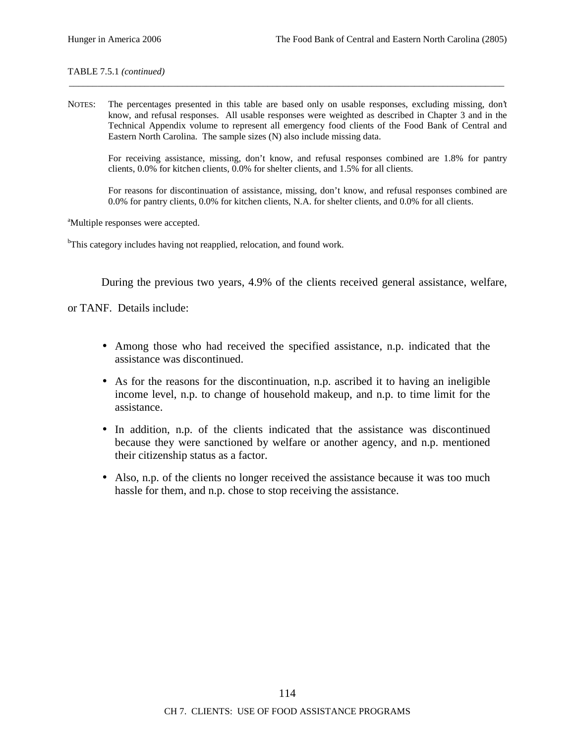TABLE 7.5.1 *(continued)*

NOTES: The percentages presented in this table are based only on usable responses, excluding missing, don't know, and refusal responses. All usable responses were weighted as described in Chapter 3 and in the Technical Appendix volume to represent all emergency food clients of the Food Bank of Central and Eastern North Carolina. The sample sizes (N) also include missing data.

\_\_\_\_\_\_\_\_\_\_\_\_\_\_\_\_\_\_\_\_\_\_\_\_\_\_\_\_\_\_\_\_\_\_\_\_\_\_\_\_\_\_\_\_\_\_\_\_\_\_\_\_\_\_\_\_\_\_\_\_\_\_\_\_\_\_\_\_\_\_\_\_\_\_\_\_\_\_\_\_\_\_\_\_\_\_\_\_\_\_\_\_

For receiving assistance, missing, don't know, and refusal responses combined are 1.8% for pantry clients, 0.0% for kitchen clients, 0.0% for shelter clients, and 1.5% for all clients.

For reasons for discontinuation of assistance, missing, don't know, and refusal responses combined are 0.0% for pantry clients, 0.0% for kitchen clients, N.A. for shelter clients, and 0.0% for all clients.

<sup>a</sup>Multiple responses were accepted.

<sup>b</sup>This category includes having not reapplied, relocation, and found work.

During the previous two years, 4.9% of the clients received general assistance, welfare,

or TANF. Details include:

- Among those who had received the specified assistance, n.p. indicated that the assistance was discontinued.
- As for the reasons for the discontinuation, n.p. ascribed it to having an ineligible income level, n.p. to change of household makeup, and n.p. to time limit for the assistance.
- In addition, n.p. of the clients indicated that the assistance was discontinued because they were sanctioned by welfare or another agency, and n.p. mentioned their citizenship status as a factor.
- Also, n.p. of the clients no longer received the assistance because it was too much hassle for them, and n.p. chose to stop receiving the assistance.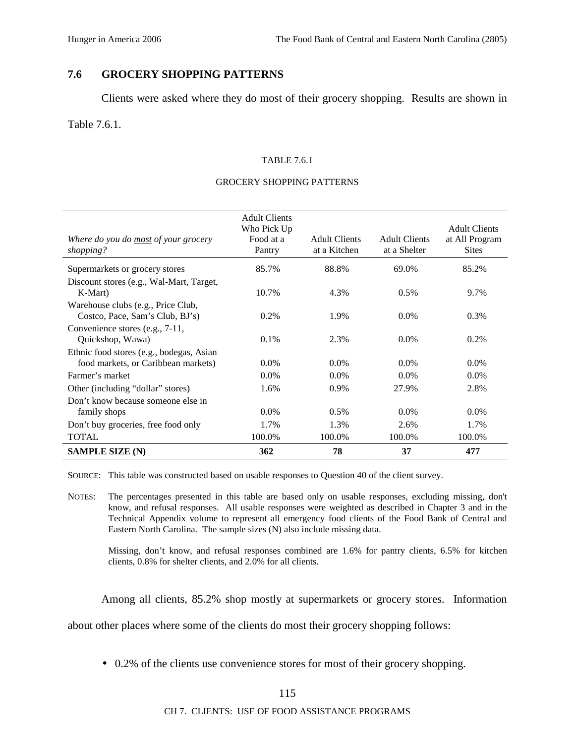# **7.6 GROCERY SHOPPING PATTERNS**

Clients were asked where they do most of their grocery shopping. Results are shown in

## Table 7.6.1.

## TABLE 7.6.1

## GROCERY SHOPPING PATTERNS

| Where do you do <u>most</u> of your grocery<br>shopping?                        | <b>Adult Clients</b><br>Who Pick Up<br>Food at a<br>Pantry | <b>Adult Clients</b><br>at a Kitchen | <b>Adult Clients</b><br>at a Shelter | <b>Adult Clients</b><br>at All Program<br><b>Sites</b> |
|---------------------------------------------------------------------------------|------------------------------------------------------------|--------------------------------------|--------------------------------------|--------------------------------------------------------|
| Supermarkets or grocery stores                                                  | 85.7%                                                      | 88.8%                                | 69.0%                                | 85.2%                                                  |
| Discount stores (e.g., Wal-Mart, Target,<br>K-Mart)                             | 10.7%                                                      | 4.3%                                 | 0.5%                                 | 9.7%                                                   |
| Warehouse clubs (e.g., Price Club,<br>Costco, Pace, Sam's Club, BJ's)           | 0.2%                                                       | 1.9%                                 | $0.0\%$                              | 0.3%                                                   |
| Convenience stores (e.g., 7-11,<br>Quickshop, Wawa)                             | $0.1\%$                                                    | 2.3%                                 | $0.0\%$                              | 0.2%                                                   |
| Ethnic food stores (e.g., bodegas, Asian<br>food markets, or Caribbean markets) | $0.0\%$                                                    | $0.0\%$                              | $0.0\%$                              | $0.0\%$                                                |
| Farmer's market                                                                 | $0.0\%$                                                    | $0.0\%$                              | $0.0\%$                              | $0.0\%$                                                |
| Other (including "dollar" stores)                                               | 1.6%                                                       | 0.9%                                 | 27.9%                                | 2.8%                                                   |
| Don't know because someone else in<br>family shops                              | $0.0\%$                                                    | 0.5%                                 | $0.0\%$                              | $0.0\%$                                                |
| Don't buy groceries, free food only                                             | 1.7%                                                       | 1.3%                                 | 2.6%                                 | 1.7%                                                   |
| <b>TOTAL</b>                                                                    | 100.0%                                                     | 100.0%                               | 100.0%                               | 100.0%                                                 |
| <b>SAMPLE SIZE (N)</b>                                                          | 362                                                        | 78                                   | 37                                   | 477                                                    |

SOURCE: This table was constructed based on usable responses to Question 40 of the client survey.

NOTES: The percentages presented in this table are based only on usable responses, excluding missing, don't know, and refusal responses. All usable responses were weighted as described in Chapter 3 and in the Technical Appendix volume to represent all emergency food clients of the Food Bank of Central and Eastern North Carolina. The sample sizes (N) also include missing data.

Missing, don't know, and refusal responses combined are 1.6% for pantry clients, 6.5% for kitchen clients, 0.8% for shelter clients, and 2.0% for all clients.

Among all clients, 85.2% shop mostly at supermarkets or grocery stores. Information

about other places where some of the clients do most their grocery shopping follows:

• 0.2% of the clients use convenience stores for most of their grocery shopping.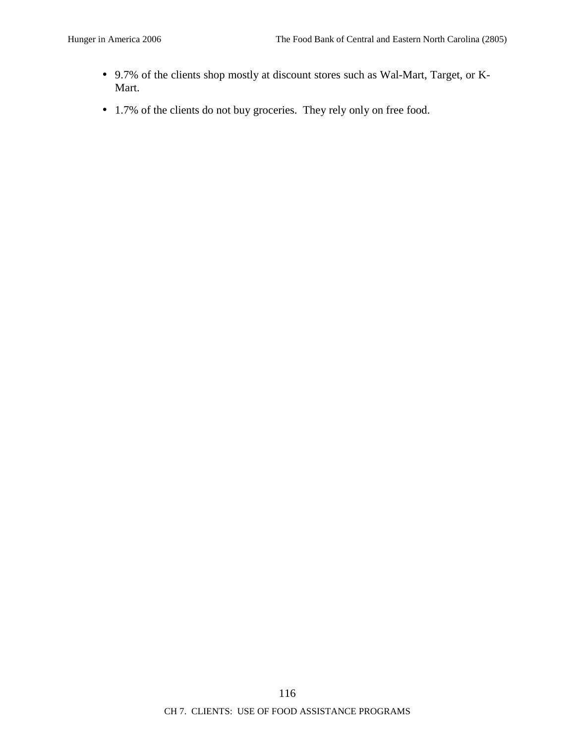- 9.7% of the clients shop mostly at discount stores such as Wal-Mart, Target, or K-Mart.
- 1.7% of the clients do not buy groceries. They rely only on free food.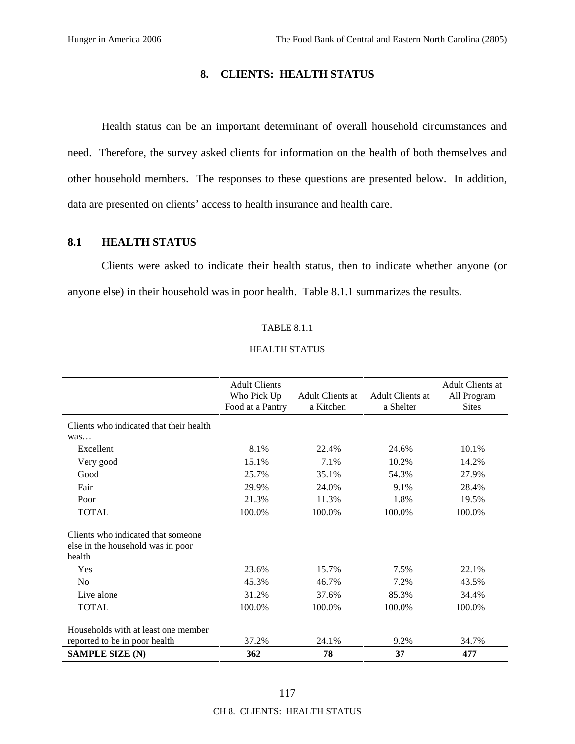# **8. CLIENTS: HEALTH STATUS**

Health status can be an important determinant of overall household circumstances and need. Therefore, the survey asked clients for information on the health of both themselves and other household members. The responses to these questions are presented below. In addition, data are presented on clients' access to health insurance and health care.

## **8.1 HEALTH STATUS**

Clients were asked to indicate their health status, then to indicate whether anyone (or anyone else) in their household was in poor health. Table 8.1.1 summarizes the results.

#### TABLE 8.1.1

#### HEALTH STATUS

|                                                                                   | <b>Adult Clients</b><br>Who Pick Up<br>Food at a Pantry | <b>Adult Clients at</b><br>a Kitchen | <b>Adult Clients at</b><br>a Shelter | <b>Adult Clients at</b><br>All Program<br><b>Sites</b> |
|-----------------------------------------------------------------------------------|---------------------------------------------------------|--------------------------------------|--------------------------------------|--------------------------------------------------------|
| Clients who indicated that their health                                           |                                                         |                                      |                                      |                                                        |
| was                                                                               |                                                         |                                      |                                      |                                                        |
| Excellent                                                                         | 8.1%                                                    | 22.4%                                | 24.6%                                | 10.1%                                                  |
| Very good                                                                         | 15.1%                                                   | 7.1%                                 | 10.2%                                | 14.2%                                                  |
| Good                                                                              | 25.7%                                                   | 35.1%                                | 54.3%                                | 27.9%                                                  |
| Fair                                                                              | 29.9%                                                   | 24.0%                                | 9.1%                                 | 28.4%                                                  |
| Poor                                                                              | 21.3%                                                   | 11.3%                                | 1.8%                                 | 19.5%                                                  |
| <b>TOTAL</b>                                                                      | 100.0%                                                  | 100.0%                               | 100.0%                               | 100.0%                                                 |
| Clients who indicated that someone<br>else in the household was in poor<br>health |                                                         |                                      |                                      |                                                        |
| Yes                                                                               | 23.6%                                                   | 15.7%                                | 7.5%                                 | 22.1%                                                  |
| No                                                                                | 45.3%                                                   | 46.7%                                | 7.2%                                 | 43.5%                                                  |
| Live alone                                                                        | 31.2%                                                   | 37.6%                                | 85.3%                                | 34.4%                                                  |
| <b>TOTAL</b>                                                                      | 100.0%                                                  | 100.0%                               | 100.0%                               | 100.0%                                                 |
| Households with at least one member                                               |                                                         |                                      |                                      |                                                        |
| reported to be in poor health                                                     | 37.2%                                                   | 24.1%                                | 9.2%                                 | 34.7%                                                  |
| <b>SAMPLE SIZE (N)</b>                                                            | 362                                                     | 78                                   | 37                                   | 477                                                    |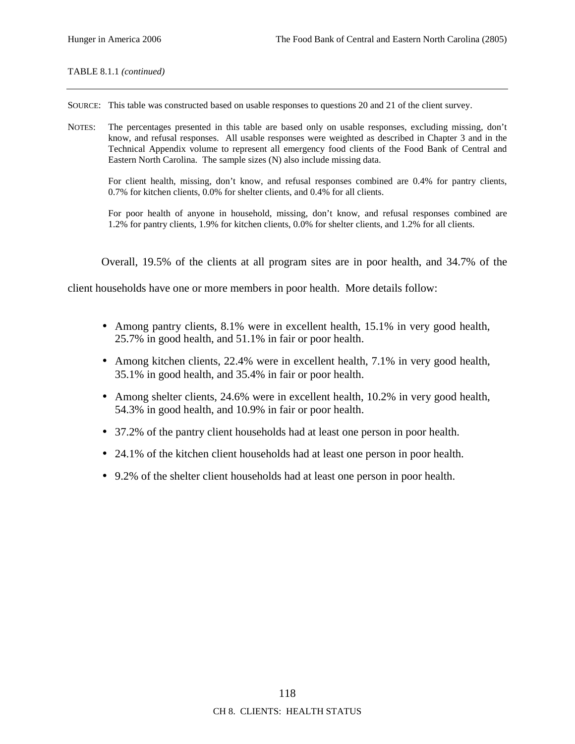#### TABLE 8.1.1 *(continued)*

SOURCE: This table was constructed based on usable responses to questions 20 and 21 of the client survey.

NOTES: The percentages presented in this table are based only on usable responses, excluding missing, don't know, and refusal responses. All usable responses were weighted as described in Chapter 3 and in the Technical Appendix volume to represent all emergency food clients of the Food Bank of Central and Eastern North Carolina. The sample sizes (N) also include missing data.

For client health, missing, don't know, and refusal responses combined are 0.4% for pantry clients, 0.7% for kitchen clients, 0.0% for shelter clients, and 0.4% for all clients.

For poor health of anyone in household, missing, don't know, and refusal responses combined are 1.2% for pantry clients, 1.9% for kitchen clients, 0.0% for shelter clients, and 1.2% for all clients.

Overall, 19.5% of the clients at all program sites are in poor health, and 34.7% of the

client households have one or more members in poor health. More details follow:

- Among pantry clients, 8.1% were in excellent health, 15.1% in very good health, 25.7% in good health, and 51.1% in fair or poor health.
- Among kitchen clients, 22.4% were in excellent health, 7.1% in very good health, 35.1% in good health, and 35.4% in fair or poor health.
- Among shelter clients, 24.6% were in excellent health, 10.2% in very good health, 54.3% in good health, and 10.9% in fair or poor health.
- 37.2% of the pantry client households had at least one person in poor health.
- 24.1% of the kitchen client households had at least one person in poor health.
- 9.2% of the shelter client households had at least one person in poor health.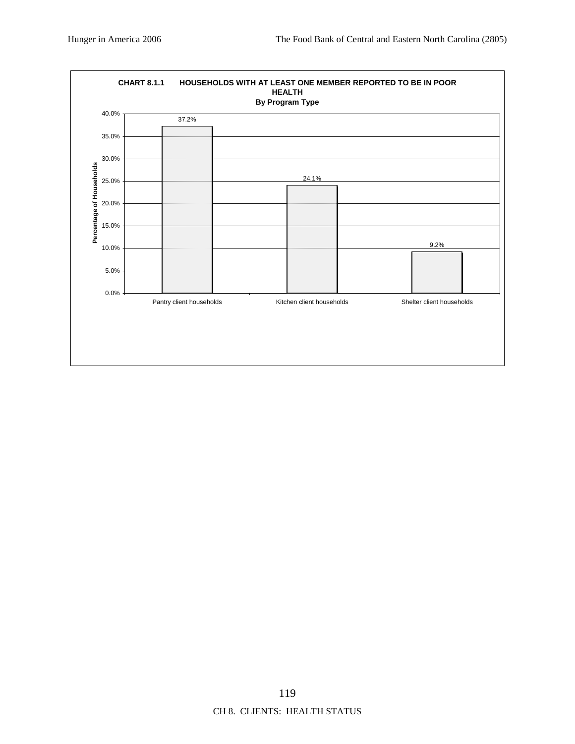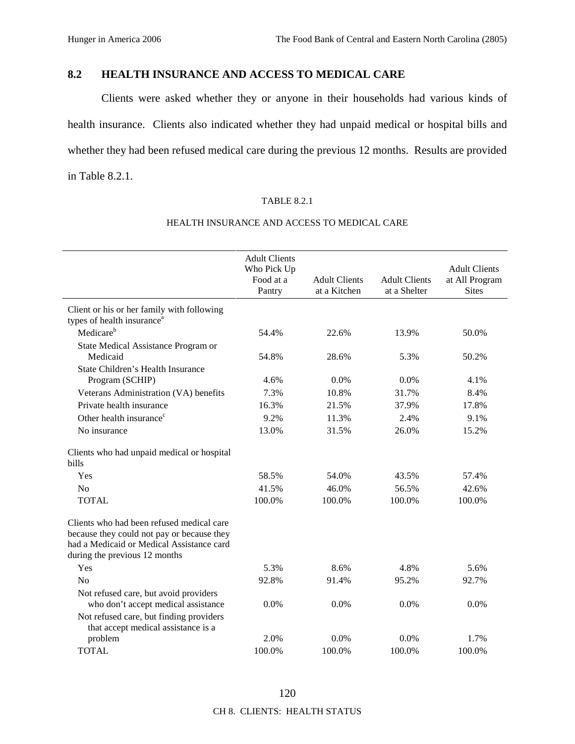# **8.2 HEALTH INSURANCE AND ACCESS TO MEDICAL CARE**

Clients were asked whether they or anyone in their households had various kinds of health insurance. Clients also indicated whether they had unpaid medical or hospital bills and whether they had been refused medical care during the previous 12 months. Results are provided in Table 8.2.1.

## TABLE 8.2.1

|                                                                                                                                                                       | <b>Adult Clients</b><br>Who Pick Up<br>Food at a<br>Pantry | <b>Adult Clients</b><br>at a Kitchen | <b>Adult Clients</b><br>at a Shelter | <b>Adult Clients</b><br>at All Program<br><b>Sites</b> |
|-----------------------------------------------------------------------------------------------------------------------------------------------------------------------|------------------------------------------------------------|--------------------------------------|--------------------------------------|--------------------------------------------------------|
| Client or his or her family with following<br>types of health insurance <sup>a</sup>                                                                                  |                                                            |                                      |                                      |                                                        |
| Medicare <sup>b</sup>                                                                                                                                                 | 54.4%                                                      | 22.6%                                | 13.9%                                | 50.0%                                                  |
| State Medical Assistance Program or<br>Medicaid                                                                                                                       | 54.8%                                                      | 28.6%                                | 5.3%                                 | 50.2%                                                  |
| State Children's Health Insurance<br>Program (SCHIP)                                                                                                                  | 4.6%                                                       | 0.0%                                 | 0.0%                                 | 4.1%                                                   |
| Veterans Administration (VA) benefits                                                                                                                                 | 7.3%                                                       | 10.8%                                | 31.7%                                | 8.4%                                                   |
| Private health insurance                                                                                                                                              | 16.3%                                                      | 21.5%                                | 37.9%                                | 17.8%                                                  |
| Other health insurance <sup>c</sup>                                                                                                                                   | 9.2%                                                       | 11.3%                                | 2.4%                                 | 9.1%                                                   |
| No insurance                                                                                                                                                          | 13.0%                                                      | 31.5%                                | 26.0%                                | 15.2%                                                  |
| Clients who had unpaid medical or hospital<br>bills                                                                                                                   |                                                            |                                      |                                      |                                                        |
| Yes                                                                                                                                                                   | 58.5%                                                      | 54.0%                                | 43.5%                                | 57.4%                                                  |
| N <sub>o</sub>                                                                                                                                                        | 41.5%                                                      | 46.0%                                | 56.5%                                | 42.6%                                                  |
| <b>TOTAL</b>                                                                                                                                                          | 100.0%                                                     | 100.0%                               | 100.0%                               | 100.0%                                                 |
| Clients who had been refused medical care<br>because they could not pay or because they<br>had a Medicaid or Medical Assistance card<br>during the previous 12 months |                                                            |                                      |                                      |                                                        |
| Yes                                                                                                                                                                   | 5.3%                                                       | 8.6%                                 | 4.8%                                 | 5.6%                                                   |
| No                                                                                                                                                                    | 92.8%                                                      | 91.4%                                | 95.2%                                | 92.7%                                                  |
| Not refused care, but avoid providers<br>who don't accept medical assistance                                                                                          | 0.0%                                                       | 0.0%                                 | 0.0%                                 | 0.0%                                                   |
| Not refused care, but finding providers<br>that accept medical assistance is a                                                                                        |                                                            |                                      |                                      |                                                        |
| problem                                                                                                                                                               | 2.0%                                                       | 0.0%                                 | 0.0%                                 | 1.7%                                                   |
| <b>TOTAL</b>                                                                                                                                                          | 100.0%                                                     | 100.0%                               | 100.0%                               | 100.0%                                                 |

## HEALTH INSURANCE AND ACCESS TO MEDICAL CARE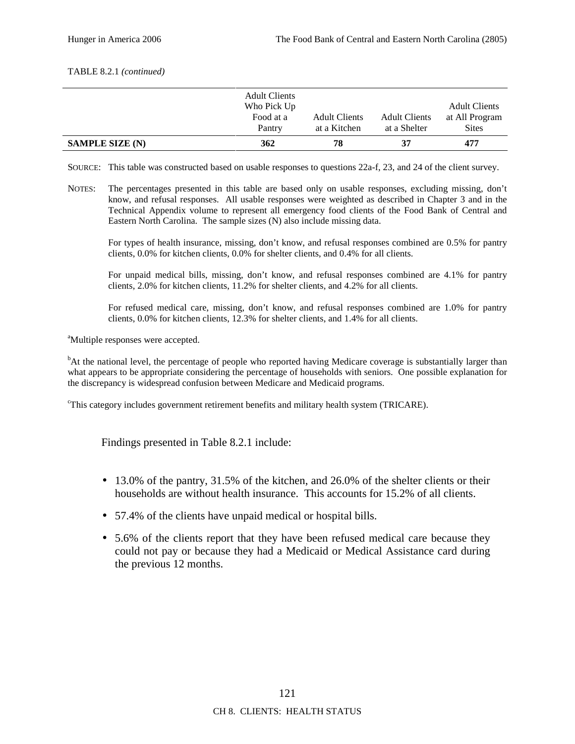#### TABLE 8.2.1 *(continued)*

| <b>SAMPLE SIZE (N)</b> | Pantry<br>362            | at a Kitchen<br>78   | at a Shelter<br>37   | <b>Sites</b><br>477                    |
|------------------------|--------------------------|----------------------|----------------------|----------------------------------------|
|                        | Who Pick Up<br>Food at a | <b>Adult Clients</b> | <b>Adult Clients</b> | <b>Adult Clients</b><br>at All Program |
|                        | <b>Adult Clients</b>     |                      |                      |                                        |

SOURCE: This table was constructed based on usable responses to questions 22a-f, 23, and 24 of the client survey.

NOTES: The percentages presented in this table are based only on usable responses, excluding missing, don't know, and refusal responses. All usable responses were weighted as described in Chapter 3 and in the Technical Appendix volume to represent all emergency food clients of the Food Bank of Central and Eastern North Carolina. The sample sizes (N) also include missing data.

For types of health insurance, missing, don't know, and refusal responses combined are 0.5% for pantry clients, 0.0% for kitchen clients, 0.0% for shelter clients, and 0.4% for all clients.

For unpaid medical bills, missing, don't know, and refusal responses combined are 4.1% for pantry clients, 2.0% for kitchen clients, 11.2% for shelter clients, and 4.2% for all clients.

For refused medical care, missing, don't know, and refusal responses combined are 1.0% for pantry clients, 0.0% for kitchen clients, 12.3% for shelter clients, and 1.4% for all clients.

<sup>a</sup>Multiple responses were accepted.

<sup>b</sup>At the national level, the percentage of people who reported having Medicare coverage is substantially larger than what appears to be appropriate considering the percentage of households with seniors. One possible explanation for the discrepancy is widespread confusion between Medicare and Medicaid programs.

<sup>c</sup>This category includes government retirement benefits and military health system (TRICARE).

Findings presented in Table 8.2.1 include:

- 13.0% of the pantry, 31.5% of the kitchen, and 26.0% of the shelter clients or their households are without health insurance. This accounts for 15.2% of all clients.
- 57.4% of the clients have unpaid medical or hospital bills.
- 5.6% of the clients report that they have been refused medical care because they could not pay or because they had a Medicaid or Medical Assistance card during the previous 12 months.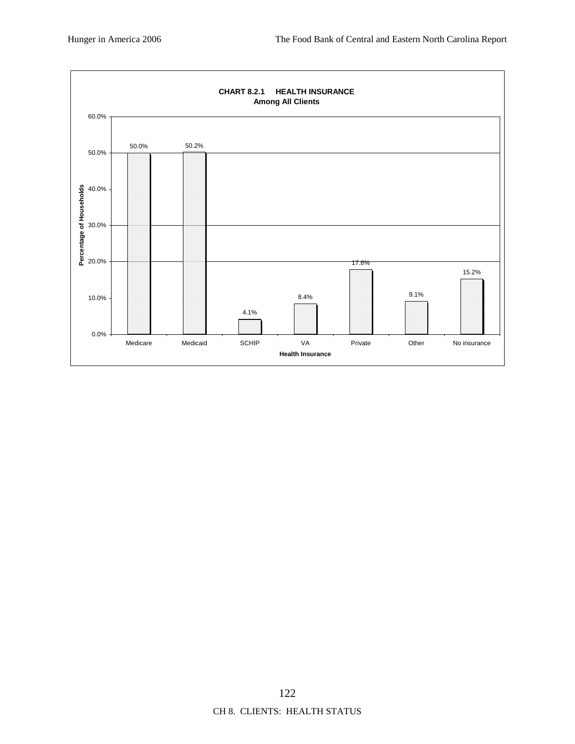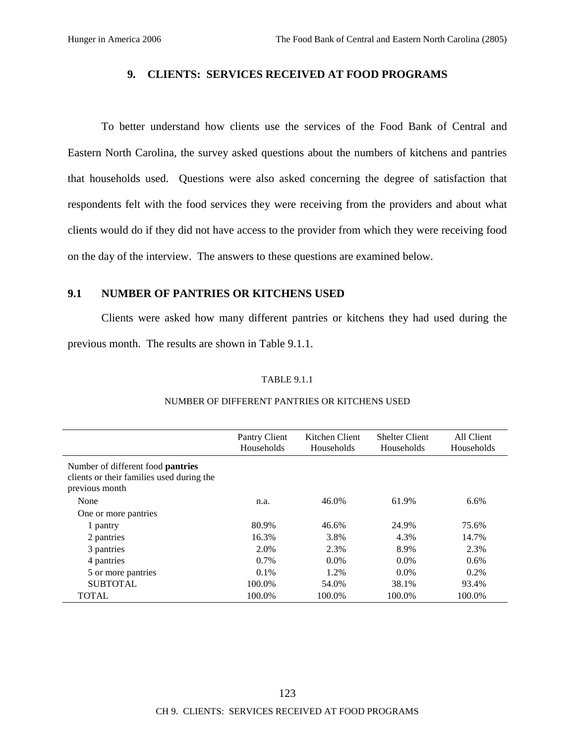# **9. CLIENTS: SERVICES RECEIVED AT FOOD PROGRAMS**

To better understand how clients use the services of the Food Bank of Central and Eastern North Carolina, the survey asked questions about the numbers of kitchens and pantries that households used. Questions were also asked concerning the degree of satisfaction that respondents felt with the food services they were receiving from the providers and about what clients would do if they did not have access to the provider from which they were receiving food on the day of the interview. The answers to these questions are examined below.

## **9.1 NUMBER OF PANTRIES OR KITCHENS USED**

Clients were asked how many different pantries or kitchens they had used during the previous month. The results are shown in Table 9.1.1.

#### TABLE 9.1.1

|                                                                                                         | Pantry Client<br>Households | Kitchen Client<br>Households | <b>Shelter Client</b><br>Households | All Client<br>Households |
|---------------------------------------------------------------------------------------------------------|-----------------------------|------------------------------|-------------------------------------|--------------------------|
| Number of different food <b>pantries</b><br>clients or their families used during the<br>previous month |                             |                              |                                     |                          |
| None                                                                                                    | n.a.                        | 46.0%                        | 61.9%                               | 6.6%                     |
| One or more pantries                                                                                    |                             |                              |                                     |                          |
| 1 pantry                                                                                                | 80.9%                       | 46.6%                        | 24.9%                               | 75.6%                    |
| 2 pantries                                                                                              | 16.3%                       | 3.8%                         | 4.3%                                | 14.7%                    |
| 3 pantries                                                                                              | 2.0%                        | 2.3%                         | 8.9%                                | 2.3%                     |
| 4 pantries                                                                                              | $0.7\%$                     | $0.0\%$                      | $0.0\%$                             | 0.6%                     |
| 5 or more pantries                                                                                      | $0.1\%$                     | 1.2%                         | $0.0\%$                             | 0.2%                     |
| <b>SUBTOTAL</b>                                                                                         | 100.0%                      | 54.0%                        | 38.1%                               | 93.4%                    |
| <b>TOTAL</b>                                                                                            | 100.0%                      | 100.0%                       | 100.0%                              | 100.0%                   |

## NUMBER OF DIFFERENT PANTRIES OR KITCHENS USED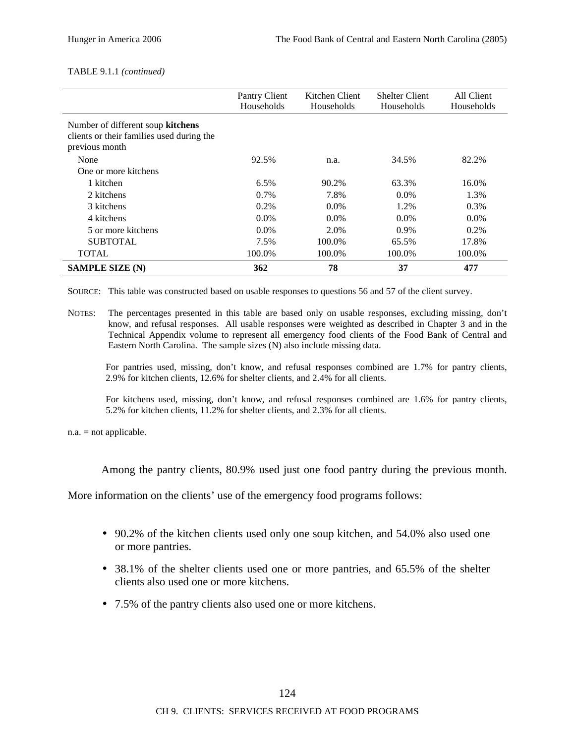#### TABLE 9.1.1 *(continued)*

|                                                                                                  | Pantry Client<br>Households | Kitchen Client<br>Households | <b>Shelter Client</b><br>Households | All Client<br>Households |
|--------------------------------------------------------------------------------------------------|-----------------------------|------------------------------|-------------------------------------|--------------------------|
| Number of different soup kitchens<br>clients or their families used during the<br>previous month |                             |                              |                                     |                          |
| None                                                                                             | 92.5%                       | n.a.                         | 34.5%                               | 82.2%                    |
| One or more kitchens                                                                             |                             |                              |                                     |                          |
| 1 kitchen                                                                                        | 6.5%                        | 90.2%                        | 63.3%                               | 16.0%                    |
| 2 kitchens                                                                                       | $0.7\%$                     | 7.8%                         | $0.0\%$                             | 1.3%                     |
| 3 kitchens                                                                                       | 0.2%                        | $0.0\%$                      | 1.2%                                | 0.3%                     |
| 4 kitchens                                                                                       | $0.0\%$                     | $0.0\%$                      | $0.0\%$                             | $0.0\%$                  |
| 5 or more kitchens                                                                               | $0.0\%$                     | 2.0%                         | $0.9\%$                             | $0.2\%$                  |
| <b>SUBTOTAL</b>                                                                                  | 7.5%                        | 100.0%                       | 65.5%                               | 17.8%                    |
| <b>TOTAL</b>                                                                                     | 100.0%                      | 100.0%                       | 100.0%                              | 100.0%                   |
| <b>SAMPLE SIZE (N)</b>                                                                           | 362                         | 78                           | 37                                  | 477                      |

SOURCE: This table was constructed based on usable responses to questions 56 and 57 of the client survey.

NOTES: The percentages presented in this table are based only on usable responses, excluding missing, don't know, and refusal responses. All usable responses were weighted as described in Chapter 3 and in the Technical Appendix volume to represent all emergency food clients of the Food Bank of Central and Eastern North Carolina. The sample sizes (N) also include missing data.

For pantries used, missing, don't know, and refusal responses combined are 1.7% for pantry clients, 2.9% for kitchen clients, 12.6% for shelter clients, and 2.4% for all clients.

For kitchens used, missing, don't know, and refusal responses combined are 1.6% for pantry clients, 5.2% for kitchen clients, 11.2% for shelter clients, and 2.3% for all clients.

n.a. = not applicable.

Among the pantry clients, 80.9% used just one food pantry during the previous month.

More information on the clients' use of the emergency food programs follows:

- 90.2% of the kitchen clients used only one soup kitchen, and 54.0% also used one or more pantries.
- 38.1% of the shelter clients used one or more pantries, and 65.5% of the shelter clients also used one or more kitchens.
- 7.5% of the pantry clients also used one or more kitchens.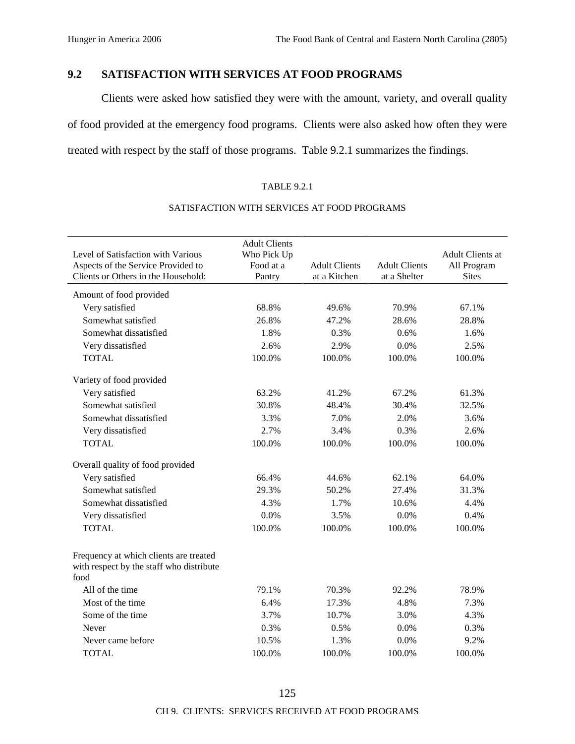# **9.2 SATISFACTION WITH SERVICES AT FOOD PROGRAMS**

Clients were asked how satisfied they were with the amount, variety, and overall quality of food provided at the emergency food programs. Clients were also asked how often they were treated with respect by the staff of those programs. Table 9.2.1 summarizes the findings.

### TABLE 9.2.1

| Level of Satisfaction with Various<br>Aspects of the Service Provided to<br>Clients or Others in the Household: | <b>Adult Clients</b><br>Who Pick Up<br>Food at a<br>Pantry | <b>Adult Clients</b><br>at a Kitchen | <b>Adult Clients</b><br>at a Shelter | Adult Clients at<br>All Program<br><b>Sites</b> |
|-----------------------------------------------------------------------------------------------------------------|------------------------------------------------------------|--------------------------------------|--------------------------------------|-------------------------------------------------|
| Amount of food provided                                                                                         |                                                            |                                      |                                      |                                                 |
| Very satisfied                                                                                                  | 68.8%                                                      | 49.6%                                | 70.9%                                | 67.1%                                           |
| Somewhat satisfied                                                                                              | 26.8%                                                      | 47.2%                                | 28.6%                                | 28.8%                                           |
| Somewhat dissatisfied                                                                                           | 1.8%                                                       | 0.3%                                 | 0.6%                                 | 1.6%                                            |
| Very dissatisfied                                                                                               | 2.6%                                                       | 2.9%                                 | 0.0%                                 | 2.5%                                            |
| <b>TOTAL</b>                                                                                                    | 100.0%                                                     | 100.0%                               | 100.0%                               | 100.0%                                          |
| Variety of food provided                                                                                        |                                                            |                                      |                                      |                                                 |
| Very satisfied                                                                                                  | 63.2%                                                      | 41.2%                                | 67.2%                                | 61.3%                                           |
| Somewhat satisfied                                                                                              | 30.8%                                                      | 48.4%                                | 30.4%                                | 32.5%                                           |
| Somewhat dissatisfied                                                                                           | 3.3%                                                       | 7.0%                                 | 2.0%                                 | 3.6%                                            |
| Very dissatisfied                                                                                               | 2.7%                                                       | 3.4%                                 | 0.3%                                 | 2.6%                                            |
| <b>TOTAL</b>                                                                                                    | 100.0%                                                     | 100.0%                               | 100.0%                               | 100.0%                                          |
| Overall quality of food provided                                                                                |                                                            |                                      |                                      |                                                 |
| Very satisfied                                                                                                  | 66.4%                                                      | 44.6%                                | 62.1%                                | 64.0%                                           |
| Somewhat satisfied                                                                                              | 29.3%                                                      | 50.2%                                | 27.4%                                | 31.3%                                           |
| Somewhat dissatisfied                                                                                           | 4.3%                                                       | 1.7%                                 | 10.6%                                | 4.4%                                            |
| Very dissatisfied                                                                                               | 0.0%                                                       | 3.5%                                 | 0.0%                                 | 0.4%                                            |
| <b>TOTAL</b>                                                                                                    | 100.0%                                                     | 100.0%                               | 100.0%                               | 100.0%                                          |
| Frequency at which clients are treated<br>with respect by the staff who distribute<br>food                      |                                                            |                                      |                                      |                                                 |
| All of the time                                                                                                 | 79.1%                                                      | 70.3%                                | 92.2%                                | 78.9%                                           |
| Most of the time                                                                                                | 6.4%                                                       | 17.3%                                | 4.8%                                 | 7.3%                                            |
| Some of the time                                                                                                | 3.7%                                                       | 10.7%                                | 3.0%                                 | 4.3%                                            |
| Never                                                                                                           | 0.3%                                                       | 0.5%                                 | 0.0%                                 | 0.3%                                            |
| Never came before                                                                                               | 10.5%                                                      | 1.3%                                 | 0.0%                                 | 9.2%                                            |
| <b>TOTAL</b>                                                                                                    | 100.0%                                                     | 100.0%                               | 100.0%                               | 100.0%                                          |

### SATISFACTION WITH SERVICES AT FOOD PROGRAMS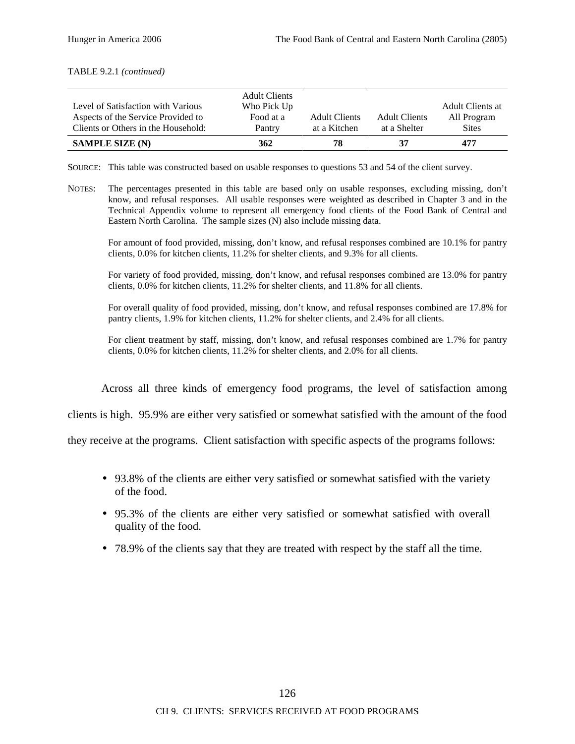#### TABLE 9.2.1 *(continued)*

|                                     | <b>Adult Clients</b> |                      |                      |                  |
|-------------------------------------|----------------------|----------------------|----------------------|------------------|
| Level of Satisfaction with Various  | Who Pick Up          |                      |                      | Adult Clients at |
| Aspects of the Service Provided to  | Food at a            | <b>Adult Clients</b> | <b>Adult Clients</b> | All Program      |
| Clients or Others in the Household: | Pantry               | at a Kitchen         | at a Shelter         | <b>Sites</b>     |
| <b>SAMPLE SIZE (N)</b>              | 362                  | 78                   | 37                   | 477              |

SOURCE: This table was constructed based on usable responses to questions 53 and 54 of the client survey.

NOTES: The percentages presented in this table are based only on usable responses, excluding missing, don't know, and refusal responses. All usable responses were weighted as described in Chapter 3 and in the Technical Appendix volume to represent all emergency food clients of the Food Bank of Central and Eastern North Carolina. The sample sizes (N) also include missing data.

For amount of food provided, missing, don't know, and refusal responses combined are 10.1% for pantry clients, 0.0% for kitchen clients, 11.2% for shelter clients, and 9.3% for all clients.

For variety of food provided, missing, don't know, and refusal responses combined are 13.0% for pantry clients, 0.0% for kitchen clients, 11.2% for shelter clients, and 11.8% for all clients.

For overall quality of food provided, missing, don't know, and refusal responses combined are 17.8% for pantry clients, 1.9% for kitchen clients, 11.2% for shelter clients, and 2.4% for all clients.

For client treatment by staff, missing, don't know, and refusal responses combined are 1.7% for pantry clients, 0.0% for kitchen clients, 11.2% for shelter clients, and 2.0% for all clients.

Across all three kinds of emergency food programs, the level of satisfaction among

clients is high. 95.9% are either very satisfied or somewhat satisfied with the amount of the food

they receive at the programs. Client satisfaction with specific aspects of the programs follows:

- 93.8% of the clients are either very satisfied or somewhat satisfied with the variety of the food.
- 95.3% of the clients are either very satisfied or somewhat satisfied with overall quality of the food.
- 78.9% of the clients say that they are treated with respect by the staff all the time.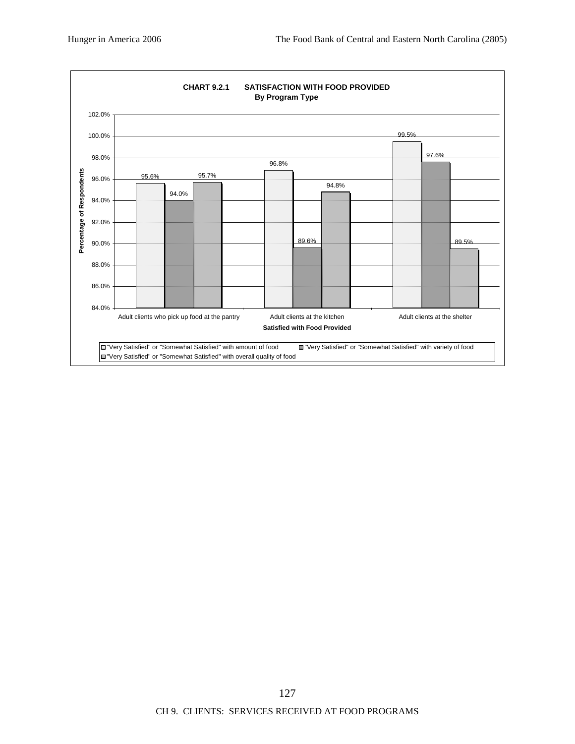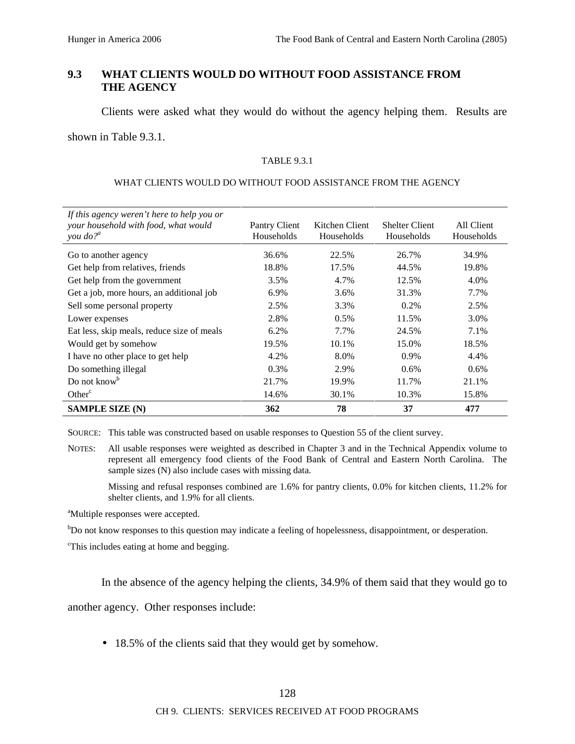# **9.3 WHAT CLIENTS WOULD DO WITHOUT FOOD ASSISTANCE FROM THE AGENCY**

Clients were asked what they would do without the agency helping them. Results are

shown in Table 9.3.1.

#### TABLE 9.3.1

#### WHAT CLIENTS WOULD DO WITHOUT FOOD ASSISTANCE FROM THE AGENCY

| If this agency weren't here to help you or<br>your household with food, what would<br>you $do?$ <sup><i>a</i></sup> | Pantry Client<br>Households | Kitchen Client<br>Households | <b>Shelter Client</b><br>Households | All Client<br>Households |
|---------------------------------------------------------------------------------------------------------------------|-----------------------------|------------------------------|-------------------------------------|--------------------------|
| Go to another agency                                                                                                | 36.6%                       | 22.5%                        | 26.7%                               | 34.9%                    |
| Get help from relatives, friends                                                                                    | 18.8%                       | 17.5%                        | 44.5%                               | 19.8%                    |
| Get help from the government                                                                                        | 3.5%                        | 4.7%                         | 12.5%                               | 4.0%                     |
| Get a job, more hours, an additional job                                                                            | 6.9%                        | 3.6%                         | 31.3%                               | 7.7%                     |
| Sell some personal property                                                                                         | 2.5%                        | 3.3%                         | $0.2\%$                             | 2.5%                     |
| Lower expenses                                                                                                      | 2.8%                        | $0.5\%$                      | 11.5%                               | 3.0%                     |
| Eat less, skip meals, reduce size of meals                                                                          | 6.2%                        | 7.7%                         | 24.5%                               | 7.1%                     |
| Would get by somehow                                                                                                | 19.5%                       | 10.1%                        | 15.0%                               | 18.5%                    |
| I have no other place to get help                                                                                   | 4.2%                        | 8.0%                         | 0.9%                                | 4.4%                     |
| Do something illegal                                                                                                | 0.3%                        | 2.9%                         | 0.6%                                | 0.6%                     |
| Do not know <sup>b</sup>                                                                                            | 21.7%                       | 19.9%                        | 11.7%                               | 21.1%                    |
| Other <sup>c</sup>                                                                                                  | 14.6%                       | 30.1%                        | 10.3%                               | 15.8%                    |
| <b>SAMPLE SIZE (N)</b>                                                                                              | 362                         | 78                           | 37                                  | 477                      |

SOURCE: This table was constructed based on usable responses to Question 55 of the client survey.

Missing and refusal responses combined are 1.6% for pantry clients, 0.0% for kitchen clients, 11.2% for shelter clients, and 1.9% for all clients.

<sup>a</sup>Multiple responses were accepted.

<sup>b</sup>Do not know responses to this question may indicate a feeling of hopelessness, disappointment, or desperation.

<sup>c</sup>This includes eating at home and begging.

In the absence of the agency helping the clients, 34.9% of them said that they would go to

another agency. Other responses include:

• 18.5% of the clients said that they would get by somehow.

NOTES: All usable responses were weighted as described in Chapter 3 and in the Technical Appendix volume to represent all emergency food clients of the Food Bank of Central and Eastern North Carolina. The sample sizes (N) also include cases with missing data.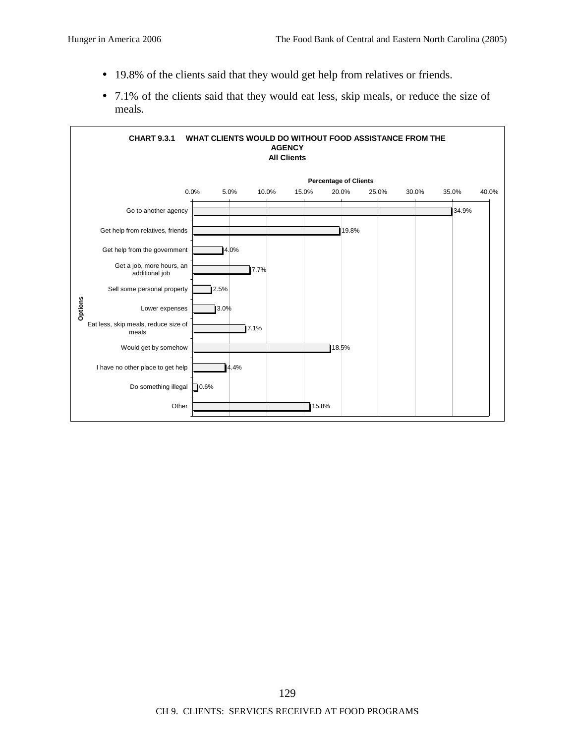- 19.8% of the clients said that they would get help from relatives or friends.
- 7.1% of the clients said that they would eat less, skip meals, or reduce the size of meals.

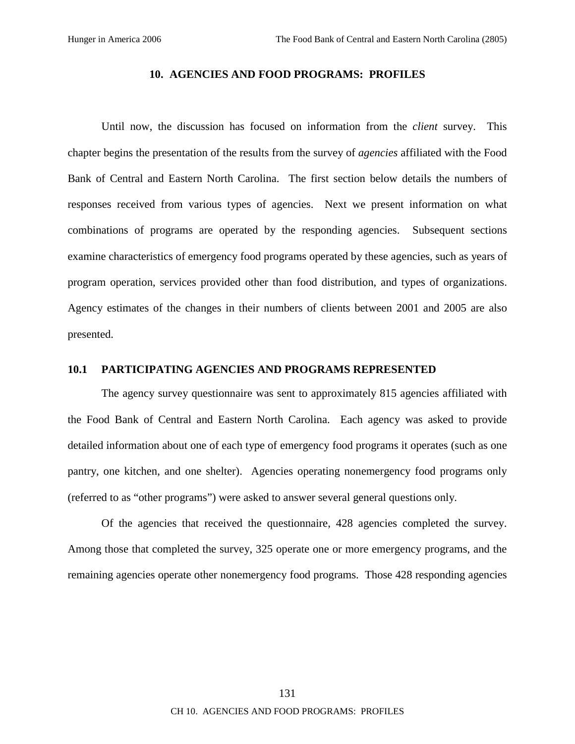### **10. AGENCIES AND FOOD PROGRAMS: PROFILES**

Until now, the discussion has focused on information from the *client* survey. This chapter begins the presentation of the results from the survey of *agencies* affiliated with the Food Bank of Central and Eastern North Carolina. The first section below details the numbers of responses received from various types of agencies. Next we present information on what combinations of programs are operated by the responding agencies. Subsequent sections examine characteristics of emergency food programs operated by these agencies, such as years of program operation, services provided other than food distribution, and types of organizations. Agency estimates of the changes in their numbers of clients between 2001 and 2005 are also presented.

### **10.1 PARTICIPATING AGENCIES AND PROGRAMS REPRESENTED**

The agency survey questionnaire was sent to approximately 815 agencies affiliated with the Food Bank of Central and Eastern North Carolina. Each agency was asked to provide detailed information about one of each type of emergency food programs it operates (such as one pantry, one kitchen, and one shelter). Agencies operating nonemergency food programs only (referred to as "other programs") were asked to answer several general questions only.

Of the agencies that received the questionnaire, 428 agencies completed the survey. Among those that completed the survey, 325 operate one or more emergency programs, and the remaining agencies operate other nonemergency food programs. Those 428 responding agencies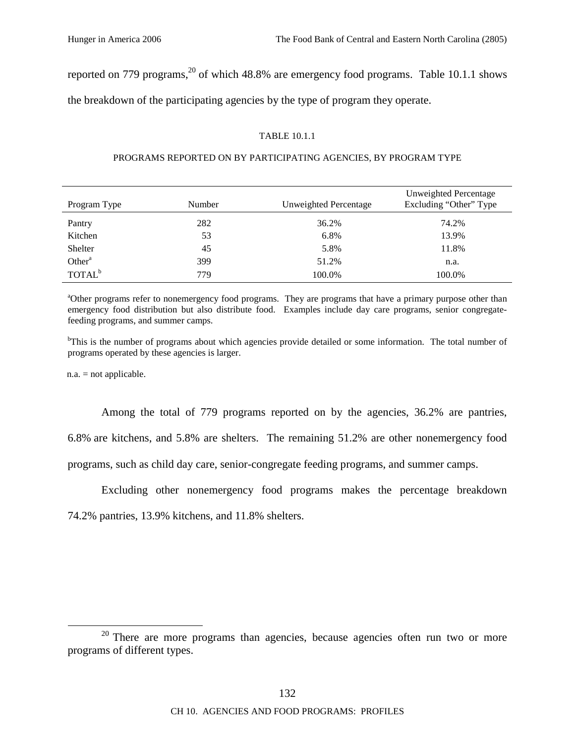reported on 779 programs,<sup>20</sup> of which 48.8% are emergency food programs. Table 10.1.1 shows the breakdown of the participating agencies by the type of program they operate.

### TABLE 10.1.1

### PROGRAMS REPORTED ON BY PARTICIPATING AGENCIES, BY PROGRAM TYPE

| Program Type       | Number | Unweighted Percentage | Unweighted Percentage<br>Excluding "Other" Type |
|--------------------|--------|-----------------------|-------------------------------------------------|
| Pantry             | 282    | 36.2%                 | 74.2%                                           |
| Kitchen            | 53     | 6.8%                  | 13.9%                                           |
| Shelter            | 45     | 5.8%                  | 11.8%                                           |
| Other <sup>a</sup> | 399    | 51.2%                 | n.a.                                            |
| TOTAL <sup>b</sup> | 779    | 100.0%                | 100.0%                                          |

<sup>a</sup>Other programs refer to nonemergency food programs. They are programs that have a primary purpose other than emergency food distribution but also distribute food. Examples include day care programs, senior congregatefeeding programs, and summer camps.

<sup>b</sup>This is the number of programs about which agencies provide detailed or some information. The total number of programs operated by these agencies is larger.

n.a. = not applicable.

Among the total of 779 programs reported on by the agencies, 36.2% are pantries,

6.8% are kitchens, and 5.8% are shelters. The remaining 51.2% are other nonemergency food

programs, such as child day care, senior-congregate feeding programs, and summer camps.

Excluding other nonemergency food programs makes the percentage breakdown

74.2% pantries, 13.9% kitchens, and 11.8% shelters.

 $20$  There are more programs than agencies, because agencies often run two or more programs of different types.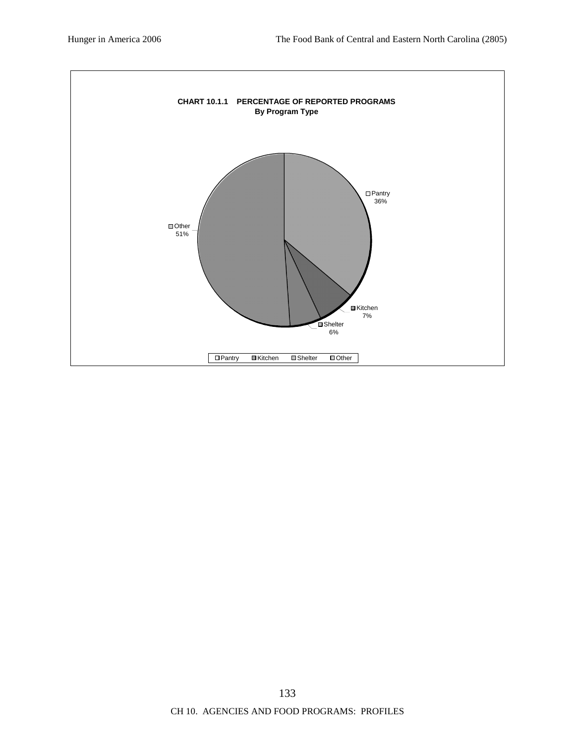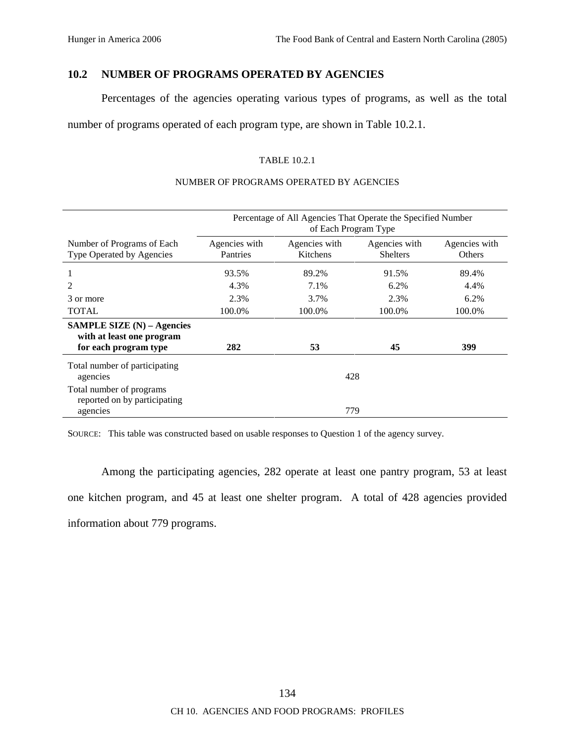# **10.2 NUMBER OF PROGRAMS OPERATED BY AGENCIES**

Percentages of the agencies operating various types of programs, as well as the total

number of programs operated of each program type, are shown in Table 10.2.1.

### TABLE 10.2.1

### NUMBER OF PROGRAMS OPERATED BY AGENCIES

|                                                                                           | Percentage of All Agencies That Operate the Specified Number<br>of Each Program Type |                           |                                  |                         |
|-------------------------------------------------------------------------------------------|--------------------------------------------------------------------------------------|---------------------------|----------------------------------|-------------------------|
| Number of Programs of Each<br>Type Operated by Agencies                                   | Agencies with<br>Pantries                                                            | Agencies with<br>Kitchens | Agencies with<br><b>Shelters</b> | Agencies with<br>Others |
|                                                                                           | 93.5%                                                                                | 89.2%                     | 91.5%                            | 89.4%                   |
|                                                                                           | 4.3%                                                                                 | 7.1%                      | 6.2%                             | 4.4%                    |
| 3 or more                                                                                 | 2.3%                                                                                 | 3.7%                      | 2.3%                             | 6.2%                    |
| <b>TOTAL</b>                                                                              | 100.0%                                                                               | 100.0%                    | 100.0%                           | 100.0%                  |
| <b>SAMPLE SIZE</b> $(N)$ – Agencies<br>with at least one program<br>for each program type | 282                                                                                  | 53                        | 45                               | 399                     |
| Total number of participating<br>agencies                                                 |                                                                                      | 428                       |                                  |                         |
| Total number of programs<br>reported on by participating<br>agencies                      |                                                                                      | 779                       |                                  |                         |

SOURCE: This table was constructed based on usable responses to Question 1 of the agency survey.

Among the participating agencies, 282 operate at least one pantry program, 53 at least one kitchen program, and 45 at least one shelter program. A total of 428 agencies provided information about 779 programs.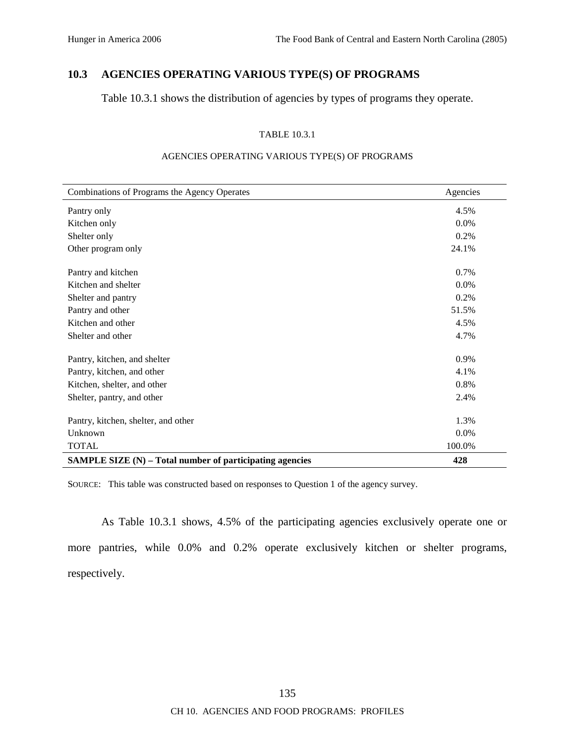# **10.3 AGENCIES OPERATING VARIOUS TYPE(S) OF PROGRAMS**

Table 10.3.1 shows the distribution of agencies by types of programs they operate.

#### TABLE 10.3.1

| Combinations of Programs the Agency Operates             | Agencies |
|----------------------------------------------------------|----------|
| Pantry only                                              | 4.5%     |
| Kitchen only                                             | $0.0\%$  |
| Shelter only                                             | 0.2%     |
| Other program only                                       | 24.1%    |
| Pantry and kitchen                                       | 0.7%     |
| Kitchen and shelter                                      | $0.0\%$  |
| Shelter and pantry                                       | 0.2%     |
| Pantry and other                                         | 51.5%    |
| Kitchen and other                                        | 4.5%     |
| Shelter and other                                        | 4.7%     |
| Pantry, kitchen, and shelter                             | $0.9\%$  |
| Pantry, kitchen, and other                               | 4.1%     |
| Kitchen, shelter, and other                              | 0.8%     |
| Shelter, pantry, and other                               | 2.4%     |
| Pantry, kitchen, shelter, and other                      | 1.3%     |
| Unknown                                                  | 0.0%     |
| <b>TOTAL</b>                                             | 100.0%   |
| SAMPLE SIZE (N) – Total number of participating agencies | 428      |

### AGENCIES OPERATING VARIOUS TYPE(S) OF PROGRAMS

SOURCE: This table was constructed based on responses to Question 1 of the agency survey.

As Table 10.3.1 shows, 4.5% of the participating agencies exclusively operate one or more pantries, while 0.0% and 0.2% operate exclusively kitchen or shelter programs, respectively.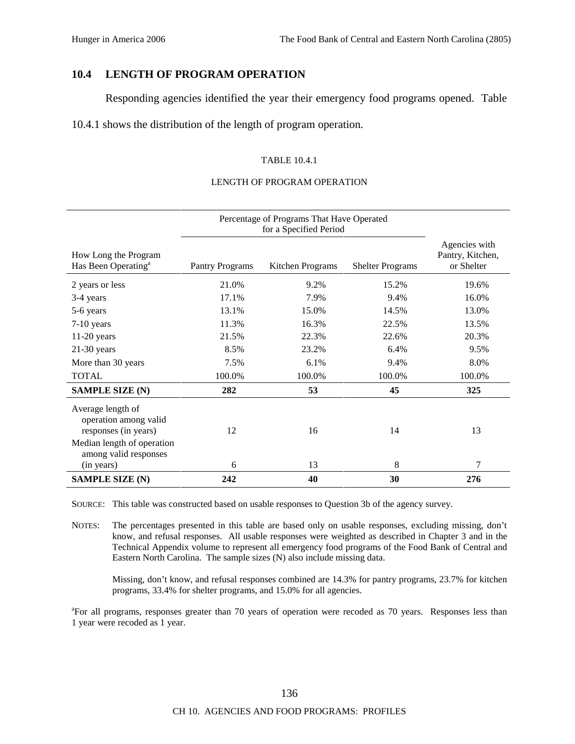## **10.4 LENGTH OF PROGRAM OPERATION**

Responding agencies identified the year their emergency food programs opened. Table

10.4.1 shows the distribution of the length of program operation.

### TABLE 10.4.1

#### LENGTH OF PROGRAM OPERATION

|                                                                    | Percentage of Programs That Have Operated<br>for a Specified Period |                  |                         |                                                 |
|--------------------------------------------------------------------|---------------------------------------------------------------------|------------------|-------------------------|-------------------------------------------------|
| How Long the Program<br>Has Been Operating <sup>a</sup>            | <b>Pantry Programs</b>                                              | Kitchen Programs | <b>Shelter Programs</b> | Agencies with<br>Pantry, Kitchen,<br>or Shelter |
| 2 years or less                                                    | 21.0%                                                               | 9.2%             | 15.2%                   | 19.6%                                           |
| 3-4 years                                                          | 17.1%                                                               | 7.9%             | 9.4%                    | 16.0%                                           |
| 5-6 years                                                          | 13.1%                                                               | 15.0%            | 14.5%                   | 13.0%                                           |
| $7-10$ years                                                       | 11.3%                                                               | 16.3%            | 22.5%                   | 13.5%                                           |
| $11-20$ years                                                      | 21.5%                                                               | 22.3%            | 22.6%                   | 20.3%                                           |
| $21-30$ years                                                      | 8.5%                                                                | 23.2%            | 6.4%                    | 9.5%                                            |
| More than 30 years                                                 | 7.5%                                                                | 6.1%             | 9.4%                    | 8.0%                                            |
| <b>TOTAL</b>                                                       | 100.0%                                                              | 100.0%           | 100.0%                  | 100.0%                                          |
| <b>SAMPLE SIZE (N)</b>                                             | 282                                                                 | 53               | 45                      | 325                                             |
| Average length of<br>operation among valid<br>responses (in years) | 12                                                                  | 16               | 14                      | 13                                              |
| Median length of operation<br>among valid responses<br>(in years)  | 6                                                                   | 13               | 8                       | 7                                               |
| <b>SAMPLE SIZE (N)</b>                                             | 242                                                                 | 40               | 30                      | 276                                             |

SOURCE: This table was constructed based on usable responses to Question 3b of the agency survey.

NOTES: The percentages presented in this table are based only on usable responses, excluding missing, don't know, and refusal responses. All usable responses were weighted as described in Chapter 3 and in the Technical Appendix volume to represent all emergency food programs of the Food Bank of Central and Eastern North Carolina. The sample sizes (N) also include missing data.

Missing, don't know, and refusal responses combined are 14.3% for pantry programs, 23.7% for kitchen programs, 33.4% for shelter programs, and 15.0% for all agencies.

<sup>a</sup>For all programs, responses greater than 70 years of operation were recoded as 70 years. Responses less than 1 year were recoded as 1 year.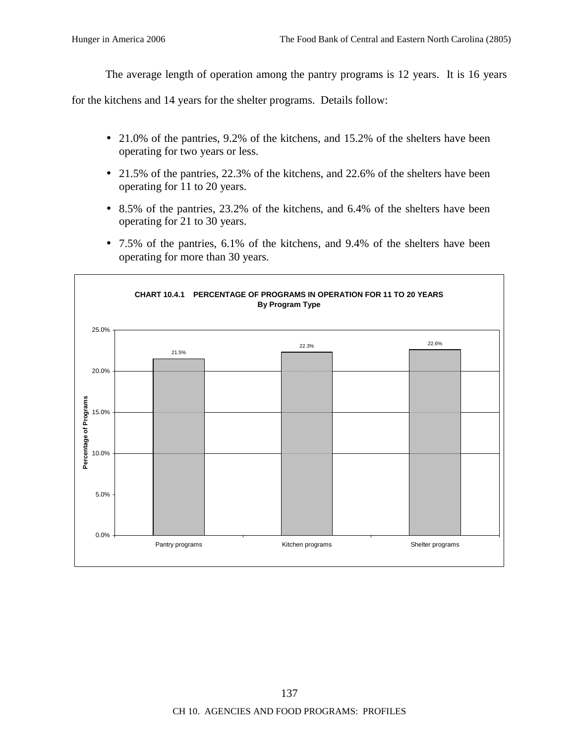The average length of operation among the pantry programs is 12 years. It is 16 years

for the kitchens and 14 years for the shelter programs. Details follow:

- 21.0% of the pantries, 9.2% of the kitchens, and 15.2% of the shelters have been operating for two years or less.
- 21.5% of the pantries, 22.3% of the kitchens, and 22.6% of the shelters have been operating for 11 to 20 years.
- 8.5% of the pantries, 23.2% of the kitchens, and 6.4% of the shelters have been operating for 21 to 30 years.
- 7.5% of the pantries, 6.1% of the kitchens, and 9.4% of the shelters have been operating for more than 30 years.

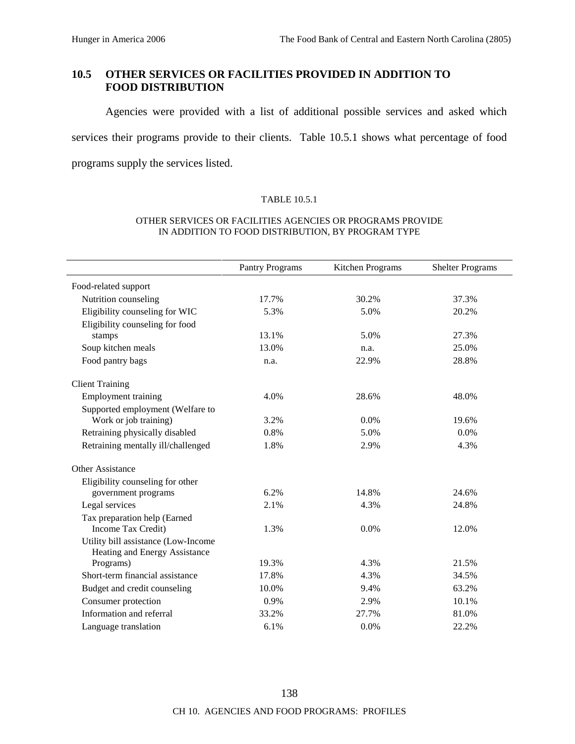# **10.5 OTHER SERVICES OR FACILITIES PROVIDED IN ADDITION TO FOOD DISTRIBUTION**

Agencies were provided with a list of additional possible services and asked which services their programs provide to their clients. Table 10.5.1 shows what percentage of food programs supply the services listed.

#### TABLE 10.5.1

#### OTHER SERVICES OR FACILITIES AGENCIES OR PROGRAMS PROVIDE IN ADDITION TO FOOD DISTRIBUTION, BY PROGRAM TYPE

|                                                                      | <b>Pantry Programs</b> | Kitchen Programs | <b>Shelter Programs</b> |
|----------------------------------------------------------------------|------------------------|------------------|-------------------------|
| Food-related support                                                 |                        |                  |                         |
| Nutrition counseling                                                 | 17.7%                  | 30.2%            | 37.3%                   |
| Eligibility counseling for WIC                                       | 5.3%                   | 5.0%             | 20.2%                   |
| Eligibility counseling for food                                      |                        |                  |                         |
| stamps                                                               | 13.1%                  | 5.0%             | 27.3%                   |
| Soup kitchen meals                                                   | 13.0%                  | n.a.             | 25.0%                   |
| Food pantry bags                                                     | n.a.                   | 22.9%            | 28.8%                   |
| <b>Client Training</b>                                               |                        |                  |                         |
| <b>Employment training</b>                                           | 4.0%                   | 28.6%            | 48.0%                   |
| Supported employment (Welfare to                                     |                        |                  |                         |
| Work or job training)                                                | 3.2%                   | 0.0%             | 19.6%                   |
| Retraining physically disabled                                       | 0.8%                   | 5.0%             | 0.0%                    |
| Retraining mentally ill/challenged                                   | 1.8%                   | 2.9%             | 4.3%                    |
| <b>Other Assistance</b>                                              |                        |                  |                         |
| Eligibility counseling for other                                     |                        |                  |                         |
| government programs                                                  | 6.2%                   | 14.8%            | 24.6%                   |
| Legal services                                                       | 2.1%                   | 4.3%             | 24.8%                   |
| Tax preparation help (Earned                                         |                        |                  |                         |
| Income Tax Credit)                                                   | 1.3%                   | 0.0%             | 12.0%                   |
| Utility bill assistance (Low-Income<br>Heating and Energy Assistance |                        |                  |                         |
| Programs)                                                            | 19.3%                  | 4.3%             | 21.5%                   |
| Short-term financial assistance                                      | 17.8%                  | 4.3%             | 34.5%                   |
| Budget and credit counseling                                         | 10.0%                  | 9.4%             | 63.2%                   |
| Consumer protection                                                  | 0.9%                   | 2.9%             | 10.1%                   |
| Information and referral                                             | 33.2%                  | 27.7%            | 81.0%                   |
| Language translation                                                 | 6.1%                   | 0.0%             | 22.2%                   |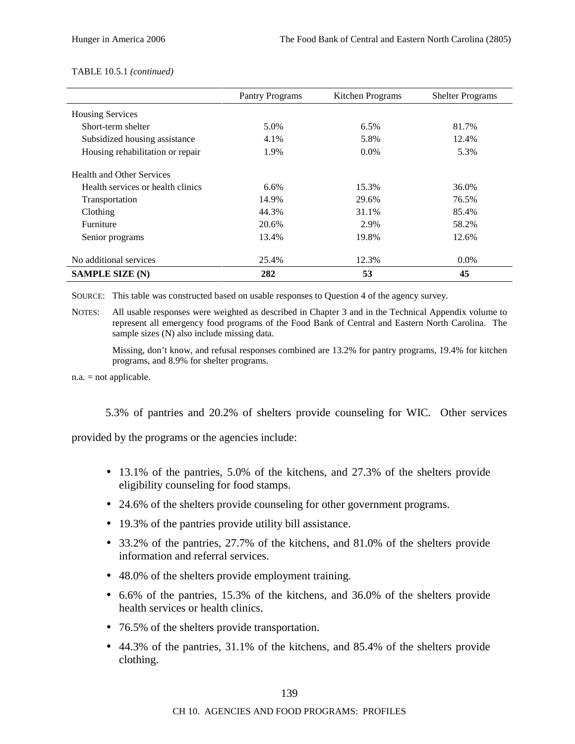#### TABLE 10.5.1 *(continued)*

|                                   | <b>Pantry Programs</b> | Kitchen Programs | <b>Shelter Programs</b> |
|-----------------------------------|------------------------|------------------|-------------------------|
| <b>Housing Services</b>           |                        |                  |                         |
| Short-term shelter                | 5.0%                   | $6.5\%$          | 81.7%                   |
| Subsidized housing assistance     | 4.1%                   | 5.8%             | 12.4%                   |
| Housing rehabilitation or repair  | 1.9%                   | $0.0\%$          | 5.3%                    |
| <b>Health and Other Services</b>  |                        |                  |                         |
| Health services or health clinics | 6.6%                   | 15.3%            | 36.0%                   |
| Transportation                    | 14.9%                  | 29.6%            | 76.5%                   |
| Clothing                          | 44.3%                  | 31.1%            | 85.4%                   |
| Furniture                         | 20.6%                  | 2.9%             | 58.2%                   |
| Senior programs                   | 13.4%                  | 19.8%            | 12.6%                   |
| No additional services            | 25.4%                  | 12.3%            | $0.0\%$                 |
| <b>SAMPLE SIZE (N)</b>            | 282                    | 53               | 45                      |

SOURCE: This table was constructed based on usable responses to Question 4 of the agency survey.

NOTES: All usable responses were weighted as described in Chapter 3 and in the Technical Appendix volume to represent all emergency food programs of the Food Bank of Central and Eastern North Carolina. The sample sizes (N) also include missing data.

Missing, don't know, and refusal responses combined are 13.2% for pantry programs, 19.4% for kitchen programs, and 8.9% for shelter programs.

n.a. = not applicable.

5.3% of pantries and 20.2% of shelters provide counseling for WIC. Other services

provided by the programs or the agencies include:

- 13.1% of the pantries, 5.0% of the kitchens, and 27.3% of the shelters provide eligibility counseling for food stamps.
- 24.6% of the shelters provide counseling for other government programs.
- 19.3% of the pantries provide utility bill assistance.
- 33.2% of the pantries, 27.7% of the kitchens, and 81.0% of the shelters provide information and referral services.
- 48.0% of the shelters provide employment training.
- 6.6% of the pantries, 15.3% of the kitchens, and 36.0% of the shelters provide health services or health clinics.
- 76.5% of the shelters provide transportation.
- 44.3% of the pantries, 31.1% of the kitchens, and 85.4% of the shelters provide clothing.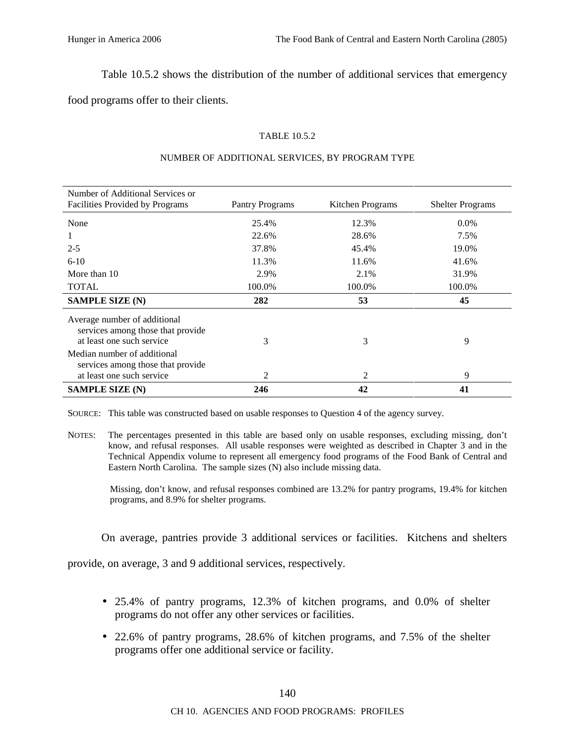Table 10.5.2 shows the distribution of the number of additional services that emergency

food programs offer to their clients.

### TABLE 10.5.2

| Number of Additional Services or                                                               |                        |                  |                         |
|------------------------------------------------------------------------------------------------|------------------------|------------------|-------------------------|
| Facilities Provided by Programs                                                                | <b>Pantry Programs</b> | Kitchen Programs | <b>Shelter Programs</b> |
| None                                                                                           | 25.4%                  | 12.3%            | $0.0\%$                 |
|                                                                                                | 22.6%                  | 28.6%            | 7.5%                    |
| $2 - 5$                                                                                        | 37.8%                  | 45.4%            | 19.0%                   |
| $6-10$                                                                                         | 11.3%                  | 11.6%            | 41.6%                   |
| More than 10                                                                                   | 2.9%                   | 2.1%             | 31.9%                   |
| <b>TOTAL</b>                                                                                   | 100.0%                 | 100.0%           | 100.0%                  |
| <b>SAMPLE SIZE (N)</b>                                                                         | 282                    | 53               | 45                      |
| Average number of additional<br>services among those that provide<br>at least one such service | 3                      | 3                | 9                       |
| Median number of additional<br>services among those that provide<br>at least one such service  | $\mathfrak{D}$         | 2                | 9                       |
| <b>SAMPLE SIZE (N)</b>                                                                         | 246                    | 42               | 41                      |

#### NUMBER OF ADDITIONAL SERVICES, BY PROGRAM TYPE

SOURCE: This table was constructed based on usable responses to Question 4 of the agency survey.

NOTES: The percentages presented in this table are based only on usable responses, excluding missing, don't know, and refusal responses. All usable responses were weighted as described in Chapter 3 and in the Technical Appendix volume to represent all emergency food programs of the Food Bank of Central and Eastern North Carolina. The sample sizes (N) also include missing data.

Missing, don't know, and refusal responses combined are 13.2% for pantry programs, 19.4% for kitchen programs, and 8.9% for shelter programs.

On average, pantries provide 3 additional services or facilities. Kitchens and shelters

provide, on average, 3 and 9 additional services, respectively.

- 25.4% of pantry programs, 12.3% of kitchen programs, and 0.0% of shelter programs do not offer any other services or facilities.
- 22.6% of pantry programs, 28.6% of kitchen programs, and 7.5% of the shelter programs offer one additional service or facility.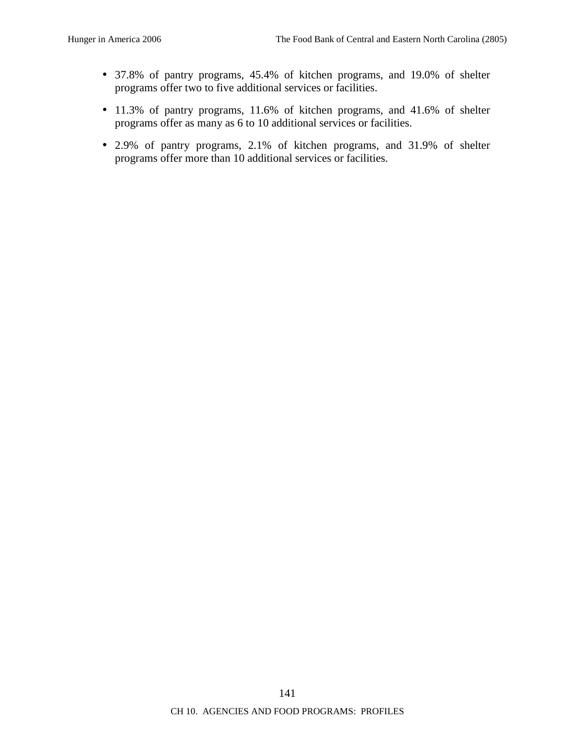- 37.8% of pantry programs, 45.4% of kitchen programs, and 19.0% of shelter programs offer two to five additional services or facilities.
- 11.3% of pantry programs, 11.6% of kitchen programs, and 41.6% of shelter programs offer as many as 6 to 10 additional services or facilities.
- 2.9% of pantry programs, 2.1% of kitchen programs, and 31.9% of shelter programs offer more than 10 additional services or facilities.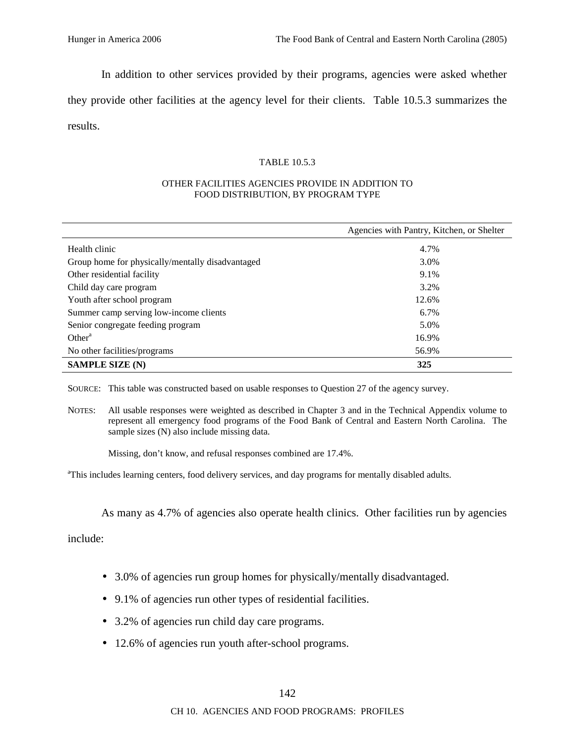In addition to other services provided by their programs, agencies were asked whether

they provide other facilities at the agency level for their clients. Table 10.5.3 summarizes the results.

#### TABLE 10.5.3

#### OTHER FACILITIES AGENCIES PROVIDE IN ADDITION TO FOOD DISTRIBUTION, BY PROGRAM TYPE

|                                                  | Agencies with Pantry, Kitchen, or Shelter |
|--------------------------------------------------|-------------------------------------------|
| Health clinic                                    | 4.7%                                      |
| Group home for physically/mentally disadvantaged | 3.0%                                      |
| Other residential facility                       | 9.1%                                      |
| Child day care program                           | 3.2%                                      |
| Youth after school program                       | 12.6%                                     |
| Summer camp serving low-income clients           | $6.7\%$                                   |
| Senior congregate feeding program                | 5.0%                                      |
| Other <sup>a</sup>                               | 16.9%                                     |
| No other facilities/programs                     | 56.9%                                     |
| <b>SAMPLE SIZE (N)</b>                           | 325                                       |

SOURCE: This table was constructed based on usable responses to Question 27 of the agency survey.

NOTES: All usable responses were weighted as described in Chapter 3 and in the Technical Appendix volume to represent all emergency food programs of the Food Bank of Central and Eastern North Carolina. The sample sizes (N) also include missing data.

Missing, don't know, and refusal responses combined are 17.4%.

<sup>a</sup>This includes learning centers, food delivery services, and day programs for mentally disabled adults.

As many as 4.7% of agencies also operate health clinics. Other facilities run by agencies

include:

- 3.0% of agencies run group homes for physically/mentally disadvantaged.
- 9.1% of agencies run other types of residential facilities.
- 3.2% of agencies run child day care programs.
- 12.6% of agencies run youth after-school programs.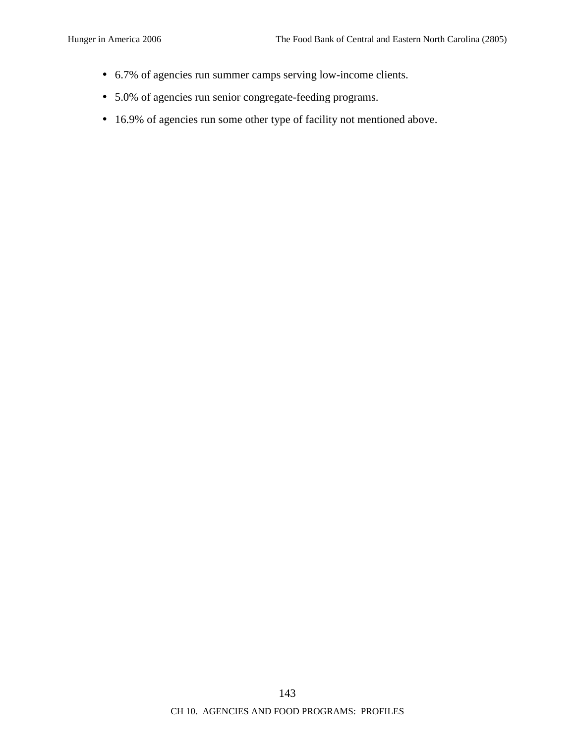- 6.7% of agencies run summer camps serving low-income clients.
- 5.0% of agencies run senior congregate-feeding programs.
- 16.9% of agencies run some other type of facility not mentioned above.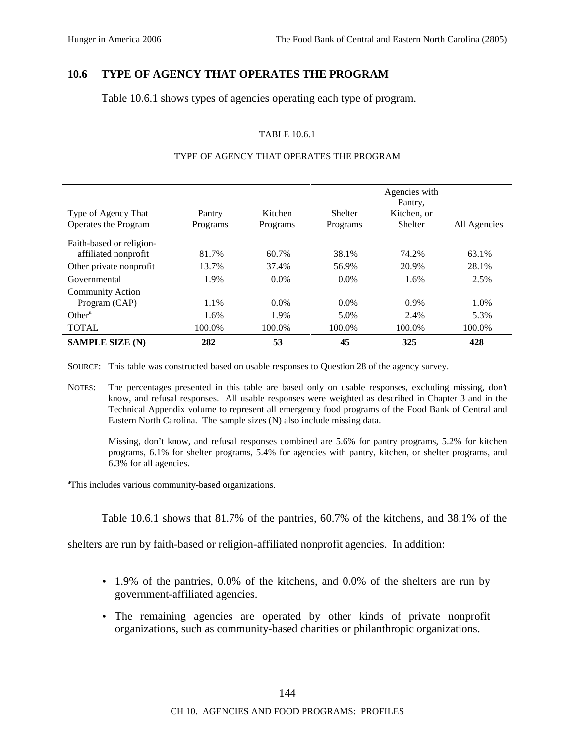## **10.6 TYPE OF AGENCY THAT OPERATES THE PROGRAM**

Table 10.6.1 shows types of agencies operating each type of program.

### TABLE 10.6.1

| Type of Agency That<br>Operates the Program | Pantry<br>Programs | Kitchen<br>Programs | <b>Shelter</b><br>Programs | Agencies with<br>Pantry.<br>Kitchen, or<br>Shelter | All Agencies |
|---------------------------------------------|--------------------|---------------------|----------------------------|----------------------------------------------------|--------------|
| Faith-based or religion-                    |                    |                     |                            |                                                    |              |
| affiliated nonprofit                        | 81.7%              | 60.7%               | 38.1%                      | 74.2%                                              | 63.1%        |
| Other private nonprofit                     | 13.7%              | 37.4%               | 56.9%                      | 20.9%                                              | 28.1%        |
| Governmental                                | 1.9%               | $0.0\%$             | $0.0\%$                    | 1.6%                                               | 2.5%         |
| <b>Community Action</b>                     |                    |                     |                            |                                                    |              |
| Program (CAP)                               | 1.1%               | $0.0\%$             | $0.0\%$                    | $0.9\%$                                            | 1.0%         |
| Other <sup>a</sup>                          | 1.6%               | 1.9%                | 5.0%                       | 2.4%                                               | 5.3%         |
| <b>TOTAL</b>                                | 100.0%             | 100.0%              | 100.0%                     | 100.0%                                             | 100.0%       |
| <b>SAMPLE SIZE (N)</b>                      | 282                | 53                  | 45                         | 325                                                | 428          |

#### TYPE OF AGENCY THAT OPERATES THE PROGRAM

SOURCE: This table was constructed based on usable responses to Question 28 of the agency survey.

NOTES: The percentages presented in this table are based only on usable responses, excluding missing, don't know, and refusal responses. All usable responses were weighted as described in Chapter 3 and in the Technical Appendix volume to represent all emergency food programs of the Food Bank of Central and Eastern North Carolina. The sample sizes (N) also include missing data.

Missing, don't know, and refusal responses combined are 5.6% for pantry programs, 5.2% for kitchen programs, 6.1% for shelter programs, 5.4% for agencies with pantry, kitchen, or shelter programs, and 6.3% for all agencies.

<sup>a</sup>This includes various community-based organizations.

Table 10.6.1 shows that 81.7% of the pantries, 60.7% of the kitchens, and 38.1% of the

shelters are run by faith-based or religion-affiliated nonprofit agencies. In addition:

- 1.9% of the pantries, 0.0% of the kitchens, and 0.0% of the shelters are run by government-affiliated agencies.
- The remaining agencies are operated by other kinds of private nonprofit organizations, such as community-based charities or philanthropic organizations.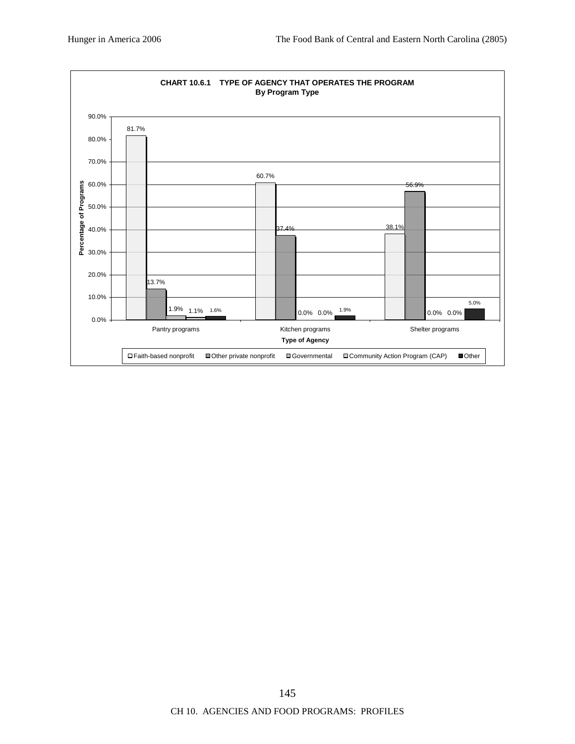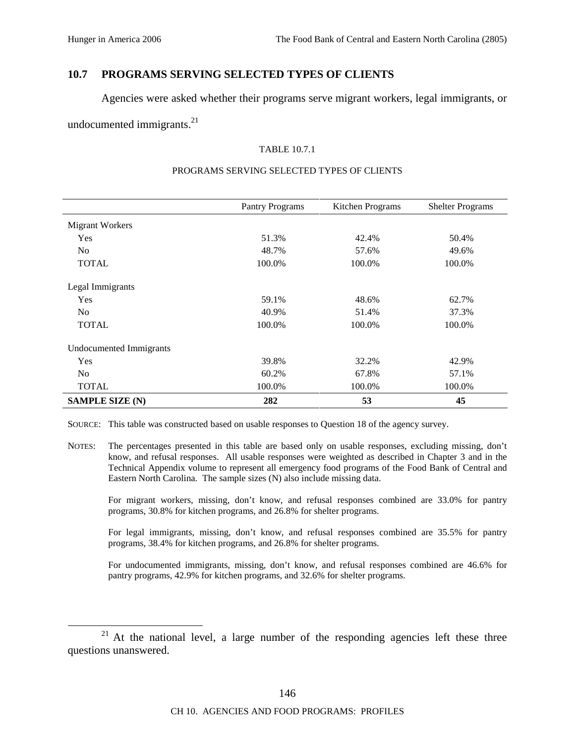### **10.7 PROGRAMS SERVING SELECTED TYPES OF CLIENTS**

Agencies were asked whether their programs serve migrant workers, legal immigrants, or

undocumented immigrants. $^{21}$ 

#### TABLE 10.7.1

|                                | <b>Pantry Programs</b> | Kitchen Programs | <b>Shelter Programs</b> |
|--------------------------------|------------------------|------------------|-------------------------|
|                                |                        |                  |                         |
| Migrant Workers                |                        |                  |                         |
| Yes                            | 51.3%                  | 42.4%            | 50.4%                   |
| N <sub>o</sub>                 | 48.7%                  | 57.6%            | 49.6%                   |
| <b>TOTAL</b>                   | 100.0%                 | 100.0%           | 100.0%                  |
| Legal Immigrants               |                        |                  |                         |
| Yes                            | 59.1%                  | 48.6%            | 62.7%                   |
| N <sub>o</sub>                 | 40.9%                  | 51.4%            | 37.3%                   |
| <b>TOTAL</b>                   | 100.0%                 | 100.0%           | 100.0%                  |
| <b>Undocumented Immigrants</b> |                        |                  |                         |
| Yes                            | 39.8%                  | 32.2%            | 42.9%                   |
| N <sub>o</sub>                 | 60.2%                  | 67.8%            | 57.1%                   |
| <b>TOTAL</b>                   | 100.0%                 | 100.0%           | 100.0%                  |
| <b>SAMPLE SIZE (N)</b>         | 282                    | 53               | 45                      |

#### PROGRAMS SERVING SELECTED TYPES OF CLIENTS

SOURCE: This table was constructed based on usable responses to Question 18 of the agency survey.

NOTES: The percentages presented in this table are based only on usable responses, excluding missing, don't know, and refusal responses. All usable responses were weighted as described in Chapter 3 and in the Technical Appendix volume to represent all emergency food programs of the Food Bank of Central and Eastern North Carolina. The sample sizes (N) also include missing data.

For migrant workers, missing, don't know, and refusal responses combined are 33.0% for pantry programs, 30.8% for kitchen programs, and 26.8% for shelter programs.

For legal immigrants, missing, don't know, and refusal responses combined are 35.5% for pantry programs, 38.4% for kitchen programs, and 26.8% for shelter programs.

For undocumented immigrants, missing, don't know, and refusal responses combined are 46.6% for pantry programs, 42.9% for kitchen programs, and 32.6% for shelter programs.

<sup>&</sup>lt;sup>21</sup> At the national level, a large number of the responding agencies left these three questions unanswered.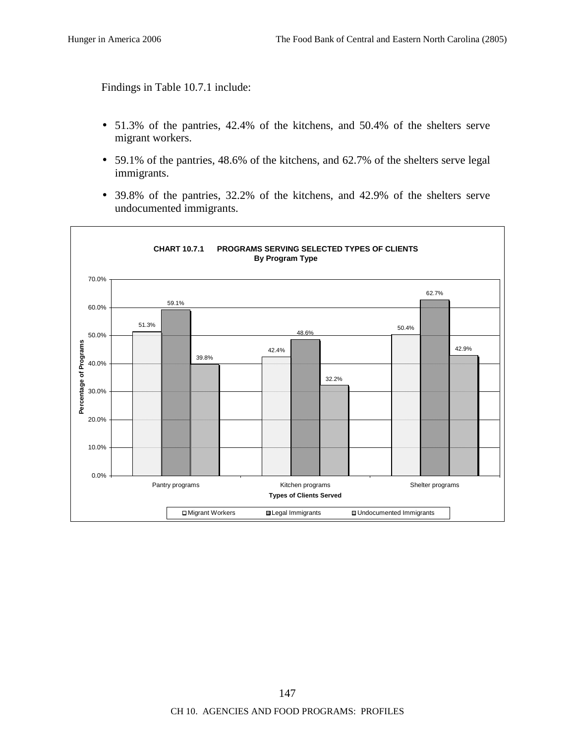Findings in Table 10.7.1 include:

- 51.3% of the pantries, 42.4% of the kitchens, and 50.4% of the shelters serve migrant workers.
- 59.1% of the pantries, 48.6% of the kitchens, and 62.7% of the shelters serve legal immigrants.
- 39.8% of the pantries, 32.2% of the kitchens, and 42.9% of the shelters serve undocumented immigrants.

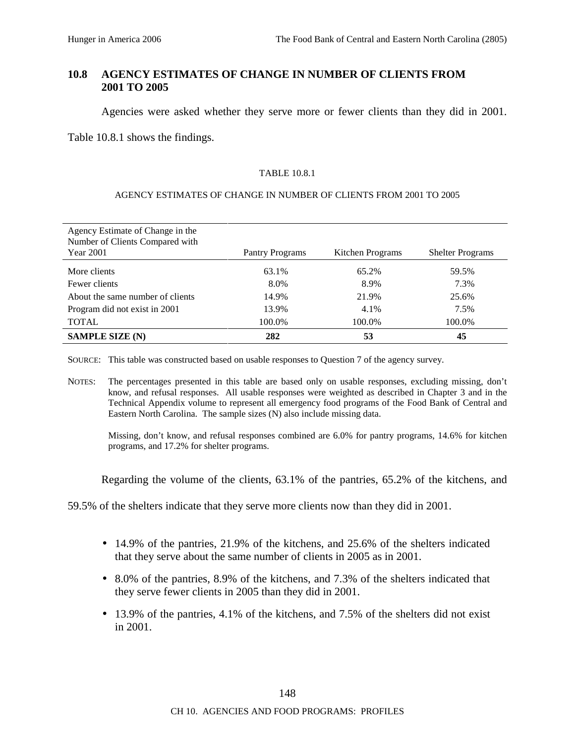# **10.8 AGENCY ESTIMATES OF CHANGE IN NUMBER OF CLIENTS FROM 2001 TO 2005**

Agencies were asked whether they serve more or fewer clients than they did in 2001.

Table 10.8.1 shows the findings.

### TABLE 10.8.1

### AGENCY ESTIMATES OF CHANGE IN NUMBER OF CLIENTS FROM 2001 TO 2005

| Agency Estimate of Change in the<br>Number of Clients Compared with<br><b>Year 2001</b> | Pantry Programs | Kitchen Programs | <b>Shelter Programs</b> |
|-----------------------------------------------------------------------------------------|-----------------|------------------|-------------------------|
| More clients                                                                            | 63.1%           | 65.2%            | 59.5%                   |
| Fewer clients                                                                           | 8.0%            | 8.9%             | 7.3%                    |
| About the same number of clients                                                        | 14.9%           | 21.9%            | 25.6%                   |
| Program did not exist in 2001                                                           | 13.9%           | 4.1%             | 7.5%                    |
| <b>TOTAL</b>                                                                            | 100.0%          | 100.0%           | 100.0%                  |
| <b>SAMPLE SIZE (N)</b>                                                                  | 282             | 53               | 45                      |

SOURCE: This table was constructed based on usable responses to Question 7 of the agency survey.

NOTES: The percentages presented in this table are based only on usable responses, excluding missing, don't know, and refusal responses. All usable responses were weighted as described in Chapter 3 and in the Technical Appendix volume to represent all emergency food programs of the Food Bank of Central and Eastern North Carolina. The sample sizes (N) also include missing data.

Missing, don't know, and refusal responses combined are 6.0% for pantry programs, 14.6% for kitchen programs, and 17.2% for shelter programs.

Regarding the volume of the clients, 63.1% of the pantries, 65.2% of the kitchens, and

59.5% of the shelters indicate that they serve more clients now than they did in 2001.

- $\bullet$  14.9% of the pantries, 21.9% of the kitchens, and 25.6% of the shelters indicated that they serve about the same number of clients in 2005 as in 2001.
- 8.0% of the pantries, 8.9% of the kitchens, and 7.3% of the shelters indicated that they serve fewer clients in 2005 than they did in 2001.
- 13.9% of the pantries, 4.1% of the kitchens, and 7.5% of the shelters did not exist in 2001.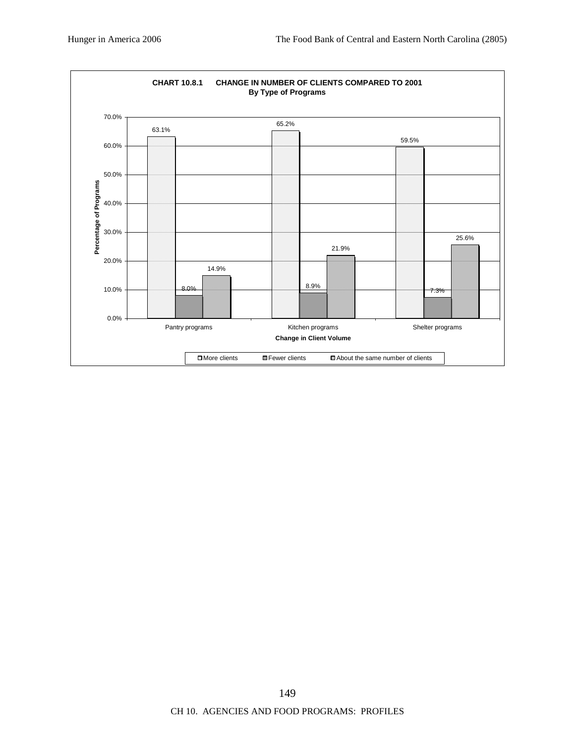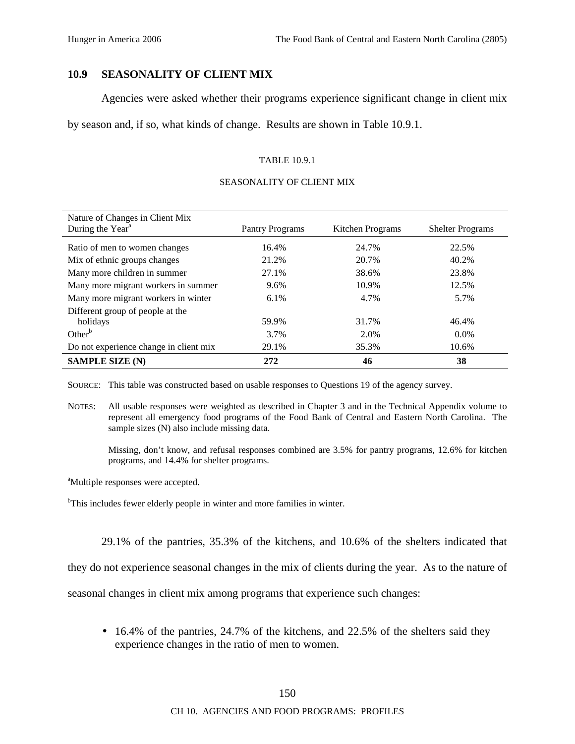### **10.9 SEASONALITY OF CLIENT MIX**

Agencies were asked whether their programs experience significant change in client mix

by season and, if so, what kinds of change. Results are shown in Table 10.9.1.

#### TABLE 10.9.1

# Nature of Changes in Client Mix During the Year<sup>a</sup> Pantry Programs Kitchen Programs Shelter Programs Ratio of men to women changes 16.4% 24.7% 22.5% 22.5% Mix of ethnic groups changes 21.2% 20.7% 20.7% 40.2% Many more children in summer  $27.1\%$   $38.6\%$   $23.8\%$ Many more migrant workers in summer  $9.6\%$  10.9% 12.5% 12.5% Many more migrant workers in winter 6.1% 6.1% 4.7% 5.7% Different group of people at the holidays 59.9% 31.7% 46.4% Other<sup>b</sup> 3.7% 2.0% 0.0% Do not experience change in client mix  $29.1\%$  35.3% 10.6% **SAMPLE SIZE (N)** 272 46 38

#### SEASONALITY OF CLIENT MIX

SOURCE: This table was constructed based on usable responses to Questions 19 of the agency survey.

NOTES: All usable responses were weighted as described in Chapter 3 and in the Technical Appendix volume to represent all emergency food programs of the Food Bank of Central and Eastern North Carolina. The sample sizes (N) also include missing data.

Missing, don't know, and refusal responses combined are 3.5% for pantry programs, 12.6% for kitchen programs, and 14.4% for shelter programs.

<sup>a</sup>Multiple responses were accepted.

<sup>b</sup>This includes fewer elderly people in winter and more families in winter.

29.1% of the pantries, 35.3% of the kitchens, and 10.6% of the shelters indicated that

they do not experience seasonal changes in the mix of clients during the year. As to the nature of

seasonal changes in client mix among programs that experience such changes:

• 16.4% of the pantries, 24.7% of the kitchens, and 22.5% of the shelters said they experience changes in the ratio of men to women.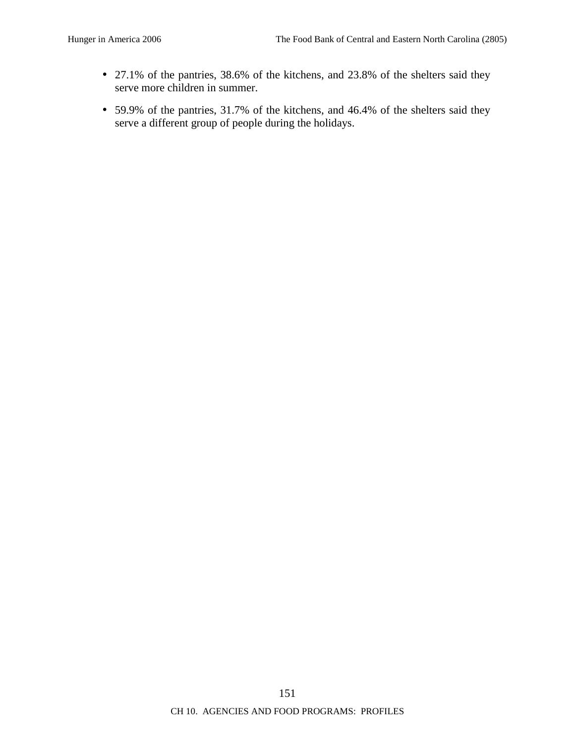- 27.1% of the pantries, 38.6% of the kitchens, and 23.8% of the shelters said they serve more children in summer.
- 59.9% of the pantries, 31.7% of the kitchens, and 46.4% of the shelters said they serve a different group of people during the holidays.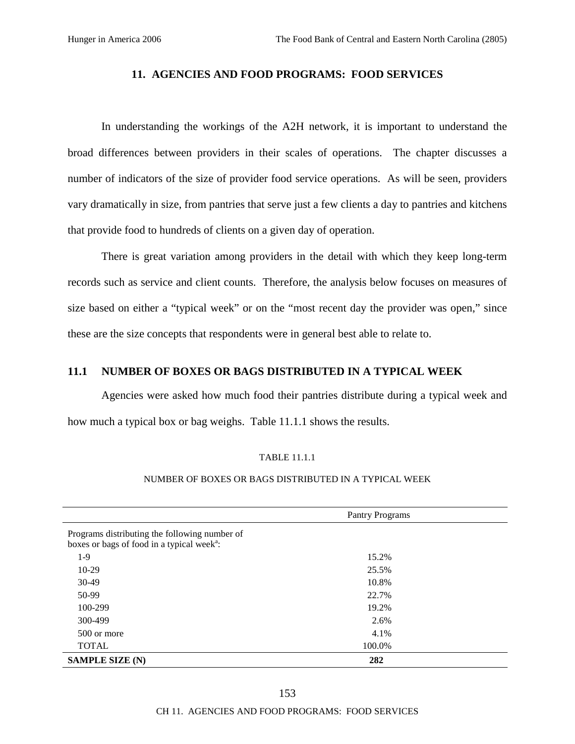### **11. AGENCIES AND FOOD PROGRAMS: FOOD SERVICES**

In understanding the workings of the A2H network, it is important to understand the broad differences between providers in their scales of operations. The chapter discusses a number of indicators of the size of provider food service operations. As will be seen, providers vary dramatically in size, from pantries that serve just a few clients a day to pantries and kitchens that provide food to hundreds of clients on a given day of operation.

There is great variation among providers in the detail with which they keep long-term records such as service and client counts. Therefore, the analysis below focuses on measures of size based on either a "typical week" or on the "most recent day the provider was open," since these are the size concepts that respondents were in general best able to relate to.

# **11.1 NUMBER OF BOXES OR BAGS DISTRIBUTED IN A TYPICAL WEEK**

Agencies were asked how much food their pantries distribute during a typical week and how much a typical box or bag weighs. Table 11.1.1 shows the results.

#### TABLE 11.1.1

#### NUMBER OF BOXES OR BAGS DISTRIBUTED IN A TYPICAL WEEK

|                                                                                                         | <b>Pantry Programs</b> |  |  |
|---------------------------------------------------------------------------------------------------------|------------------------|--|--|
| Programs distributing the following number of<br>boxes or bags of food in a typical week <sup>a</sup> : |                        |  |  |
| $1-9$                                                                                                   | 15.2%                  |  |  |
| $10-29$                                                                                                 | 25.5%                  |  |  |
| $30-49$                                                                                                 | 10.8%                  |  |  |
| 50-99                                                                                                   | 22.7%                  |  |  |
| 100-299                                                                                                 | 19.2%                  |  |  |
| 300-499                                                                                                 | 2.6%                   |  |  |
| 500 or more                                                                                             | 4.1%                   |  |  |
| <b>TOTAL</b>                                                                                            | 100.0%                 |  |  |
| <b>SAMPLE SIZE (N)</b>                                                                                  | 282                    |  |  |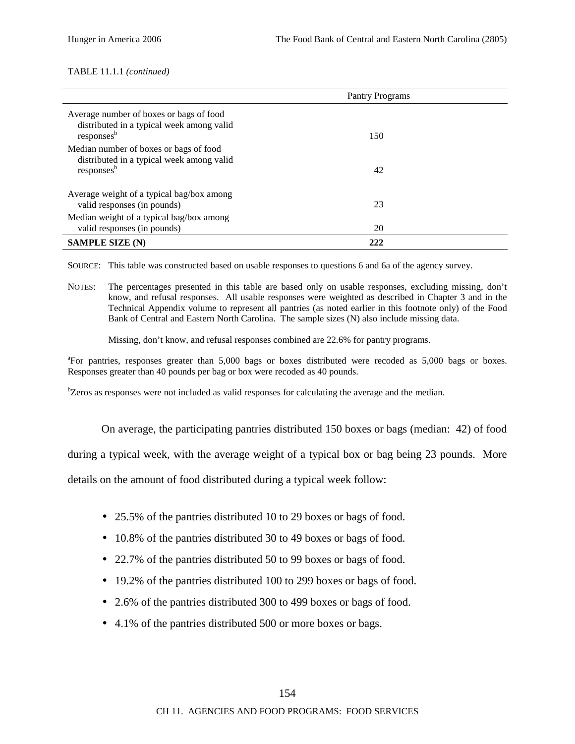#### TABLE 11.1.1 *(continued)*

|                                                                                                                | Pantry Programs |  |
|----------------------------------------------------------------------------------------------------------------|-----------------|--|
| Average number of boxes or bags of food<br>distributed in a typical week among valid<br>responses <sup>b</sup> | 150             |  |
| Median number of boxes or bags of food<br>distributed in a typical week among valid<br>responses <sup>b</sup>  | 42              |  |
| Average weight of a typical bag/box among<br>valid responses (in pounds)                                       | 23              |  |
| Median weight of a typical bag/box among<br>valid responses (in pounds)                                        | 20              |  |
| <b>SAMPLE SIZE (N)</b>                                                                                         | 222             |  |

SOURCE: This table was constructed based on usable responses to questions 6 and 6a of the agency survey.

NOTES: The percentages presented in this table are based only on usable responses, excluding missing, don't know, and refusal responses. All usable responses were weighted as described in Chapter 3 and in the Technical Appendix volume to represent all pantries (as noted earlier in this footnote only) of the Food Bank of Central and Eastern North Carolina. The sample sizes (N) also include missing data.

Missing, don't know, and refusal responses combined are 22.6% for pantry programs.

<sup>a</sup>For pantries, responses greater than 5,000 bags or boxes distributed were recoded as 5,000 bags or boxes. Responses greater than 40 pounds per bag or box were recoded as 40 pounds.

<sup>b</sup>Zeros as responses were not included as valid responses for calculating the average and the median.

On average, the participating pantries distributed 150 boxes or bags (median: 42) of food

during a typical week, with the average weight of a typical box or bag being 23 pounds. More

details on the amount of food distributed during a typical week follow:

- 25.5% of the pantries distributed 10 to 29 boxes or bags of food.
- 10.8% of the pantries distributed 30 to 49 boxes or bags of food.
- 22.7% of the pantries distributed 50 to 99 boxes or bags of food.
- 19.2% of the pantries distributed 100 to 299 boxes or bags of food.
- 2.6% of the pantries distributed 300 to 499 boxes or bags of food.
- 4.1% of the pantries distributed 500 or more boxes or bags.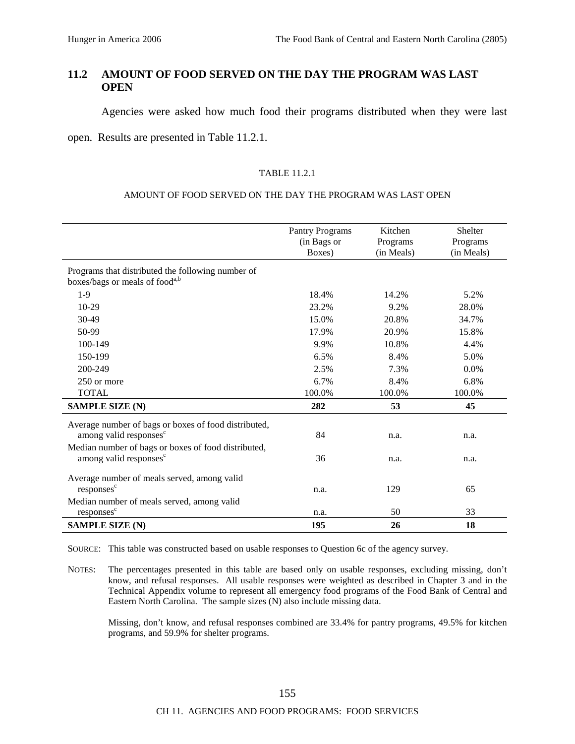# **11.2 AMOUNT OF FOOD SERVED ON THE DAY THE PROGRAM WAS LAST OPEN**

Agencies were asked how much food their programs distributed when they were last

open. Results are presented in Table 11.2.1.

#### TABLE 11.2.1

#### AMOUNT OF FOOD SERVED ON THE DAY THE PROGRAM WAS LAST OPEN

|                                                                                                 | <b>Pantry Programs</b><br>(in Bags or<br>Boxes) | Kitchen<br>Programs<br>(in Meals) | <b>Shelter</b><br>Programs<br>(in Meals) |
|-------------------------------------------------------------------------------------------------|-------------------------------------------------|-----------------------------------|------------------------------------------|
| Programs that distributed the following number of<br>boxes/bags or meals of food <sup>a,b</sup> |                                                 |                                   |                                          |
| $1-9$                                                                                           | 18.4%                                           | 14.2%                             | 5.2%                                     |
| 10-29                                                                                           | 23.2%                                           | 9.2%                              | 28.0%                                    |
| 30-49                                                                                           | 15.0%                                           | 20.8%                             | 34.7%                                    |
| 50-99                                                                                           | 17.9%                                           | 20.9%                             | 15.8%                                    |
| 100-149                                                                                         | 9.9%                                            | 10.8%                             | 4.4%                                     |
| 150-199                                                                                         | 6.5%                                            | 8.4%                              | 5.0%                                     |
| 200-249                                                                                         | 2.5%                                            | 7.3%                              | 0.0%                                     |
| 250 or more                                                                                     | 6.7%                                            | 8.4%                              | 6.8%                                     |
| <b>TOTAL</b>                                                                                    | 100.0%                                          | 100.0%                            | 100.0%                                   |
| <b>SAMPLE SIZE (N)</b>                                                                          | 282                                             | 53                                | 45                                       |
| Average number of bags or boxes of food distributed,<br>among valid responses <sup>c</sup>      | 84                                              | n.a.                              | n.a.                                     |
| Median number of bags or boxes of food distributed,<br>among valid responses <sup>c</sup>       | 36                                              | n.a.                              | n.a.                                     |
| Average number of meals served, among valid                                                     |                                                 |                                   |                                          |
| responses <sup>c</sup>                                                                          | n.a.                                            | 129                               | 65                                       |
| Median number of meals served, among valid                                                      |                                                 |                                   |                                          |
| responses <sup>c</sup>                                                                          | n.a.                                            | 50                                | 33                                       |
| <b>SAMPLE SIZE (N)</b>                                                                          | 195                                             | 26                                | 18                                       |

SOURCE: This table was constructed based on usable responses to Question 6c of the agency survey.

NOTES: The percentages presented in this table are based only on usable responses, excluding missing, don't know, and refusal responses. All usable responses were weighted as described in Chapter 3 and in the Technical Appendix volume to represent all emergency food programs of the Food Bank of Central and Eastern North Carolina. The sample sizes (N) also include missing data.

Missing, don't know, and refusal responses combined are 33.4% for pantry programs, 49.5% for kitchen programs, and 59.9% for shelter programs.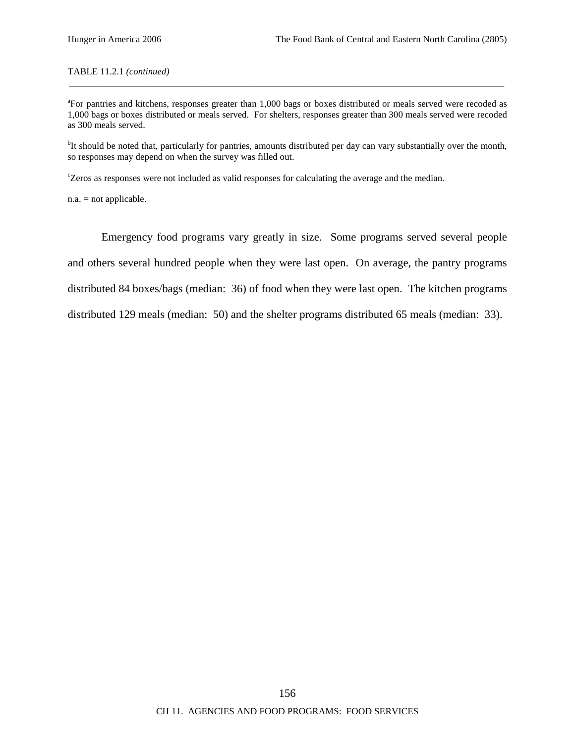#### TABLE 11.2.1 *(continued)*

<sup>a</sup>For pantries and kitchens, responses greater than 1,000 bags or boxes distributed or meals served were recoded as 1,000 bags or boxes distributed or meals served. For shelters, responses greater than 300 meals served were recoded as 300 meals served.

\_\_\_\_\_\_\_\_\_\_\_\_\_\_\_\_\_\_\_\_\_\_\_\_\_\_\_\_\_\_\_\_\_\_\_\_\_\_\_\_\_\_\_\_\_\_\_\_\_\_\_\_\_\_\_\_\_\_\_\_\_\_\_\_\_\_\_\_\_\_\_\_\_\_\_\_\_\_\_\_\_\_\_\_\_\_\_\_\_\_\_\_

<sup>b</sup>It should be noted that, particularly for pantries, amounts distributed per day can vary substantially over the month, so responses may depend on when the survey was filled out.

c Zeros as responses were not included as valid responses for calculating the average and the median.

n.a. = not applicable.

Emergency food programs vary greatly in size. Some programs served several people and others several hundred people when they were last open. On average, the pantry programs distributed 84 boxes/bags (median: 36) of food when they were last open. The kitchen programs distributed 129 meals (median: 50) and the shelter programs distributed 65 meals (median: 33).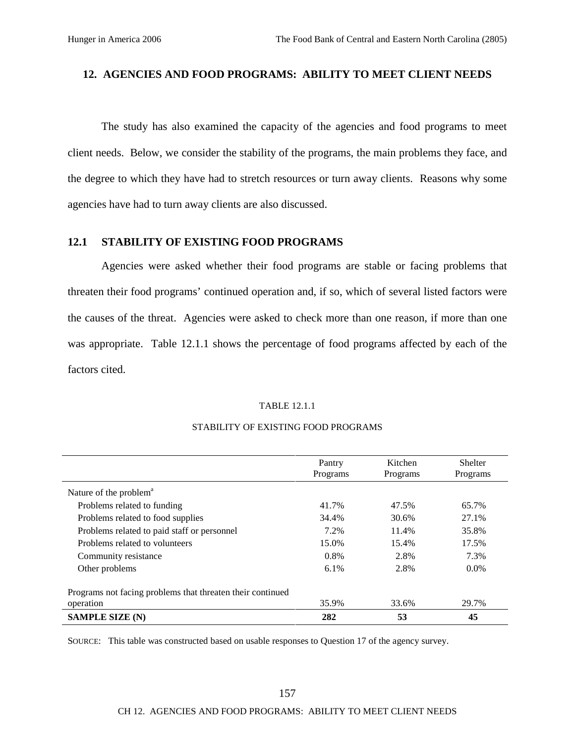### **12. AGENCIES AND FOOD PROGRAMS: ABILITY TO MEET CLIENT NEEDS**

The study has also examined the capacity of the agencies and food programs to meet client needs. Below, we consider the stability of the programs, the main problems they face, and the degree to which they have had to stretch resources or turn away clients. Reasons why some agencies have had to turn away clients are also discussed.

### **12.1 STABILITY OF EXISTING FOOD PROGRAMS**

Agencies were asked whether their food programs are stable or facing problems that threaten their food programs' continued operation and, if so, which of several listed factors were the causes of the threat. Agencies were asked to check more than one reason, if more than one was appropriate. Table 12.1.1 shows the percentage of food programs affected by each of the factors cited.

#### TABLE 12.1.1

|                                                            | Pantry<br>Programs | Kitchen<br>Programs | Shelter<br>Programs |
|------------------------------------------------------------|--------------------|---------------------|---------------------|
| Nature of the problem <sup>a</sup>                         |                    |                     |                     |
| Problems related to funding                                | 41.7%              | 47.5%               | 65.7%               |
| Problems related to food supplies                          | 34.4%              | 30.6%               | 27.1%               |
| Problems related to paid staff or personnel                | 7.2%               | 11.4%               | 35.8%               |
| Problems related to volunteers                             | 15.0%              | 15.4%               | 17.5%               |
| Community resistance                                       | $0.8\%$            | 2.8%                | 7.3%                |
| Other problems                                             | $6.1\%$            | 2.8%                | $0.0\%$             |
| Programs not facing problems that threaten their continued |                    |                     |                     |
| operation                                                  | 35.9%              | 33.6%               | 29.7%               |
| <b>SAMPLE SIZE (N)</b>                                     | 282                | 53                  | 45                  |

#### STABILITY OF EXISTING FOOD PROGRAMS

SOURCE: This table was constructed based on usable responses to Question 17 of the agency survey.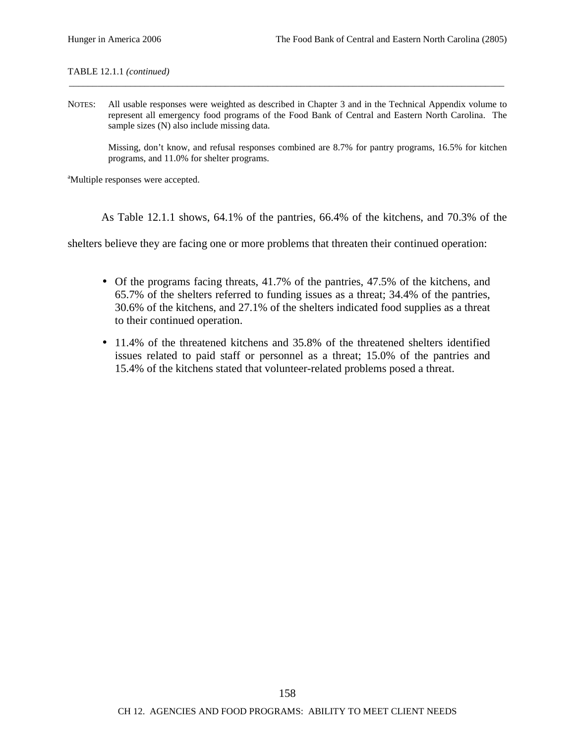TABLE 12.1.1 *(continued)*

NOTES: All usable responses were weighted as described in Chapter 3 and in the Technical Appendix volume to represent all emergency food programs of the Food Bank of Central and Eastern North Carolina. The sample sizes (N) also include missing data.

\_\_\_\_\_\_\_\_\_\_\_\_\_\_\_\_\_\_\_\_\_\_\_\_\_\_\_\_\_\_\_\_\_\_\_\_\_\_\_\_\_\_\_\_\_\_\_\_\_\_\_\_\_\_\_\_\_\_\_\_\_\_\_\_\_\_\_\_\_\_\_\_\_\_\_\_\_\_\_\_\_\_\_\_\_\_\_\_\_\_\_\_

Missing, don't know, and refusal responses combined are 8.7% for pantry programs, 16.5% for kitchen programs, and 11.0% for shelter programs.

<sup>a</sup>Multiple responses were accepted.

As Table 12.1.1 shows, 64.1% of the pantries, 66.4% of the kitchens, and 70.3% of the

shelters believe they are facing one or more problems that threaten their continued operation:

- Of the programs facing threats, 41.7% of the pantries, 47.5% of the kitchens, and 65.7% of the shelters referred to funding issues as a threat; 34.4% of the pantries, 30.6% of the kitchens, and 27.1% of the shelters indicated food supplies as a threat to their continued operation.
- 11.4% of the threatened kitchens and 35.8% of the threatened shelters identified issues related to paid staff or personnel as a threat; 15.0% of the pantries and 15.4% of the kitchens stated that volunteer-related problems posed a threat.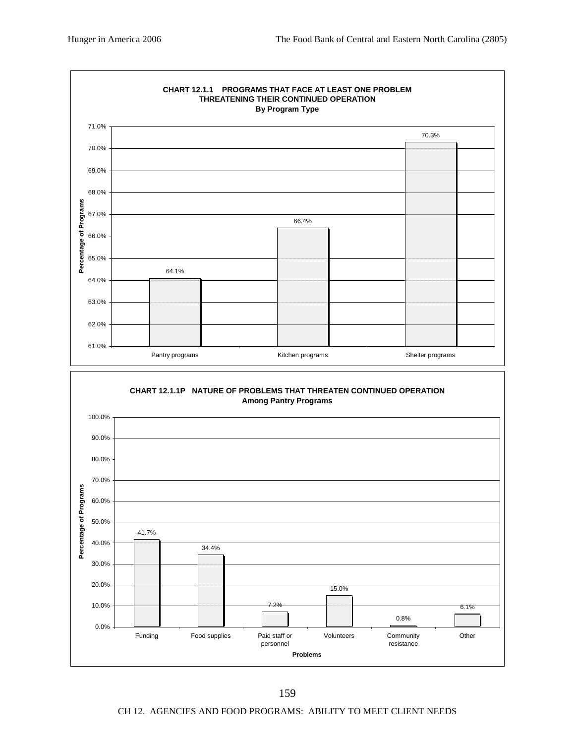

CH 12. AGENCIES AND FOOD PROGRAMS: ABILITY TO MEET CLIENT NEEDS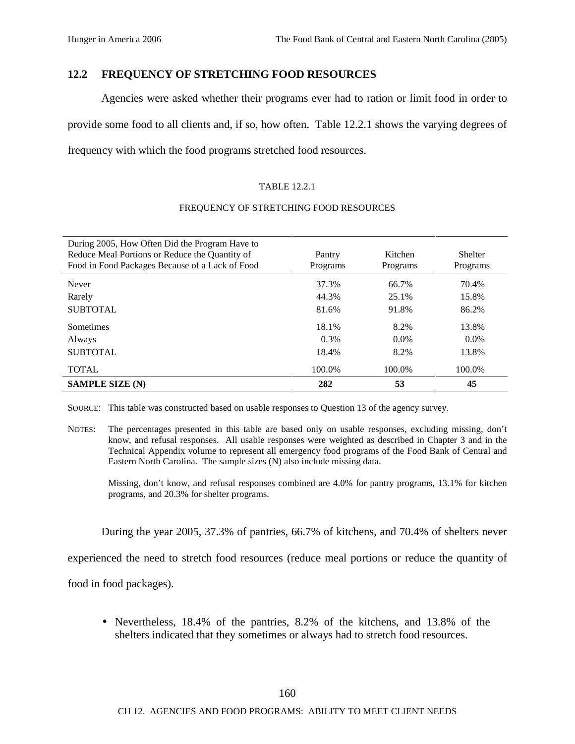# **12.2 FREQUENCY OF STRETCHING FOOD RESOURCES**

Agencies were asked whether their programs ever had to ration or limit food in order to provide some food to all clients and, if so, how often. Table 12.2.1 shows the varying degrees of frequency with which the food programs stretched food resources.

### TABLE 12.2.1

### FREQUENCY OF STRETCHING FOOD RESOURCES

| During 2005, How Often Did the Program Have to<br>Reduce Meal Portions or Reduce the Quantity of<br>Food in Food Packages Because of a Lack of Food | Pantry<br>Programs | Kitchen<br>Programs | Shelter<br>Programs |
|-----------------------------------------------------------------------------------------------------------------------------------------------------|--------------------|---------------------|---------------------|
| Never                                                                                                                                               | 37.3%              | 66.7%               | 70.4%               |
| Rarely                                                                                                                                              | 44.3%              | 25.1%               | 15.8%               |
| <b>SUBTOTAL</b>                                                                                                                                     | 81.6%              | 91.8%               | 86.2%               |
| <b>Sometimes</b>                                                                                                                                    | 18.1%              | 8.2%                | 13.8%               |
| Always                                                                                                                                              | 0.3%               | $0.0\%$             | $0.0\%$             |
| <b>SUBTOTAL</b>                                                                                                                                     | 18.4%              | 8.2%                | 13.8%               |
| <b>TOTAL</b>                                                                                                                                        | 100.0%             | 100.0%              | 100.0%              |
| <b>SAMPLE SIZE (N)</b>                                                                                                                              | 282                | 53                  | 45                  |

SOURCE: This table was constructed based on usable responses to Question 13 of the agency survey.

NOTES: The percentages presented in this table are based only on usable responses, excluding missing, don't know, and refusal responses. All usable responses were weighted as described in Chapter 3 and in the Technical Appendix volume to represent all emergency food programs of the Food Bank of Central and Eastern North Carolina. The sample sizes (N) also include missing data.

Missing, don't know, and refusal responses combined are 4.0% for pantry programs, 13.1% for kitchen programs, and 20.3% for shelter programs.

During the year 2005, 37.3% of pantries, 66.7% of kitchens, and 70.4% of shelters never

experienced the need to stretch food resources (reduce meal portions or reduce the quantity of

food in food packages).

• Nevertheless, 18.4% of the pantries, 8.2% of the kitchens, and 13.8% of the shelters indicated that they sometimes or always had to stretch food resources.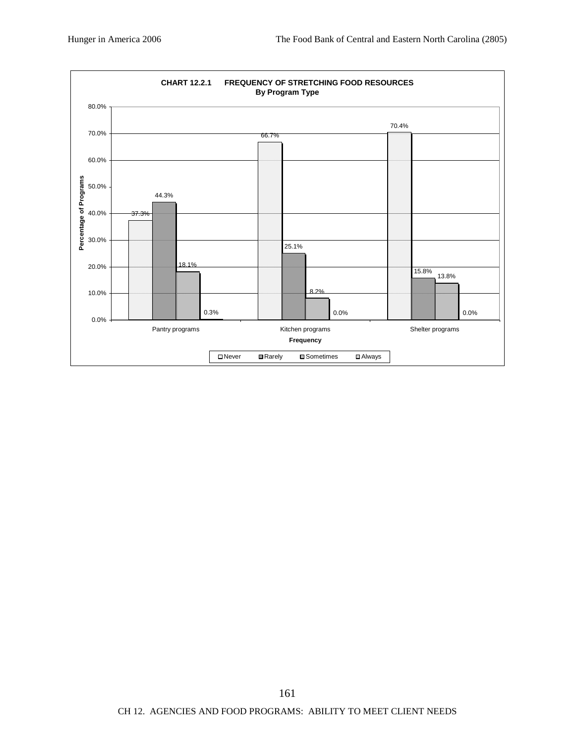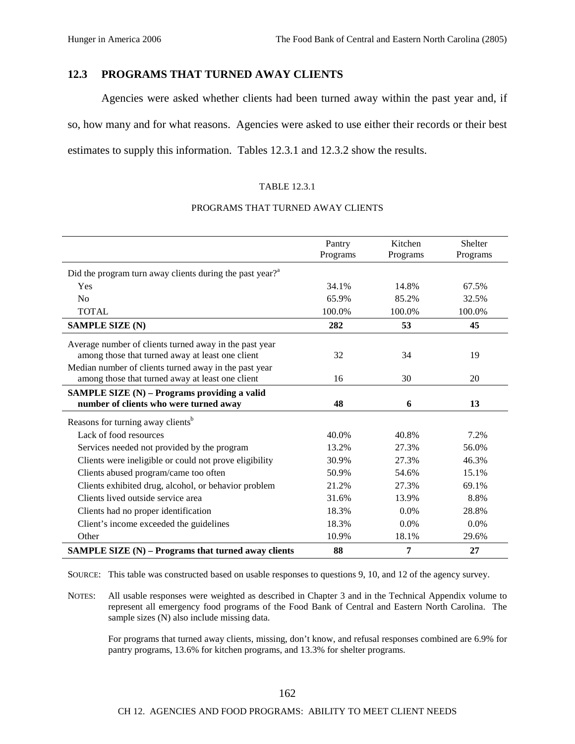## **12.3 PROGRAMS THAT TURNED AWAY CLIENTS**

Agencies were asked whether clients had been turned away within the past year and, if so, how many and for what reasons. Agencies were asked to use either their records or their best estimates to supply this information. Tables 12.3.1 and 12.3.2 show the results.

#### TABLE 12.3.1

#### PROGRAMS THAT TURNED AWAY CLIENTS

|                                                                                                            | Pantry<br>Programs | Kitchen<br>Programs | <b>Shelter</b><br>Programs |
|------------------------------------------------------------------------------------------------------------|--------------------|---------------------|----------------------------|
| Did the program turn away clients during the past year? $^{a}$                                             |                    |                     |                            |
| Yes                                                                                                        | 34.1%              | 14.8%               | 67.5%                      |
| N <sub>0</sub>                                                                                             | 65.9%              | 85.2%               | 32.5%                      |
| <b>TOTAL</b>                                                                                               | 100.0%             | 100.0%              | 100.0%                     |
| <b>SAMPLE SIZE (N)</b>                                                                                     | 282                | 53                  | 45                         |
| Average number of clients turned away in the past year<br>among those that turned away at least one client | 32                 | 34                  | 19                         |
| Median number of clients turned away in the past year<br>among those that turned away at least one client  | 16                 | 30                  | 20                         |
| SAMPLE SIZE (N) - Programs providing a valid<br>number of clients who were turned away                     | 48                 | 6                   | 13                         |
| Reasons for turning away clients <sup>b</sup>                                                              |                    |                     |                            |
| Lack of food resources                                                                                     | 40.0%              | 40.8%               | 7.2%                       |
| Services needed not provided by the program                                                                | 13.2%              | 27.3%               | 56.0%                      |
| Clients were ineligible or could not prove eligibility                                                     | 30.9%              | 27.3%               | 46.3%                      |
| Clients abused program/came too often                                                                      | 50.9%              | 54.6%               | 15.1%                      |
| Clients exhibited drug, alcohol, or behavior problem                                                       | 21.2%              | 27.3%               | 69.1%                      |
| Clients lived outside service area                                                                         | 31.6%              | 13.9%               | 8.8%                       |
| Clients had no proper identification                                                                       | 18.3%              | $0.0\%$             | 28.8%                      |
| Client's income exceeded the guidelines                                                                    | 18.3%              | 0.0%                | 0.0%                       |
| Other                                                                                                      | 10.9%              | 18.1%               | 29.6%                      |
| SAMPLE SIZE (N) - Programs that turned away clients                                                        | 88                 | 7                   | 27                         |

SOURCE: This table was constructed based on usable responses to questions 9, 10, and 12 of the agency survey.

NOTES: All usable responses were weighted as described in Chapter 3 and in the Technical Appendix volume to represent all emergency food programs of the Food Bank of Central and Eastern North Carolina. The sample sizes (N) also include missing data.

For programs that turned away clients, missing, don't know, and refusal responses combined are 6.9% for pantry programs, 13.6% for kitchen programs, and 13.3% for shelter programs.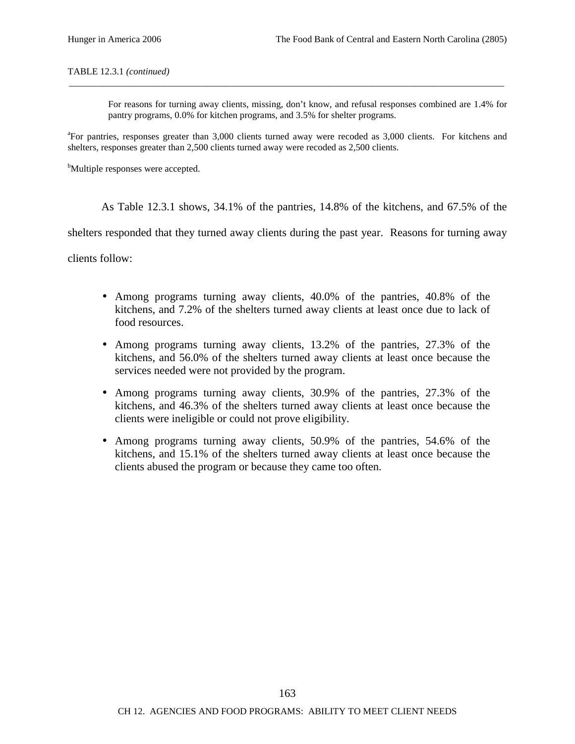#### TABLE 12.3.1 *(continued)*

For reasons for turning away clients, missing, don't know, and refusal responses combined are 1.4% for pantry programs, 0.0% for kitchen programs, and 3.5% for shelter programs.

<sup>a</sup>For pantries, responses greater than 3,000 clients turned away were recoded as 3,000 clients. For kitchens and shelters, responses greater than 2,500 clients turned away were recoded as 2,500 clients.

*\_\_\_\_\_\_\_\_\_\_\_\_\_\_\_\_\_\_\_\_\_\_\_\_\_\_\_\_\_\_\_\_\_\_\_\_\_\_\_\_\_\_\_\_\_\_\_\_\_\_\_\_\_\_\_\_\_\_\_\_\_\_\_\_\_\_\_\_\_\_\_\_\_\_\_\_\_\_\_\_\_\_\_\_\_\_\_\_\_\_\_\_*

<sup>b</sup>Multiple responses were accepted.

As Table 12.3.1 shows, 34.1% of the pantries, 14.8% of the kitchens, and 67.5% of the

shelters responded that they turned away clients during the past year. Reasons for turning away

clients follow:

- Among programs turning away clients, 40.0% of the pantries, 40.8% of the kitchens, and 7.2% of the shelters turned away clients at least once due to lack of food resources.
- Among programs turning away clients, 13.2% of the pantries, 27.3% of the kitchens, and 56.0% of the shelters turned away clients at least once because the services needed were not provided by the program.
- Among programs turning away clients, 30.9% of the pantries, 27.3% of the kitchens, and 46.3% of the shelters turned away clients at least once because the clients were ineligible or could not prove eligibility.
- Among programs turning away clients, 50.9% of the pantries, 54.6% of the kitchens, and 15.1% of the shelters turned away clients at least once because the clients abused the program or because they came too often.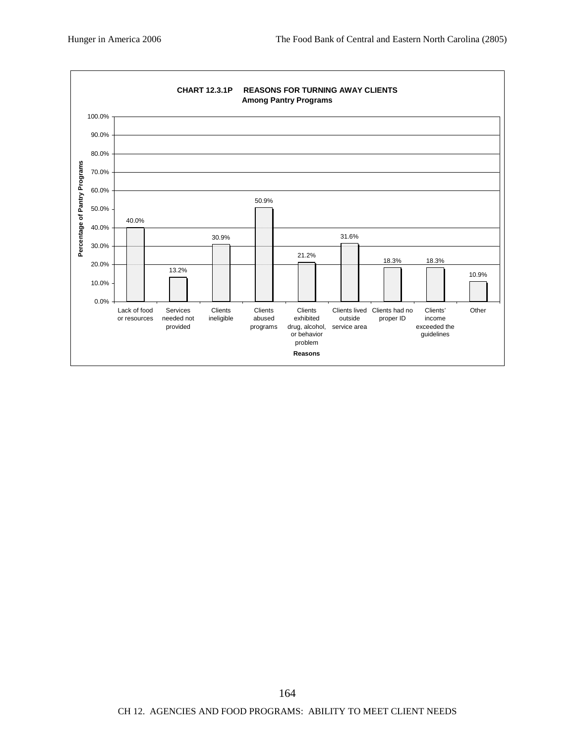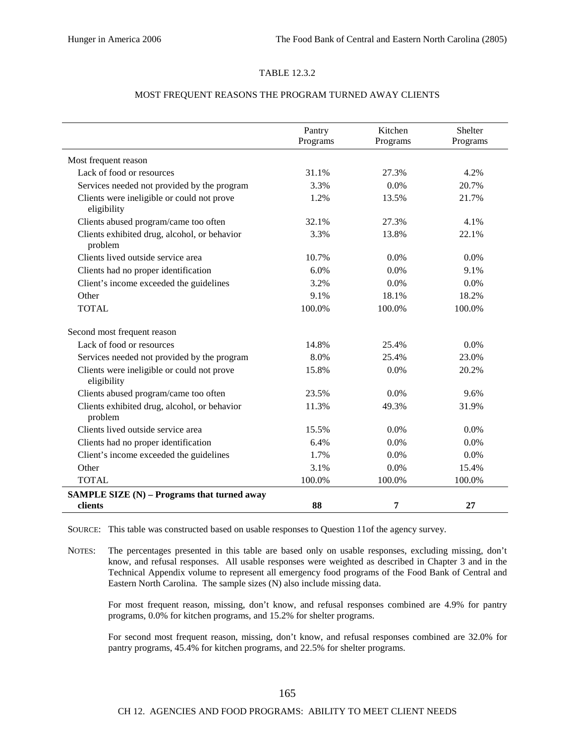#### TABLE 12.3.2

#### MOST FREQUENT REASONS THE PROGRAM TURNED AWAY CLIENTS

|                                                           | Pantry<br>Programs | Kitchen<br>Programs | Shelter<br>Programs |
|-----------------------------------------------------------|--------------------|---------------------|---------------------|
| Most frequent reason                                      |                    |                     |                     |
| Lack of food or resources                                 | 31.1%              | 27.3%               | 4.2%                |
| Services needed not provided by the program               | 3.3%               | 0.0%                | 20.7%               |
| Clients were ineligible or could not prove<br>eligibility | 1.2%               | 13.5%               | 21.7%               |
| Clients abused program/came too often                     | 32.1%              | 27.3%               | 4.1%                |
| Clients exhibited drug, alcohol, or behavior<br>problem   | 3.3%               | 13.8%               | 22.1%               |
| Clients lived outside service area                        | 10.7%              | 0.0%                | 0.0%                |
| Clients had no proper identification                      | 6.0%               | 0.0%                | 9.1%                |
| Client's income exceeded the guidelines                   | 3.2%               | 0.0%                | 0.0%                |
| Other                                                     | 9.1%               | 18.1%               | 18.2%               |
| <b>TOTAL</b>                                              | 100.0%             | 100.0%              | 100.0%              |
| Second most frequent reason                               |                    |                     |                     |
| Lack of food or resources                                 | 14.8%              | 25.4%               | 0.0%                |
| Services needed not provided by the program               | 8.0%               | 25.4%               | 23.0%               |
| Clients were ineligible or could not prove<br>eligibility | 15.8%              | 0.0%                | 20.2%               |
| Clients abused program/came too often                     | 23.5%              | 0.0%                | 9.6%                |
| Clients exhibited drug, alcohol, or behavior<br>problem   | 11.3%              | 49.3%               | 31.9%               |
| Clients lived outside service area                        | 15.5%              | 0.0%                | $0.0\%$             |
| Clients had no proper identification                      | 6.4%               | 0.0%                | 0.0%                |
| Client's income exceeded the guidelines                   | 1.7%               | 0.0%                | $0.0\%$             |
| Other                                                     | 3.1%               | 0.0%                | 15.4%               |
| <b>TOTAL</b>                                              | 100.0%             | 100.0%              | 100.0%              |
| SAMPLE SIZE (N) - Programs that turned away               |                    |                     |                     |
| clients                                                   | 88                 | 7                   | 27                  |

SOURCE: This table was constructed based on usable responses to Question 11of the agency survey.

NOTES: The percentages presented in this table are based only on usable responses, excluding missing, don't know, and refusal responses. All usable responses were weighted as described in Chapter 3 and in the Technical Appendix volume to represent all emergency food programs of the Food Bank of Central and Eastern North Carolina. The sample sizes (N) also include missing data.

For most frequent reason, missing, don't know, and refusal responses combined are 4.9% for pantry programs, 0.0% for kitchen programs, and 15.2% for shelter programs.

For second most frequent reason, missing, don't know, and refusal responses combined are 32.0% for pantry programs, 45.4% for kitchen programs, and 22.5% for shelter programs.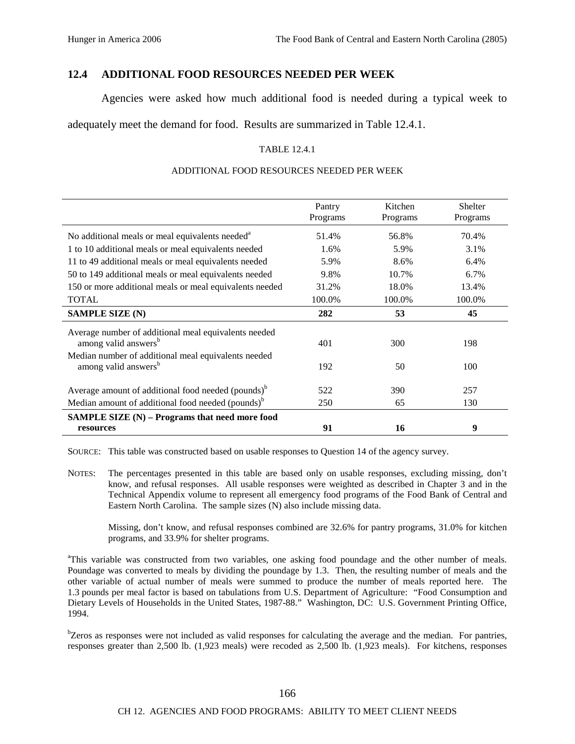#### **12.4 ADDITIONAL FOOD RESOURCES NEEDED PER WEEK**

Agencies were asked how much additional food is needed during a typical week to

adequately meet the demand for food. Results are summarized in Table 12.4.1.

#### TABLE 12.4.1

#### ADDITIONAL FOOD RESOURCES NEEDED PER WEEK

|                                                                                          | Pantry<br>Programs | Kitchen<br>Programs | <b>Shelter</b><br>Programs |
|------------------------------------------------------------------------------------------|--------------------|---------------------|----------------------------|
| No additional meals or meal equivalents needed <sup>a</sup>                              | 51.4%              | 56.8%               | 70.4%                      |
| 1 to 10 additional meals or meal equivalents needed                                      | 1.6%               | 5.9%                | 3.1%                       |
| 11 to 49 additional meals or meal equivalents needed                                     | 5.9%               | 8.6%                | 6.4%                       |
| 50 to 149 additional meals or meal equivalents needed                                    | 9.8%               | 10.7%               | $6.7\%$                    |
| 150 or more additional meals or meal equivalents needed                                  | 31.2%              | 18.0%               | 13.4%                      |
| <b>TOTAL</b>                                                                             | 100.0%             | 100.0%              | 100.0%                     |
| <b>SAMPLE SIZE (N)</b>                                                                   | 282                | 53                  | 45                         |
| Average number of additional meal equivalents needed<br>among valid answers <sup>b</sup> | 401                | 300                 | 198                        |
| Median number of additional meal equivalents needed<br>among valid answers <sup>b</sup>  | 192                | 50                  | 100                        |
| Average amount of additional food needed (pounds) <sup>b</sup>                           | 522                | 390                 | 257                        |
| Median amount of additional food needed (pounds) <sup>b</sup>                            | 250                | 65                  | 130                        |
| SAMPLE SIZE (N) - Programs that need more food<br>resources                              | 91                 | 16                  | 9                          |

SOURCE: This table was constructed based on usable responses to Question 14 of the agency survey.

NOTES: The percentages presented in this table are based only on usable responses, excluding missing, don't know, and refusal responses. All usable responses were weighted as described in Chapter 3 and in the Technical Appendix volume to represent all emergency food programs of the Food Bank of Central and Eastern North Carolina. The sample sizes (N) also include missing data.

Missing, don't know, and refusal responses combined are 32.6% for pantry programs, 31.0% for kitchen programs, and 33.9% for shelter programs.

<sup>a</sup>This variable was constructed from two variables, one asking food poundage and the other number of meals. Poundage was converted to meals by dividing the poundage by 1.3. Then, the resulting number of meals and the other variable of actual number of meals were summed to produce the number of meals reported here. The 1.3 pounds per meal factor is based on tabulations from U.S. Department of Agriculture: "Food Consumption and Dietary Levels of Households in the United States, 1987-88." Washington, DC: U.S. Government Printing Office, 1994.

<sup>b</sup>Zeros as responses were not included as valid responses for calculating the average and the median. For pantries, responses greater than 2,500 lb. (1,923 meals) were recoded as 2,500 lb. (1,923 meals). For kitchens, responses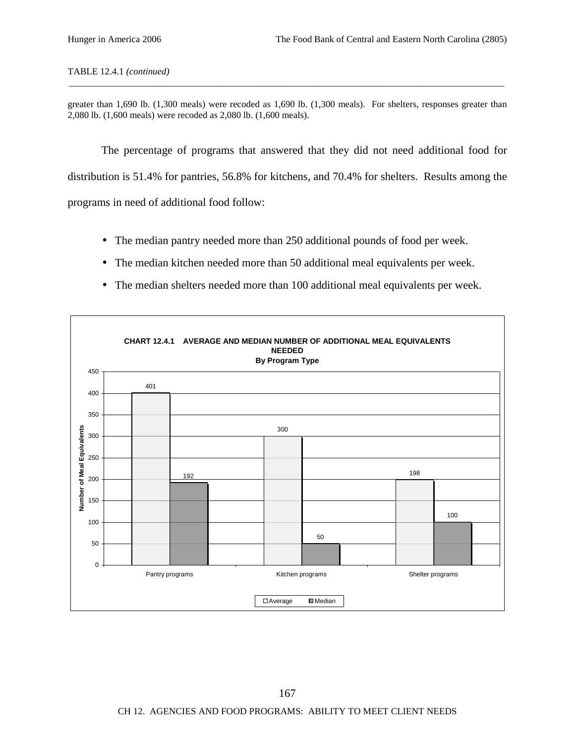greater than 1,690 lb. (1,300 meals) were recoded as 1,690 lb. (1,300 meals). For shelters, responses greater than 2,080 lb. (1,600 meals) were recoded as 2,080 lb. (1,600 meals).

\_\_\_\_\_\_\_\_\_\_\_\_\_\_\_\_\_\_\_\_\_\_\_\_\_\_\_\_\_\_\_\_\_\_\_\_\_\_\_\_\_\_\_\_\_\_\_\_\_\_\_\_\_\_\_\_\_\_\_\_\_\_\_\_\_\_\_\_\_\_\_\_\_\_\_\_\_\_\_\_\_\_\_\_\_\_\_\_\_\_\_\_

The percentage of programs that answered that they did not need additional food for distribution is 51.4% for pantries, 56.8% for kitchens, and 70.4% for shelters. Results among the programs in need of additional food follow:

- The median pantry needed more than 250 additional pounds of food per week.
- The median kitchen needed more than 50 additional meal equivalents per week.
- The median shelters needed more than 100 additional meal equivalents per week.

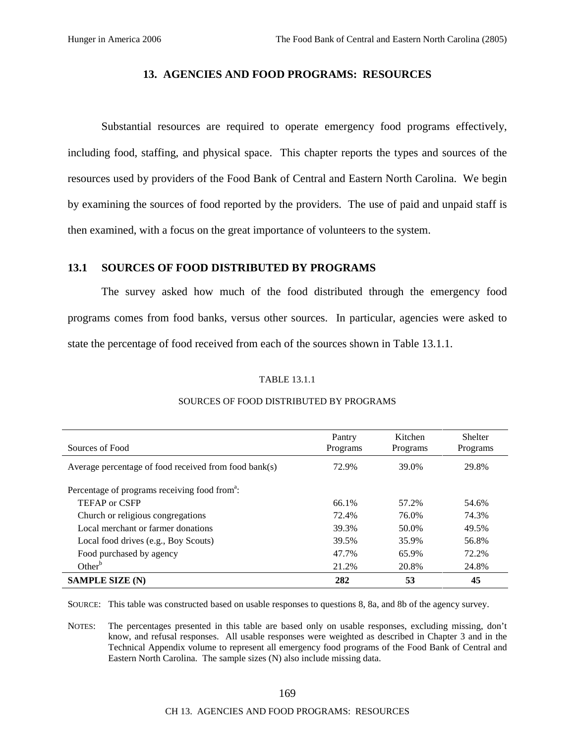#### **13. AGENCIES AND FOOD PROGRAMS: RESOURCES**

Substantial resources are required to operate emergency food programs effectively, including food, staffing, and physical space. This chapter reports the types and sources of the resources used by providers of the Food Bank of Central and Eastern North Carolina. We begin by examining the sources of food reported by the providers. The use of paid and unpaid staff is then examined, with a focus on the great importance of volunteers to the system.

#### **13.1 SOURCES OF FOOD DISTRIBUTED BY PROGRAMS**

The survey asked how much of the food distributed through the emergency food programs comes from food banks, versus other sources. In particular, agencies were asked to state the percentage of food received from each of the sources shown in Table 13.1.1.

#### TABLE 13.1.1

| Sources of Food                                           | Pantry<br>Programs | Kitchen<br>Programs | <b>Shelter</b><br>Programs |
|-----------------------------------------------------------|--------------------|---------------------|----------------------------|
| Average percentage of food received from food bank(s)     | 72.9%              | 39.0%               | 29.8%                      |
| Percentage of programs receiving food from <sup>a</sup> : |                    |                     |                            |
| <b>TEFAP or CSFP</b>                                      | 66.1%              | 57.2%               | 54.6%                      |
| Church or religious congregations                         | 72.4%              | 76.0%               | 74.3%                      |
| Local merchant or farmer donations                        | 39.3%              | 50.0%               | 49.5%                      |
| Local food drives (e.g., Boy Scouts)                      | 39.5%              | 35.9%               | 56.8%                      |
| Food purchased by agency                                  | 47.7%              | 65.9%               | 72.2%                      |
| Other $b$                                                 | 21.2%              | 20.8%               | 24.8%                      |
| <b>SAMPLE SIZE (N)</b>                                    | 282                | 53                  | 45                         |

#### SOURCES OF FOOD DISTRIBUTED BY PROGRAMS

SOURCE: This table was constructed based on usable responses to questions 8, 8a, and 8b of the agency survey.

NOTES: The percentages presented in this table are based only on usable responses, excluding missing, don't know, and refusal responses. All usable responses were weighted as described in Chapter 3 and in the Technical Appendix volume to represent all emergency food programs of the Food Bank of Central and Eastern North Carolina. The sample sizes (N) also include missing data.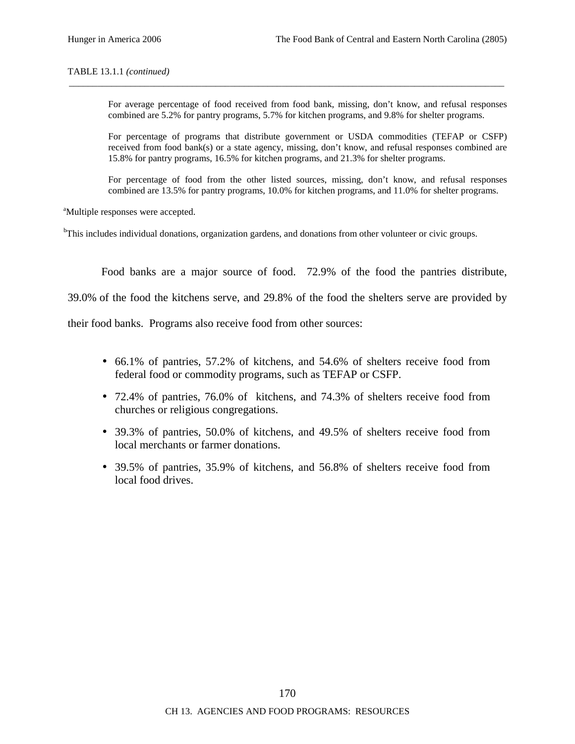#### TABLE 13.1.1 *(continued)*

For average percentage of food received from food bank, missing, don't know, and refusal responses combined are 5.2% for pantry programs, 5.7% for kitchen programs, and 9.8% for shelter programs.

\_\_\_\_\_\_\_\_\_\_\_\_\_\_\_\_\_\_\_\_\_\_\_\_\_\_\_\_\_\_\_\_\_\_\_\_\_\_\_\_\_\_\_\_\_\_\_\_\_\_\_\_\_\_\_\_\_\_\_\_\_\_\_\_\_\_\_\_\_\_\_\_\_\_\_\_\_\_\_\_\_\_\_\_\_\_\_\_\_\_\_\_

For percentage of programs that distribute government or USDA commodities (TEFAP or CSFP) received from food bank(s) or a state agency, missing, don't know, and refusal responses combined are 15.8% for pantry programs, 16.5% for kitchen programs, and 21.3% for shelter programs.

For percentage of food from the other listed sources, missing, don't know, and refusal responses combined are 13.5% for pantry programs, 10.0% for kitchen programs, and 11.0% for shelter programs.

<sup>a</sup>Multiple responses were accepted.

<sup>b</sup>This includes individual donations, organization gardens, and donations from other volunteer or civic groups.

Food banks are a major source of food. 72.9% of the food the pantries distribute,

39.0% of the food the kitchens serve, and 29.8% of the food the shelters serve are provided by

their food banks. Programs also receive food from other sources:

- 66.1% of pantries, 57.2% of kitchens, and 54.6% of shelters receive food from federal food or commodity programs, such as TEFAP or CSFP.
- 72.4% of pantries, 76.0% of kitchens, and 74.3% of shelters receive food from churches or religious congregations.
- 39.3% of pantries, 50.0% of kitchens, and 49.5% of shelters receive food from local merchants or farmer donations.
- 39.5% of pantries, 35.9% of kitchens, and 56.8% of shelters receive food from local food drives.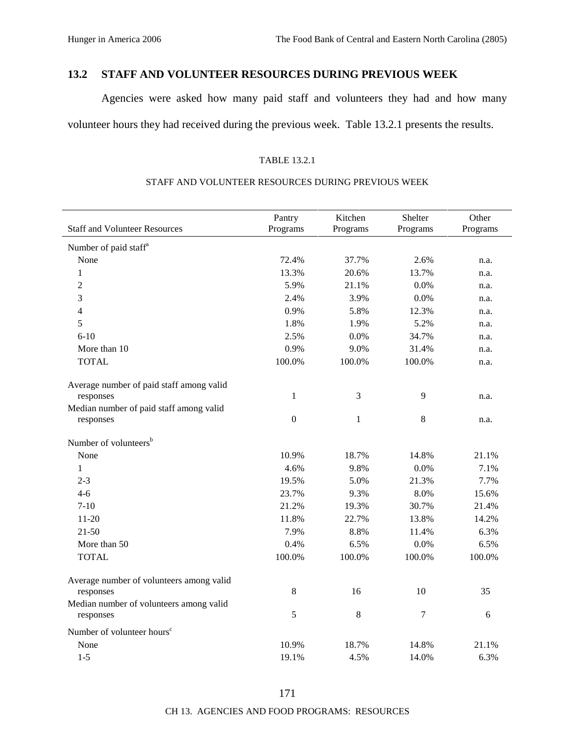# **13.2 STAFF AND VOLUNTEER RESOURCES DURING PREVIOUS WEEK**

Agencies were asked how many paid staff and volunteers they had and how many volunteer hours they had received during the previous week. Table 13.2.1 presents the results.

#### TABLE 13.2.1

|                                          | Pantry           | Kitchen      | Shelter  | Other    |
|------------------------------------------|------------------|--------------|----------|----------|
| <b>Staff and Volunteer Resources</b>     | Programs         | Programs     | Programs | Programs |
| Number of paid staff <sup>a</sup>        |                  |              |          |          |
| None                                     | 72.4%            | 37.7%        | 2.6%     | n.a.     |
| $\mathbf{1}$                             | 13.3%            | 20.6%        | 13.7%    | n.a.     |
| 2                                        | 5.9%             | 21.1%        | 0.0%     | n.a.     |
| 3                                        | 2.4%             | 3.9%         | 0.0%     | n.a.     |
| 4                                        | 0.9%             | 5.8%         | 12.3%    | n.a.     |
| 5                                        | 1.8%             | 1.9%         | 5.2%     | n.a.     |
| $6 - 10$                                 | 2.5%             | 0.0%         | 34.7%    | n.a.     |
| More than 10                             | 0.9%             | 9.0%         | 31.4%    | n.a.     |
| <b>TOTAL</b>                             | 100.0%           | 100.0%       | 100.0%   | n.a.     |
| Average number of paid staff among valid |                  |              |          |          |
| responses                                | $\mathbf{1}$     | 3            | 9        | n.a.     |
| Median number of paid staff among valid  |                  |              |          |          |
| responses                                | $\boldsymbol{0}$ | $\mathbf{1}$ | 8        | n.a.     |
| Number of volunteers <sup>b</sup>        |                  |              |          |          |
| None                                     | 10.9%            | 18.7%        | 14.8%    | 21.1%    |
| $\mathbf{1}$                             | 4.6%             | 9.8%         | 0.0%     | 7.1%     |
| $2 - 3$                                  | 19.5%            | 5.0%         | 21.3%    | 7.7%     |
| $4 - 6$                                  | 23.7%            | 9.3%         | 8.0%     | 15.6%    |
| $7 - 10$                                 | 21.2%            | 19.3%        | 30.7%    | 21.4%    |
| $11 - 20$                                | 11.8%            | 22.7%        | 13.8%    | 14.2%    |
| $21 - 50$                                | 7.9%             | 8.8%         | 11.4%    | 6.3%     |
| More than 50                             | 0.4%             | 6.5%         | 0.0%     | 6.5%     |
| <b>TOTAL</b>                             | 100.0%           | 100.0%       | 100.0%   | 100.0%   |
| Average number of volunteers among valid |                  |              |          |          |
| responses                                | $\,8\,$          | 16           | 10       | 35       |
| Median number of volunteers among valid  |                  |              |          |          |
| responses                                | 5                | $8\,$        | $\tau$   | 6        |
| Number of volunteer hours <sup>c</sup>   |                  |              |          |          |
| None                                     | 10.9%            | 18.7%        | 14.8%    | 21.1%    |
| $1 - 5$                                  | 19.1%            | 4.5%         | 14.0%    | 6.3%     |

#### STAFF AND VOLUNTEER RESOURCES DURING PREVIOUS WEEK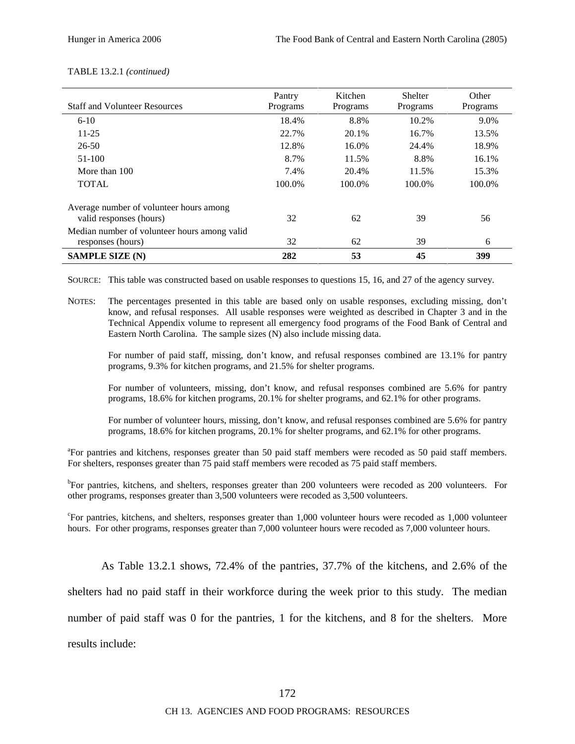| <b>Staff and Volunteer Resources</b>                               | Pantry<br>Programs | Kitchen<br>Programs | Shelter<br>Programs | Other<br>Programs |
|--------------------------------------------------------------------|--------------------|---------------------|---------------------|-------------------|
| $6 - 10$                                                           | 18.4%              | 8.8%                | 10.2%               | 9.0%              |
| $11 - 25$                                                          | 22.7%              | 20.1%               | 16.7%               | 13.5%             |
| $26 - 50$                                                          | 12.8%              | 16.0%               | 24.4%               | 18.9%             |
| 51-100                                                             | 8.7%               | 11.5%               | 8.8%                | 16.1%             |
| More than 100                                                      | 7.4%               | 20.4%               | 11.5%               | 15.3%             |
| <b>TOTAL</b>                                                       | 100.0%             | 100.0%              | 100.0%              | 100.0%            |
| Average number of volunteer hours among<br>valid responses (hours) | 32                 | 62                  | 39                  | 56                |
| Median number of volunteer hours among valid<br>responses (hours)  | 32                 | 62                  | 39                  | 6                 |
| <b>SAMPLE SIZE (N)</b>                                             | 282                | 53                  | 45                  | 399               |

#### TABLE 13.2.1 *(continued)*

SOURCE: This table was constructed based on usable responses to questions 15, 16, and 27 of the agency survey.

NOTES: The percentages presented in this table are based only on usable responses, excluding missing, don't know, and refusal responses. All usable responses were weighted as described in Chapter 3 and in the Technical Appendix volume to represent all emergency food programs of the Food Bank of Central and Eastern North Carolina. The sample sizes (N) also include missing data.

For number of paid staff, missing, don't know, and refusal responses combined are 13.1% for pantry programs, 9.3% for kitchen programs, and 21.5% for shelter programs.

For number of volunteers, missing, don't know, and refusal responses combined are 5.6% for pantry programs, 18.6% for kitchen programs, 20.1% for shelter programs, and 62.1% for other programs.

For number of volunteer hours, missing, don't know, and refusal responses combined are 5.6% for pantry programs, 18.6% for kitchen programs, 20.1% for shelter programs, and 62.1% for other programs.

<sup>a</sup>For pantries and kitchens, responses greater than 50 paid staff members were recoded as 50 paid staff members. For shelters, responses greater than 75 paid staff members were recoded as 75 paid staff members.

<sup>b</sup>For pantries, kitchens, and shelters, responses greater than 200 volunteers were recoded as 200 volunteers. For other programs, responses greater than 3,500 volunteers were recoded as 3,500 volunteers.

<sup>c</sup>For pantries, kitchens, and shelters, responses greater than 1,000 volunteer hours were recoded as 1,000 volunteer hours. For other programs, responses greater than 7,000 volunteer hours were recoded as 7,000 volunteer hours.

As Table 13.2.1 shows, 72.4% of the pantries, 37.7% of the kitchens, and 2.6% of the shelters had no paid staff in their workforce during the week prior to this study. The median number of paid staff was 0 for the pantries, 1 for the kitchens, and 8 for the shelters. More results include: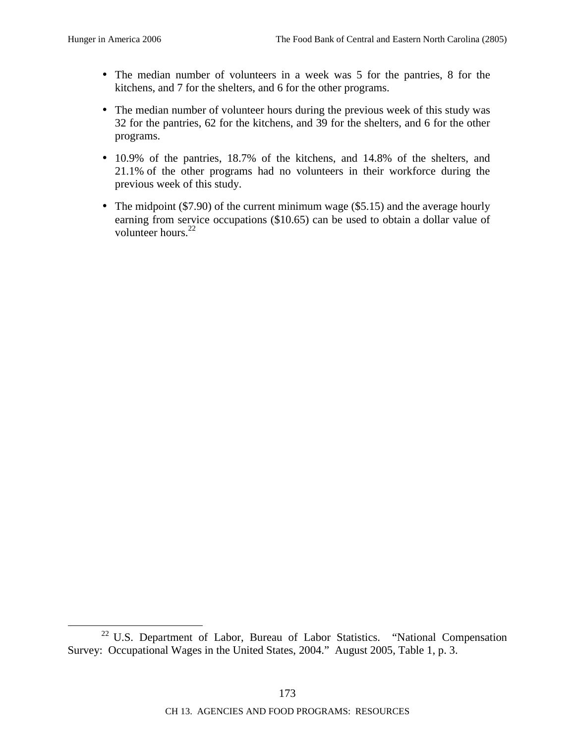- The median number of volunteers in a week was 5 for the pantries, 8 for the kitchens, and 7 for the shelters, and 6 for the other programs.
- The median number of volunteer hours during the previous week of this study was 32 for the pantries, 62 for the kitchens, and 39 for the shelters, and 6 for the other programs.
- 10.9% of the pantries, 18.7% of the kitchens, and 14.8% of the shelters, and 21.1% of the other programs had no volunteers in their workforce during the previous week of this study.
- The midpoint (\$7.90) of the current minimum wage (\$5.15) and the average hourly earning from service occupations (\$10.65) can be used to obtain a dollar value of volunteer hours.<sup>22</sup>

<sup>&</sup>lt;sup>22</sup> U.S. Department of Labor, Bureau of Labor Statistics. "National Compensation Survey: Occupational Wages in the United States, 2004." August 2005, Table 1, p. 3.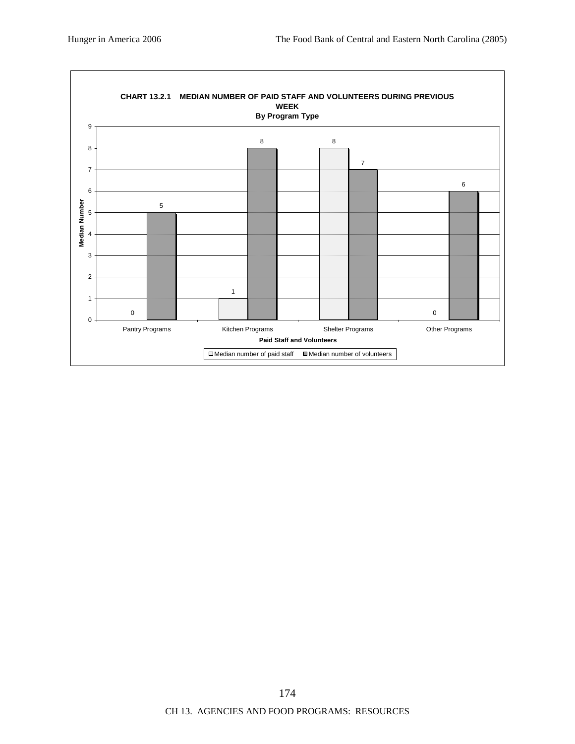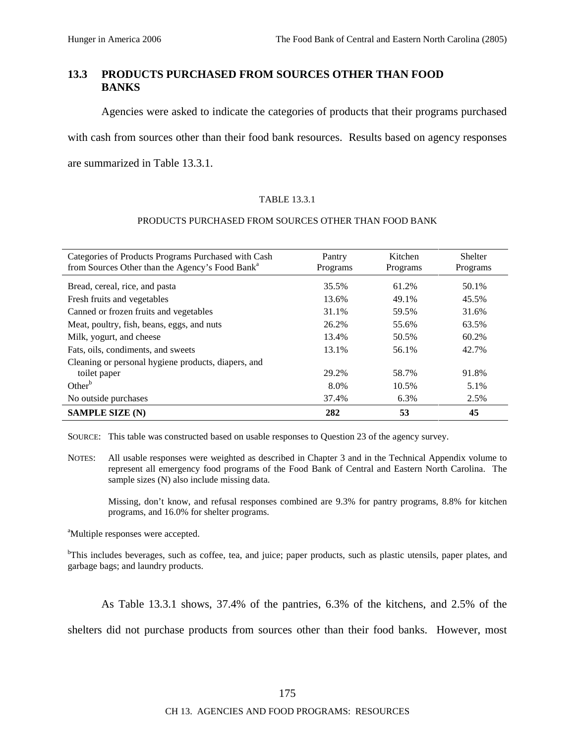## **13.3 PRODUCTS PURCHASED FROM SOURCES OTHER THAN FOOD BANKS**

Agencies were asked to indicate the categories of products that their programs purchased

with cash from sources other than their food bank resources. Results based on agency responses

are summarized in Table 13.3.1.

#### TABLE 13.3.1

#### PRODUCTS PURCHASED FROM SOURCES OTHER THAN FOOD BANK

| Categories of Products Programs Purchased with Cash<br>from Sources Other than the Agency's Food Bank <sup>a</sup> | Pantry<br>Programs | Kitchen<br>Programs | <b>Shelter</b><br>Programs |
|--------------------------------------------------------------------------------------------------------------------|--------------------|---------------------|----------------------------|
| Bread, cereal, rice, and pasta                                                                                     | 35.5%              | 61.2%               | 50.1%                      |
| Fresh fruits and vegetables                                                                                        | 13.6%              | 49.1%               | 45.5%                      |
| Canned or frozen fruits and vegetables                                                                             | 31.1%              | 59.5%               | 31.6%                      |
| Meat, poultry, fish, beans, eggs, and nuts                                                                         | 26.2%              | 55.6%               | 63.5%                      |
| Milk, yogurt, and cheese                                                                                           | 13.4%              | 50.5%               | 60.2%                      |
| Fats, oils, condiments, and sweets                                                                                 | 13.1%              | 56.1%               | 42.7%                      |
| Cleaning or personal hygiene products, diapers, and                                                                |                    |                     |                            |
| toilet paper                                                                                                       | 29.2%              | 58.7%               | 91.8%                      |
| Other <sup>b</sup>                                                                                                 | 8.0%               | 10.5%               | 5.1%                       |
| No outside purchases                                                                                               | 37.4%              | 6.3%                | 2.5%                       |
| <b>SAMPLE SIZE (N)</b>                                                                                             | 282                | 53                  | 45                         |

SOURCE: This table was constructed based on usable responses to Question 23 of the agency survey.

NOTES: All usable responses were weighted as described in Chapter 3 and in the Technical Appendix volume to represent all emergency food programs of the Food Bank of Central and Eastern North Carolina. The sample sizes (N) also include missing data.

Missing, don't know, and refusal responses combined are 9.3% for pantry programs, 8.8% for kitchen programs, and 16.0% for shelter programs.

<sup>a</sup>Multiple responses were accepted.

<sup>b</sup>This includes beverages, such as coffee, tea, and juice; paper products, such as plastic utensils, paper plates, and garbage bags; and laundry products.

As Table 13.3.1 shows, 37.4% of the pantries, 6.3% of the kitchens, and 2.5% of the

shelters did not purchase products from sources other than their food banks. However, most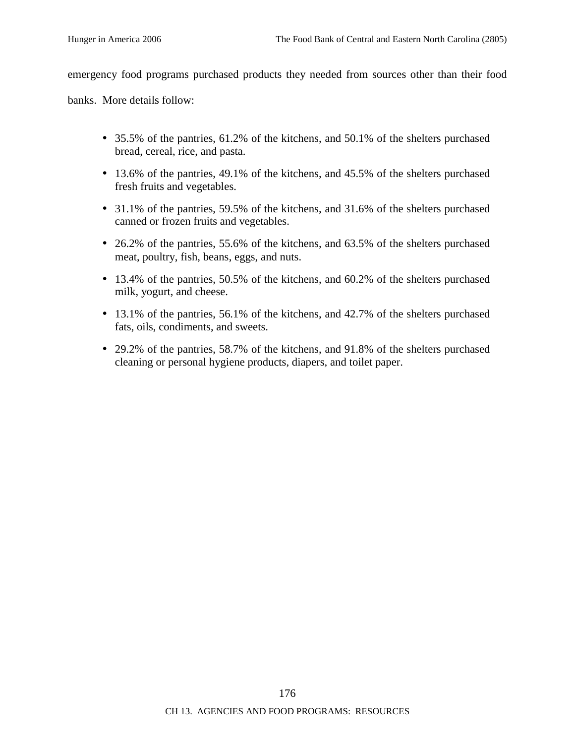emergency food programs purchased products they needed from sources other than their food

banks. More details follow:

- 35.5% of the pantries, 61.2% of the kitchens, and 50.1% of the shelters purchased bread, cereal, rice, and pasta.
- 13.6% of the pantries, 49.1% of the kitchens, and 45.5% of the shelters purchased fresh fruits and vegetables.
- 31.1% of the pantries, 59.5% of the kitchens, and 31.6% of the shelters purchased canned or frozen fruits and vegetables.
- 26.2% of the pantries, 55.6% of the kitchens, and 63.5% of the shelters purchased meat, poultry, fish, beans, eggs, and nuts.
- 13.4% of the pantries, 50.5% of the kitchens, and 60.2% of the shelters purchased milk, yogurt, and cheese.
- 13.1% of the pantries, 56.1% of the kitchens, and 42.7% of the shelters purchased fats, oils, condiments, and sweets.
- 29.2% of the pantries, 58.7% of the kitchens, and 91.8% of the shelters purchased cleaning or personal hygiene products, diapers, and toilet paper.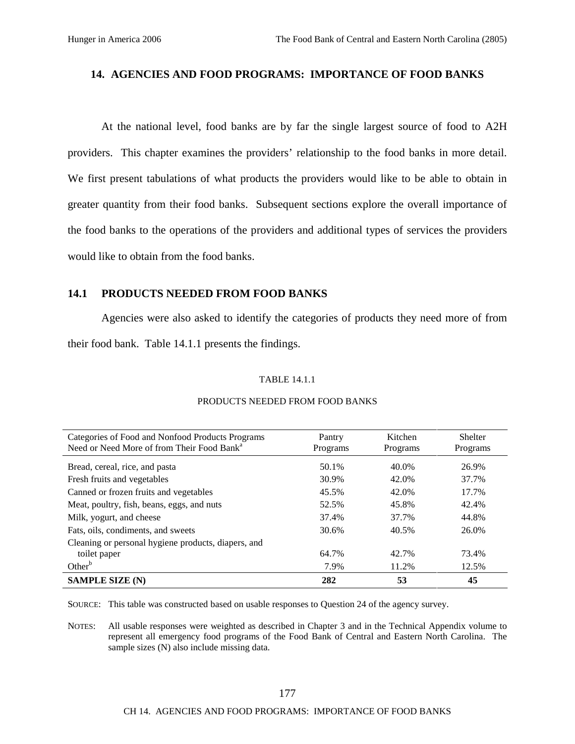### **14. AGENCIES AND FOOD PROGRAMS: IMPORTANCE OF FOOD BANKS**

At the national level, food banks are by far the single largest source of food to A2H providers. This chapter examines the providers' relationship to the food banks in more detail. We first present tabulations of what products the providers would like to be able to obtain in greater quantity from their food banks. Subsequent sections explore the overall importance of the food banks to the operations of the providers and additional types of services the providers would like to obtain from the food banks.

#### **14.1 PRODUCTS NEEDED FROM FOOD BANKS**

Agencies were also asked to identify the categories of products they need more of from their food bank. Table 14.1.1 presents the findings.

#### TABLE 14.1.1

| Categories of Food and Nonfood Products Programs<br>Need or Need More of from Their Food Bank <sup>a</sup> | Pantry<br>Programs | Kitchen<br>Programs | <b>Shelter</b><br>Programs |
|------------------------------------------------------------------------------------------------------------|--------------------|---------------------|----------------------------|
| Bread, cereal, rice, and pasta                                                                             | 50.1%              | 40.0%               | 26.9%                      |
| Fresh fruits and vegetables                                                                                | 30.9%              | 42.0%               | 37.7%                      |
| Canned or frozen fruits and vegetables                                                                     | 45.5%              | 42.0%               | 17.7%                      |
| Meat, poultry, fish, beans, eggs, and nuts                                                                 | 52.5%              | 45.8%               | 42.4%                      |
| Milk, yogurt, and cheese                                                                                   | 37.4%              | 37.7%               | 44.8%                      |
| Fats, oils, condiments, and sweets                                                                         | 30.6%              | 40.5%               | 26.0%                      |
| Cleaning or personal hygiene products, diapers, and                                                        |                    |                     |                            |
| toilet paper                                                                                               | 64.7%              | 42.7%               | 73.4%                      |
| Other $b$                                                                                                  | 7.9%               | 11.2%               | 12.5%                      |
| <b>SAMPLE SIZE (N)</b>                                                                                     | 282                | 53                  | 45                         |

#### PRODUCTS NEEDED FROM FOOD BANKS

SOURCE: This table was constructed based on usable responses to Question 24 of the agency survey.

NOTES: All usable responses were weighted as described in Chapter 3 and in the Technical Appendix volume to represent all emergency food programs of the Food Bank of Central and Eastern North Carolina. The sample sizes (N) also include missing data.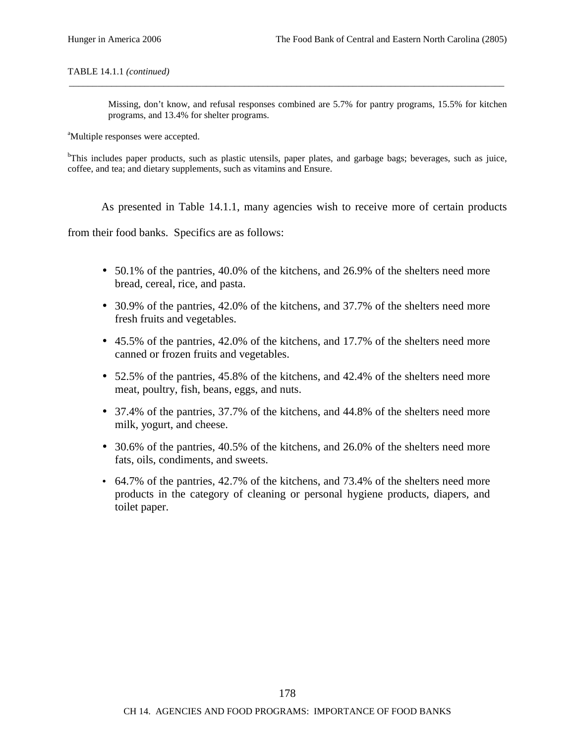#### TABLE 14.1.1 *(continued)*

Missing, don't know, and refusal responses combined are 5.7% for pantry programs, 15.5% for kitchen programs, and 13.4% for shelter programs.

<sup>a</sup>Multiple responses were accepted.

<sup>b</sup>This includes paper products, such as plastic utensils, paper plates, and garbage bags; beverages, such as juice, coffee, and tea; and dietary supplements, such as vitamins and Ensure.

\_\_\_\_\_\_\_\_\_\_\_\_\_\_\_\_\_\_\_\_\_\_\_\_\_\_\_\_\_\_\_\_\_\_\_\_\_\_\_\_\_\_\_\_\_\_\_\_\_\_\_\_\_\_\_\_\_\_\_\_\_\_\_\_\_\_\_\_\_\_\_\_\_\_\_\_\_\_\_\_\_\_\_\_\_\_\_\_\_\_\_\_

As presented in Table 14.1.1, many agencies wish to receive more of certain products

from their food banks. Specifics are as follows:

- 50.1% of the pantries, 40.0% of the kitchens, and 26.9% of the shelters need more bread, cereal, rice, and pasta.
- 30.9% of the pantries, 42.0% of the kitchens, and 37.7% of the shelters need more fresh fruits and vegetables.
- 45.5% of the pantries, 42.0% of the kitchens, and 17.7% of the shelters need more canned or frozen fruits and vegetables.
- 52.5% of the pantries, 45.8% of the kitchens, and 42.4% of the shelters need more meat, poultry, fish, beans, eggs, and nuts.
- 37.4% of the pantries, 37.7% of the kitchens, and 44.8% of the shelters need more milk, yogurt, and cheese.
- 30.6% of the pantries, 40.5% of the kitchens, and 26.0% of the shelters need more fats, oils, condiments, and sweets.
- 64.7% of the pantries, 42.7% of the kitchens, and 73.4% of the shelters need more products in the category of cleaning or personal hygiene products, diapers, and toilet paper.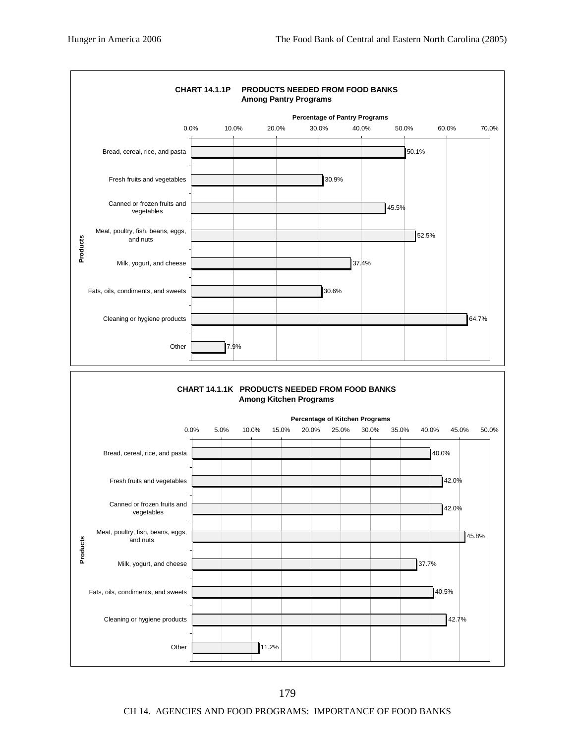

CH 14. AGENCIES AND FOOD PROGRAMS: IMPORTANCE OF FOOD BANKS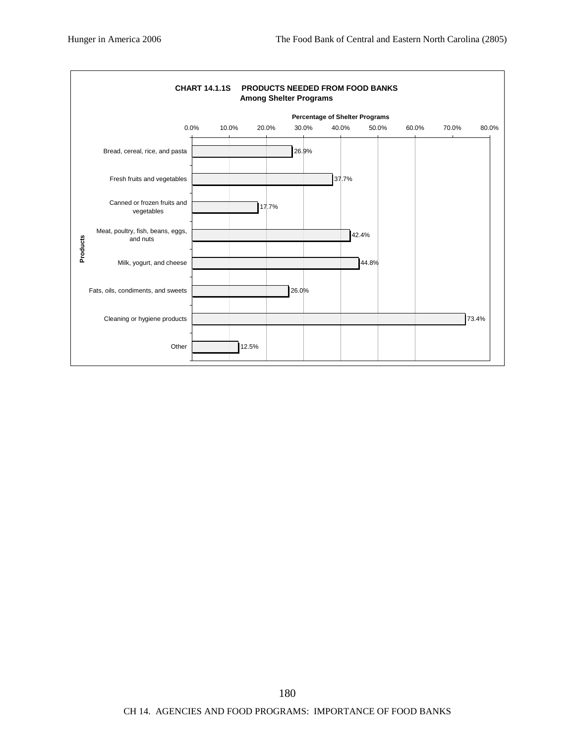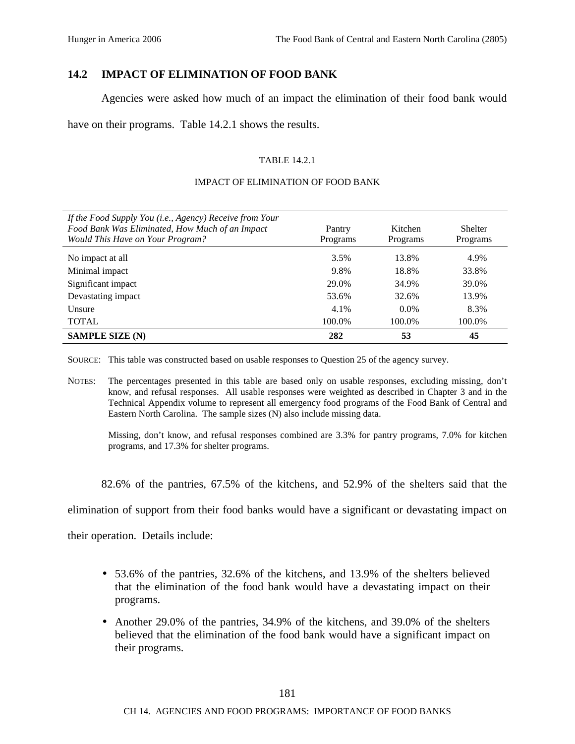## **14.2 IMPACT OF ELIMINATION OF FOOD BANK**

Agencies were asked how much of an impact the elimination of their food bank would

have on their programs. Table 14.2.1 shows the results.

#### TABLE 14.2.1

#### IMPACT OF ELIMINATION OF FOOD BANK

| If the Food Supply You (i.e., Agency) Receive from Your<br>Food Bank Was Eliminated, How Much of an Impact<br>Would This Have on Your Program? | Pantry<br>Programs | Kitchen<br>Programs | Shelter<br>Programs |
|------------------------------------------------------------------------------------------------------------------------------------------------|--------------------|---------------------|---------------------|
| No impact at all                                                                                                                               | 3.5%               | 13.8%               | 4.9%                |
| Minimal impact                                                                                                                                 | 9.8%               | 18.8%               | 33.8%               |
| Significant impact                                                                                                                             | 29.0%              | 34.9%               | 39.0%               |
| Devastating impact                                                                                                                             | 53.6%              | 32.6%               | 13.9%               |
| <b>Unsure</b>                                                                                                                                  | 4.1%               | $0.0\%$             | 8.3%                |
| <b>TOTAL</b>                                                                                                                                   | 100.0%             | 100.0%              | 100.0%              |
| <b>SAMPLE SIZE (N)</b>                                                                                                                         | 282                | 53                  | 45                  |

SOURCE: This table was constructed based on usable responses to Question 25 of the agency survey.

NOTES: The percentages presented in this table are based only on usable responses, excluding missing, don't know, and refusal responses. All usable responses were weighted as described in Chapter 3 and in the Technical Appendix volume to represent all emergency food programs of the Food Bank of Central and Eastern North Carolina. The sample sizes (N) also include missing data.

Missing, don't know, and refusal responses combined are 3.3% for pantry programs, 7.0% for kitchen programs, and 17.3% for shelter programs.

82.6% of the pantries, 67.5% of the kitchens, and 52.9% of the shelters said that the

elimination of support from their food banks would have a significant or devastating impact on

their operation. Details include:

- 53.6% of the pantries, 32.6% of the kitchens, and 13.9% of the shelters believed that the elimination of the food bank would have a devastating impact on their programs.
- Another 29.0% of the pantries, 34.9% of the kitchens, and 39.0% of the shelters believed that the elimination of the food bank would have a significant impact on their programs.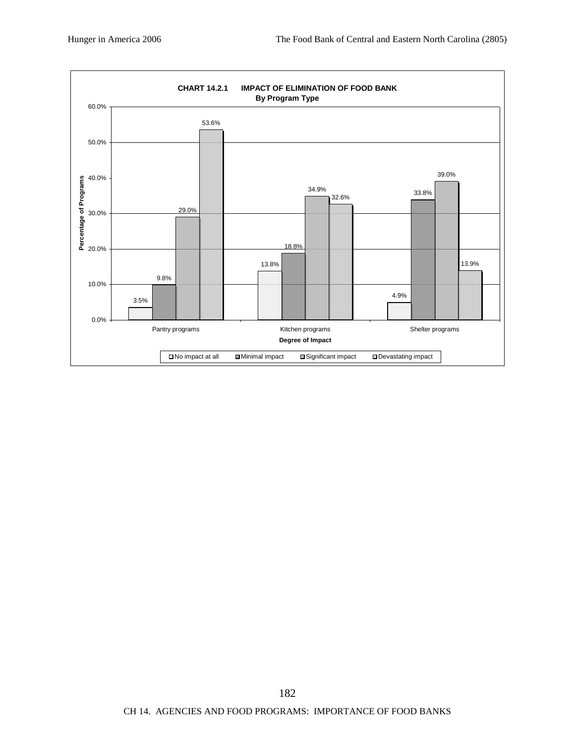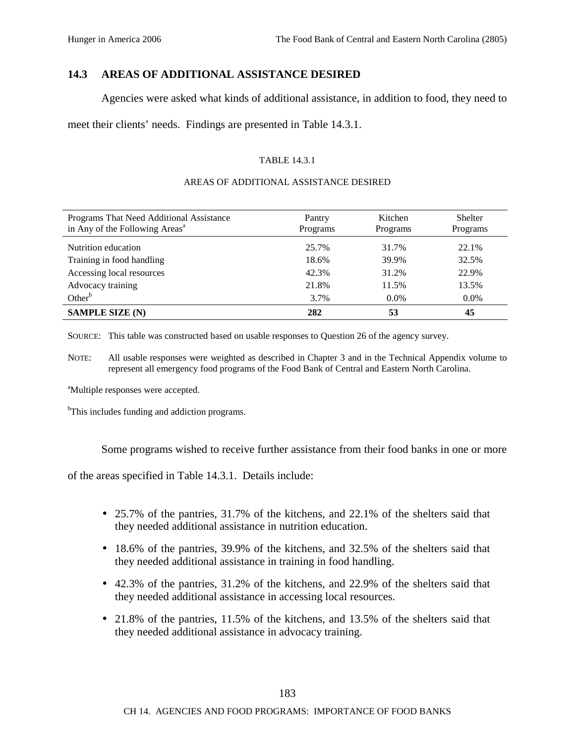## **14.3 AREAS OF ADDITIONAL ASSISTANCE DESIRED**

Agencies were asked what kinds of additional assistance, in addition to food, they need to

meet their clients' needs. Findings are presented in Table 14.3.1.

#### TABLE 14.3.1

#### AREAS OF ADDITIONAL ASSISTANCE DESIRED

| Programs That Need Additional Assistance<br>in Any of the Following Areas <sup>a</sup> | Pantry<br>Programs | Kitchen<br>Programs | <b>Shelter</b><br>Programs |
|----------------------------------------------------------------------------------------|--------------------|---------------------|----------------------------|
| Nutrition education                                                                    | 25.7%              | 31.7%               | 22.1%                      |
| Training in food handling                                                              | 18.6%              | 39.9%               | 32.5%                      |
| Accessing local resources                                                              | 42.3%              | 31.2%               | 22.9%                      |
| Advocacy training                                                                      | 21.8%              | 11.5%               | 13.5%                      |
| Other <sup>b</sup>                                                                     | 3.7%               | $0.0\%$             | $0.0\%$                    |
| <b>SAMPLE SIZE (N)</b>                                                                 | 282                | 53                  | 45                         |

SOURCE: This table was constructed based on usable responses to Question 26 of the agency survey.

NOTE: All usable responses were weighted as described in Chapter 3 and in the Technical Appendix volume to represent all emergency food programs of the Food Bank of Central and Eastern North Carolina.

<sup>a</sup>Multiple responses were accepted.

<sup>b</sup>This includes funding and addiction programs.

Some programs wished to receive further assistance from their food banks in one or more

of the areas specified in Table 14.3.1. Details include:

- 25.7% of the pantries, 31.7% of the kitchens, and 22.1% of the shelters said that they needed additional assistance in nutrition education.
- 18.6% of the pantries, 39.9% of the kitchens, and 32.5% of the shelters said that they needed additional assistance in training in food handling.
- 42.3% of the pantries, 31.2% of the kitchens, and 22.9% of the shelters said that they needed additional assistance in accessing local resources.
- 21.8% of the pantries, 11.5% of the kitchens, and 13.5% of the shelters said that they needed additional assistance in advocacy training.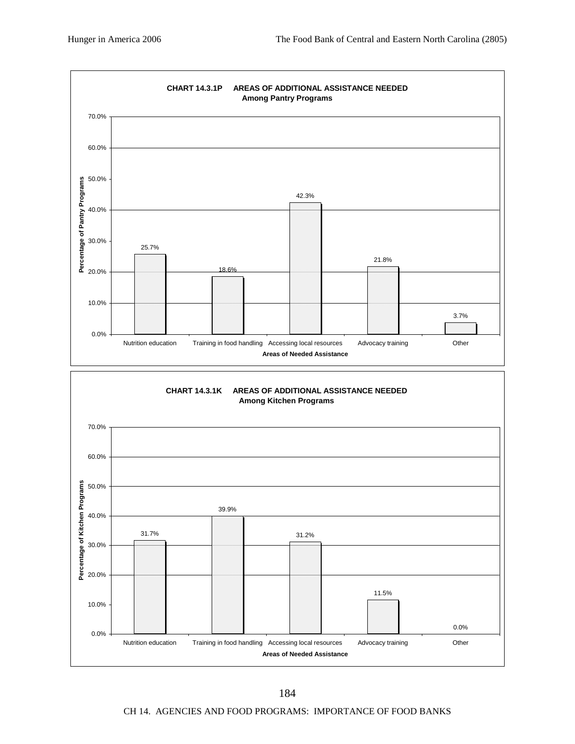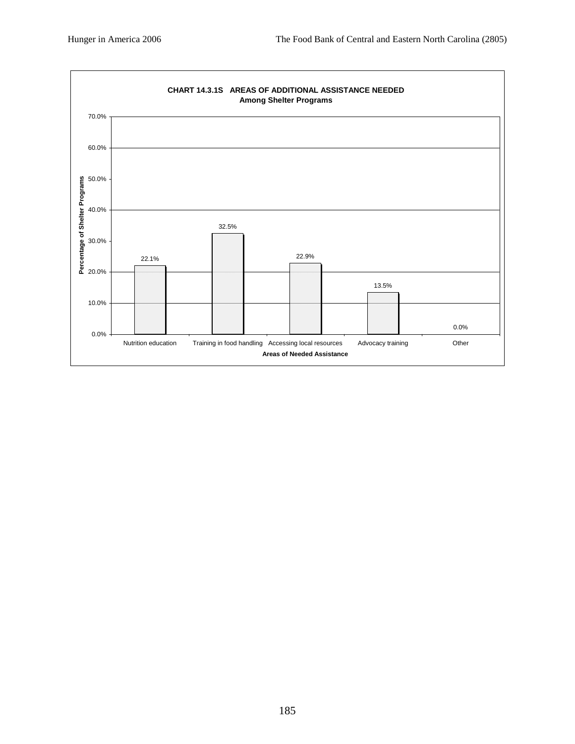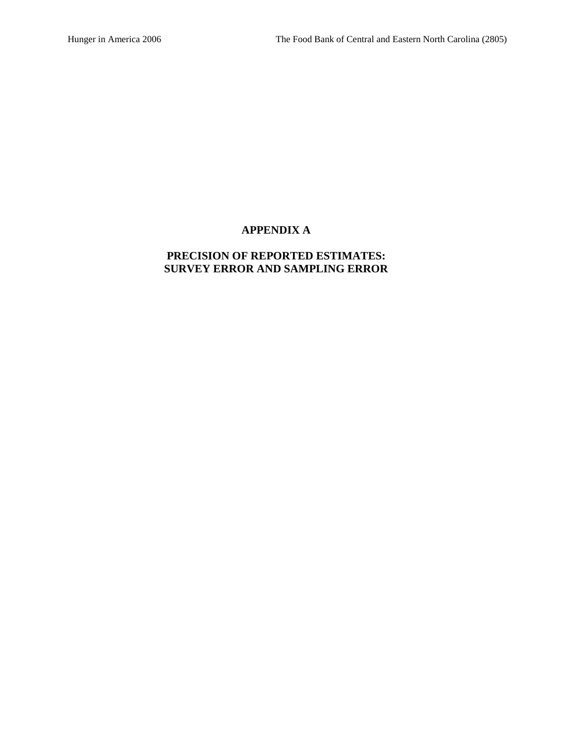## **APPENDIX A**

## **PRECISION OF REPORTED ESTIMATES: SURVEY ERROR AND SAMPLING ERROR**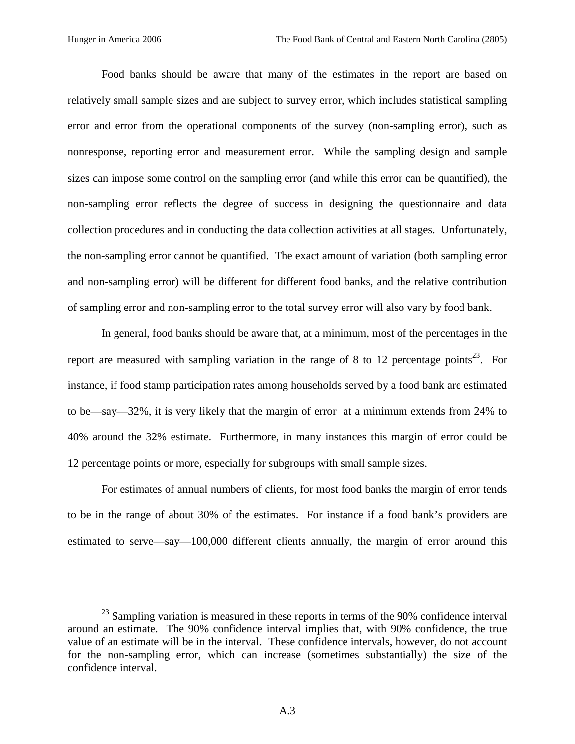Food banks should be aware that many of the estimates in the report are based on relatively small sample sizes and are subject to survey error, which includes statistical sampling error and error from the operational components of the survey (non-sampling error), such as nonresponse, reporting error and measurement error. While the sampling design and sample sizes can impose some control on the sampling error (and while this error can be quantified), the non-sampling error reflects the degree of success in designing the questionnaire and data collection procedures and in conducting the data collection activities at all stages. Unfortunately, the non-sampling error cannot be quantified. The exact amount of variation (both sampling error and non-sampling error) will be different for different food banks, and the relative contribution of sampling error and non-sampling error to the total survey error will also vary by food bank.

In general, food banks should be aware that, at a minimum, most of the percentages in the report are measured with sampling variation in the range of 8 to 12 percentage points<sup>23</sup>. For instance, if food stamp participation rates among households served by a food bank are estimated to be—say—32%, it is very likely that the margin of error at a minimum extends from 24% to 40% around the 32% estimate. Furthermore, in many instances this margin of error could be 12 percentage points or more, especially for subgroups with small sample sizes.

For estimates of annual numbers of clients, for most food banks the margin of error tends to be in the range of about 30% of the estimates. For instance if a food bank's providers are estimated to serve—say—100,000 different clients annually, the margin of error around this

 $23$  Sampling variation is measured in these reports in terms of the 90% confidence interval around an estimate. The 90% confidence interval implies that, with 90% confidence, the true value of an estimate will be in the interval. These confidence intervals, however, do not account for the non-sampling error, which can increase (sometimes substantially) the size of the confidence interval.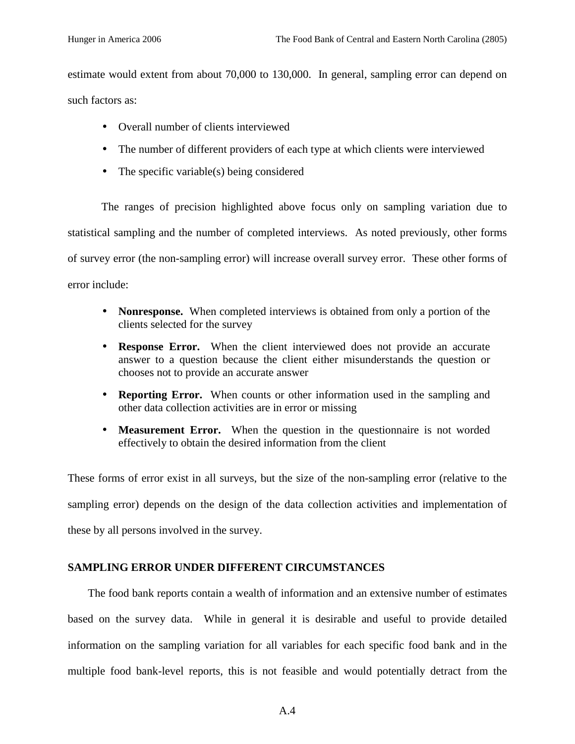estimate would extent from about 70,000 to 130,000. In general, sampling error can depend on such factors as:

- Overall number of clients interviewed
- The number of different providers of each type at which clients were interviewed
- The specific variable(s) being considered

The ranges of precision highlighted above focus only on sampling variation due to statistical sampling and the number of completed interviews. As noted previously, other forms of survey error (the non-sampling error) will increase overall survey error. These other forms of error include:

- **Nonresponse.** When completed interviews is obtained from only a portion of the clients selected for the survey
- **Response Error.** When the client interviewed does not provide an accurate answer to a question because the client either misunderstands the question or chooses not to provide an accurate answer
- **Reporting Error.** When counts or other information used in the sampling and other data collection activities are in error or missing
- **Measurement Error.** When the question in the questionnaire is not worded effectively to obtain the desired information from the client

These forms of error exist in all surveys, but the size of the non-sampling error (relative to the sampling error) depends on the design of the data collection activities and implementation of these by all persons involved in the survey.

## **SAMPLING ERROR UNDER DIFFERENT CIRCUMSTANCES**

The food bank reports contain a wealth of information and an extensive number of estimates based on the survey data. While in general it is desirable and useful to provide detailed information on the sampling variation for all variables for each specific food bank and in the multiple food bank-level reports, this is not feasible and would potentially detract from the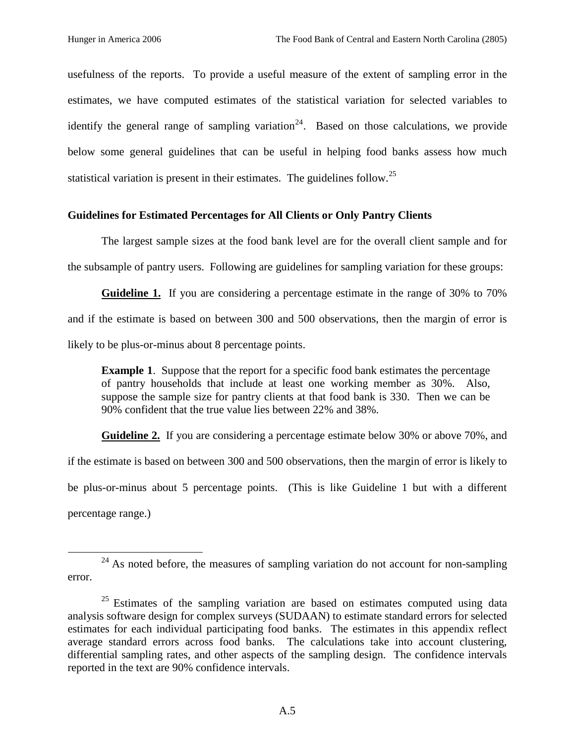usefulness of the reports. To provide a useful measure of the extent of sampling error in the estimates, we have computed estimates of the statistical variation for selected variables to identify the general range of sampling variation<sup>24</sup>. Based on those calculations, we provide below some general guidelines that can be useful in helping food banks assess how much statistical variation is present in their estimates. The guidelines follow.<sup>25</sup>

#### **Guidelines for Estimated Percentages for All Clients or Only Pantry Clients**

The largest sample sizes at the food bank level are for the overall client sample and for the subsample of pantry users. Following are guidelines for sampling variation for these groups:

**Guideline 1.** If you are considering a percentage estimate in the range of 30% to 70% and if the estimate is based on between 300 and 500 observations, then the margin of error is likely to be plus-or-minus about 8 percentage points.

**Example 1.** Suppose that the report for a specific food bank estimates the percentage of pantry households that include at least one working member as 30%. Also, suppose the sample size for pantry clients at that food bank is 330. Then we can be 90% confident that the true value lies between 22% and 38%.

**Guideline 2.** If you are considering a percentage estimate below 30% or above 70%, and if the estimate is based on between 300 and 500 observations, then the margin of error is likely to be plus-or-minus about 5 percentage points. (This is like Guideline 1 but with a different percentage range.)

 $24$  As noted before, the measures of sampling variation do not account for non-sampling error.

 $25$  Estimates of the sampling variation are based on estimates computed using data analysis software design for complex surveys (SUDAAN) to estimate standard errors for selected estimates for each individual participating food banks. The estimates in this appendix reflect average standard errors across food banks. The calculations take into account clustering, differential sampling rates, and other aspects of the sampling design. The confidence intervals reported in the text are 90% confidence intervals.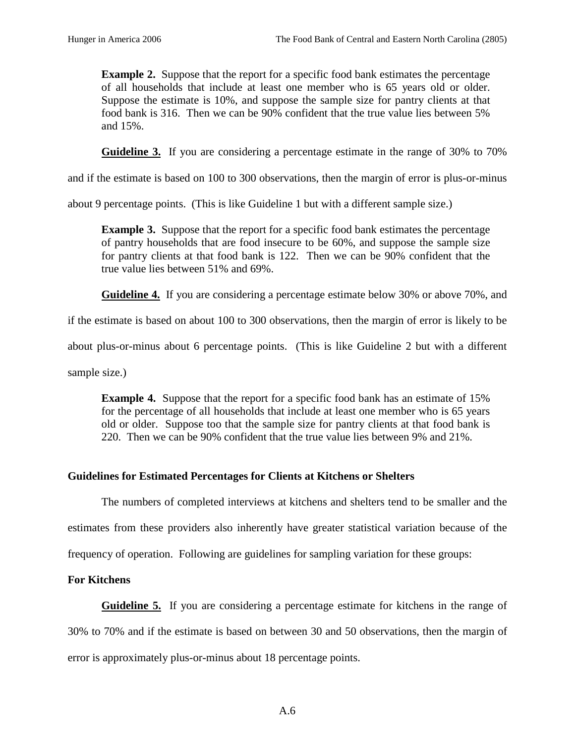**Example 2.** Suppose that the report for a specific food bank estimates the percentage of all households that include at least one member who is 65 years old or older. Suppose the estimate is 10%, and suppose the sample size for pantry clients at that food bank is 316. Then we can be 90% confident that the true value lies between 5% and 15%.

**Guideline 3.** If you are considering a percentage estimate in the range of 30% to 70%

and if the estimate is based on 100 to 300 observations, then the margin of error is plus-or-minus

about 9 percentage points. (This is like Guideline 1 but with a different sample size.)

**Example 3.** Suppose that the report for a specific food bank estimates the percentage of pantry households that are food insecure to be 60%, and suppose the sample size for pantry clients at that food bank is 122. Then we can be 90% confident that the true value lies between 51% and 69%.

**Guideline 4.** If you are considering a percentage estimate below 30% or above 70%, and

if the estimate is based on about 100 to 300 observations, then the margin of error is likely to be

about plus-or-minus about 6 percentage points. (This is like Guideline 2 but with a different

sample size.)

**Example 4.** Suppose that the report for a specific food bank has an estimate of 15% for the percentage of all households that include at least one member who is 65 years old or older. Suppose too that the sample size for pantry clients at that food bank is 220. Then we can be 90% confident that the true value lies between 9% and 21%.

## **Guidelines for Estimated Percentages for Clients at Kitchens or Shelters**

The numbers of completed interviews at kitchens and shelters tend to be smaller and the

estimates from these providers also inherently have greater statistical variation because of the

frequency of operation. Following are guidelines for sampling variation for these groups:

## **For Kitchens**

**Guideline 5.** If you are considering a percentage estimate for kitchens in the range of 30% to 70% and if the estimate is based on between 30 and 50 observations, then the margin of error is approximately plus-or-minus about 18 percentage points.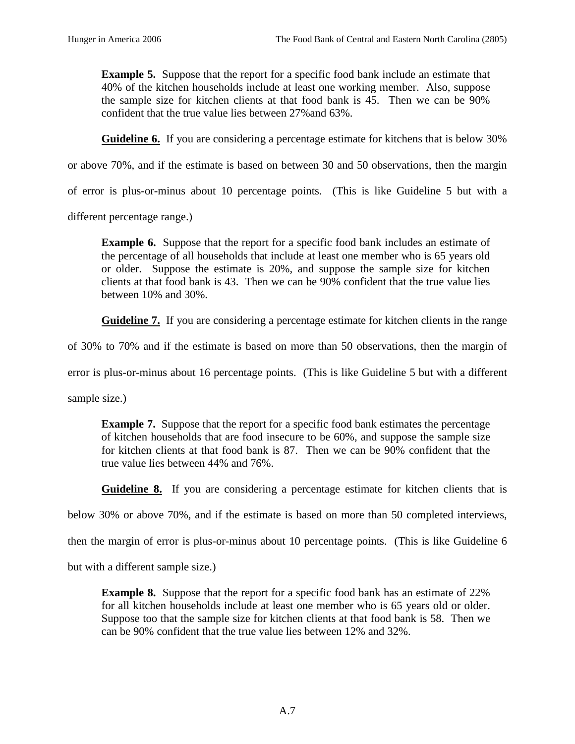**Example 5.** Suppose that the report for a specific food bank include an estimate that 40% of the kitchen households include at least one working member. Also, suppose the sample size for kitchen clients at that food bank is 45. Then we can be 90% confident that the true value lies between 27%and 63%.

**Guideline 6.** If you are considering a percentage estimate for kitchens that is below 30%

or above 70%, and if the estimate is based on between 30 and 50 observations, then the margin

of error is plus-or-minus about 10 percentage points. (This is like Guideline 5 but with a

different percentage range.)

**Example 6.** Suppose that the report for a specific food bank includes an estimate of the percentage of all households that include at least one member who is 65 years old or older. Suppose the estimate is 20%, and suppose the sample size for kitchen clients at that food bank is 43. Then we can be 90% confident that the true value lies between 10% and 30%.

Guideline 7. If you are considering a percentage estimate for kitchen clients in the range

of 30% to 70% and if the estimate is based on more than 50 observations, then the margin of

error is plus-or-minus about 16 percentage points. (This is like Guideline 5 but with a different

sample size.)

**Example 7.** Suppose that the report for a specific food bank estimates the percentage of kitchen households that are food insecure to be 60%, and suppose the sample size for kitchen clients at that food bank is 87. Then we can be 90% confident that the true value lies between 44% and 76%.

**Guideline 8.** If you are considering a percentage estimate for kitchen clients that is

below 30% or above 70%, and if the estimate is based on more than 50 completed interviews,

then the margin of error is plus-or-minus about 10 percentage points. (This is like Guideline 6

but with a different sample size.)

**Example 8.** Suppose that the report for a specific food bank has an estimate of 22% for all kitchen households include at least one member who is 65 years old or older. Suppose too that the sample size for kitchen clients at that food bank is 58. Then we can be 90% confident that the true value lies between 12% and 32%.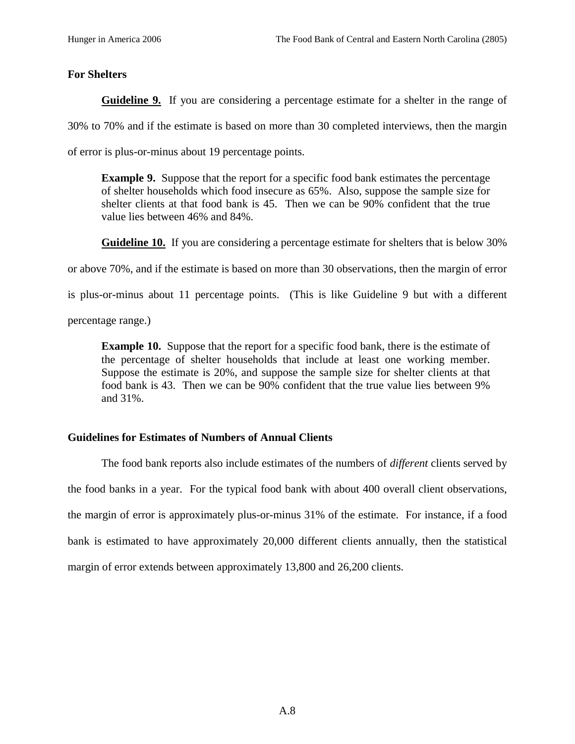## **For Shelters**

**Guideline 9.** If you are considering a percentage estimate for a shelter in the range of

30% to 70% and if the estimate is based on more than 30 completed interviews, then the margin

of error is plus-or-minus about 19 percentage points.

**Example 9.** Suppose that the report for a specific food bank estimates the percentage of shelter households which food insecure as 65%. Also, suppose the sample size for shelter clients at that food bank is 45. Then we can be 90% confident that the true value lies between 46% and 84%.

**Guideline 10.** If you are considering a percentage estimate for shelters that is below 30%

or above 70%, and if the estimate is based on more than 30 observations, then the margin of error

is plus-or-minus about 11 percentage points. (This is like Guideline 9 but with a different

percentage range.)

**Example 10.** Suppose that the report for a specific food bank, there is the estimate of the percentage of shelter households that include at least one working member. Suppose the estimate is 20%, and suppose the sample size for shelter clients at that food bank is 43. Then we can be 90% confident that the true value lies between 9% and 31%.

## **Guidelines for Estimates of Numbers of Annual Clients**

The food bank reports also include estimates of the numbers of *different* clients served by the food banks in a year. For the typical food bank with about 400 overall client observations, the margin of error is approximately plus-or-minus 31% of the estimate. For instance, if a food bank is estimated to have approximately 20,000 different clients annually, then the statistical margin of error extends between approximately 13,800 and 26,200 clients.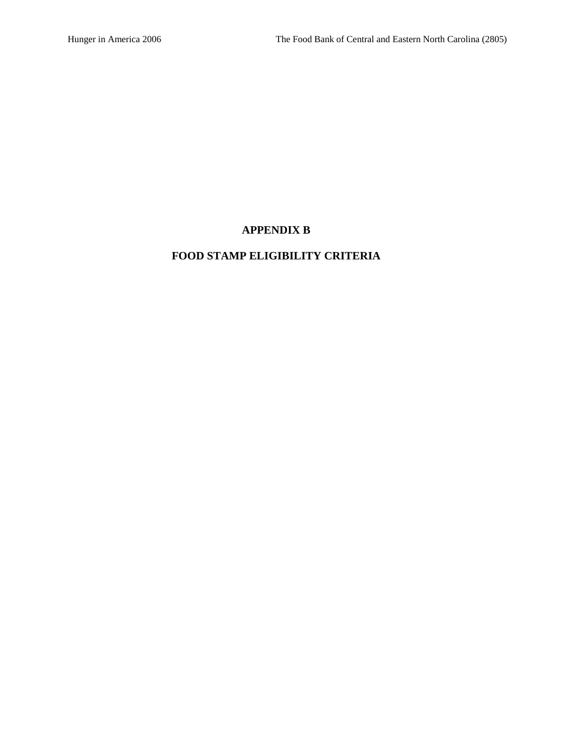## **APPENDIX B**

# **FOOD STAMP ELIGIBILITY CRITERIA**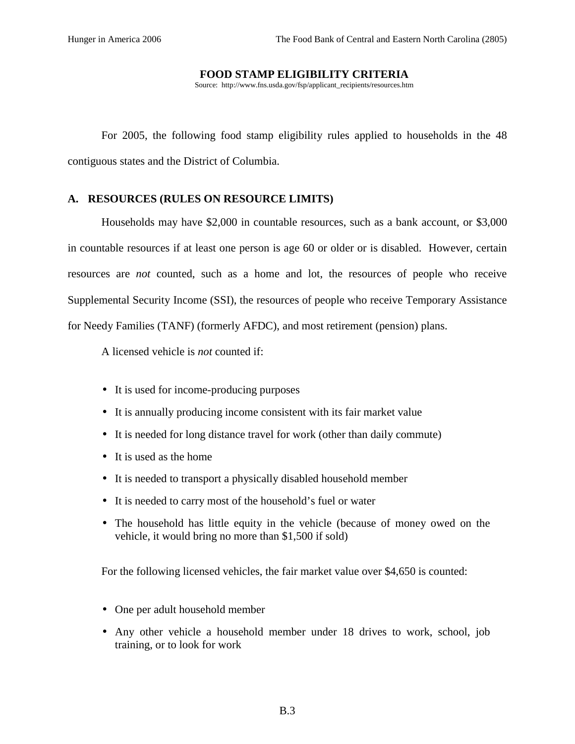#### **FOOD STAMP ELIGIBILITY CRITERIA**

Source: http://www.fns.usda.gov/fsp/applicant\_recipients/resources.htm

For 2005, the following food stamp eligibility rules applied to households in the 48 contiguous states and the District of Columbia.

## **A. RESOURCES (RULES ON RESOURCE LIMITS)**

Households may have \$2,000 in countable resources, such as a bank account, or \$3,000 in countable resources if at least one person is age 60 or older or is disabled. However, certain resources are *not* counted, such as a home and lot, the resources of people who receive Supplemental Security Income (SSI), the resources of people who receive Temporary Assistance for Needy Families (TANF) (formerly AFDC), and most retirement (pension) plans.

A licensed vehicle is *not* counted if:

- It is used for income-producing purposes
- It is annually producing income consistent with its fair market value
- It is needed for long distance travel for work (other than daily commute)
- It is used as the home
- It is needed to transport a physically disabled household member
- It is needed to carry most of the household's fuel or water
- The household has little equity in the vehicle (because of money owed on the vehicle, it would bring no more than \$1,500 if sold)

For the following licensed vehicles, the fair market value over \$4,650 is counted:

- One per adult household member
- Any other vehicle a household member under 18 drives to work, school, job training, or to look for work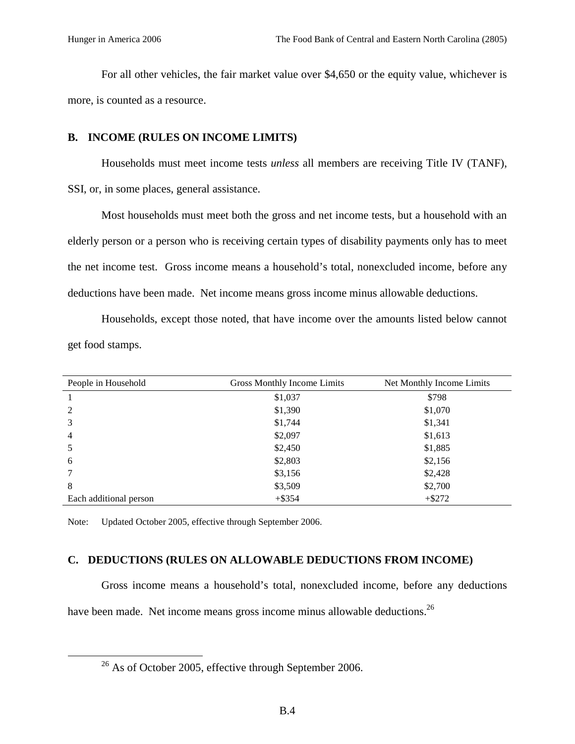For all other vehicles, the fair market value over \$4,650 or the equity value, whichever is more, is counted as a resource.

#### **B. INCOME (RULES ON INCOME LIMITS)**

Households must meet income tests *unless* all members are receiving Title IV (TANF), SSI, or, in some places, general assistance.

Most households must meet both the gross and net income tests, but a household with an elderly person or a person who is receiving certain types of disability payments only has to meet the net income test. Gross income means a household's total, nonexcluded income, before any deductions have been made. Net income means gross income minus allowable deductions.

Households, except those noted, that have income over the amounts listed below cannot get food stamps.

| People in Household    | Gross Monthly Income Limits | Net Monthly Income Limits |
|------------------------|-----------------------------|---------------------------|
|                        | \$1,037                     | \$798                     |
| 2                      | \$1,390                     | \$1,070                   |
| 3                      | \$1,744                     | \$1,341                   |
| $\overline{4}$         | \$2,097                     | \$1,613                   |
|                        | \$2,450                     | \$1,885                   |
| 6                      | \$2,803                     | \$2,156                   |
|                        | \$3,156                     | \$2,428                   |
| 8                      | \$3,509                     | \$2,700                   |
| Each additional person | $+$ \$354                   | $+ $272$                  |

Note: Updated October 2005, effective through September 2006.

### **C. DEDUCTIONS (RULES ON ALLOWABLE DEDUCTIONS FROM INCOME)**

Gross income means a household's total, nonexcluded income, before any deductions have been made. Net income means gross income minus allowable deductions.<sup>26</sup>

<sup>&</sup>lt;sup>26</sup> As of October 2005, effective through September 2006.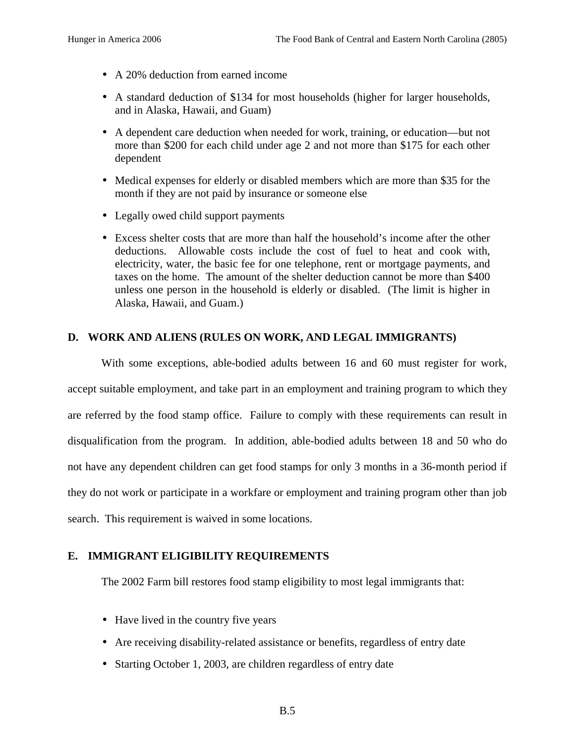- A 20% deduction from earned income
- A standard deduction of \$134 for most households (higher for larger households, and in Alaska, Hawaii, and Guam)
- A dependent care deduction when needed for work, training, or education—but not more than \$200 for each child under age 2 and not more than \$175 for each other dependent
- Medical expenses for elderly or disabled members which are more than \$35 for the month if they are not paid by insurance or someone else
- Legally owed child support payments
- Excess shelter costs that are more than half the household's income after the other deductions. Allowable costs include the cost of fuel to heat and cook with, electricity, water, the basic fee for one telephone, rent or mortgage payments, and taxes on the home. The amount of the shelter deduction cannot be more than \$400 unless one person in the household is elderly or disabled. (The limit is higher in Alaska, Hawaii, and Guam.)

# **D. WORK AND ALIENS (RULES ON WORK, AND LEGAL IMMIGRANTS)**

With some exceptions, able-bodied adults between 16 and 60 must register for work, accept suitable employment, and take part in an employment and training program to which they are referred by the food stamp office. Failure to comply with these requirements can result in disqualification from the program. In addition, able-bodied adults between 18 and 50 who do not have any dependent children can get food stamps for only 3 months in a 36-month period if they do not work or participate in a workfare or employment and training program other than job search. This requirement is waived in some locations.

## **E. IMMIGRANT ELIGIBILITY REQUIREMENTS**

The 2002 Farm bill restores food stamp eligibility to most legal immigrants that:

- Have lived in the country five years
- Are receiving disability-related assistance or benefits, regardless of entry date
- Starting October 1, 2003, are children regardless of entry date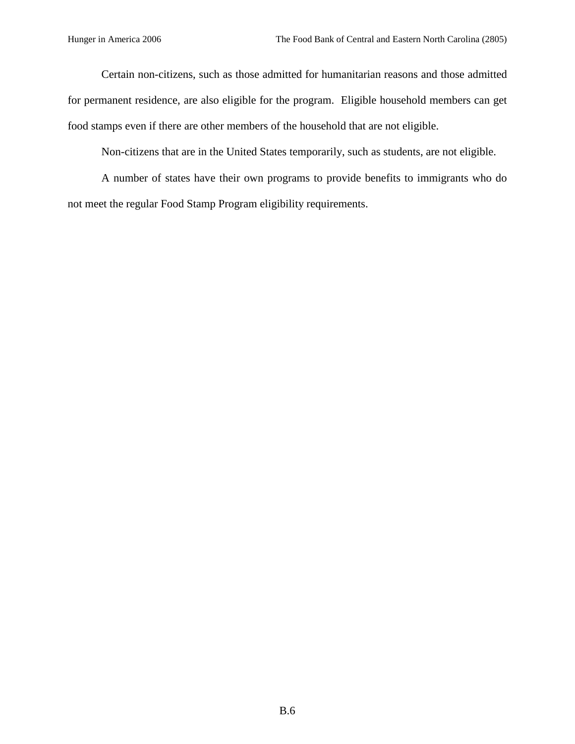Certain non-citizens, such as those admitted for humanitarian reasons and those admitted for permanent residence, are also eligible for the program. Eligible household members can get food stamps even if there are other members of the household that are not eligible.

Non-citizens that are in the United States temporarily, such as students, are not eligible.

A number of states have their own programs to provide benefits to immigrants who do not meet the regular Food Stamp Program eligibility requirements.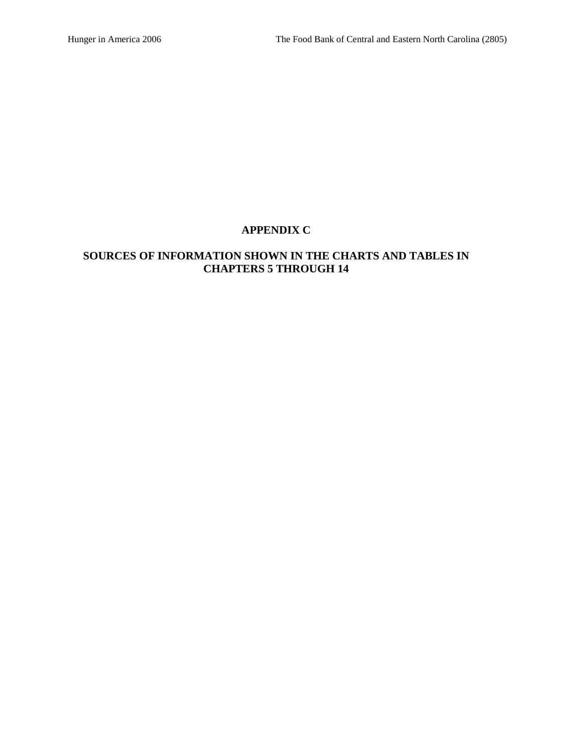# **APPENDIX C**

# **SOURCES OF INFORMATION SHOWN IN THE CHARTS AND TABLES IN CHAPTERS 5 THROUGH 14**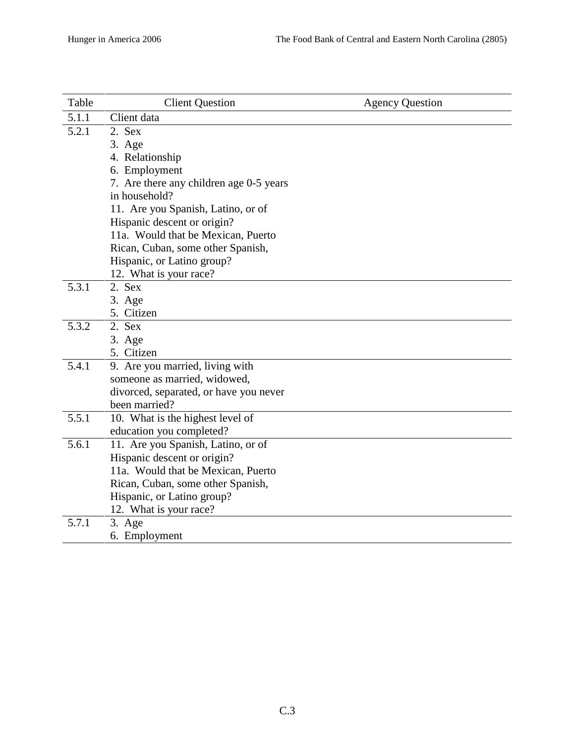| Table | <b>Client Question</b>                  | <b>Agency Question</b> |
|-------|-----------------------------------------|------------------------|
| 5.1.1 | Client data                             |                        |
| 5.2.1 | 2. Sex                                  |                        |
|       | 3. Age                                  |                        |
|       | 4. Relationship                         |                        |
|       | 6. Employment                           |                        |
|       | 7. Are there any children age 0-5 years |                        |
|       | in household?                           |                        |
|       | 11. Are you Spanish, Latino, or of      |                        |
|       | Hispanic descent or origin?             |                        |
|       | 11a. Would that be Mexican, Puerto      |                        |
|       | Rican, Cuban, some other Spanish,       |                        |
|       | Hispanic, or Latino group?              |                        |
|       | 12. What is your race?                  |                        |
| 5.3.1 | 2. Sex                                  |                        |
|       | 3. Age<br>5. Citizen                    |                        |
| 5.3.2 | 2. Sex                                  |                        |
|       | 3. Age                                  |                        |
|       | 5. Citizen                              |                        |
| 5.4.1 | 9. Are you married, living with         |                        |
|       | someone as married, widowed,            |                        |
|       | divorced, separated, or have you never  |                        |
|       | been married?                           |                        |
| 5.5.1 | 10. What is the highest level of        |                        |
|       | education you completed?                |                        |
| 5.6.1 | 11. Are you Spanish, Latino, or of      |                        |
|       | Hispanic descent or origin?             |                        |
|       | 11a. Would that be Mexican, Puerto      |                        |
|       | Rican, Cuban, some other Spanish,       |                        |
|       | Hispanic, or Latino group?              |                        |
|       | 12. What is your race?                  |                        |
| 5.7.1 | 3. Age                                  |                        |
|       | 6. Employment                           |                        |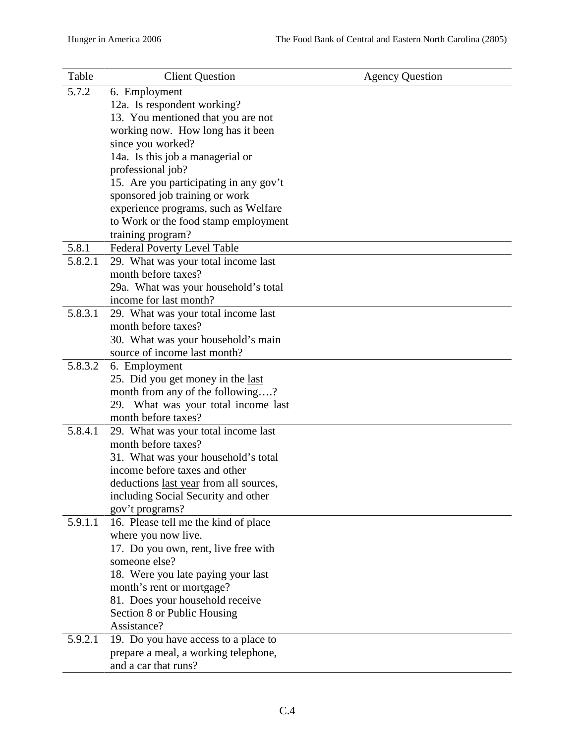| Table   | <b>Client Question</b>                                     | <b>Agency Question</b> |
|---------|------------------------------------------------------------|------------------------|
| 5.7.2   | 6. Employment                                              |                        |
|         | 12a. Is respondent working?                                |                        |
|         | 13. You mentioned that you are not                         |                        |
|         | working now. How long has it been                          |                        |
|         | since you worked?                                          |                        |
|         | 14a. Is this job a managerial or                           |                        |
|         | professional job?                                          |                        |
|         | 15. Are you participating in any gov't                     |                        |
|         | sponsored job training or work                             |                        |
|         | experience programs, such as Welfare                       |                        |
|         | to Work or the food stamp employment                       |                        |
|         | training program?                                          |                        |
| 5.8.1   | Federal Poverty Level Table                                |                        |
| 5.8.2.1 | 29. What was your total income last                        |                        |
|         | month before taxes?                                        |                        |
|         | 29a. What was your household's total                       |                        |
|         | income for last month?                                     |                        |
| 5.8.3.1 | 29. What was your total income last                        |                        |
|         | month before taxes?                                        |                        |
|         | 30. What was your household's main                         |                        |
|         | source of income last month?                               |                        |
| 5.8.3.2 | 6. Employment                                              |                        |
|         | 25. Did you get money in the last                          |                        |
|         | month from any of the following?                           |                        |
|         | 29. What was your total income last                        |                        |
|         | month before taxes?                                        |                        |
| 5.8.4.1 | 29. What was your total income last<br>month before taxes? |                        |
|         | 31. What was your household's total                        |                        |
|         | income before taxes and other                              |                        |
|         | deductions <u>last year</u> from all sources,              |                        |
|         | including Social Security and other                        |                        |
|         | gov't programs?                                            |                        |
| 5.9.1.1 | 16. Please tell me the kind of place                       |                        |
|         | where you now live.                                        |                        |
|         | 17. Do you own, rent, live free with                       |                        |
|         | someone else?                                              |                        |
|         | 18. Were you late paying your last                         |                        |
|         | month's rent or mortgage?                                  |                        |
|         | 81. Does your household receive                            |                        |
|         | Section 8 or Public Housing                                |                        |
|         | Assistance?                                                |                        |
| 5.9.2.1 | 19. Do you have access to a place to                       |                        |
|         | prepare a meal, a working telephone,                       |                        |
|         | and a car that runs?                                       |                        |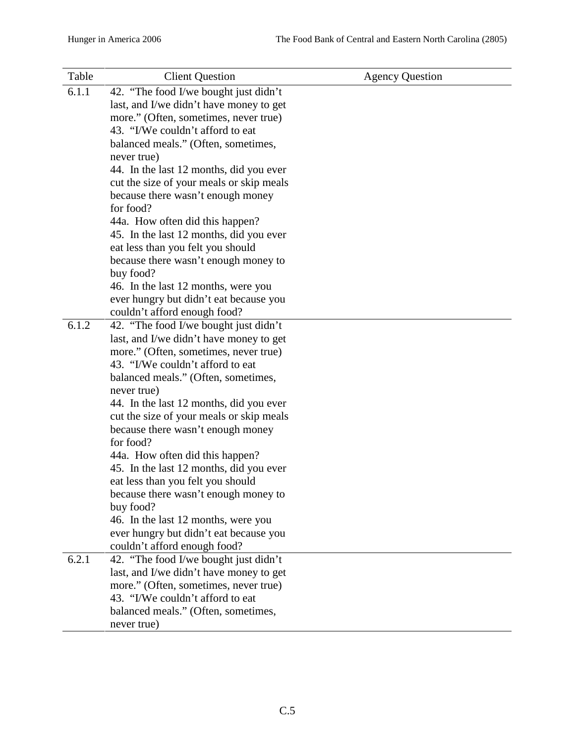| Table | <b>Client Question</b>                         | <b>Agency Question</b> |
|-------|------------------------------------------------|------------------------|
| 6.1.1 | 42. "The food I/we bought just didn't          |                        |
|       | last, and I/we didn't have money to get        |                        |
|       | more." (Often, sometimes, never true)          |                        |
|       | 43. "I/We couldn't afford to eat               |                        |
|       | balanced meals." (Often, sometimes,            |                        |
|       | never true)                                    |                        |
|       | 44. In the last 12 months, did you ever        |                        |
|       | cut the size of your meals or skip meals       |                        |
|       | because there wasn't enough money              |                        |
|       | for food?                                      |                        |
|       | 44a. How often did this happen?                |                        |
|       | 45. In the last 12 months, did you ever        |                        |
|       | eat less than you felt you should              |                        |
|       | because there wasn't enough money to           |                        |
|       | buy food?                                      |                        |
|       | 46. In the last 12 months, were you            |                        |
|       | ever hungry but didn't eat because you         |                        |
|       | couldn't afford enough food?                   |                        |
| 6.1.2 | 42. "The food I/we bought just didn't          |                        |
|       | last, and I/we didn't have money to get        |                        |
|       | more." (Often, sometimes, never true)          |                        |
|       | 43. "I/We couldn't afford to eat               |                        |
|       | balanced meals." (Often, sometimes,            |                        |
|       | never true)                                    |                        |
|       | 44. In the last 12 months, did you ever        |                        |
|       | cut the size of your meals or skip meals       |                        |
|       | because there wasn't enough money<br>for food? |                        |
|       | 44a. How often did this happen?                |                        |
|       | 45. In the last 12 months, did you ever        |                        |
|       | eat less than you felt you should              |                        |
|       | because there wasn't enough money to           |                        |
|       | buy food?                                      |                        |
|       | 46. In the last 12 months, were you            |                        |
|       | ever hungry but didn't eat because you         |                        |
|       | couldn't afford enough food?                   |                        |
| 6.2.1 | 42. "The food I/we bought just didn't          |                        |
|       | last, and I/we didn't have money to get        |                        |
|       | more." (Often, sometimes, never true)          |                        |
|       | 43. "I/We couldn't afford to eat               |                        |
|       | balanced meals." (Often, sometimes,            |                        |
|       | never true)                                    |                        |
|       |                                                |                        |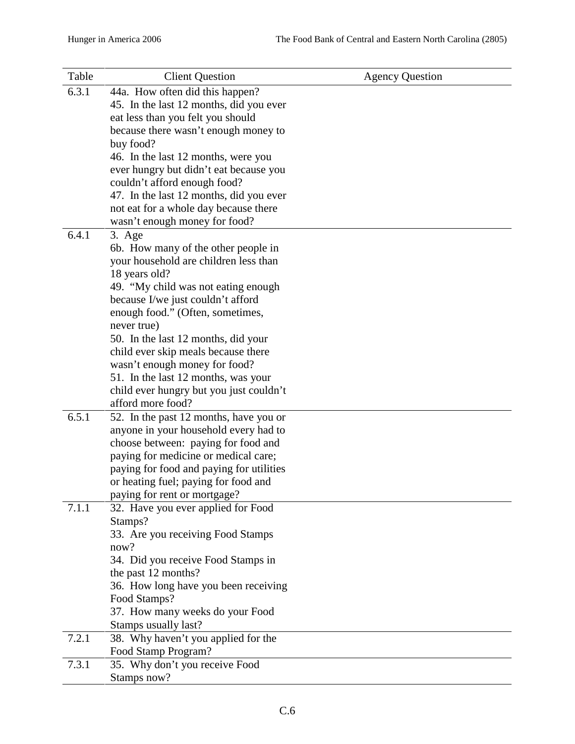| Table | <b>Client Question</b>                                      | <b>Agency Question</b> |
|-------|-------------------------------------------------------------|------------------------|
| 6.3.1 | 44a. How often did this happen?                             |                        |
|       | 45. In the last 12 months, did you ever                     |                        |
|       | eat less than you felt you should                           |                        |
|       | because there wasn't enough money to                        |                        |
|       | buy food?                                                   |                        |
|       | 46. In the last 12 months, were you                         |                        |
|       | ever hungry but didn't eat because you                      |                        |
|       | couldn't afford enough food?                                |                        |
|       | 47. In the last 12 months, did you ever                     |                        |
|       | not eat for a whole day because there                       |                        |
|       | wasn't enough money for food?                               |                        |
| 6.4.1 | 3. Age                                                      |                        |
|       | 6b. How many of the other people in                         |                        |
|       | your household are children less than                       |                        |
|       | 18 years old?                                               |                        |
|       | 49. "My child was not eating enough                         |                        |
|       | because I/we just couldn't afford                           |                        |
|       | enough food." (Often, sometimes,                            |                        |
|       | never true)<br>50. In the last 12 months, did your          |                        |
|       | child ever skip meals because there                         |                        |
|       | wasn't enough money for food?                               |                        |
|       | 51. In the last 12 months, was your                         |                        |
|       | child ever hungry but you just couldn't                     |                        |
|       | afford more food?                                           |                        |
| 6.5.1 | 52. In the past 12 months, have you or                      |                        |
|       | anyone in your household every had to                       |                        |
|       | choose between: paying for food and                         |                        |
|       | paying for medicine or medical care;                        |                        |
|       | paying for food and paying for utilities                    |                        |
|       | or heating fuel; paying for food and                        |                        |
|       | paying for rent or mortgage?                                |                        |
| 7.1.1 | 32. Have you ever applied for Food                          |                        |
|       | Stamps?                                                     |                        |
|       | 33. Are you receiving Food Stamps                           |                        |
|       | now?                                                        |                        |
|       | 34. Did you receive Food Stamps in                          |                        |
|       | the past 12 months?<br>36. How long have you been receiving |                        |
|       | Food Stamps?                                                |                        |
|       | 37. How many weeks do your Food                             |                        |
|       | Stamps usually last?                                        |                        |
| 7.2.1 | 38. Why haven't you applied for the                         |                        |
|       | Food Stamp Program?                                         |                        |
| 7.3.1 | 35. Why don't you receive Food                              |                        |
|       | Stamps now?                                                 |                        |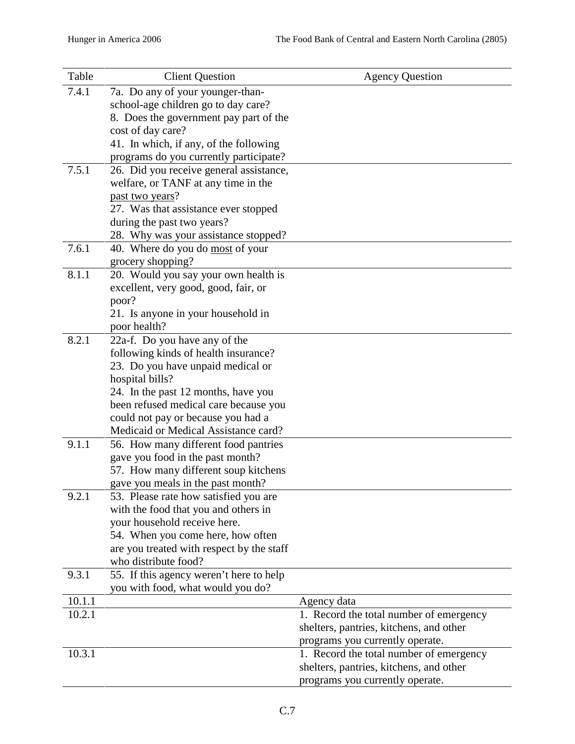| Table  | <b>Client Question</b>                                               | <b>Agency Question</b>                  |
|--------|----------------------------------------------------------------------|-----------------------------------------|
| 7.4.1  | 7a. Do any of your younger-than-                                     |                                         |
|        | school-age children go to day care?                                  |                                         |
|        | 8. Does the government pay part of the                               |                                         |
|        | cost of day care?                                                    |                                         |
|        | 41. In which, if any, of the following                               |                                         |
|        | programs do you currently participate?                               |                                         |
| 7.5.1  | 26. Did you receive general assistance,                              |                                         |
|        | welfare, or TANF at any time in the                                  |                                         |
|        | past two years?                                                      |                                         |
|        | 27. Was that assistance ever stopped                                 |                                         |
|        | during the past two years?<br>28. Why was your assistance stopped?   |                                         |
| 7.6.1  | 40. Where do you do most of your                                     |                                         |
|        | grocery shopping?                                                    |                                         |
| 8.1.1  | 20. Would you say your own health is                                 |                                         |
|        | excellent, very good, good, fair, or                                 |                                         |
|        | poor?                                                                |                                         |
|        | 21. Is anyone in your household in                                   |                                         |
|        | poor health?                                                         |                                         |
| 8.2.1  | 22a-f. Do you have any of the                                        |                                         |
|        | following kinds of health insurance?                                 |                                         |
|        | 23. Do you have unpaid medical or                                    |                                         |
|        | hospital bills?                                                      |                                         |
|        | 24. In the past 12 months, have you                                  |                                         |
|        | been refused medical care because you                                |                                         |
|        | could not pay or because you had a                                   |                                         |
|        | Medicaid or Medical Assistance card?                                 |                                         |
| 9.1.1  | 56. How many different food pantries                                 |                                         |
|        | gave you food in the past month?                                     |                                         |
|        | 57. How many different soup kitchens                                 |                                         |
|        | gave you meals in the past month?                                    |                                         |
| 9.2.1  | 53. Please rate how satisfied you are                                |                                         |
|        | with the food that you and others in<br>your household receive here. |                                         |
|        | 54. When you come here, how often                                    |                                         |
|        | are you treated with respect by the staff                            |                                         |
|        | who distribute food?                                                 |                                         |
| 9.3.1  | 55. If this agency weren't here to help                              |                                         |
|        | you with food, what would you do?                                    |                                         |
| 10.1.1 |                                                                      | Agency data                             |
| 10.2.1 |                                                                      | 1. Record the total number of emergency |
|        |                                                                      | shelters, pantries, kitchens, and other |
|        |                                                                      | programs you currently operate.         |
| 10.3.1 |                                                                      | 1. Record the total number of emergency |
|        |                                                                      | shelters, pantries, kitchens, and other |
|        |                                                                      | programs you currently operate.         |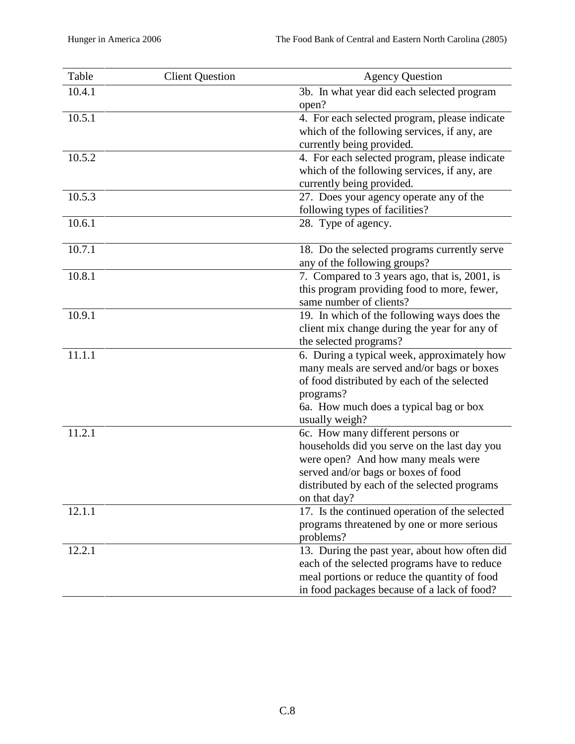| Table  | <b>Client Question</b> | <b>Agency Question</b>                                                                                                                                                                                                         |
|--------|------------------------|--------------------------------------------------------------------------------------------------------------------------------------------------------------------------------------------------------------------------------|
| 10.4.1 |                        | 3b. In what year did each selected program<br>open?                                                                                                                                                                            |
| 10.5.1 |                        | 4. For each selected program, please indicate<br>which of the following services, if any, are<br>currently being provided.                                                                                                     |
| 10.5.2 |                        | 4. For each selected program, please indicate<br>which of the following services, if any, are<br>currently being provided.                                                                                                     |
| 10.5.3 |                        | 27. Does your agency operate any of the<br>following types of facilities?                                                                                                                                                      |
| 10.6.1 |                        | 28. Type of agency.                                                                                                                                                                                                            |
| 10.7.1 |                        | 18. Do the selected programs currently serve<br>any of the following groups?                                                                                                                                                   |
| 10.8.1 |                        | 7. Compared to 3 years ago, that is, 2001, is<br>this program providing food to more, fewer,<br>same number of clients?                                                                                                        |
| 10.9.1 |                        | 19. In which of the following ways does the<br>client mix change during the year for any of<br>the selected programs?                                                                                                          |
| 11.1.1 |                        | 6. During a typical week, approximately how<br>many meals are served and/or bags or boxes<br>of food distributed by each of the selected<br>programs?<br>6a. How much does a typical bag or box<br>usually weigh?              |
| 11.2.1 |                        | 6c. How many different persons or<br>households did you serve on the last day you<br>were open? And how many meals were<br>served and/or bags or boxes of food<br>distributed by each of the selected programs<br>on that day? |
| 12.1.1 |                        | 17. Is the continued operation of the selected<br>programs threatened by one or more serious<br>problems?                                                                                                                      |
| 12.2.1 |                        | 13. During the past year, about how often did<br>each of the selected programs have to reduce<br>meal portions or reduce the quantity of food<br>in food packages because of a lack of food?                                   |